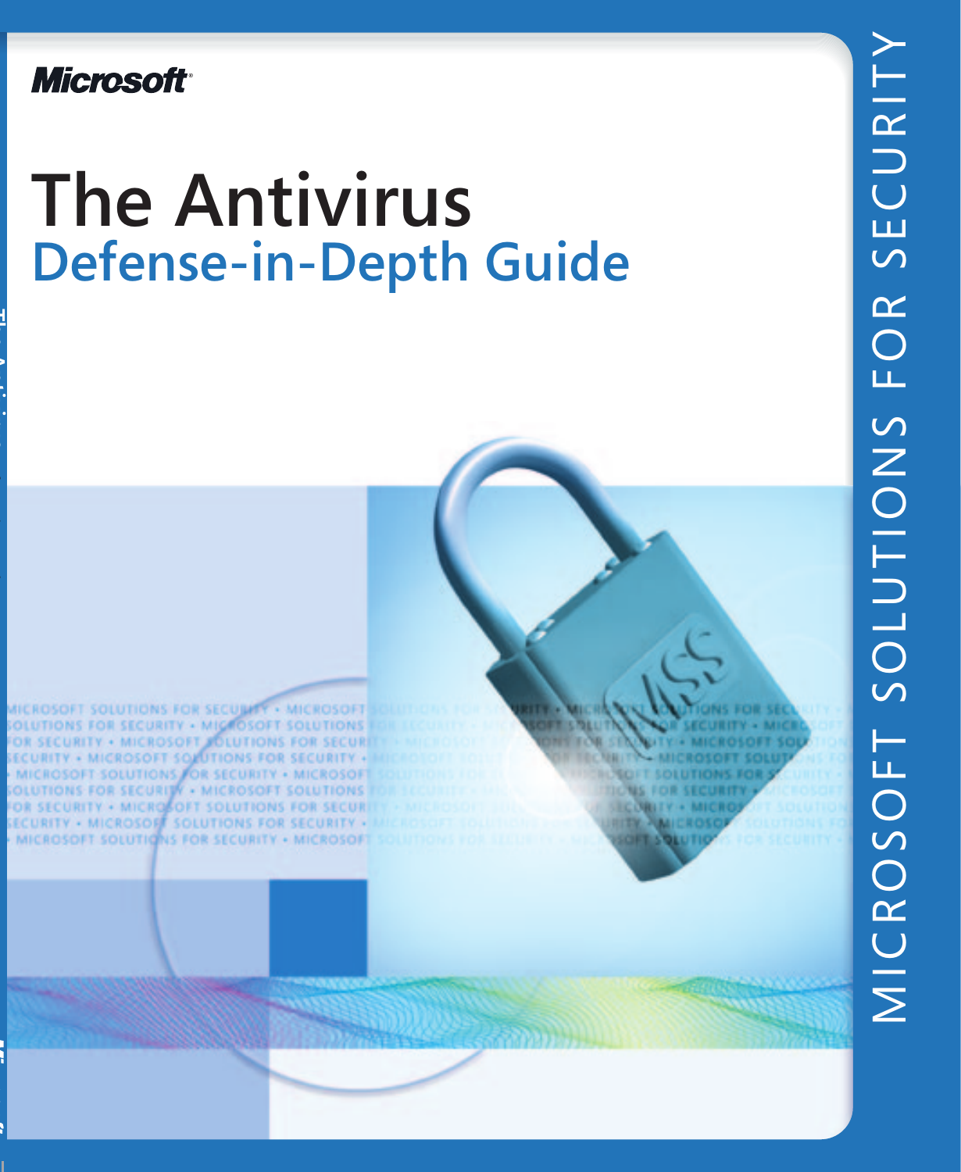**Microsoft** 

# **The Antivirus Defense-in-Depth Guide**

**NEROSOFT SOLUTIONS FOR SECULARY . MICROSOFT** NS FOR SECURITY . MIGROSOFT SOLUTIONS **SECURITY . MICROSOFT JOLUTIONS FOR SECURI ECURITY . MICROSOFT SOLUTIONS FOR SECURITY .** MICROSOFT SOLUTIONS FOR SECURITY . MICROSOF **IONS FOR SECURITY . MICROSOFT SOLUTIONS CURITY . MICROSOFT SOLUTIONS FOR SECUR** RITY . MICROSOFF SOLUTIONS FOR SECURITY . ROSOFT SOLUTIONS FOR SECURITY . MICROSOF

**IDIT SOLUTIONS FO MS FOR SECURIT ICOBITY + MICH HER ANICROS**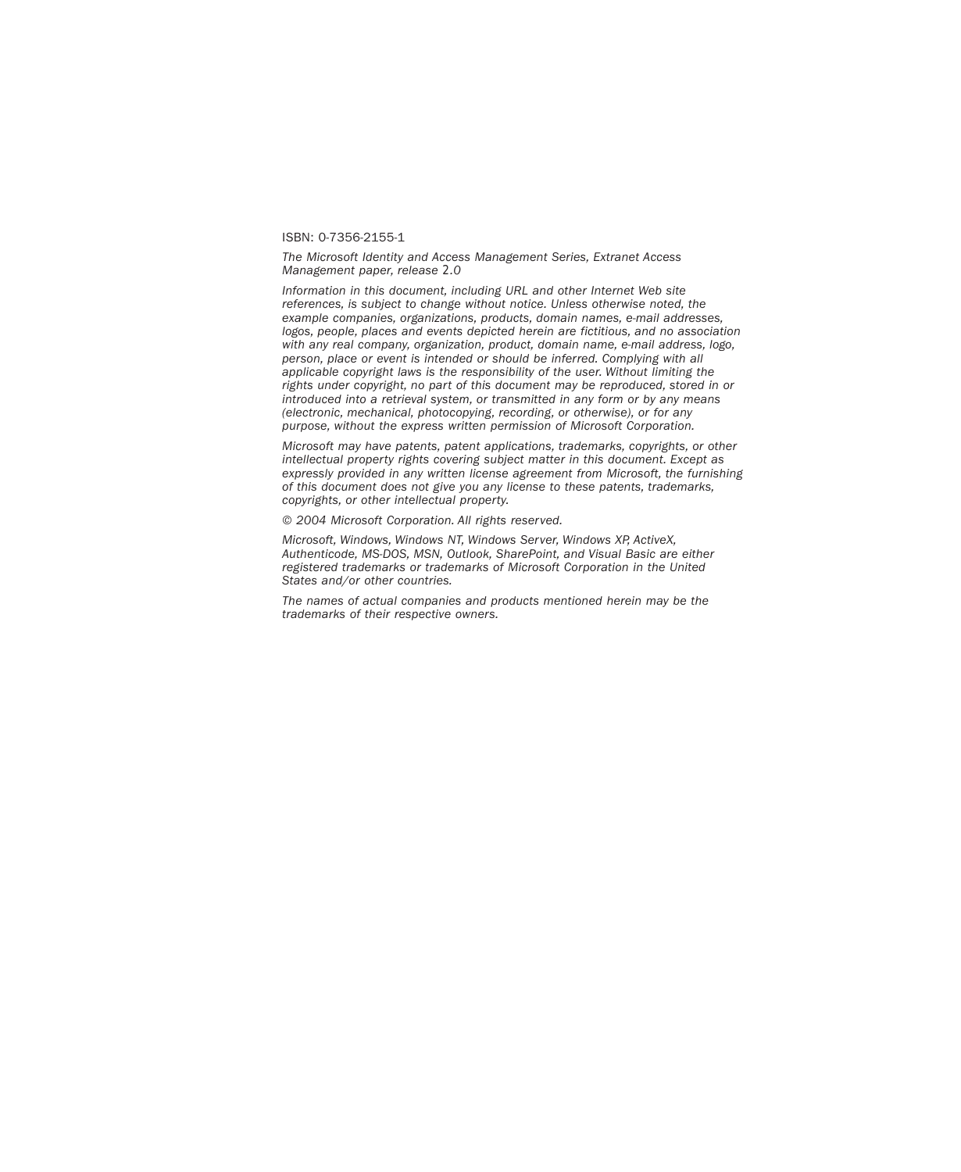#### ISBN: 0-7356-2155-1

*The Microsoft Identity and Access Management Series, Extranet Access Management paper, release 2.0*

*Information in this document, including URL and other Internet Web site references, is subject to change without notice. Unless otherwise noted, the example companies, organizations, products, domain names, e-mail addresses, logos, people, places and events depicted herein are fictitious, and no association with any real company, organization, product, domain name, e-mail address, logo, person, place or event is intended or should be inferred. Complying with all applicable copyright laws is the responsibility of the user. Without limiting the rights under copyright, no part of this document may be reproduced, stored in or introduced into a retrieval system, or transmitted in any form or by any means (electronic, mechanical, photocopying, recording, or otherwise), or for any purpose, without the express written permission of Microsoft Corporation.*

*Microsoft may have patents, patent applications, trademarks, copyrights, or other intellectual property rights covering subject matter in this document. Except as expressly provided in any written license agreement from Microsoft, the furnishing of this document does not give you any license to these patents, trademarks, copyrights, or other intellectual property.*

*© 2004 Microsoft Corporation. All rights reserved.*

*Microsoft, Windows, Windows NT, Windows Server, Windows XP, ActiveX, Authenticode, MS-DOS, MSN, Outlook, SharePoint, and Visual Basic are either registered trademarks or trademarks of Microsoft Corporation in the United States and/or other countries.*

*The names of actual companies and products mentioned herein may be the trademarks of their respective owners.*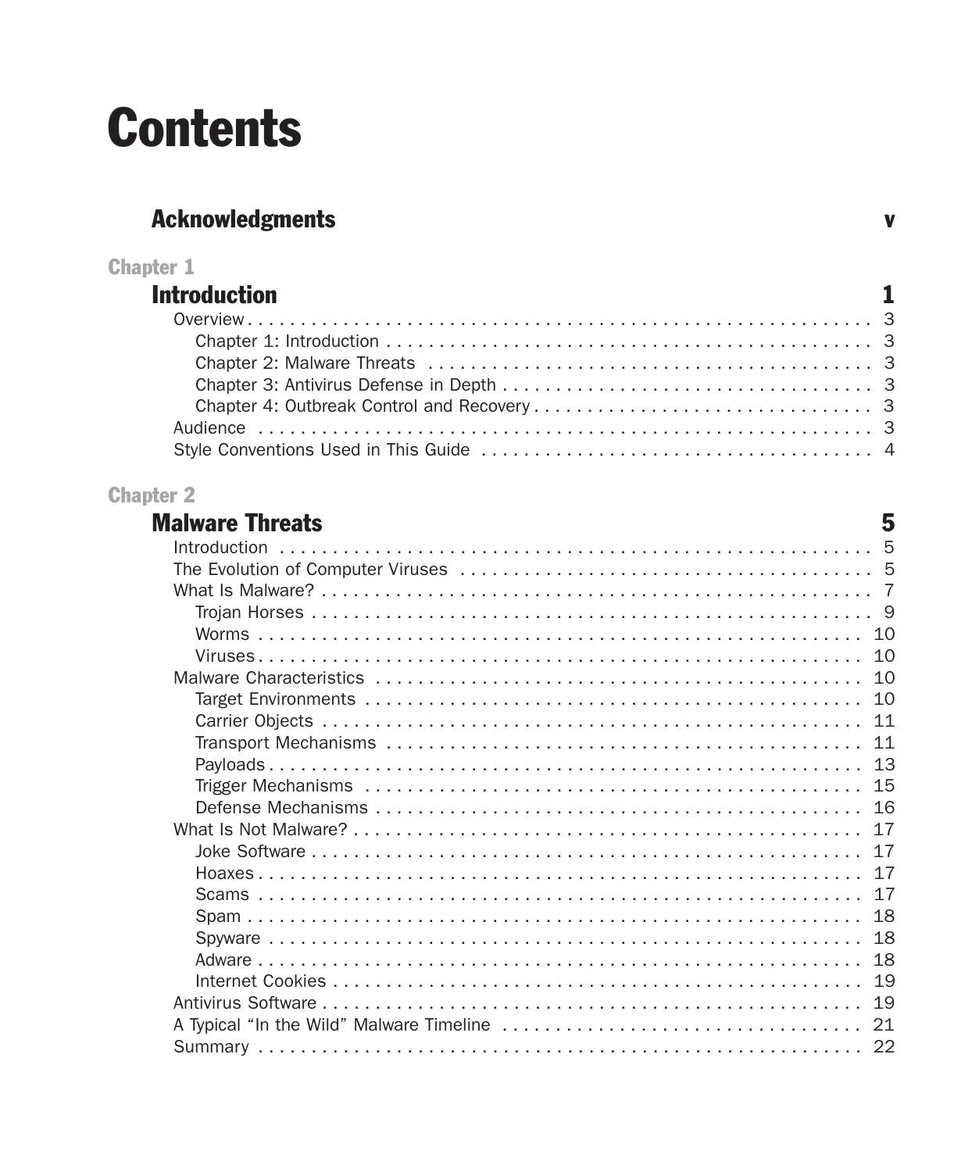## **Contents**

## **Acknowledgments**

| <b>Chapter 1</b>    |  |
|---------------------|--|
| <b>Introduction</b> |  |
|                     |  |
|                     |  |
|                     |  |
|                     |  |
|                     |  |
|                     |  |
|                     |  |

 $\mathbf{v}$ 

#### **Chapter 2**

| <b>Malware Threats</b> | 5 |
|------------------------|---|
| Introduction           |   |
|                        |   |
|                        |   |
|                        |   |
|                        |   |
|                        |   |
|                        |   |
|                        |   |
|                        |   |
|                        |   |
|                        |   |
|                        |   |
|                        |   |
|                        |   |
|                        |   |
|                        |   |
|                        |   |
|                        |   |
|                        |   |
|                        |   |
|                        |   |
|                        |   |
|                        |   |
|                        |   |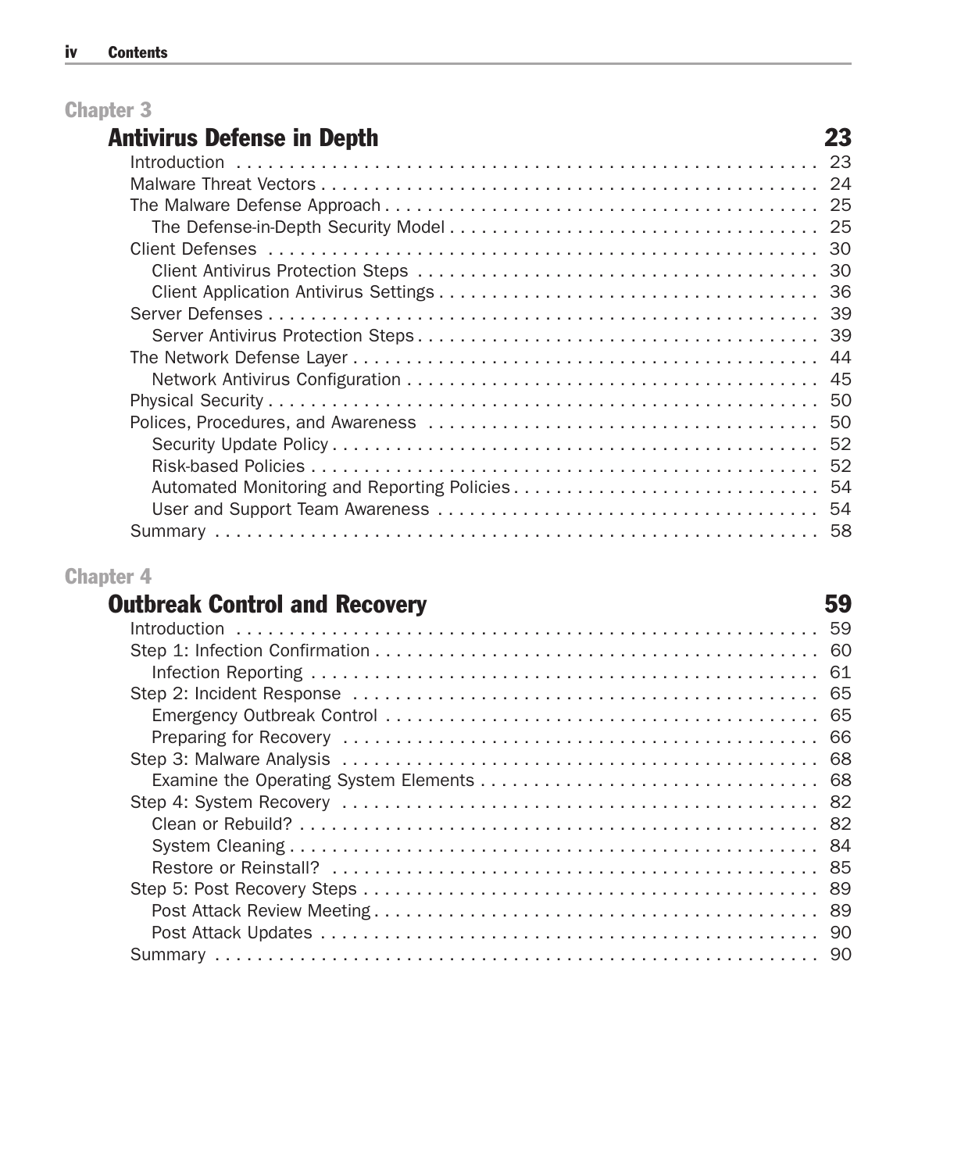#### Chapter 3

#### Antivirus Defense in Depth 23

| 44 |
|----|
|    |
|    |
|    |
|    |
|    |
|    |
|    |
|    |

#### Chapter 4

#### Outbreak Control and Recovery **59**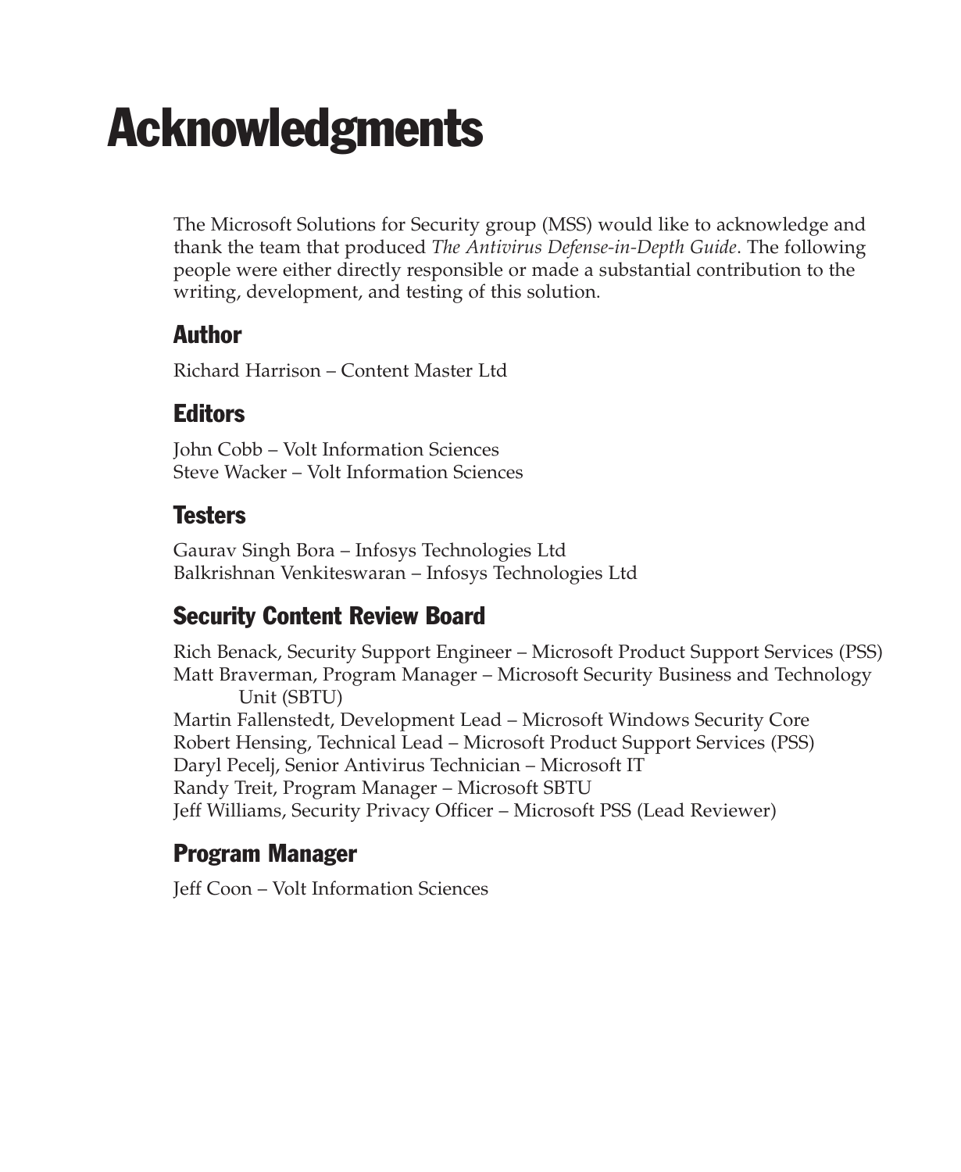## **Acknowledgments**

The Microsoft Solutions for Security group (MSS) would like to acknowledge and thank the team that produced *The Antivirus Defense-in-Depth Guide*. The following people were either directly responsible or made a substantial contribution to the writing, development, and testing of this solution.

#### Author

Richard Harrison – Content Master Ltd

#### **Editors**

John Cobb – Volt Information Sciences Steve Wacker – Volt Information Sciences

#### **Testers**

Gaurav Singh Bora – Infosys Technologies Ltd Balkrishnan Venkiteswaran – Infosys Technologies Ltd

#### Security Content Review Board

Rich Benack, Security Support Engineer – Microsoft Product Support Services (PSS) Matt Braverman, Program Manager – Microsoft Security Business and Technology Unit (SBTU) Martin Fallenstedt, Development Lead – Microsoft Windows Security Core Robert Hensing, Technical Lead – Microsoft Product Support Services (PSS) Daryl Pecelj, Senior Antivirus Technician – Microsoft IT Randy Treit, Program Manager – Microsoft SBTU Jeff Williams, Security Privacy Officer – Microsoft PSS (Lead Reviewer)

#### Program Manager

Jeff Coon – Volt Information Sciences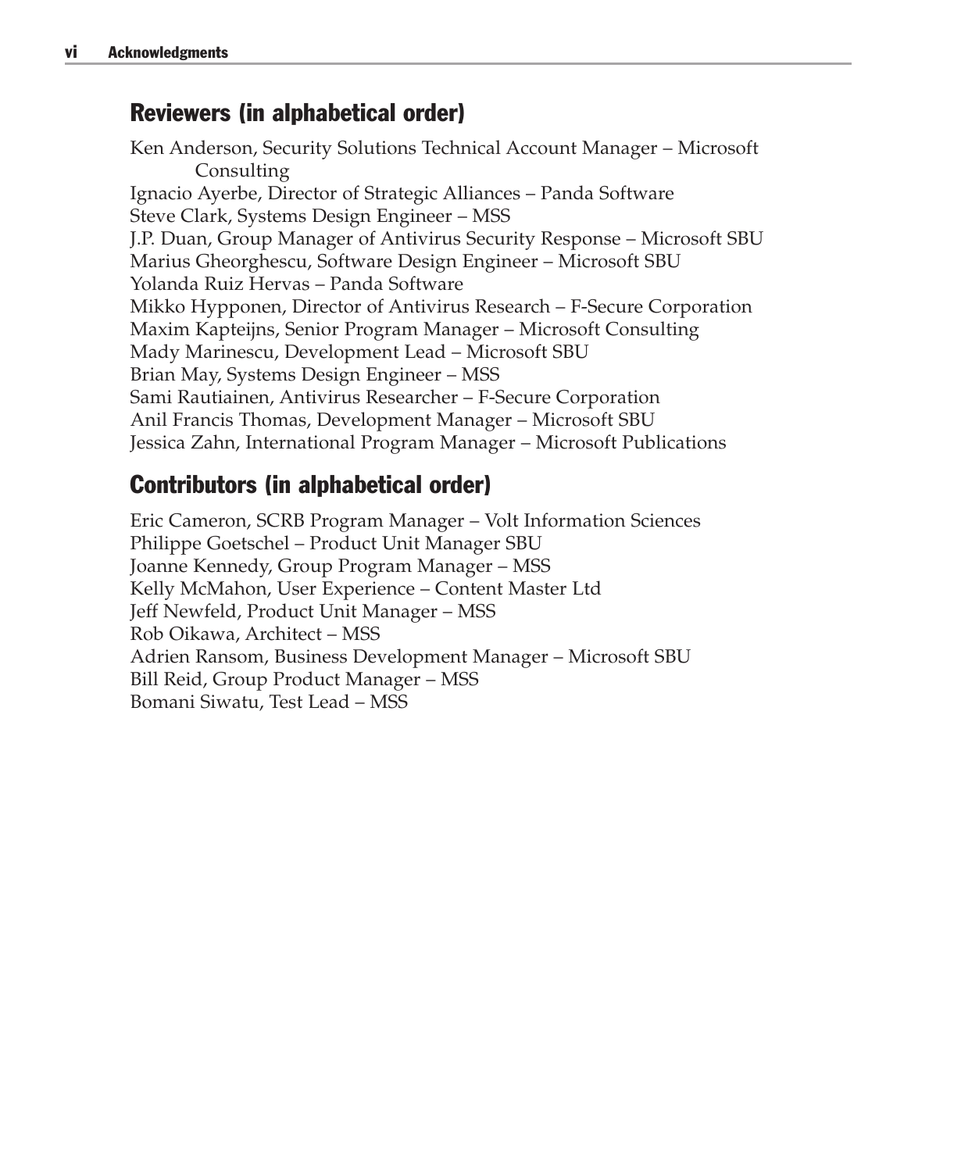#### Reviewers (in alphabetical order)

Ken Anderson, Security Solutions Technical Account Manager – Microsoft Consulting Ignacio Ayerbe, Director of Strategic Alliances – Panda Software Steve Clark, Systems Design Engineer – MSS J.P. Duan, Group Manager of Antivirus Security Response – Microsoft SBU Marius Gheorghescu, Software Design Engineer – Microsoft SBU Yolanda Ruiz Hervas – Panda Software Mikko Hypponen, Director of Antivirus Research – F-Secure Corporation Maxim Kapteijns, Senior Program Manager – Microsoft Consulting Mady Marinescu, Development Lead – Microsoft SBU Brian May, Systems Design Engineer – MSS Sami Rautiainen, Antivirus Researcher – F-Secure Corporation Anil Francis Thomas, Development Manager – Microsoft SBU Jessica Zahn, International Program Manager – Microsoft Publications

#### Contributors (in alphabetical order)

Eric Cameron, SCRB Program Manager – Volt Information Sciences Philippe Goetschel – Product Unit Manager SBU Joanne Kennedy, Group Program Manager – MSS Kelly McMahon, User Experience – Content Master Ltd Jeff Newfeld, Product Unit Manager – MSS Rob Oikawa, Architect – MSS Adrien Ransom, Business Development Manager – Microsoft SBU Bill Reid, Group Product Manager – MSS Bomani Siwatu, Test Lead – MSS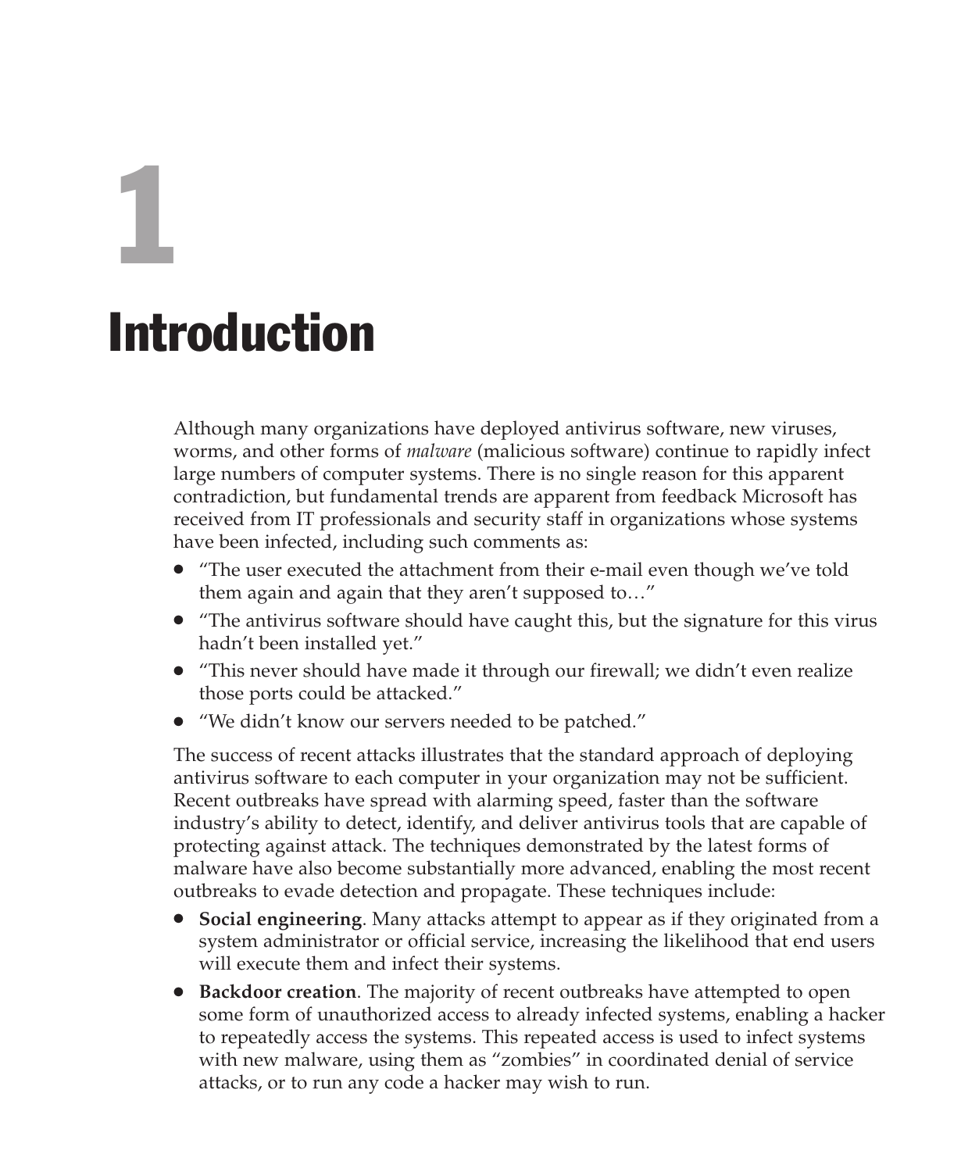# 1 Introduction

Although many organizations have deployed antivirus software, new viruses, worms, and other forms of *malware* (malicious software) continue to rapidly infect large numbers of computer systems. There is no single reason for this apparent contradiction, but fundamental trends are apparent from feedback Microsoft has received from IT professionals and security staff in organizations whose systems have been infected, including such comments as:

- "The user executed the attachment from their e-mail even though we've told them again and again that they aren't supposed to…"
- "The antivirus software should have caught this, but the signature for this virus hadn't been installed yet."
- "This never should have made it through our firewall; we didn't even realize those ports could be attacked."
- "We didn't know our servers needed to be patched."

The success of recent attacks illustrates that the standard approach of deploying antivirus software to each computer in your organization may not be sufficient. Recent outbreaks have spread with alarming speed, faster than the software industry's ability to detect, identify, and deliver antivirus tools that are capable of protecting against attack. The techniques demonstrated by the latest forms of malware have also become substantially more advanced, enabling the most recent outbreaks to evade detection and propagate. These techniques include:

- **Social engineering**. Many attacks attempt to appear as if they originated from a system administrator or official service, increasing the likelihood that end users will execute them and infect their systems.
- **Backdoor creation**. The majority of recent outbreaks have attempted to open some form of unauthorized access to already infected systems, enabling a hacker to repeatedly access the systems. This repeated access is used to infect systems with new malware, using them as "zombies" in coordinated denial of service attacks, or to run any code a hacker may wish to run.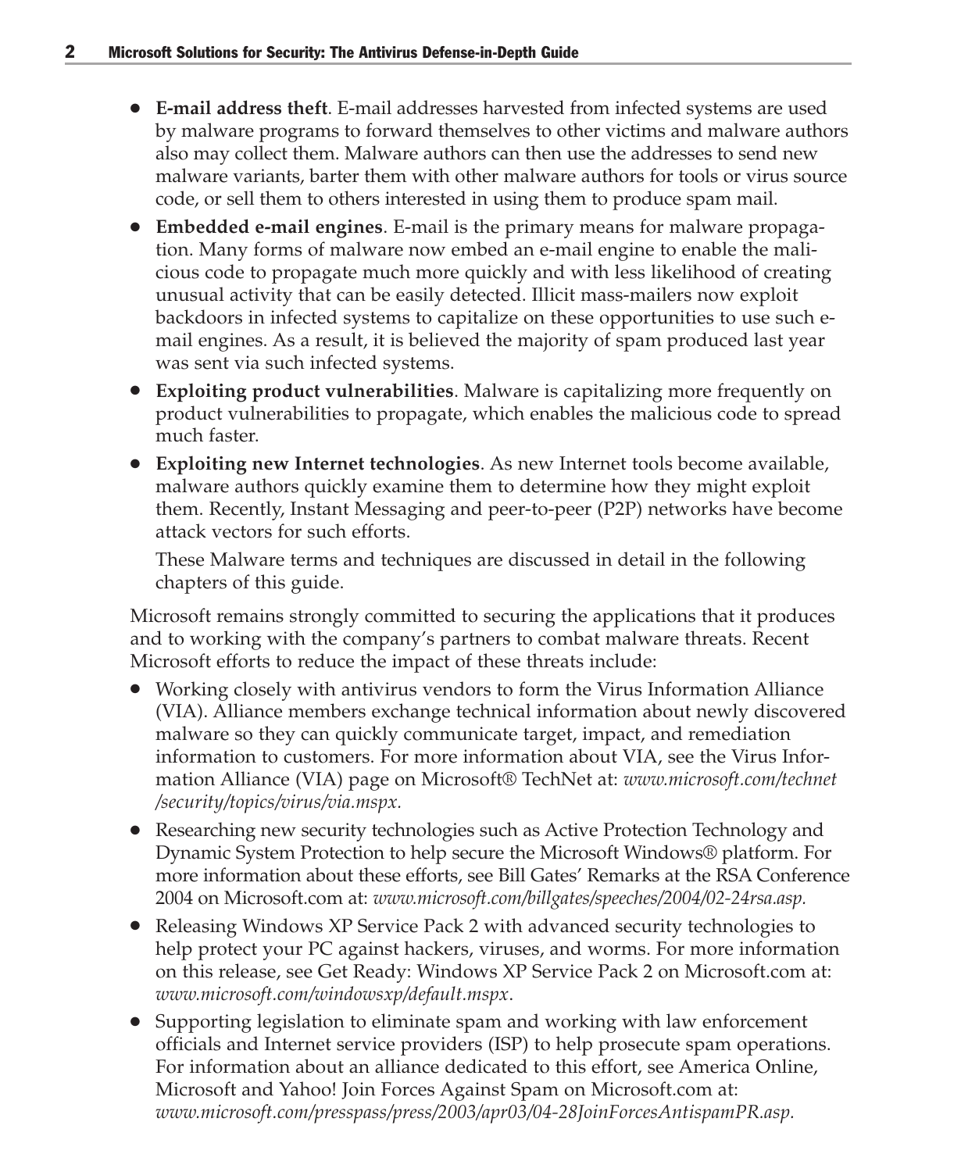- **E-mail address theft**. E-mail addresses harvested from infected systems are used by malware programs to forward themselves to other victims and malware authors also may collect them. Malware authors can then use the addresses to send new malware variants, barter them with other malware authors for tools or virus source code, or sell them to others interested in using them to produce spam mail.
- **Embedded e-mail engines**. E-mail is the primary means for malware propagation. Many forms of malware now embed an e-mail engine to enable the malicious code to propagate much more quickly and with less likelihood of creating unusual activity that can be easily detected. Illicit mass-mailers now exploit backdoors in infected systems to capitalize on these opportunities to use such email engines. As a result, it is believed the majority of spam produced last year was sent via such infected systems.
- **Exploiting product vulnerabilities**. Malware is capitalizing more frequently on product vulnerabilities to propagate, which enables the malicious code to spread much faster.
- **Exploiting new Internet technologies**. As new Internet tools become available, malware authors quickly examine them to determine how they might exploit them. Recently, Instant Messaging and peer-to-peer (P2P) networks have become attack vectors for such efforts.

These Malware terms and techniques are discussed in detail in the following chapters of this guide.

Microsoft remains strongly committed to securing the applications that it produces and to working with the company's partners to combat malware threats. Recent Microsoft efforts to reduce the impact of these threats include:

- Working closely with antivirus vendors to form the Virus Information Alliance (VIA). Alliance members exchange technical information about newly discovered malware so they can quickly communicate target, impact, and remediation information to customers. For more information about VIA, see the Virus Information Alliance (VIA) page on Microsoft® TechNet at: *www.microsoft.com/technet /security/topics/virus/via.mspx.*
- Researching new security technologies such as Active Protection Technology and Dynamic System Protection to help secure the Microsoft Windows® platform. For more information about these efforts, see Bill Gates' Remarks at the RSA Conference 2004 on Microsoft.com at: *www.microsoft.com/billgates/speeches/2004/02-24rsa.asp.*
- Releasing Windows XP Service Pack 2 with advanced security technologies to help protect your PC against hackers, viruses, and worms. For more information on this release, see Get Ready: Windows XP Service Pack 2 on Microsoft.com at: *www.microsoft.com/windowsxp/default.mspx*.
- Supporting legislation to eliminate spam and working with law enforcement officials and Internet service providers (ISP) to help prosecute spam operations. For information about an alliance dedicated to this effort, see America Online, Microsoft and Yahoo! Join Forces Against Spam on Microsoft.com at: *www.microsoft.com/presspass/press/2003/apr03/04-28JoinForcesAntispamPR.asp.*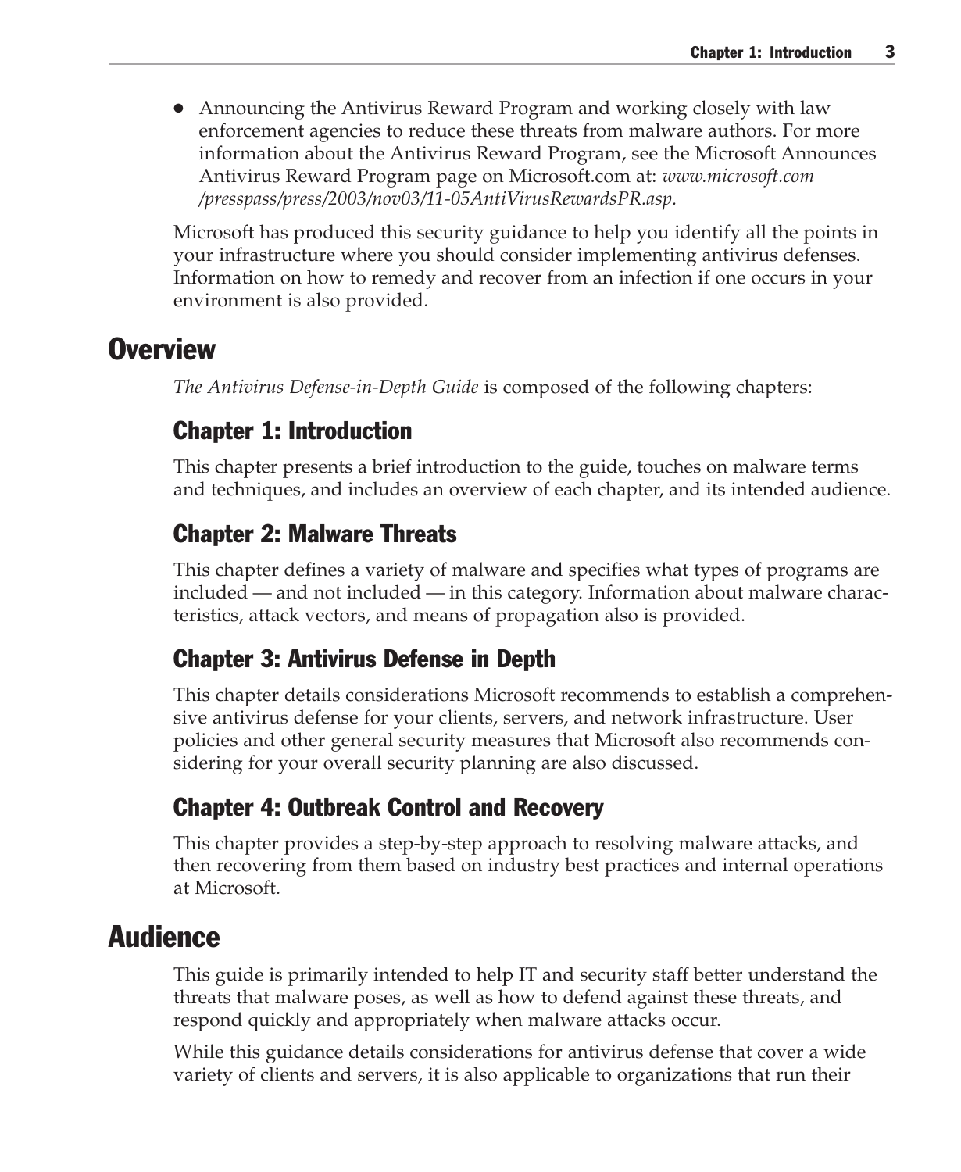● Announcing the Antivirus Reward Program and working closely with law enforcement agencies to reduce these threats from malware authors. For more information about the Antivirus Reward Program, see the Microsoft Announces Antivirus Reward Program page on Microsoft.com at: *www.microsoft.com /presspass/press/2003/nov03/11-05AntiVirusRewardsPR.asp.*

Microsoft has produced this security guidance to help you identify all the points in your infrastructure where you should consider implementing antivirus defenses. Information on how to remedy and recover from an infection if one occurs in your environment is also provided.

#### **Overview**

*The Antivirus Defense-in-Depth Guide* is composed of the following chapters:

#### Chapter 1: Introduction

This chapter presents a brief introduction to the guide, touches on malware terms and techniques, and includes an overview of each chapter, and its intended audience.

#### Chapter 2: Malware Threats

This chapter defines a variety of malware and specifies what types of programs are included — and not included — in this category. Information about malware characteristics, attack vectors, and means of propagation also is provided.

#### Chapter 3: Antivirus Defense in Depth

This chapter details considerations Microsoft recommends to establish a comprehensive antivirus defense for your clients, servers, and network infrastructure. User policies and other general security measures that Microsoft also recommends considering for your overall security planning are also discussed.

#### Chapter 4: Outbreak Control and Recovery

This chapter provides a step-by-step approach to resolving malware attacks, and then recovering from them based on industry best practices and internal operations at Microsoft.

#### Audience

This guide is primarily intended to help IT and security staff better understand the threats that malware poses, as well as how to defend against these threats, and respond quickly and appropriately when malware attacks occur.

While this guidance details considerations for antivirus defense that cover a wide variety of clients and servers, it is also applicable to organizations that run their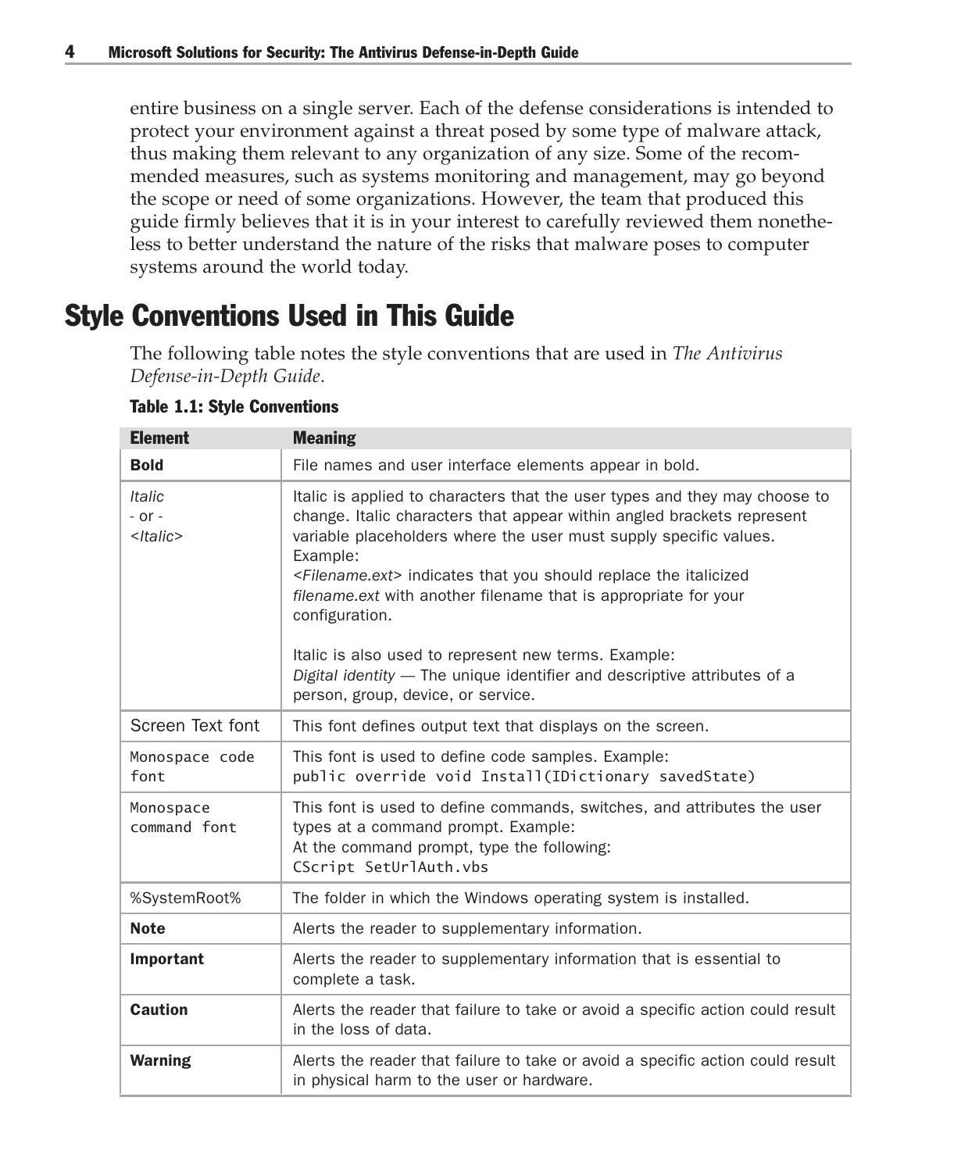entire business on a single server. Each of the defense considerations is intended to protect your environment against a threat posed by some type of malware attack, thus making them relevant to any organization of any size. Some of the recommended measures, such as systems monitoring and management, may go beyond the scope or need of some organizations. However, the team that produced this guide firmly believes that it is in your interest to carefully reviewed them nonetheless to better understand the nature of the risks that malware poses to computer systems around the world today.

### Style Conventions Used in This Guide

The following table notes the style conventions that are used in *The Antivirus Defense-in-Depth Guide*.

| <b>Element</b>                                   | <b>Meaning</b>                                                                                                                                                                                                                                                                                                                                                                                                                                                                                                                                                                              |
|--------------------------------------------------|---------------------------------------------------------------------------------------------------------------------------------------------------------------------------------------------------------------------------------------------------------------------------------------------------------------------------------------------------------------------------------------------------------------------------------------------------------------------------------------------------------------------------------------------------------------------------------------------|
| <b>Bold</b>                                      | File names and user interface elements appear in bold.                                                                                                                                                                                                                                                                                                                                                                                                                                                                                                                                      |
| <b>Italic</b><br>$-$ or $-$<br><italic></italic> | Italic is applied to characters that the user types and they may choose to<br>change. Italic characters that appear within angled brackets represent<br>variable placeholders where the user must supply specific values.<br>Example:<br><filename.ext> indicates that you should replace the italicized<br/>filename.ext with another filename that is appropriate for your<br/>configuration.<br/>Italic is also used to represent new terms. Example:<br/>Digital identity - The unique identifier and descriptive attributes of a<br/>person, group, device, or service.</filename.ext> |
| Screen Text font                                 | This font defines output text that displays on the screen.                                                                                                                                                                                                                                                                                                                                                                                                                                                                                                                                  |
| Monospace code<br>font                           | This font is used to define code samples. Example:<br>public override void Install(IDictionary savedState)                                                                                                                                                                                                                                                                                                                                                                                                                                                                                  |
| Monospace<br>command font                        | This font is used to define commands, switches, and attributes the user<br>types at a command prompt. Example:<br>At the command prompt, type the following:<br>CScript SetUrlAuth.vbs                                                                                                                                                                                                                                                                                                                                                                                                      |
| %SystemRoot%                                     | The folder in which the Windows operating system is installed.                                                                                                                                                                                                                                                                                                                                                                                                                                                                                                                              |
| <b>Note</b>                                      | Alerts the reader to supplementary information.                                                                                                                                                                                                                                                                                                                                                                                                                                                                                                                                             |
| Important                                        | Alerts the reader to supplementary information that is essential to<br>complete a task.                                                                                                                                                                                                                                                                                                                                                                                                                                                                                                     |
| <b>Caution</b>                                   | Alerts the reader that failure to take or avoid a specific action could result<br>in the loss of data.                                                                                                                                                                                                                                                                                                                                                                                                                                                                                      |
| <b>Warning</b>                                   | Alerts the reader that failure to take or avoid a specific action could result<br>in physical harm to the user or hardware.                                                                                                                                                                                                                                                                                                                                                                                                                                                                 |

Table 1.1: Style Conventions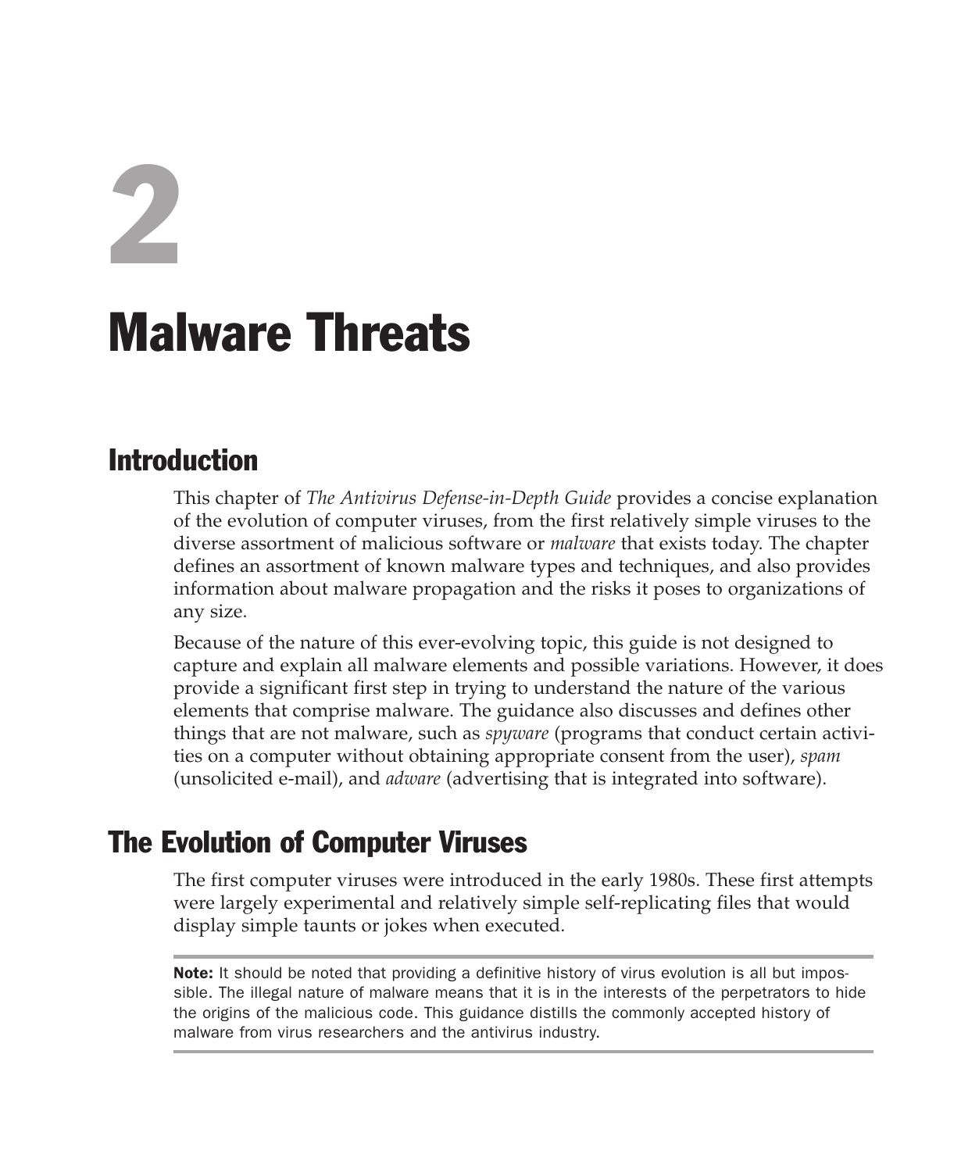2

## Malware Threats

#### Introduction

This chapter of *The Antivirus Defense-in-Depth Guide* provides a concise explanation of the evolution of computer viruses, from the first relatively simple viruses to the diverse assortment of malicious software or *malware* that exists today. The chapter defines an assortment of known malware types and techniques, and also provides information about malware propagation and the risks it poses to organizations of any size.

Because of the nature of this ever-evolving topic, this guide is not designed to capture and explain all malware elements and possible variations. However, it does provide a significant first step in trying to understand the nature of the various elements that comprise malware. The guidance also discusses and defines other things that are not malware, such as *spyware* (programs that conduct certain activities on a computer without obtaining appropriate consent from the user), *spam* (unsolicited e-mail), and *adware* (advertising that is integrated into software).

#### The Evolution of Computer Viruses

The first computer viruses were introduced in the early 1980s. These first attempts were largely experimental and relatively simple self-replicating files that would display simple taunts or jokes when executed.

Note: It should be noted that providing a definitive history of virus evolution is all but impossible. The illegal nature of malware means that it is in the interests of the perpetrators to hide the origins of the malicious code. This guidance distills the commonly accepted history of malware from virus researchers and the antivirus industry.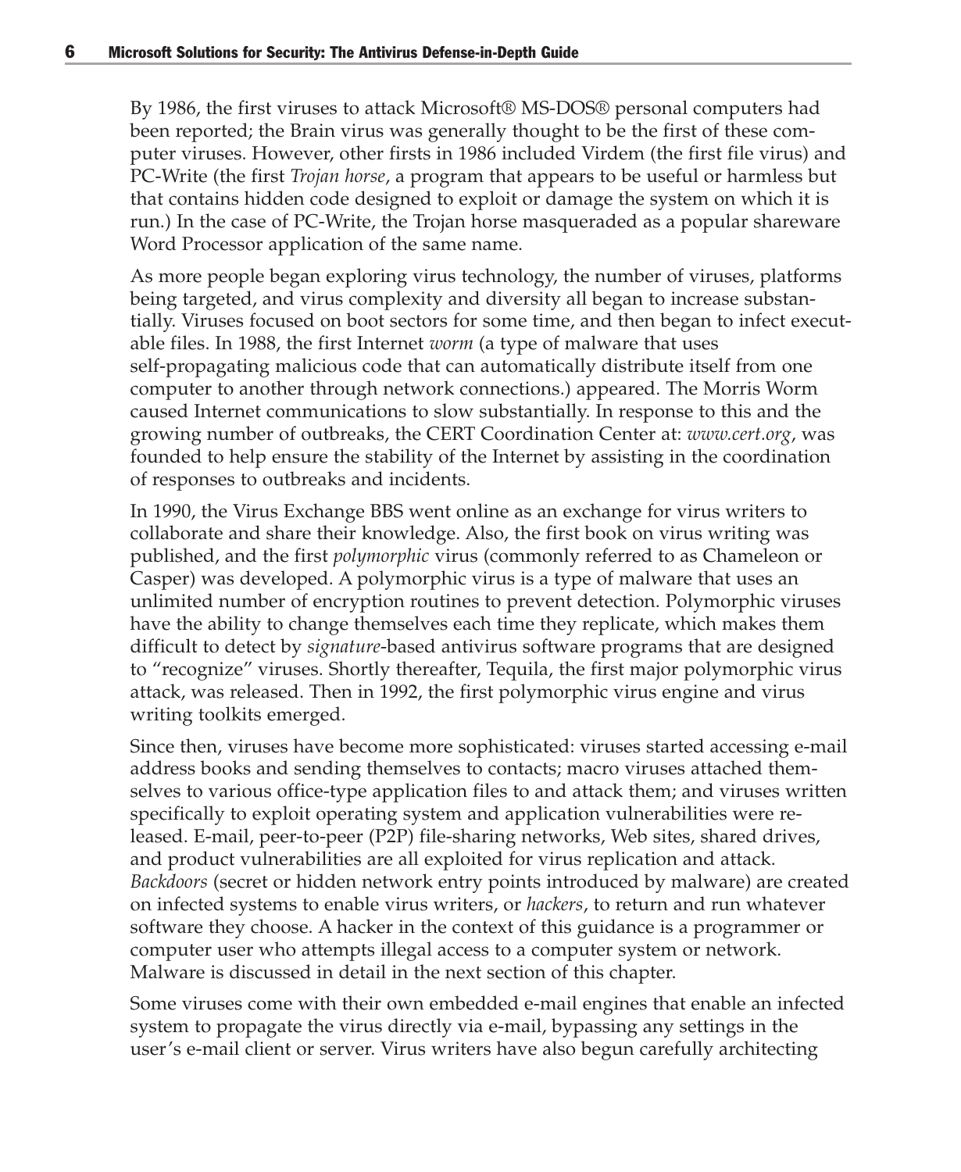By 1986, the first viruses to attack Microsoft® MS-DOS® personal computers had been reported; the Brain virus was generally thought to be the first of these computer viruses. However, other firsts in 1986 included Virdem (the first file virus) and PC-Write (the first *Trojan horse*, a program that appears to be useful or harmless but that contains hidden code designed to exploit or damage the system on which it is run.) In the case of PC-Write, the Trojan horse masqueraded as a popular shareware Word Processor application of the same name.

As more people began exploring virus technology, the number of viruses, platforms being targeted, and virus complexity and diversity all began to increase substantially. Viruses focused on boot sectors for some time, and then began to infect executable files. In 1988, the first Internet *worm* (a type of malware that uses self-propagating malicious code that can automatically distribute itself from one computer to another through network connections.) appeared. The Morris Worm caused Internet communications to slow substantially. In response to this and the growing number of outbreaks, the CERT Coordination Center at: *www.cert.org*, was founded to help ensure the stability of the Internet by assisting in the coordination of responses to outbreaks and incidents.

In 1990, the Virus Exchange BBS went online as an exchange for virus writers to collaborate and share their knowledge. Also, the first book on virus writing was published, and the first *polymorphic* virus (commonly referred to as Chameleon or Casper) was developed. A polymorphic virus is a type of malware that uses an unlimited number of encryption routines to prevent detection. Polymorphic viruses have the ability to change themselves each time they replicate, which makes them difficult to detect by *signature*-based antivirus software programs that are designed to "recognize" viruses. Shortly thereafter, Tequila, the first major polymorphic virus attack, was released. Then in 1992, the first polymorphic virus engine and virus writing toolkits emerged.

Since then, viruses have become more sophisticated: viruses started accessing e-mail address books and sending themselves to contacts; macro viruses attached themselves to various office-type application files to and attack them; and viruses written specifically to exploit operating system and application vulnerabilities were released. E-mail, peer-to-peer (P2P) file-sharing networks, Web sites, shared drives, and product vulnerabilities are all exploited for virus replication and attack. *Backdoors* (secret or hidden network entry points introduced by malware) are created on infected systems to enable virus writers, or *hackers*, to return and run whatever software they choose. A hacker in the context of this guidance is a programmer or computer user who attempts illegal access to a computer system or network. Malware is discussed in detail in the next section of this chapter.

Some viruses come with their own embedded e-mail engines that enable an infected system to propagate the virus directly via e-mail, bypassing any settings in the user's e-mail client or server. Virus writers have also begun carefully architecting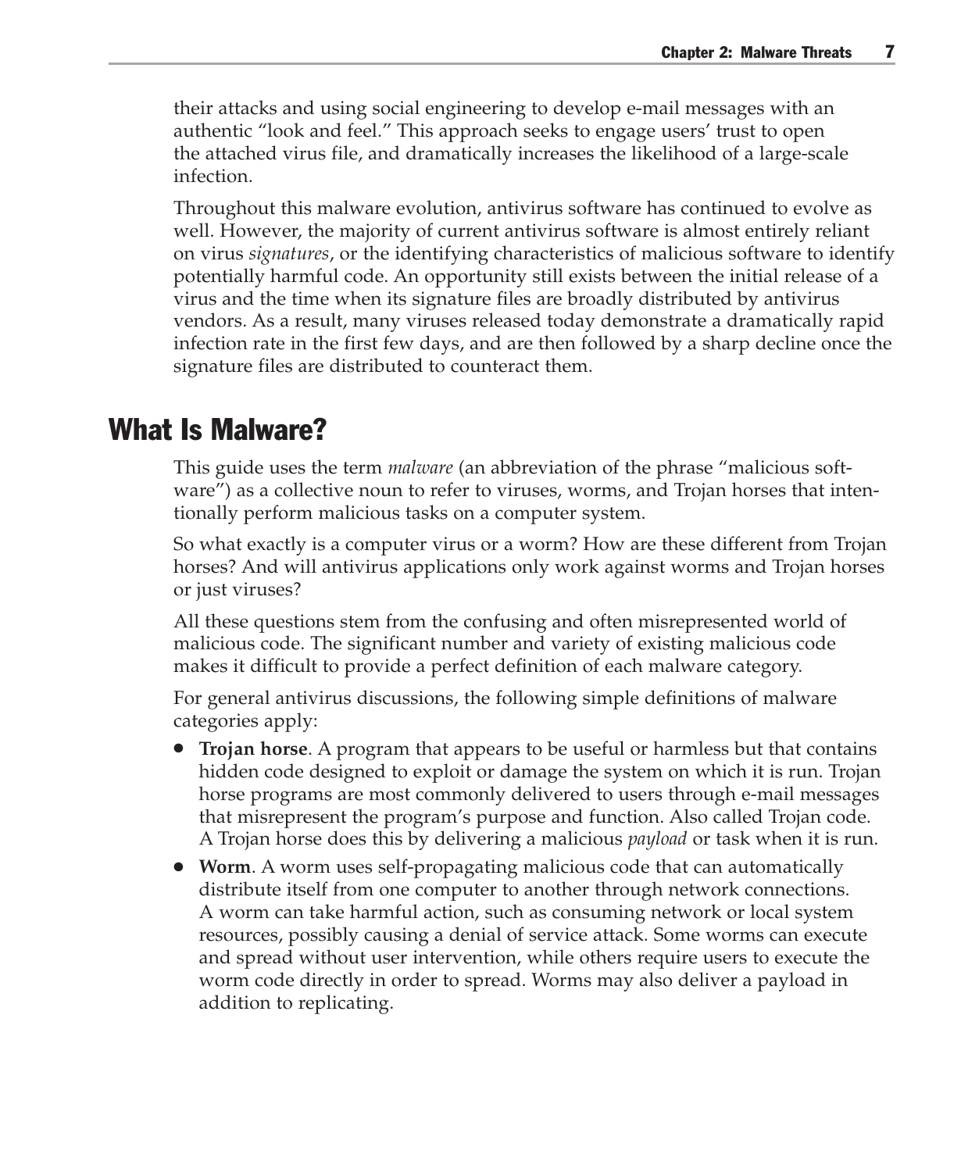their attacks and using social engineering to develop e-mail messages with an authentic "look and feel." This approach seeks to engage users' trust to open the attached virus file, and dramatically increases the likelihood of a large-scale infection.

Throughout this malware evolution, antivirus software has continued to evolve as well. However, the majority of current antivirus software is almost entirely reliant on virus *signatures*, or the identifying characteristics of malicious software to identify potentially harmful code. An opportunity still exists between the initial release of a virus and the time when its signature files are broadly distributed by antivirus vendors. As a result, many viruses released today demonstrate a dramatically rapid infection rate in the first few days, and are then followed by a sharp decline once the signature files are distributed to counteract them.

#### What Is Malware?

This guide uses the term *malware* (an abbreviation of the phrase "malicious software") as a collective noun to refer to viruses, worms, and Trojan horses that intentionally perform malicious tasks on a computer system.

So what exactly is a computer virus or a worm? How are these different from Trojan horses? And will antivirus applications only work against worms and Trojan horses or just viruses?

All these questions stem from the confusing and often misrepresented world of malicious code. The significant number and variety of existing malicious code makes it difficult to provide a perfect definition of each malware category.

For general antivirus discussions, the following simple definitions of malware categories apply:

- **Trojan horse**. A program that appears to be useful or harmless but that contains hidden code designed to exploit or damage the system on which it is run. Trojan horse programs are most commonly delivered to users through e-mail messages that misrepresent the program's purpose and function. Also called Trojan code. A Trojan horse does this by delivering a malicious *payload* or task when it is run.
- **Worm**. A worm uses self-propagating malicious code that can automatically distribute itself from one computer to another through network connections. A worm can take harmful action, such as consuming network or local system resources, possibly causing a denial of service attack. Some worms can execute and spread without user intervention, while others require users to execute the worm code directly in order to spread. Worms may also deliver a payload in addition to replicating.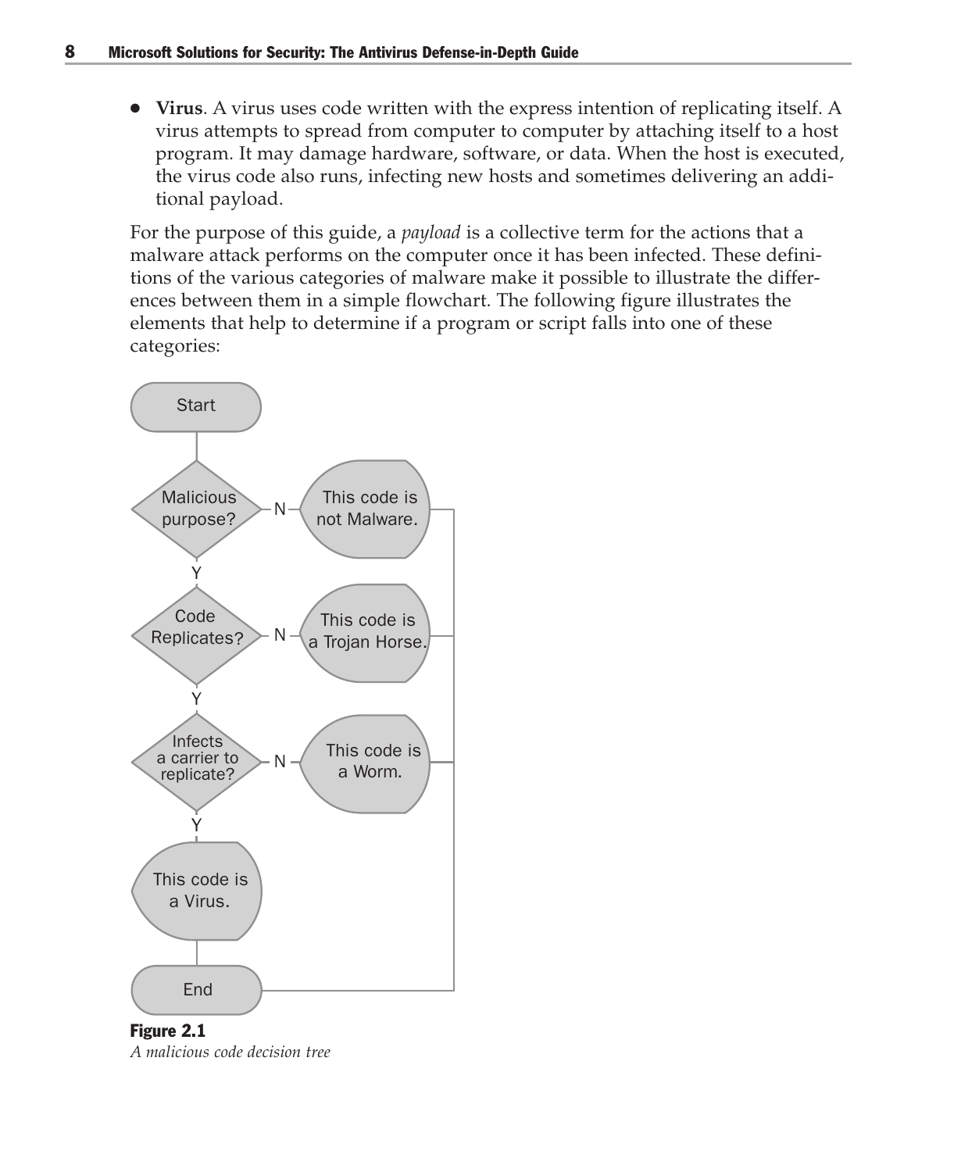● **Virus**. A virus uses code written with the express intention of replicating itself. A virus attempts to spread from computer to computer by attaching itself to a host program. It may damage hardware, software, or data. When the host is executed, the virus code also runs, infecting new hosts and sometimes delivering an additional payload.

For the purpose of this guide, a *payload* is a collective term for the actions that a malware attack performs on the computer once it has been infected. These definitions of the various categories of malware make it possible to illustrate the differences between them in a simple flowchart. The following figure illustrates the elements that help to determine if a program or script falls into one of these categories:



Figure 2.1 *A malicious code decision tree*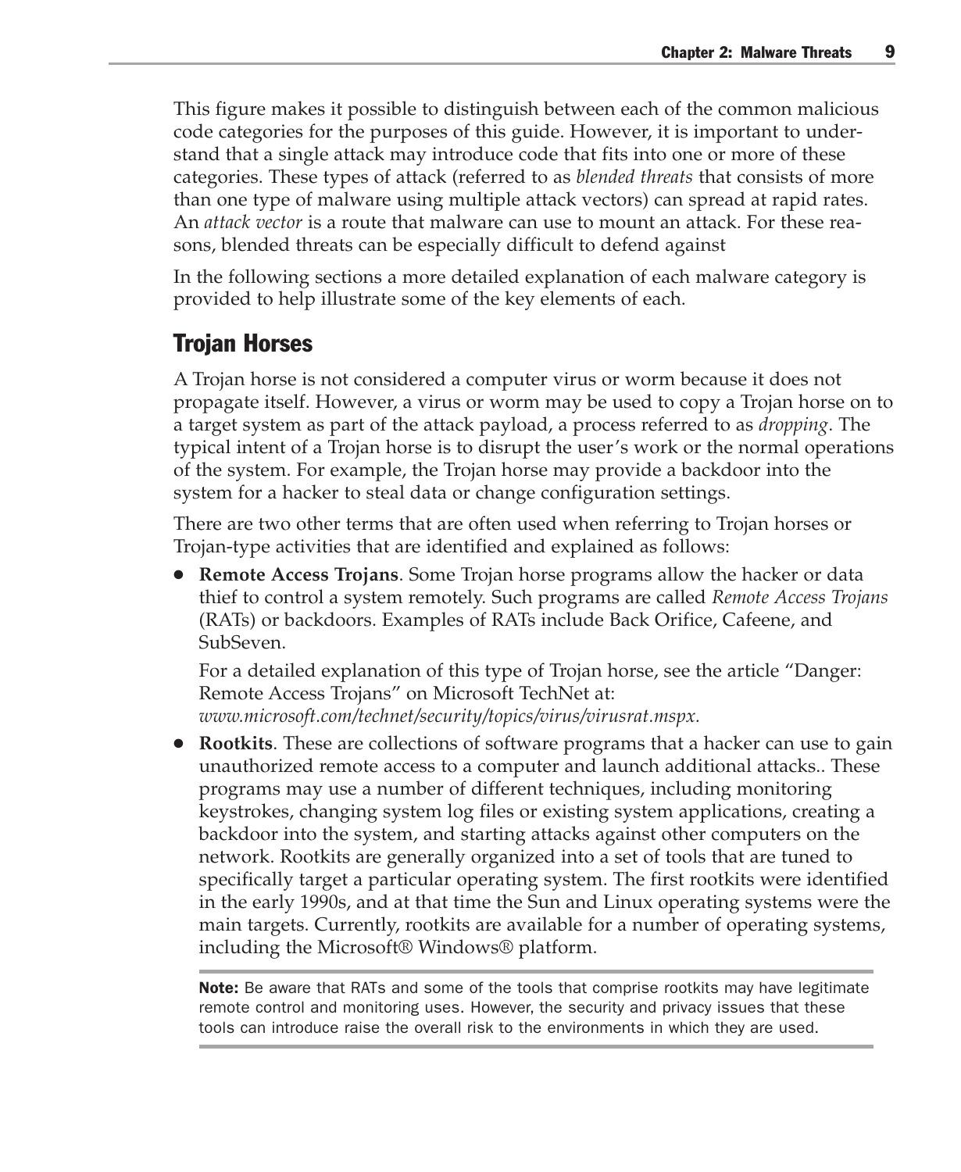This figure makes it possible to distinguish between each of the common malicious code categories for the purposes of this guide. However, it is important to understand that a single attack may introduce code that fits into one or more of these categories. These types of attack (referred to as *blended threats* that consists of more than one type of malware using multiple attack vectors) can spread at rapid rates. An *attack vector* is a route that malware can use to mount an attack. For these reasons, blended threats can be especially difficult to defend against

In the following sections a more detailed explanation of each malware category is provided to help illustrate some of the key elements of each.

#### Trojan Horses

A Trojan horse is not considered a computer virus or worm because it does not propagate itself. However, a virus or worm may be used to copy a Trojan horse on to a target system as part of the attack payload, a process referred to as *dropping*. The typical intent of a Trojan horse is to disrupt the user's work or the normal operations of the system. For example, the Trojan horse may provide a backdoor into the system for a hacker to steal data or change configuration settings.

There are two other terms that are often used when referring to Trojan horses or Trojan-type activities that are identified and explained as follows:

● **Remote Access Trojans**. Some Trojan horse programs allow the hacker or data thief to control a system remotely. Such programs are called *Remote Access Trojans* (RATs) or backdoors. Examples of RATs include Back Orifice, Cafeene, and SubSeven.

For a detailed explanation of this type of Trojan horse, see the article "Danger: Remote Access Trojans" on Microsoft TechNet at: *www.microsoft.com/technet/security/topics/virus/virusrat.mspx.*

**Rootkits**. These are collections of software programs that a hacker can use to gain unauthorized remote access to a computer and launch additional attacks.. These programs may use a number of different techniques, including monitoring keystrokes, changing system log files or existing system applications, creating a backdoor into the system, and starting attacks against other computers on the network. Rootkits are generally organized into a set of tools that are tuned to specifically target a particular operating system. The first rootkits were identified in the early 1990s, and at that time the Sun and Linux operating systems were the main targets. Currently, rootkits are available for a number of operating systems, including the Microsoft® Windows® platform.

Note: Be aware that RATs and some of the tools that comprise rootkits may have legitimate remote control and monitoring uses. However, the security and privacy issues that these tools can introduce raise the overall risk to the environments in which they are used.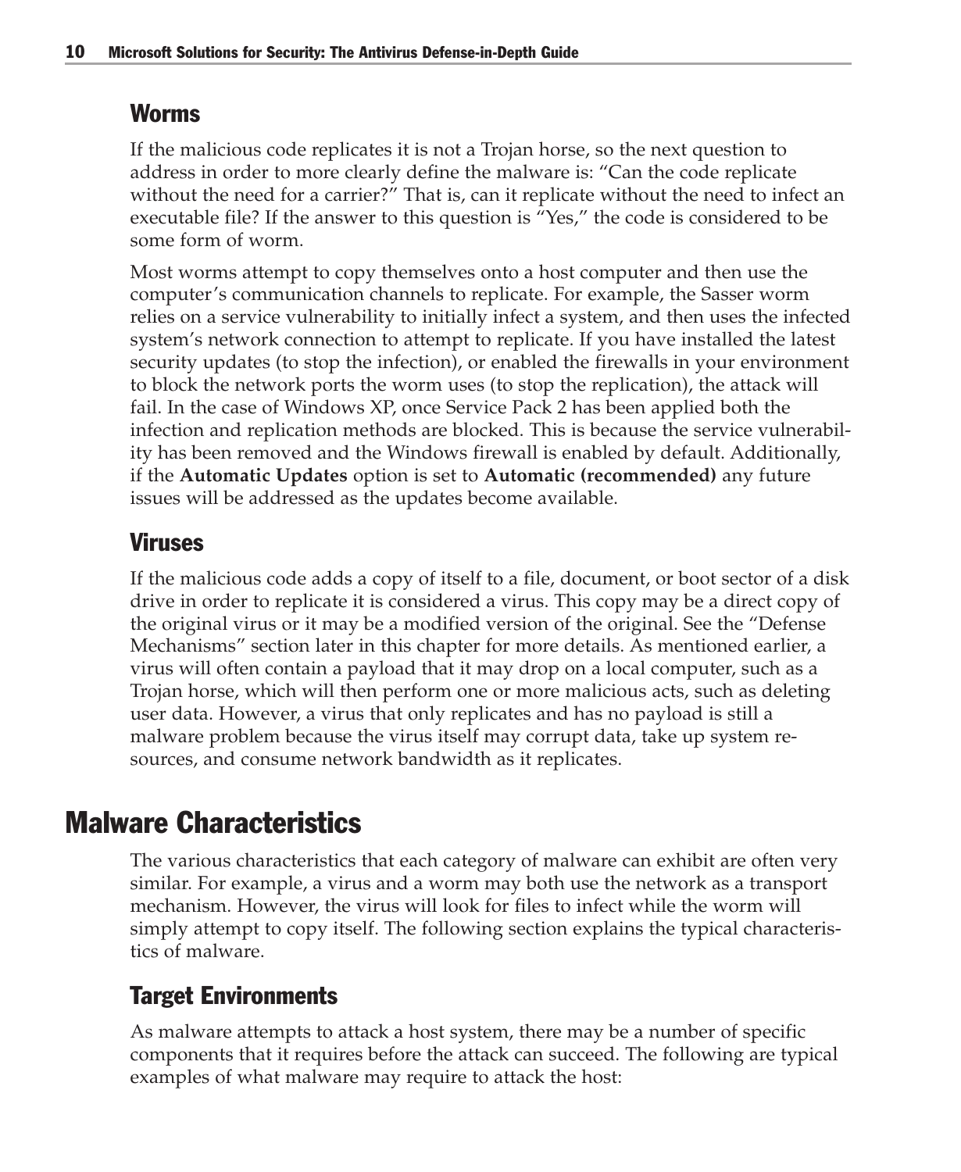#### Worms

If the malicious code replicates it is not a Trojan horse, so the next question to address in order to more clearly define the malware is: "Can the code replicate without the need for a carrier?" That is, can it replicate without the need to infect an executable file? If the answer to this question is "Yes," the code is considered to be some form of worm.

Most worms attempt to copy themselves onto a host computer and then use the computer's communication channels to replicate. For example, the Sasser worm relies on a service vulnerability to initially infect a system, and then uses the infected system's network connection to attempt to replicate. If you have installed the latest security updates (to stop the infection), or enabled the firewalls in your environment to block the network ports the worm uses (to stop the replication), the attack will fail. In the case of Windows XP, once Service Pack 2 has been applied both the infection and replication methods are blocked. This is because the service vulnerability has been removed and the Windows firewall is enabled by default. Additionally, if the **Automatic Updates** option is set to **Automatic (recommended)** any future issues will be addressed as the updates become available.

#### Viruses

If the malicious code adds a copy of itself to a file, document, or boot sector of a disk drive in order to replicate it is considered a virus. This copy may be a direct copy of the original virus or it may be a modified version of the original. See the "Defense Mechanisms" section later in this chapter for more details. As mentioned earlier, a virus will often contain a payload that it may drop on a local computer, such as a Trojan horse, which will then perform one or more malicious acts, such as deleting user data. However, a virus that only replicates and has no payload is still a malware problem because the virus itself may corrupt data, take up system resources, and consume network bandwidth as it replicates.

#### Malware Characteristics

The various characteristics that each category of malware can exhibit are often very similar. For example, a virus and a worm may both use the network as a transport mechanism. However, the virus will look for files to infect while the worm will simply attempt to copy itself. The following section explains the typical characteristics of malware.

#### Target Environments

As malware attempts to attack a host system, there may be a number of specific components that it requires before the attack can succeed. The following are typical examples of what malware may require to attack the host: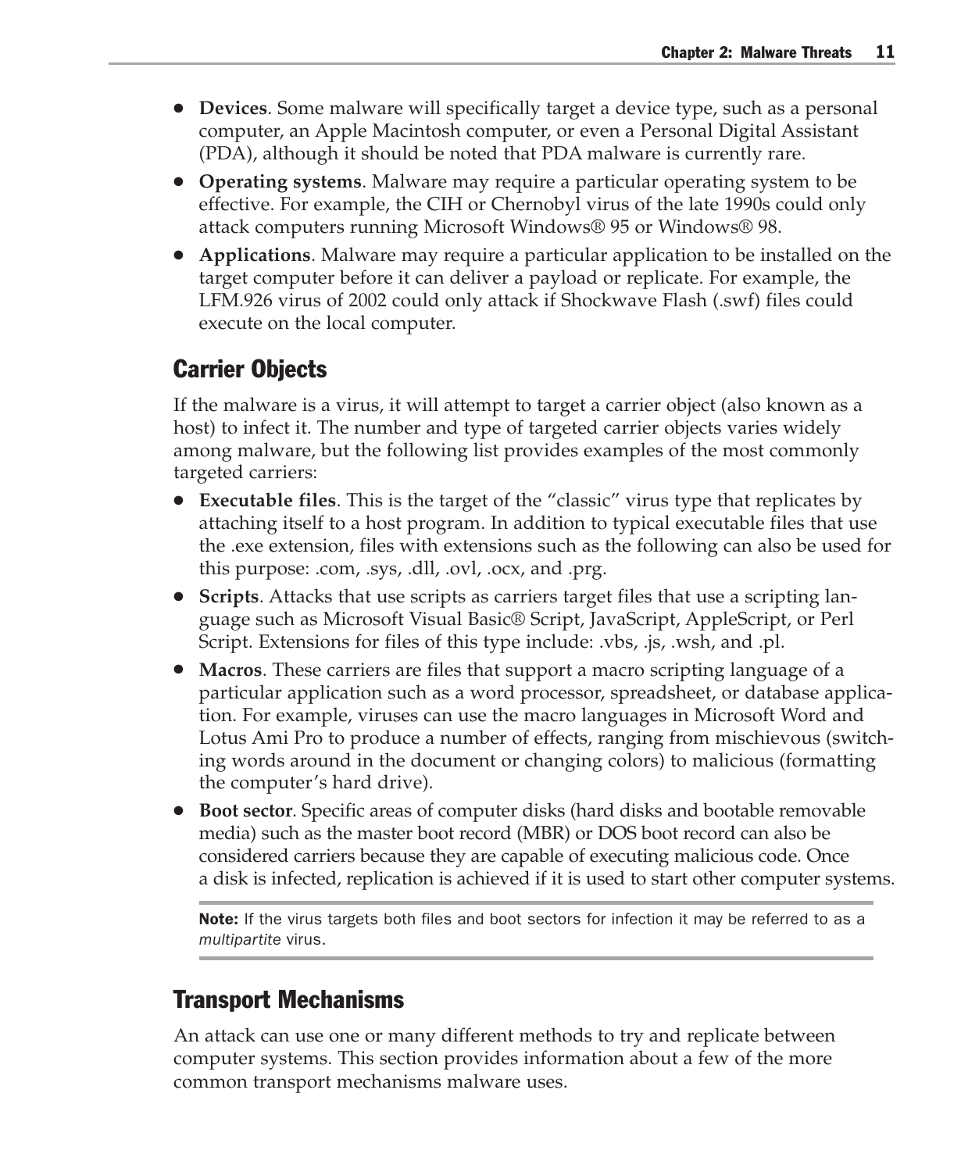- **Devices**. Some malware will specifically target a device type, such as a personal computer, an Apple Macintosh computer, or even a Personal Digital Assistant (PDA), although it should be noted that PDA malware is currently rare.
- **Operating systems**. Malware may require a particular operating system to be effective. For example, the CIH or Chernobyl virus of the late 1990s could only attack computers running Microsoft Windows® 95 or Windows® 98.
- **Applications**. Malware may require a particular application to be installed on the target computer before it can deliver a payload or replicate. For example, the LFM.926 virus of 2002 could only attack if Shockwave Flash (.swf) files could execute on the local computer.

#### Carrier Objects

If the malware is a virus, it will attempt to target a carrier object (also known as a host) to infect it. The number and type of targeted carrier objects varies widely among malware, but the following list provides examples of the most commonly targeted carriers:

- **Executable files**. This is the target of the "classic" virus type that replicates by attaching itself to a host program. In addition to typical executable files that use the .exe extension, files with extensions such as the following can also be used for this purpose: .com, .sys, .dll, .ovl, .ocx, and .prg.
- **Scripts**. Attacks that use scripts as carriers target files that use a scripting language such as Microsoft Visual Basic® Script, JavaScript, AppleScript, or Perl Script. Extensions for files of this type include: .vbs, .js, .wsh, and .pl.
- **Macros**. These carriers are files that support a macro scripting language of a particular application such as a word processor, spreadsheet, or database application. For example, viruses can use the macro languages in Microsoft Word and Lotus Ami Pro to produce a number of effects, ranging from mischievous (switching words around in the document or changing colors) to malicious (formatting the computer's hard drive).
- **Boot sector**. Specific areas of computer disks (hard disks and bootable removable media) such as the master boot record (MBR) or DOS boot record can also be considered carriers because they are capable of executing malicious code. Once a disk is infected, replication is achieved if it is used to start other computer systems.

**Note:** If the virus targets both files and boot sectors for infection it may be referred to as a *multipartite* virus.

#### Transport Mechanisms

An attack can use one or many different methods to try and replicate between computer systems. This section provides information about a few of the more common transport mechanisms malware uses.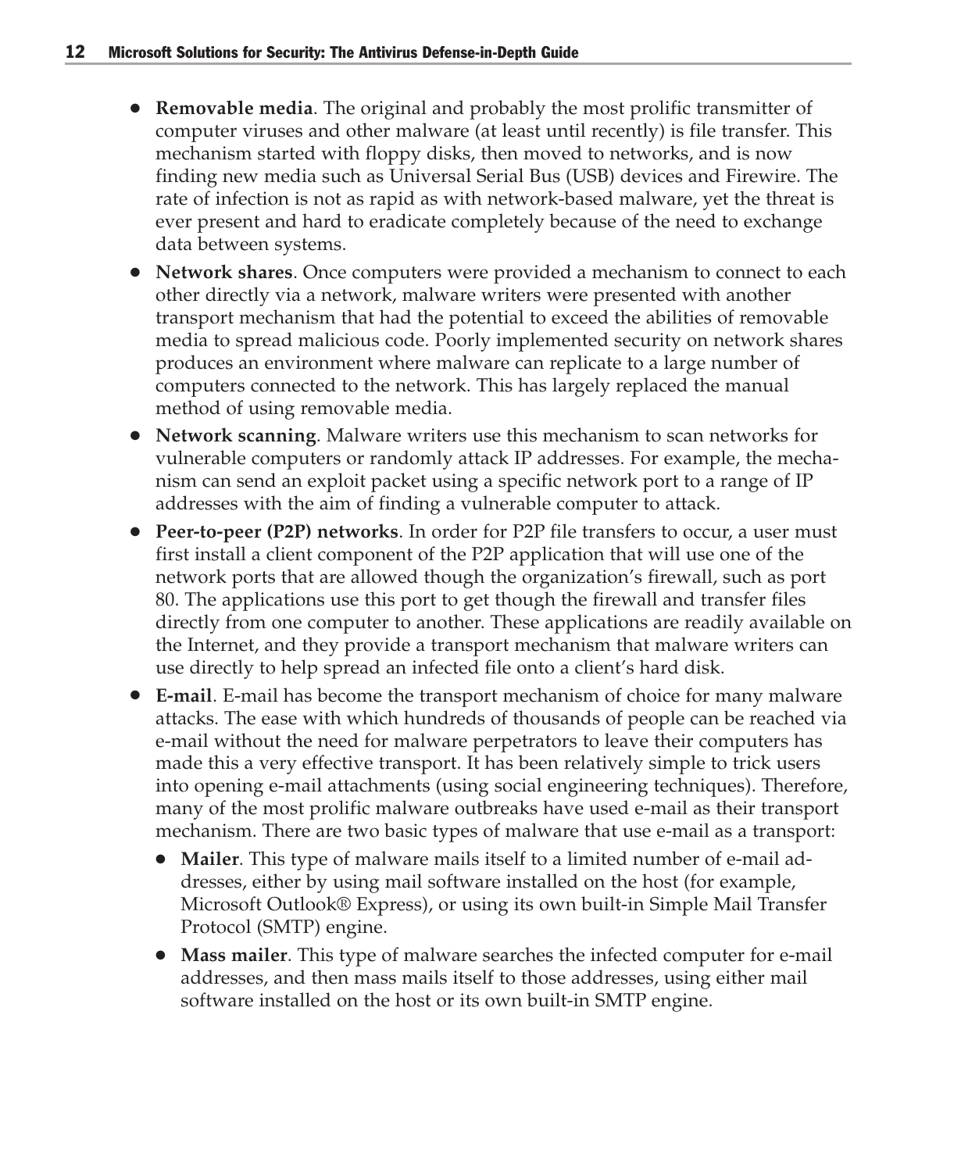- **Removable media**. The original and probably the most prolific transmitter of computer viruses and other malware (at least until recently) is file transfer. This mechanism started with floppy disks, then moved to networks, and is now finding new media such as Universal Serial Bus (USB) devices and Firewire. The rate of infection is not as rapid as with network-based malware, yet the threat is ever present and hard to eradicate completely because of the need to exchange data between systems.
- **Network shares**. Once computers were provided a mechanism to connect to each other directly via a network, malware writers were presented with another transport mechanism that had the potential to exceed the abilities of removable media to spread malicious code. Poorly implemented security on network shares produces an environment where malware can replicate to a large number of computers connected to the network. This has largely replaced the manual method of using removable media.
- **Network scanning**. Malware writers use this mechanism to scan networks for vulnerable computers or randomly attack IP addresses. For example, the mechanism can send an exploit packet using a specific network port to a range of IP addresses with the aim of finding a vulnerable computer to attack.
- **Peer-to-peer (P2P) networks**. In order for P2P file transfers to occur, a user must first install a client component of the P2P application that will use one of the network ports that are allowed though the organization's firewall, such as port 80. The applications use this port to get though the firewall and transfer files directly from one computer to another. These applications are readily available on the Internet, and they provide a transport mechanism that malware writers can use directly to help spread an infected file onto a client's hard disk.
- **E-mail**. E-mail has become the transport mechanism of choice for many malware attacks. The ease with which hundreds of thousands of people can be reached via e-mail without the need for malware perpetrators to leave their computers has made this a very effective transport. It has been relatively simple to trick users into opening e-mail attachments (using social engineering techniques). Therefore, many of the most prolific malware outbreaks have used e-mail as their transport mechanism. There are two basic types of malware that use e-mail as a transport:
	- **Mailer**. This type of malware mails itself to a limited number of e-mail addresses, either by using mail software installed on the host (for example, Microsoft Outlook® Express), or using its own built-in Simple Mail Transfer Protocol (SMTP) engine.
	- **Mass mailer**. This type of malware searches the infected computer for e-mail addresses, and then mass mails itself to those addresses, using either mail software installed on the host or its own built-in SMTP engine.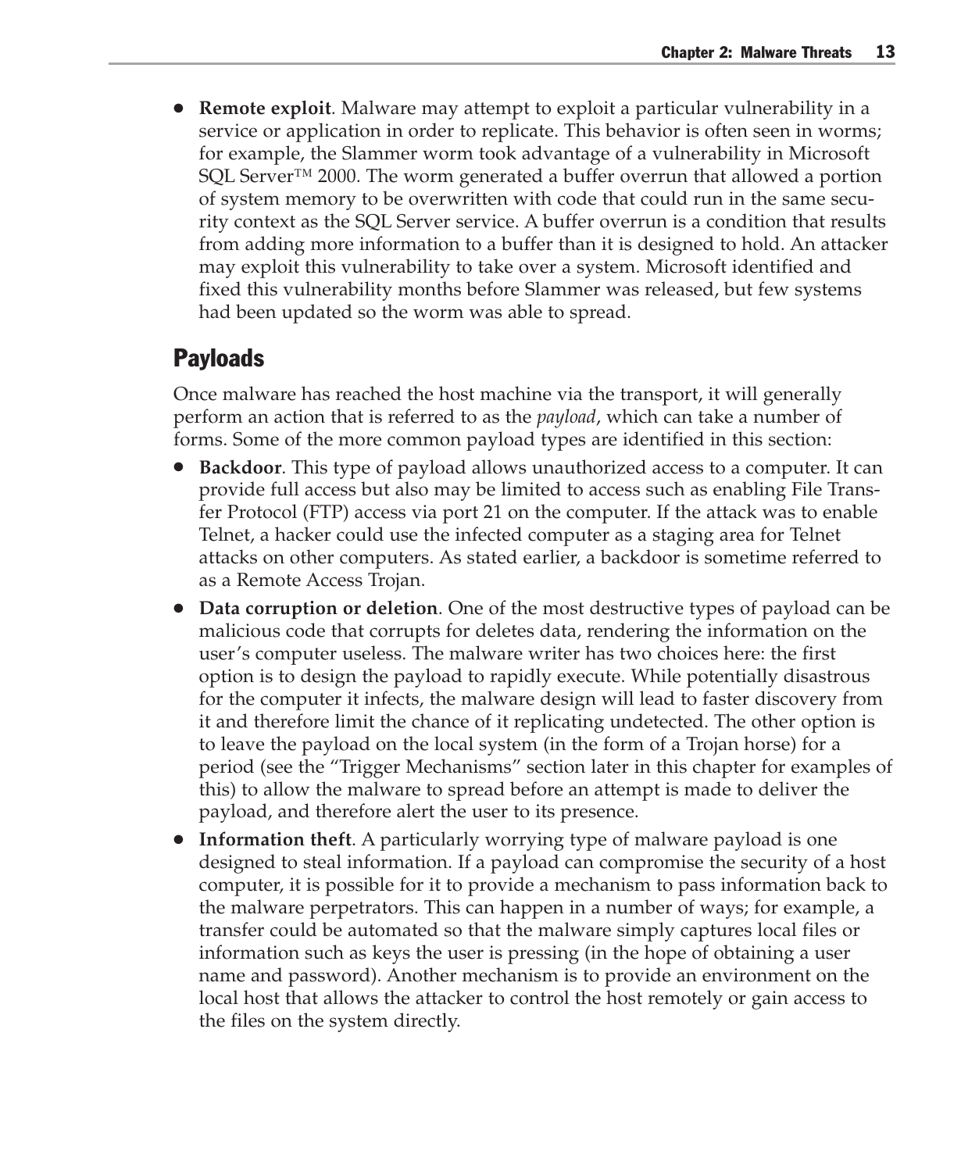**Remote exploit.** Malware may attempt to exploit a particular vulnerability in a service or application in order to replicate. This behavior is often seen in worms; for example, the Slammer worm took advantage of a vulnerability in Microsoft SQL Server<sup>™</sup> 2000. The worm generated a buffer overrun that allowed a portion of system memory to be overwritten with code that could run in the same security context as the SQL Server service. A buffer overrun is a condition that results from adding more information to a buffer than it is designed to hold. An attacker may exploit this vulnerability to take over a system. Microsoft identified and fixed this vulnerability months before Slammer was released, but few systems had been updated so the worm was able to spread.

#### **Payloads**

Once malware has reached the host machine via the transport, it will generally perform an action that is referred to as the *payload*, which can take a number of forms. Some of the more common payload types are identified in this section:

- **Backdoor**. This type of payload allows unauthorized access to a computer. It can provide full access but also may be limited to access such as enabling File Transfer Protocol (FTP) access via port 21 on the computer. If the attack was to enable Telnet, a hacker could use the infected computer as a staging area for Telnet attacks on other computers. As stated earlier, a backdoor is sometime referred to as a Remote Access Trojan.
- **Data corruption or deletion**. One of the most destructive types of payload can be malicious code that corrupts for deletes data, rendering the information on the user's computer useless. The malware writer has two choices here: the first option is to design the payload to rapidly execute. While potentially disastrous for the computer it infects, the malware design will lead to faster discovery from it and therefore limit the chance of it replicating undetected. The other option is to leave the payload on the local system (in the form of a Trojan horse) for a period (see the "Trigger Mechanisms" section later in this chapter for examples of this) to allow the malware to spread before an attempt is made to deliver the payload, and therefore alert the user to its presence.
- **Information theft**. A particularly worrying type of malware payload is one designed to steal information. If a payload can compromise the security of a host computer, it is possible for it to provide a mechanism to pass information back to the malware perpetrators. This can happen in a number of ways; for example, a transfer could be automated so that the malware simply captures local files or information such as keys the user is pressing (in the hope of obtaining a user name and password). Another mechanism is to provide an environment on the local host that allows the attacker to control the host remotely or gain access to the files on the system directly.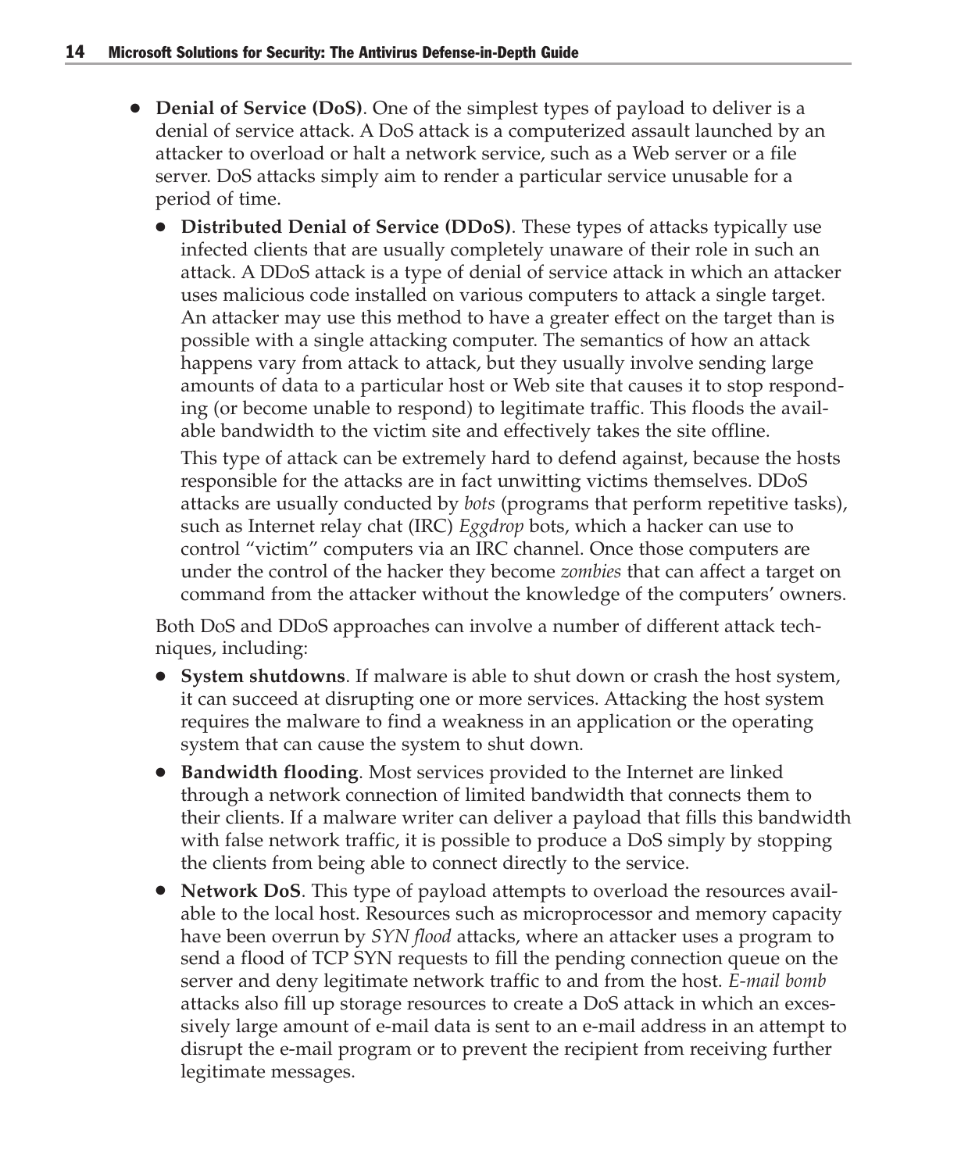- **Denial of Service (DoS)**. One of the simplest types of payload to deliver is a denial of service attack. A DoS attack is a computerized assault launched by an attacker to overload or halt a network service, such as a Web server or a file server. DoS attacks simply aim to render a particular service unusable for a period of time.
	- **Distributed Denial of Service (DDoS)**. These types of attacks typically use infected clients that are usually completely unaware of their role in such an attack. A DDoS attack is a type of denial of service attack in which an attacker uses malicious code installed on various computers to attack a single target. An attacker may use this method to have a greater effect on the target than is possible with a single attacking computer. The semantics of how an attack happens vary from attack to attack, but they usually involve sending large amounts of data to a particular host or Web site that causes it to stop responding (or become unable to respond) to legitimate traffic. This floods the available bandwidth to the victim site and effectively takes the site offline.

This type of attack can be extremely hard to defend against, because the hosts responsible for the attacks are in fact unwitting victims themselves. DDoS attacks are usually conducted by *bots* (programs that perform repetitive tasks), such as Internet relay chat (IRC) *Eggdrop* bots, which a hacker can use to control "victim" computers via an IRC channel. Once those computers are under the control of the hacker they become *zombies* that can affect a target on command from the attacker without the knowledge of the computers' owners.

Both DoS and DDoS approaches can involve a number of different attack techniques, including:

- **System shutdowns**. If malware is able to shut down or crash the host system, it can succeed at disrupting one or more services. Attacking the host system requires the malware to find a weakness in an application or the operating system that can cause the system to shut down.
- **Bandwidth flooding**. Most services provided to the Internet are linked through a network connection of limited bandwidth that connects them to their clients. If a malware writer can deliver a payload that fills this bandwidth with false network traffic, it is possible to produce a DoS simply by stopping the clients from being able to connect directly to the service.
- **Network DoS**. This type of payload attempts to overload the resources available to the local host. Resources such as microprocessor and memory capacity have been overrun by *SYN flood* attacks, where an attacker uses a program to send a flood of TCP SYN requests to fill the pending connection queue on the server and deny legitimate network traffic to and from the host. *E-mail bomb* attacks also fill up storage resources to create a DoS attack in which an excessively large amount of e-mail data is sent to an e-mail address in an attempt to disrupt the e-mail program or to prevent the recipient from receiving further legitimate messages.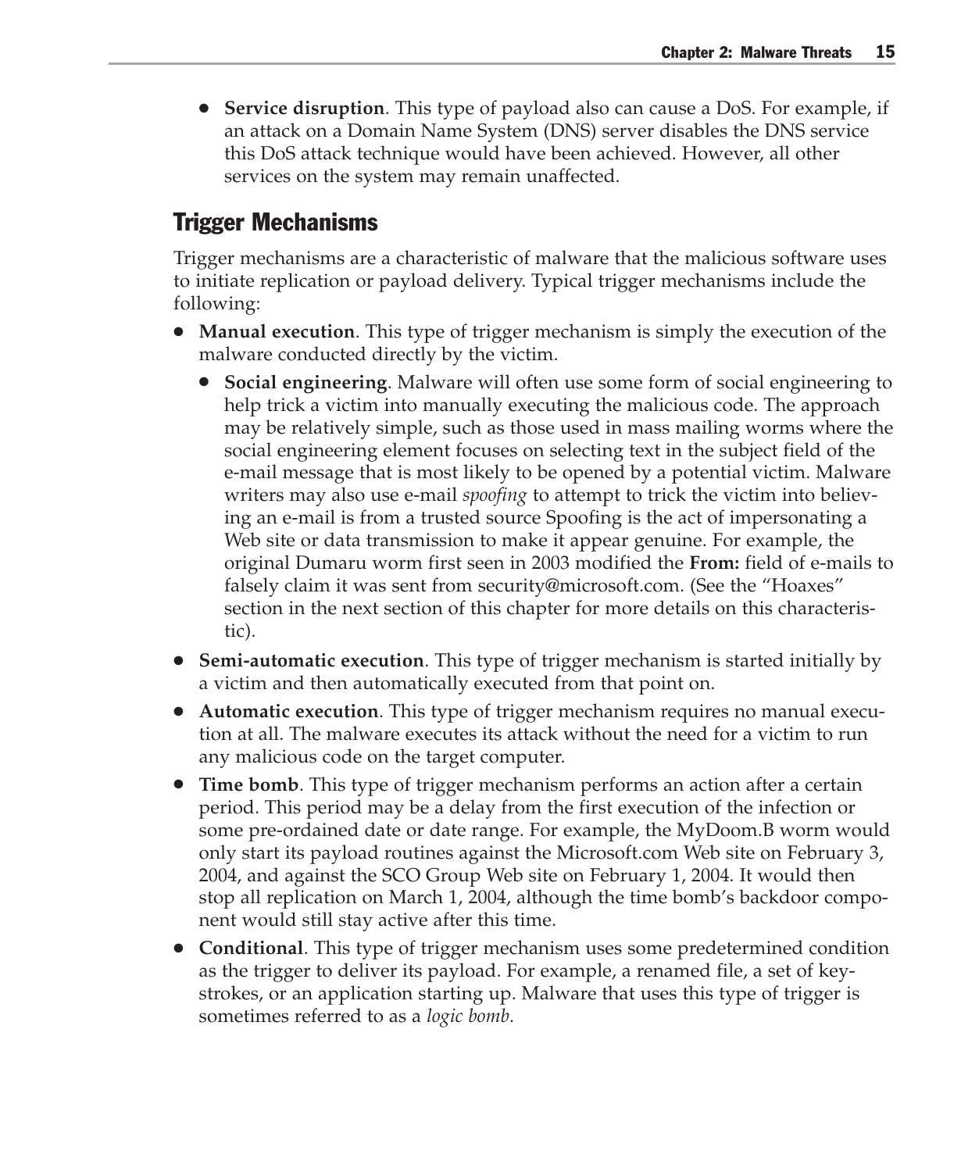● **Service disruption**. This type of payload also can cause a DoS. For example, if an attack on a Domain Name System (DNS) server disables the DNS service this DoS attack technique would have been achieved. However, all other services on the system may remain unaffected.

#### Trigger Mechanisms

Trigger mechanisms are a characteristic of malware that the malicious software uses to initiate replication or payload delivery. Typical trigger mechanisms include the following:

- **Manual execution**. This type of trigger mechanism is simply the execution of the malware conducted directly by the victim.
	- **Social engineering**. Malware will often use some form of social engineering to help trick a victim into manually executing the malicious code. The approach may be relatively simple, such as those used in mass mailing worms where the social engineering element focuses on selecting text in the subject field of the e-mail message that is most likely to be opened by a potential victim. Malware writers may also use e-mail *spoofing* to attempt to trick the victim into believing an e-mail is from a trusted source Spoofing is the act of impersonating a Web site or data transmission to make it appear genuine. For example, the original Dumaru worm first seen in 2003 modified the **From:** field of e-mails to falsely claim it was sent from security@microsoft.com. (See the "Hoaxes" section in the next section of this chapter for more details on this characteristic).
- **Semi-automatic execution**. This type of trigger mechanism is started initially by a victim and then automatically executed from that point on.
- **Automatic execution**. This type of trigger mechanism requires no manual execution at all. The malware executes its attack without the need for a victim to run any malicious code on the target computer.
- **Time bomb**. This type of trigger mechanism performs an action after a certain period. This period may be a delay from the first execution of the infection or some pre-ordained date or date range. For example, the MyDoom.B worm would only start its payload routines against the Microsoft.com Web site on February 3, 2004, and against the SCO Group Web site on February 1, 2004. It would then stop all replication on March 1, 2004, although the time bomb's backdoor component would still stay active after this time.
- **Conditional**. This type of trigger mechanism uses some predetermined condition as the trigger to deliver its payload. For example, a renamed file, a set of keystrokes, or an application starting up. Malware that uses this type of trigger is sometimes referred to as a *logic bomb*.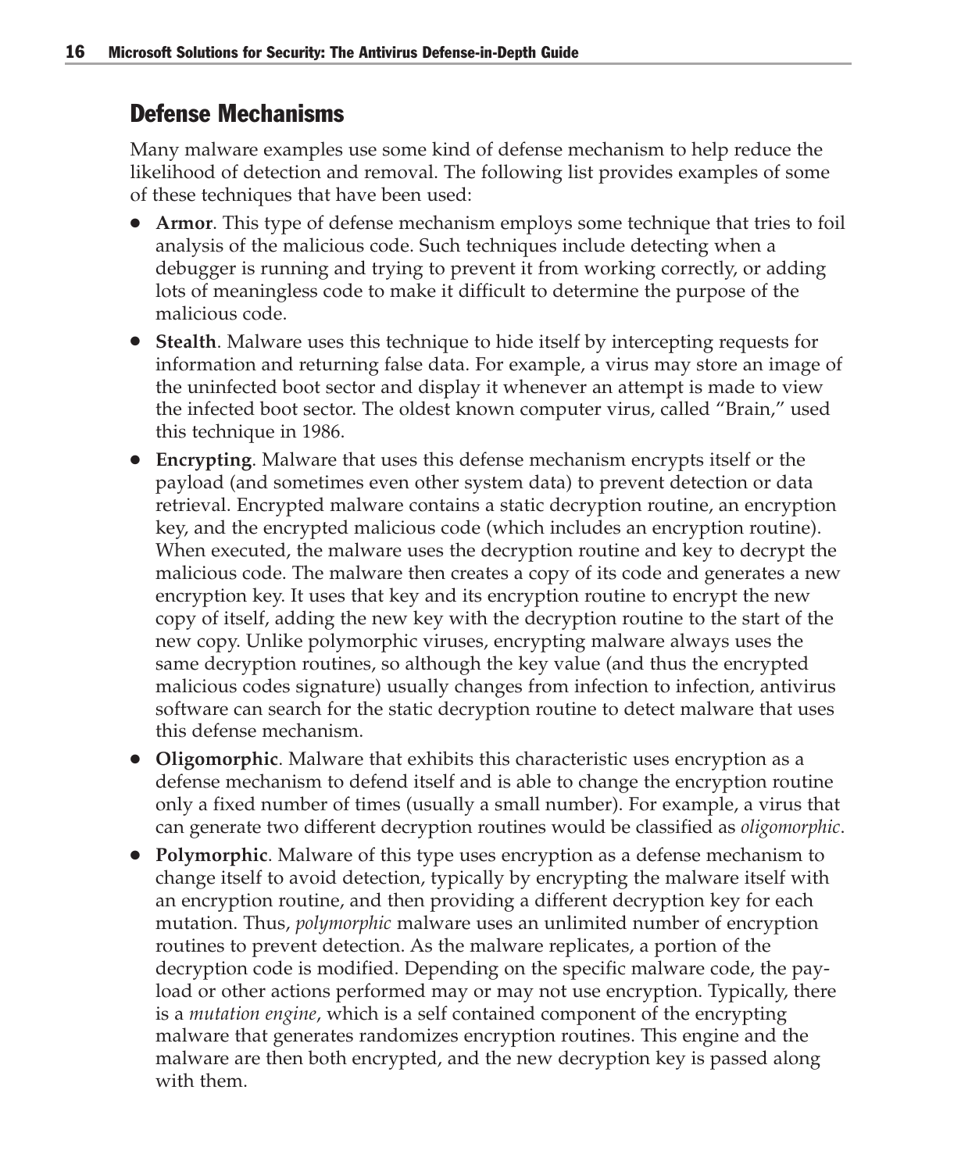#### Defense Mechanisms

Many malware examples use some kind of defense mechanism to help reduce the likelihood of detection and removal. The following list provides examples of some of these techniques that have been used:

- **Armor**. This type of defense mechanism employs some technique that tries to foil analysis of the malicious code. Such techniques include detecting when a debugger is running and trying to prevent it from working correctly, or adding lots of meaningless code to make it difficult to determine the purpose of the malicious code.
- **Stealth**. Malware uses this technique to hide itself by intercepting requests for information and returning false data. For example, a virus may store an image of the uninfected boot sector and display it whenever an attempt is made to view the infected boot sector. The oldest known computer virus, called "Brain," used this technique in 1986.
- **Encrypting**. Malware that uses this defense mechanism encrypts itself or the payload (and sometimes even other system data) to prevent detection or data retrieval. Encrypted malware contains a static decryption routine, an encryption key, and the encrypted malicious code (which includes an encryption routine). When executed, the malware uses the decryption routine and key to decrypt the malicious code. The malware then creates a copy of its code and generates a new encryption key. It uses that key and its encryption routine to encrypt the new copy of itself, adding the new key with the decryption routine to the start of the new copy. Unlike polymorphic viruses, encrypting malware always uses the same decryption routines, so although the key value (and thus the encrypted malicious codes signature) usually changes from infection to infection, antivirus software can search for the static decryption routine to detect malware that uses this defense mechanism.
- **Oligomorphic**. Malware that exhibits this characteristic uses encryption as a defense mechanism to defend itself and is able to change the encryption routine only a fixed number of times (usually a small number). For example, a virus that can generate two different decryption routines would be classified as *oligomorphic*.
- **Polymorphic**. Malware of this type uses encryption as a defense mechanism to change itself to avoid detection, typically by encrypting the malware itself with an encryption routine, and then providing a different decryption key for each mutation. Thus, *polymorphic* malware uses an unlimited number of encryption routines to prevent detection. As the malware replicates, a portion of the decryption code is modified. Depending on the specific malware code, the payload or other actions performed may or may not use encryption. Typically, there is a *mutation engine*, which is a self contained component of the encrypting malware that generates randomizes encryption routines. This engine and the malware are then both encrypted, and the new decryption key is passed along with them.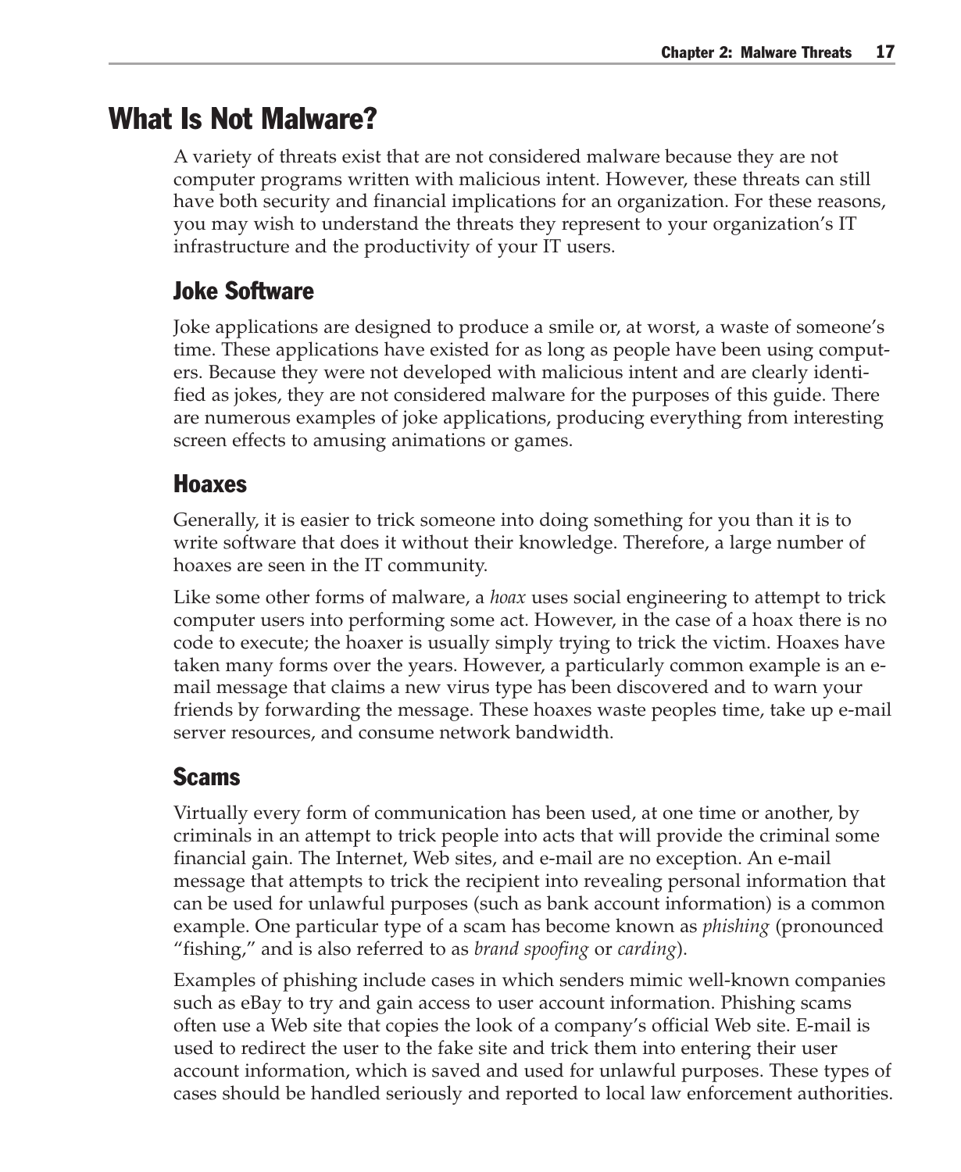### What Is Not Malware?

A variety of threats exist that are not considered malware because they are not computer programs written with malicious intent. However, these threats can still have both security and financial implications for an organization. For these reasons, you may wish to understand the threats they represent to your organization's IT infrastructure and the productivity of your IT users.

#### Joke Software

Joke applications are designed to produce a smile or, at worst, a waste of someone's time. These applications have existed for as long as people have been using computers. Because they were not developed with malicious intent and are clearly identified as jokes, they are not considered malware for the purposes of this guide. There are numerous examples of joke applications, producing everything from interesting screen effects to amusing animations or games.

#### Hoaxes

Generally, it is easier to trick someone into doing something for you than it is to write software that does it without their knowledge. Therefore, a large number of hoaxes are seen in the IT community.

Like some other forms of malware, a *hoax* uses social engineering to attempt to trick computer users into performing some act. However, in the case of a hoax there is no code to execute; the hoaxer is usually simply trying to trick the victim. Hoaxes have taken many forms over the years. However, a particularly common example is an email message that claims a new virus type has been discovered and to warn your friends by forwarding the message. These hoaxes waste peoples time, take up e-mail server resources, and consume network bandwidth.

#### Scams

Virtually every form of communication has been used, at one time or another, by criminals in an attempt to trick people into acts that will provide the criminal some financial gain. The Internet, Web sites, and e-mail are no exception. An e-mail message that attempts to trick the recipient into revealing personal information that can be used for unlawful purposes (such as bank account information) is a common example. One particular type of a scam has become known as *phishing* (pronounced "fishing," and is also referred to as *brand spoofing* or *carding*).

Examples of phishing include cases in which senders mimic well-known companies such as eBay to try and gain access to user account information. Phishing scams often use a Web site that copies the look of a company's official Web site. E-mail is used to redirect the user to the fake site and trick them into entering their user account information, which is saved and used for unlawful purposes. These types of cases should be handled seriously and reported to local law enforcement authorities.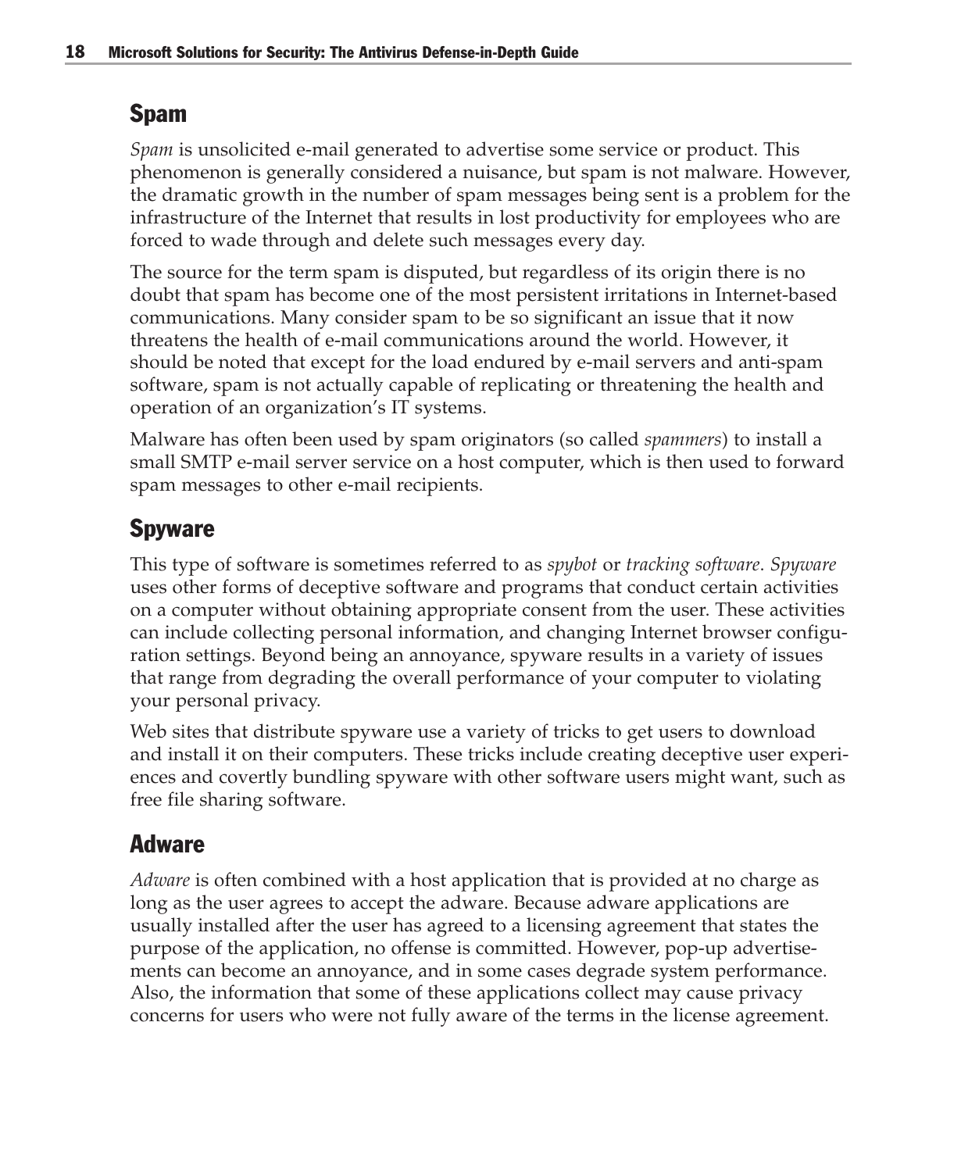#### Spam

*Spam* is unsolicited e-mail generated to advertise some service or product. This phenomenon is generally considered a nuisance, but spam is not malware. However, the dramatic growth in the number of spam messages being sent is a problem for the infrastructure of the Internet that results in lost productivity for employees who are forced to wade through and delete such messages every day.

The source for the term spam is disputed, but regardless of its origin there is no doubt that spam has become one of the most persistent irritations in Internet-based communications. Many consider spam to be so significant an issue that it now threatens the health of e-mail communications around the world. However, it should be noted that except for the load endured by e-mail servers and anti-spam software, spam is not actually capable of replicating or threatening the health and operation of an organization's IT systems.

Malware has often been used by spam originators (so called *spammers*) to install a small SMTP e-mail server service on a host computer, which is then used to forward spam messages to other e-mail recipients.

#### Spyware

This type of software is sometimes referred to as *spybot* or *tracking software*. *Spyware* uses other forms of deceptive software and programs that conduct certain activities on a computer without obtaining appropriate consent from the user. These activities can include collecting personal information, and changing Internet browser configuration settings. Beyond being an annoyance, spyware results in a variety of issues that range from degrading the overall performance of your computer to violating your personal privacy.

Web sites that distribute spyware use a variety of tricks to get users to download and install it on their computers. These tricks include creating deceptive user experiences and covertly bundling spyware with other software users might want, such as free file sharing software.

#### Adware

*Adware* is often combined with a host application that is provided at no charge as long as the user agrees to accept the adware. Because adware applications are usually installed after the user has agreed to a licensing agreement that states the purpose of the application, no offense is committed. However, pop-up advertisements can become an annoyance, and in some cases degrade system performance. Also, the information that some of these applications collect may cause privacy concerns for users who were not fully aware of the terms in the license agreement.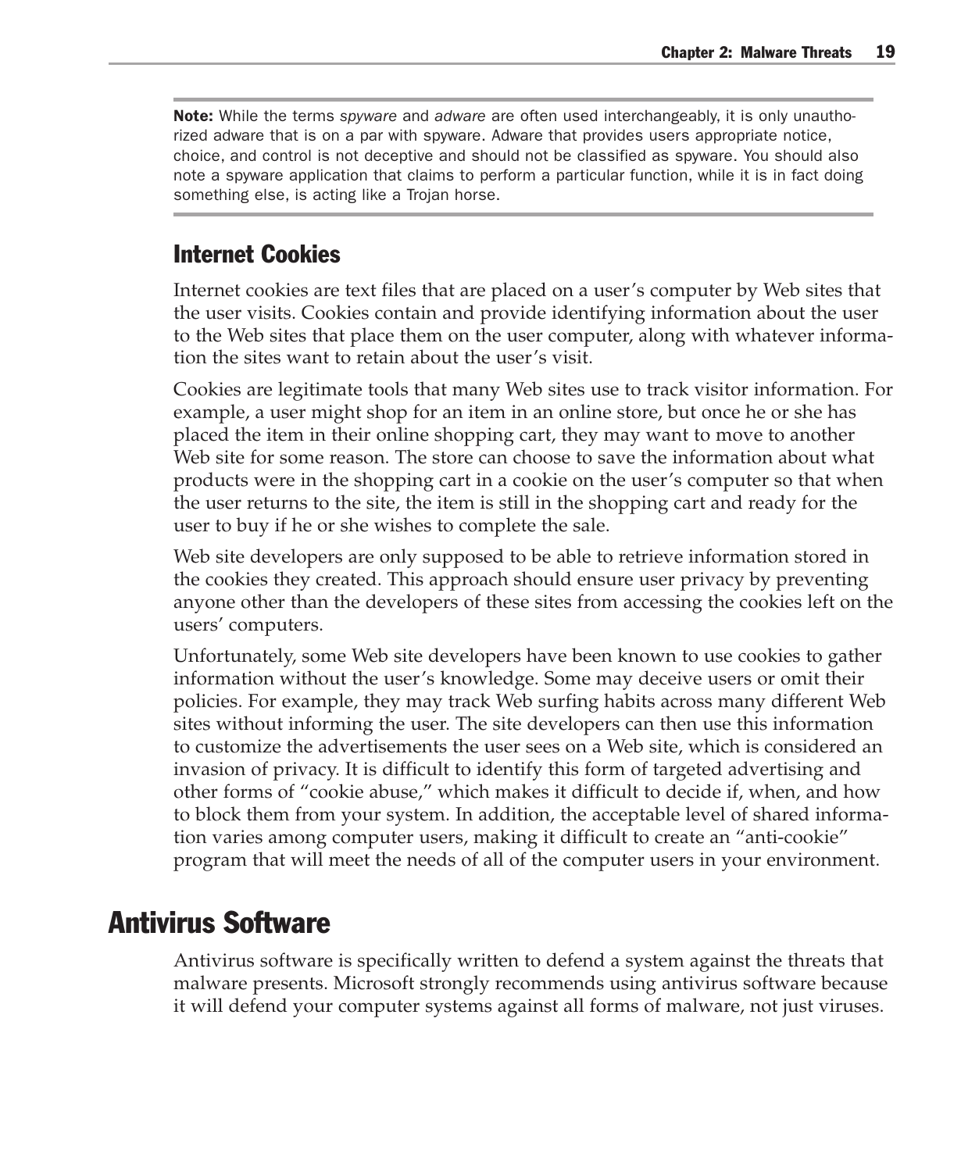Note: While the terms *spyware* and *adware* are often used interchangeably, it is only unauthorized adware that is on a par with spyware. Adware that provides users appropriate notice, choice, and control is not deceptive and should not be classified as spyware. You should also note a spyware application that claims to perform a particular function, while it is in fact doing something else, is acting like a Trojan horse.

#### Internet Cookies

Internet cookies are text files that are placed on a user's computer by Web sites that the user visits. Cookies contain and provide identifying information about the user to the Web sites that place them on the user computer, along with whatever information the sites want to retain about the user's visit.

Cookies are legitimate tools that many Web sites use to track visitor information. For example, a user might shop for an item in an online store, but once he or she has placed the item in their online shopping cart, they may want to move to another Web site for some reason. The store can choose to save the information about what products were in the shopping cart in a cookie on the user's computer so that when the user returns to the site, the item is still in the shopping cart and ready for the user to buy if he or she wishes to complete the sale.

Web site developers are only supposed to be able to retrieve information stored in the cookies they created. This approach should ensure user privacy by preventing anyone other than the developers of these sites from accessing the cookies left on the users' computers.

Unfortunately, some Web site developers have been known to use cookies to gather information without the user's knowledge. Some may deceive users or omit their policies. For example, they may track Web surfing habits across many different Web sites without informing the user. The site developers can then use this information to customize the advertisements the user sees on a Web site, which is considered an invasion of privacy. It is difficult to identify this form of targeted advertising and other forms of "cookie abuse," which makes it difficult to decide if, when, and how to block them from your system. In addition, the acceptable level of shared information varies among computer users, making it difficult to create an "anti-cookie" program that will meet the needs of all of the computer users in your environment.

#### Antivirus Software

Antivirus software is specifically written to defend a system against the threats that malware presents. Microsoft strongly recommends using antivirus software because it will defend your computer systems against all forms of malware, not just viruses.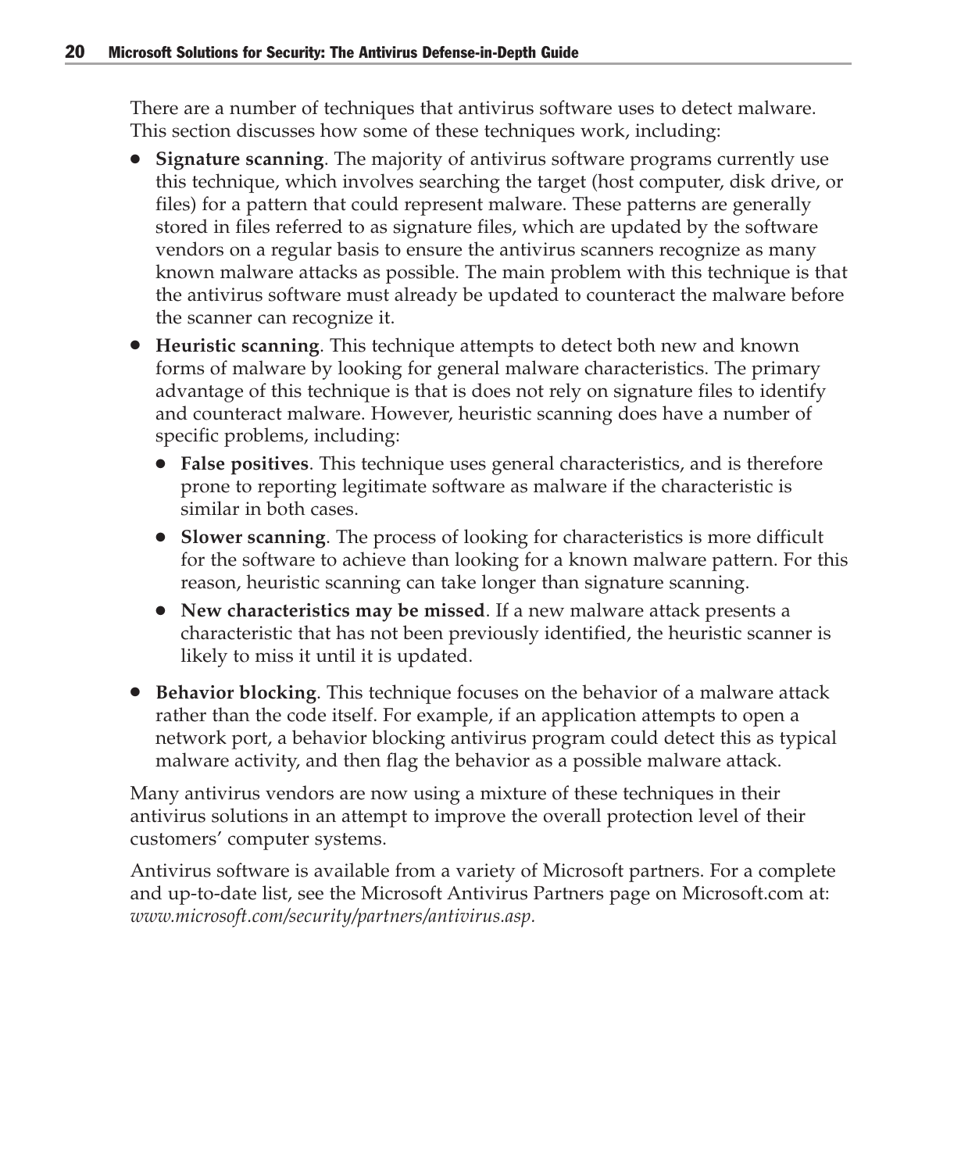There are a number of techniques that antivirus software uses to detect malware. This section discusses how some of these techniques work, including:

- **Signature scanning**. The majority of antivirus software programs currently use this technique, which involves searching the target (host computer, disk drive, or files) for a pattern that could represent malware. These patterns are generally stored in files referred to as signature files, which are updated by the software vendors on a regular basis to ensure the antivirus scanners recognize as many known malware attacks as possible. The main problem with this technique is that the antivirus software must already be updated to counteract the malware before the scanner can recognize it.
- **Heuristic scanning**. This technique attempts to detect both new and known forms of malware by looking for general malware characteristics. The primary advantage of this technique is that is does not rely on signature files to identify and counteract malware. However, heuristic scanning does have a number of specific problems, including:
	- **False positives**. This technique uses general characteristics, and is therefore prone to reporting legitimate software as malware if the characteristic is similar in both cases.
	- **Slower scanning**. The process of looking for characteristics is more difficult for the software to achieve than looking for a known malware pattern. For this reason, heuristic scanning can take longer than signature scanning.
	- **New characteristics may be missed**. If a new malware attack presents a characteristic that has not been previously identified, the heuristic scanner is likely to miss it until it is updated.
- **Behavior blocking**. This technique focuses on the behavior of a malware attack rather than the code itself. For example, if an application attempts to open a network port, a behavior blocking antivirus program could detect this as typical malware activity, and then flag the behavior as a possible malware attack.

Many antivirus vendors are now using a mixture of these techniques in their antivirus solutions in an attempt to improve the overall protection level of their customers' computer systems.

Antivirus software is available from a variety of Microsoft partners. For a complete and up-to-date list, see the Microsoft Antivirus Partners page on Microsoft.com at: *www.microsoft.com/security/partners/antivirus.asp.*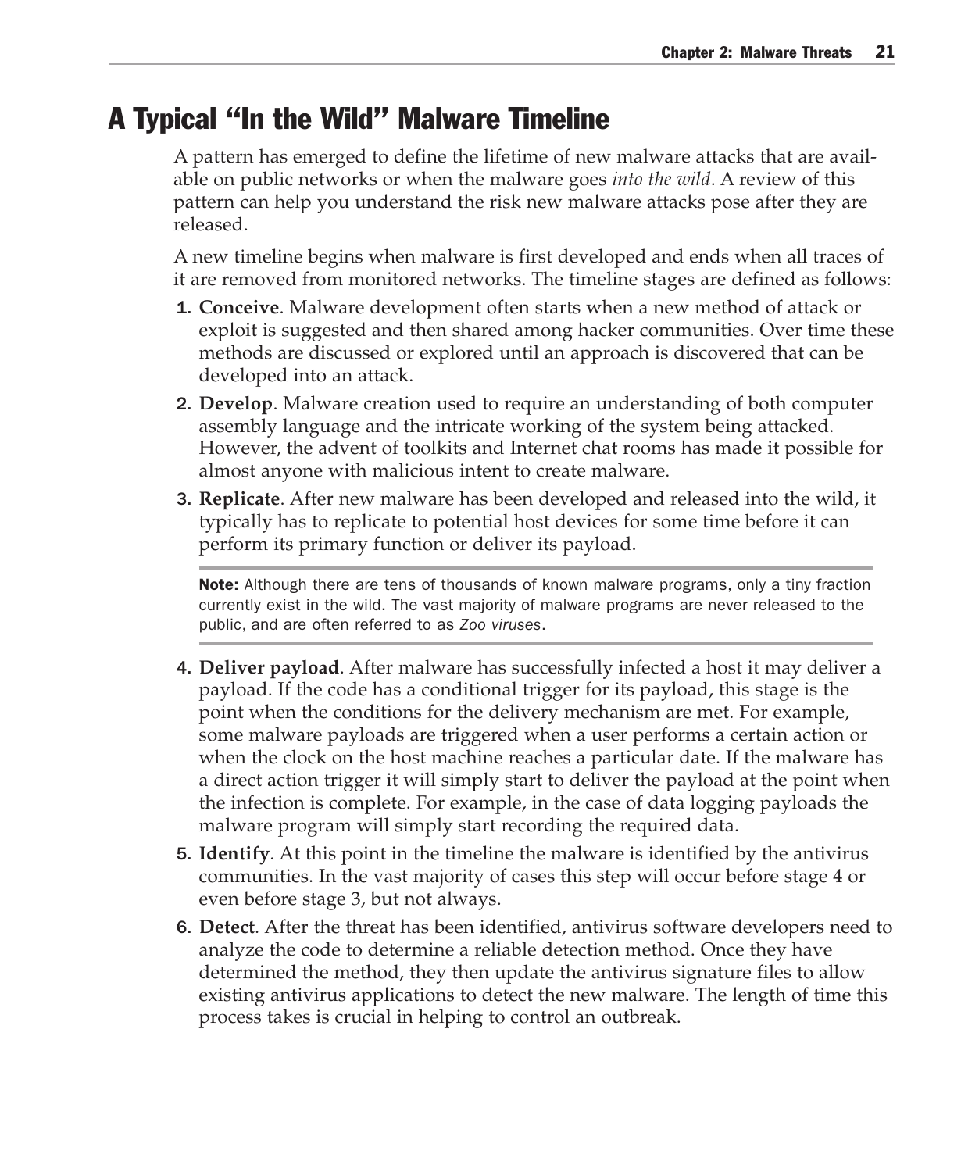#### A Typical "In the Wild" Malware Timeline

A pattern has emerged to define the lifetime of new malware attacks that are available on public networks or when the malware goes *into the wild*. A review of this pattern can help you understand the risk new malware attacks pose after they are released.

A new timeline begins when malware is first developed and ends when all traces of it are removed from monitored networks. The timeline stages are defined as follows:

- 1. **Conceive**. Malware development often starts when a new method of attack or exploit is suggested and then shared among hacker communities. Over time these methods are discussed or explored until an approach is discovered that can be developed into an attack.
- 2. **Develop**. Malware creation used to require an understanding of both computer assembly language and the intricate working of the system being attacked. However, the advent of toolkits and Internet chat rooms has made it possible for almost anyone with malicious intent to create malware.
- 3. **Replicate**. After new malware has been developed and released into the wild, it typically has to replicate to potential host devices for some time before it can perform its primary function or deliver its payload.

Note: Although there are tens of thousands of known malware programs, only a tiny fraction currently exist in the wild. The vast majority of malware programs are never released to the public, and are often referred to as *Zoo viruses*.

- 4. **Deliver payload**. After malware has successfully infected a host it may deliver a payload. If the code has a conditional trigger for its payload, this stage is the point when the conditions for the delivery mechanism are met. For example, some malware payloads are triggered when a user performs a certain action or when the clock on the host machine reaches a particular date. If the malware has a direct action trigger it will simply start to deliver the payload at the point when the infection is complete. For example, in the case of data logging payloads the malware program will simply start recording the required data.
- 5. **Identify**. At this point in the timeline the malware is identified by the antivirus communities. In the vast majority of cases this step will occur before stage 4 or even before stage 3, but not always.
- 6. **Detect**. After the threat has been identified, antivirus software developers need to analyze the code to determine a reliable detection method. Once they have determined the method, they then update the antivirus signature files to allow existing antivirus applications to detect the new malware. The length of time this process takes is crucial in helping to control an outbreak.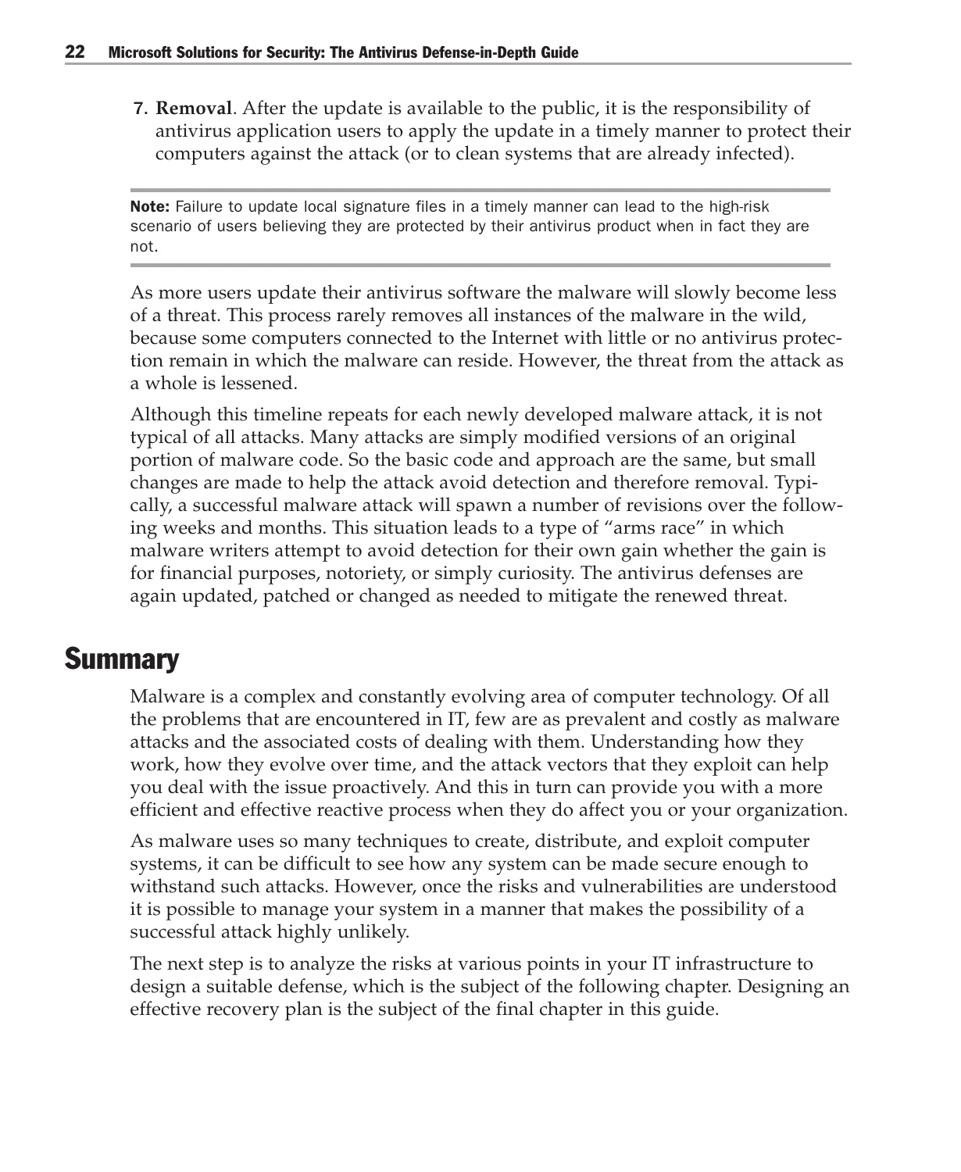7. **Removal**. After the update is available to the public, it is the responsibility of antivirus application users to apply the update in a timely manner to protect their computers against the attack (or to clean systems that are already infected).

Note: Failure to update local signature files in a timely manner can lead to the high-risk scenario of users believing they are protected by their antivirus product when in fact they are not.

As more users update their antivirus software the malware will slowly become less of a threat. This process rarely removes all instances of the malware in the wild, because some computers connected to the Internet with little or no antivirus protection remain in which the malware can reside. However, the threat from the attack as a whole is lessened.

Although this timeline repeats for each newly developed malware attack, it is not typical of all attacks. Many attacks are simply modified versions of an original portion of malware code. So the basic code and approach are the same, but small changes are made to help the attack avoid detection and therefore removal. Typically, a successful malware attack will spawn a number of revisions over the following weeks and months. This situation leads to a type of "arms race" in which malware writers attempt to avoid detection for their own gain whether the gain is for financial purposes, notoriety, or simply curiosity. The antivirus defenses are again updated, patched or changed as needed to mitigate the renewed threat.

#### **Summary**

Malware is a complex and constantly evolving area of computer technology. Of all the problems that are encountered in IT, few are as prevalent and costly as malware attacks and the associated costs of dealing with them. Understanding how they work, how they evolve over time, and the attack vectors that they exploit can help you deal with the issue proactively. And this in turn can provide you with a more efficient and effective reactive process when they do affect you or your organization.

As malware uses so many techniques to create, distribute, and exploit computer systems, it can be difficult to see how any system can be made secure enough to withstand such attacks. However, once the risks and vulnerabilities are understood it is possible to manage your system in a manner that makes the possibility of a successful attack highly unlikely.

The next step is to analyze the risks at various points in your IT infrastructure to design a suitable defense, which is the subject of the following chapter. Designing an effective recovery plan is the subject of the final chapter in this guide.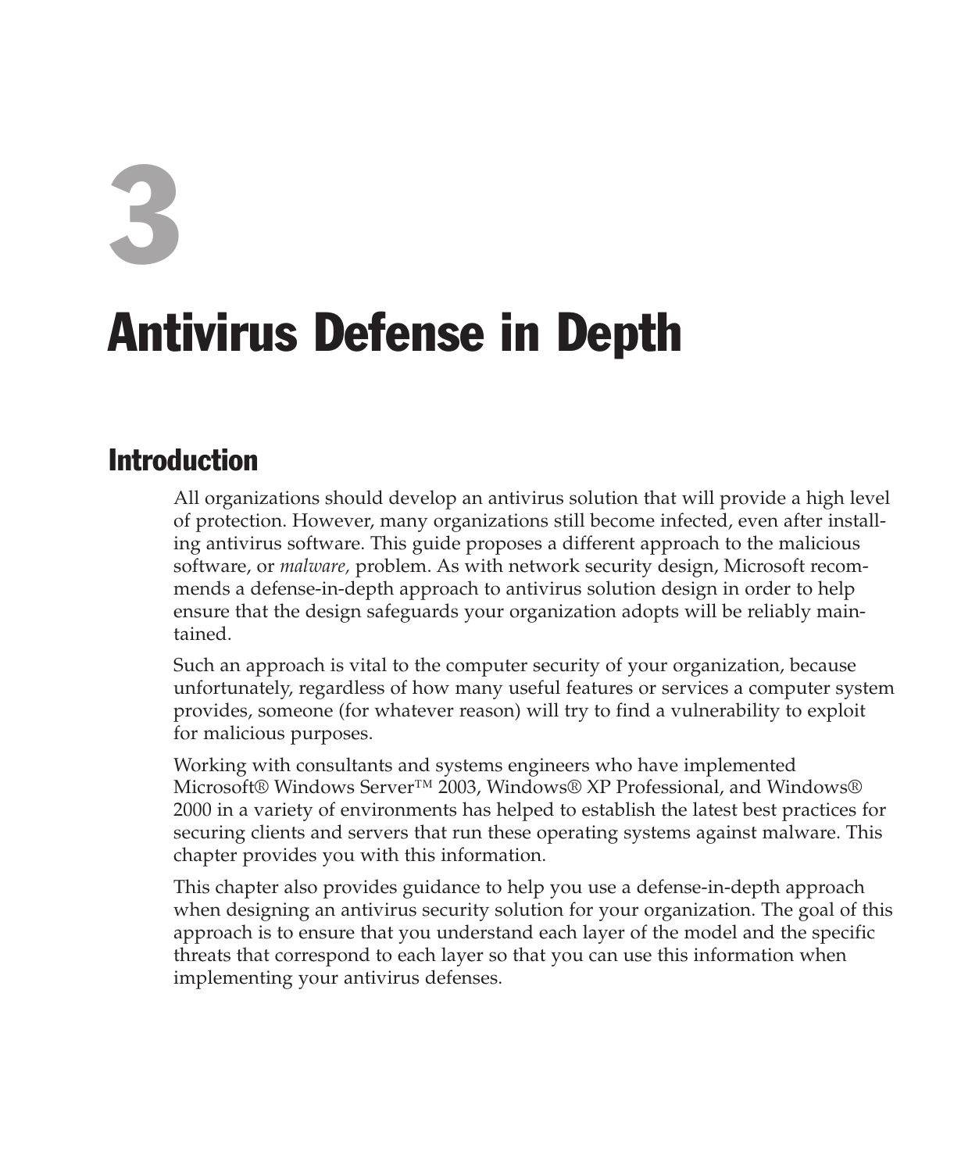# 3

## Antivirus Defense in Depth

#### Introduction

All organizations should develop an antivirus solution that will provide a high level of protection. However, many organizations still become infected, even after installing antivirus software. This guide proposes a different approach to the malicious software, or *malware,* problem. As with network security design, Microsoft recommends a defense-in-depth approach to antivirus solution design in order to help ensure that the design safeguards your organization adopts will be reliably maintained.

Such an approach is vital to the computer security of your organization, because unfortunately, regardless of how many useful features or services a computer system provides, someone (for whatever reason) will try to find a vulnerability to exploit for malicious purposes.

Working with consultants and systems engineers who have implemented Microsoft® Windows Server™ 2003, Windows® XP Professional, and Windows® 2000 in a variety of environments has helped to establish the latest best practices for securing clients and servers that run these operating systems against malware. This chapter provides you with this information.

This chapter also provides guidance to help you use a defense-in-depth approach when designing an antivirus security solution for your organization. The goal of this approach is to ensure that you understand each layer of the model and the specific threats that correspond to each layer so that you can use this information when implementing your antivirus defenses.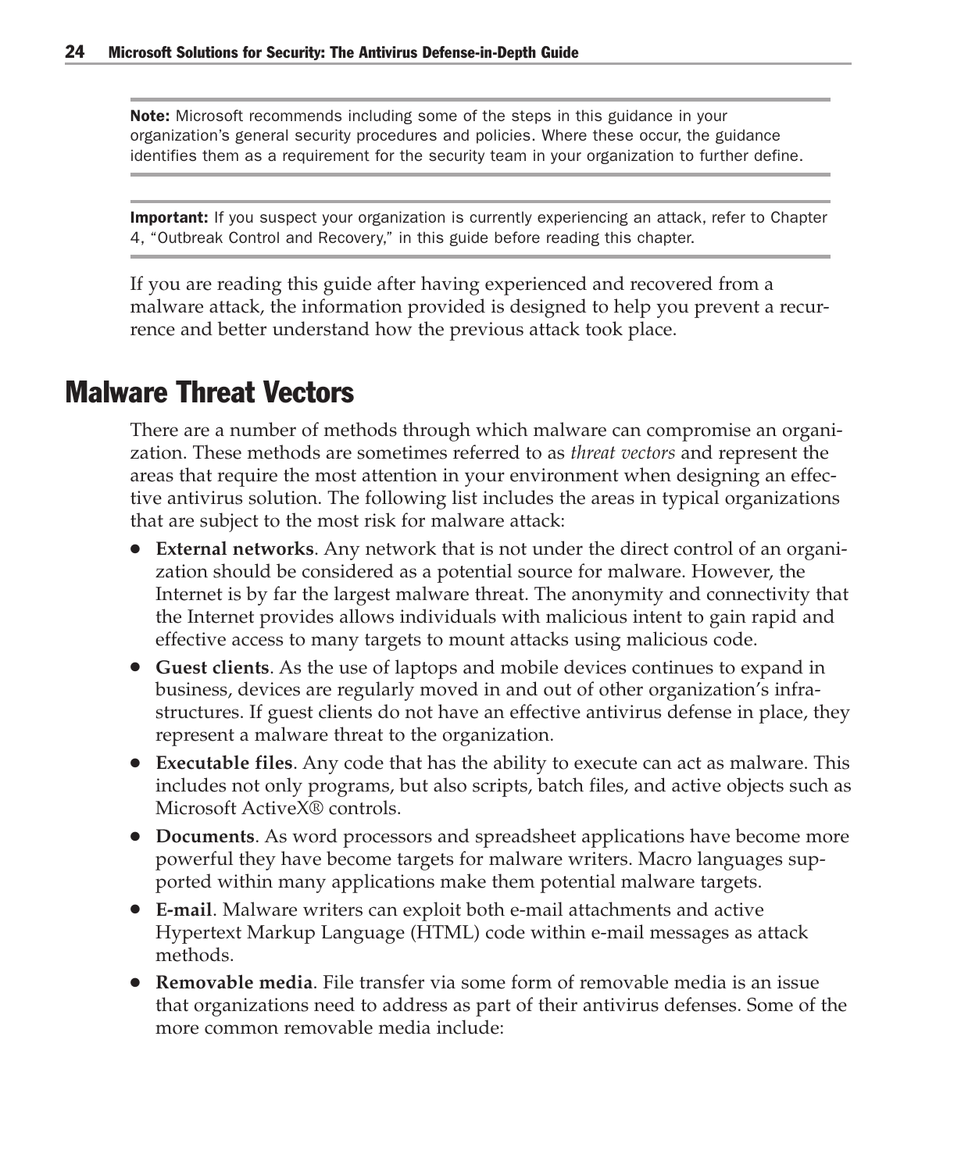Note: Microsoft recommends including some of the steps in this guidance in your organization's general security procedures and policies. Where these occur, the guidance identifies them as a requirement for the security team in your organization to further define.

Important: If you suspect your organization is currently experiencing an attack, refer to Chapter 4, "Outbreak Control and Recovery," in this guide before reading this chapter.

If you are reading this guide after having experienced and recovered from a malware attack, the information provided is designed to help you prevent a recurrence and better understand how the previous attack took place.

#### Malware Threat Vectors

There are a number of methods through which malware can compromise an organization. These methods are sometimes referred to as *threat vectors* and represent the areas that require the most attention in your environment when designing an effective antivirus solution. The following list includes the areas in typical organizations that are subject to the most risk for malware attack:

- **External networks**. Any network that is not under the direct control of an organization should be considered as a potential source for malware. However, the Internet is by far the largest malware threat. The anonymity and connectivity that the Internet provides allows individuals with malicious intent to gain rapid and effective access to many targets to mount attacks using malicious code.
- **Guest clients**. As the use of laptops and mobile devices continues to expand in business, devices are regularly moved in and out of other organization's infrastructures. If guest clients do not have an effective antivirus defense in place, they represent a malware threat to the organization.
- **Executable files**. Any code that has the ability to execute can act as malware. This includes not only programs, but also scripts, batch files, and active objects such as Microsoft ActiveX® controls.
- **Documents**. As word processors and spreadsheet applications have become more powerful they have become targets for malware writers. Macro languages supported within many applications make them potential malware targets.
- **E-mail**. Malware writers can exploit both e-mail attachments and active Hypertext Markup Language (HTML) code within e-mail messages as attack methods.
- **Removable media**. File transfer via some form of removable media is an issue that organizations need to address as part of their antivirus defenses. Some of the more common removable media include: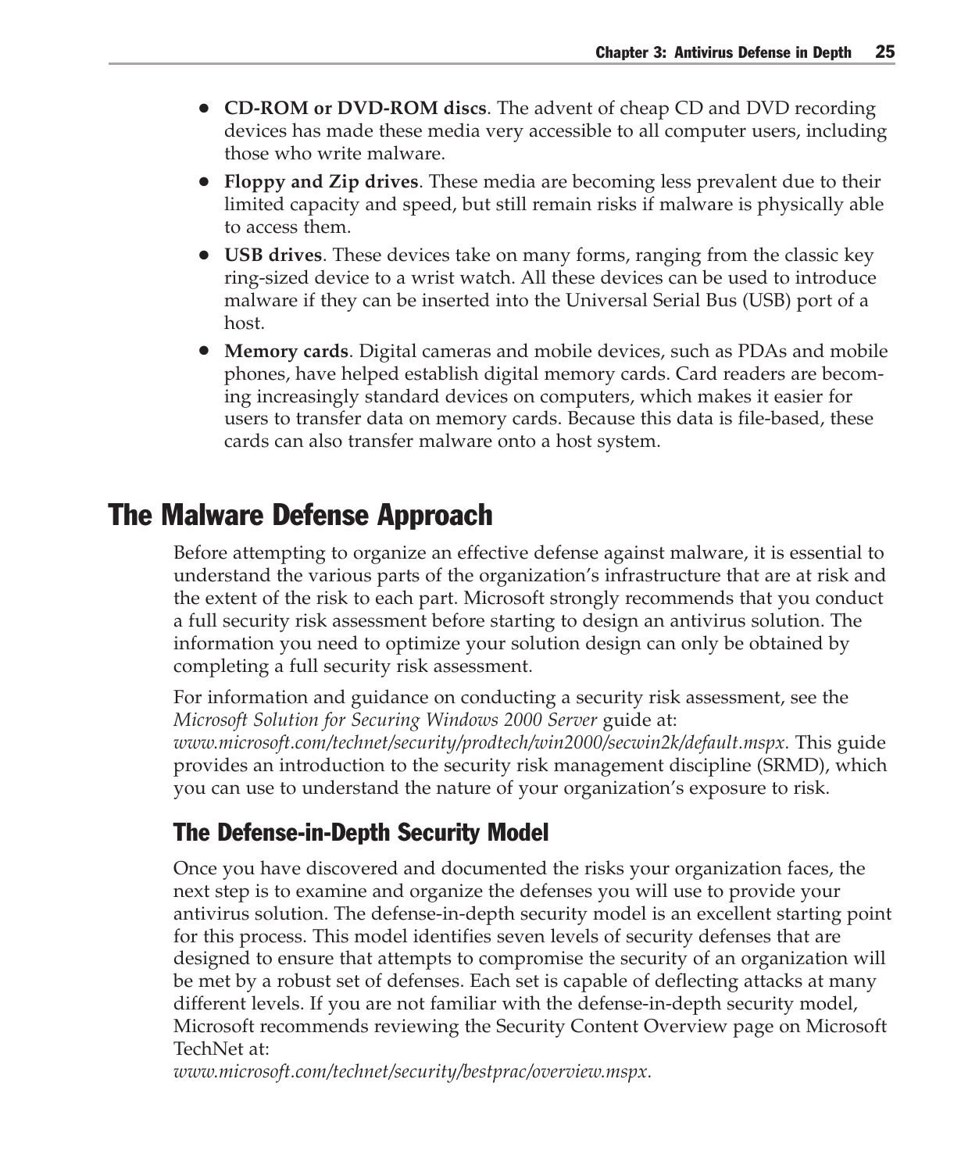- **CD-ROM or DVD-ROM discs**. The advent of cheap CD and DVD recording devices has made these media very accessible to all computer users, including those who write malware.
- **Floppy and Zip drives**. These media are becoming less prevalent due to their limited capacity and speed, but still remain risks if malware is physically able to access them.
- **USB drives**. These devices take on many forms, ranging from the classic key ring-sized device to a wrist watch. All these devices can be used to introduce malware if they can be inserted into the Universal Serial Bus (USB) port of a host.
- **Memory cards**. Digital cameras and mobile devices, such as PDAs and mobile phones, have helped establish digital memory cards. Card readers are becoming increasingly standard devices on computers, which makes it easier for users to transfer data on memory cards. Because this data is file-based, these cards can also transfer malware onto a host system.

#### The Malware Defense Approach

Before attempting to organize an effective defense against malware, it is essential to understand the various parts of the organization's infrastructure that are at risk and the extent of the risk to each part. Microsoft strongly recommends that you conduct a full security risk assessment before starting to design an antivirus solution. The information you need to optimize your solution design can only be obtained by completing a full security risk assessment.

For information and guidance on conducting a security risk assessment, see the *Microsoft Solution for Securing Windows 2000 Server* guide at: *www.microsoft.com/technet/security/prodtech/win2000/secwin2k/default.mspx.* This guide provides an introduction to the security risk management discipline (SRMD), which you can use to understand the nature of your organization's exposure to risk.

#### The Defense-in-Depth Security Model

Once you have discovered and documented the risks your organization faces, the next step is to examine and organize the defenses you will use to provide your antivirus solution. The defense-in-depth security model is an excellent starting point for this process. This model identifies seven levels of security defenses that are designed to ensure that attempts to compromise the security of an organization will be met by a robust set of defenses. Each set is capable of deflecting attacks at many different levels. If you are not familiar with the defense-in-depth security model, Microsoft recommends reviewing the Security Content Overview page on Microsoft TechNet at:

*www.microsoft.com/technet/security/bestprac/overview.mspx.*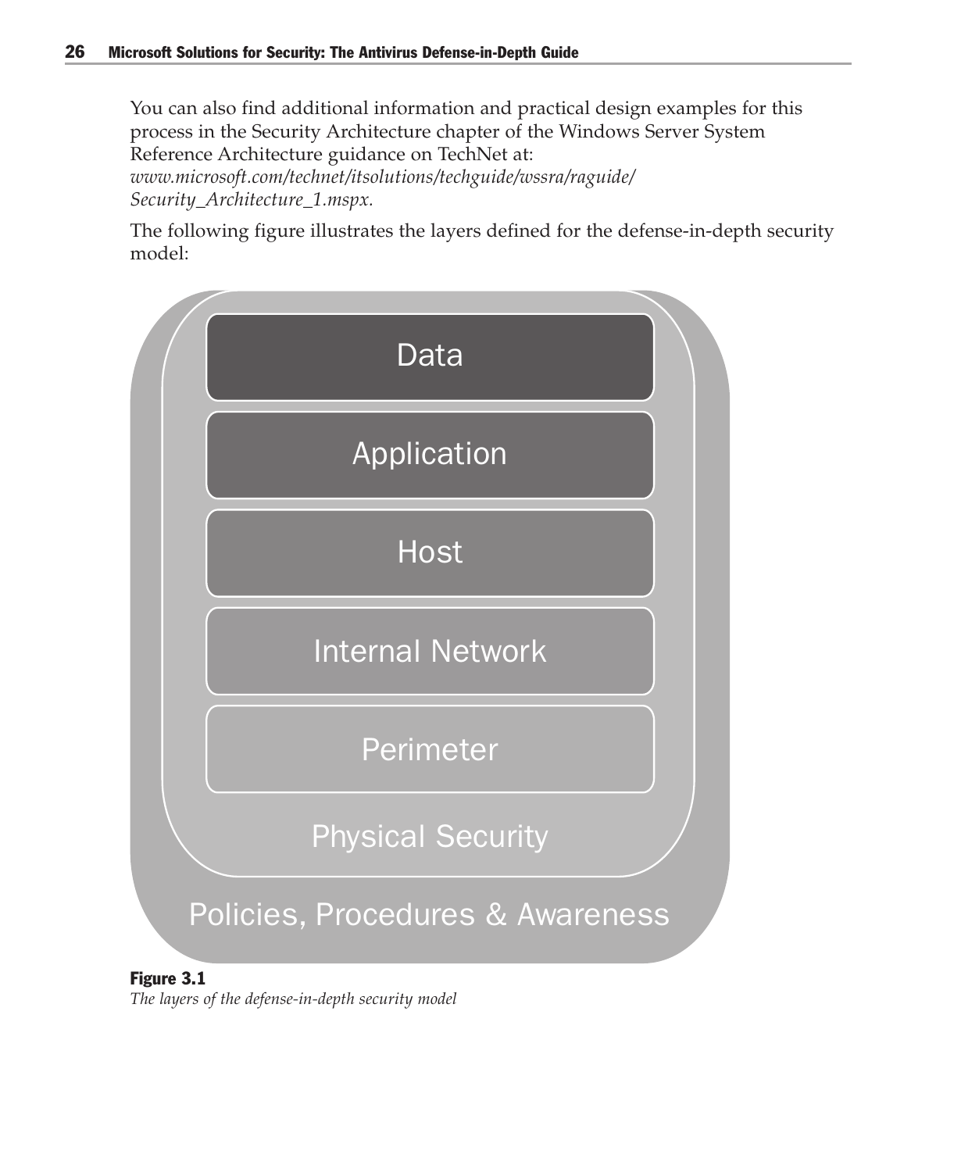You can also find additional information and practical design examples for this process in the Security Architecture chapter of the Windows Server System Reference Architecture guidance on TechNet at:

*www.microsoft.com/technet/itsolutions/techguide/wssra/raguide/ Security\_Architecture\_1.mspx.*

The following figure illustrates the layers defined for the defense-in-depth security model:



#### Figure 3.1

*The layers of the defense-in-depth security model*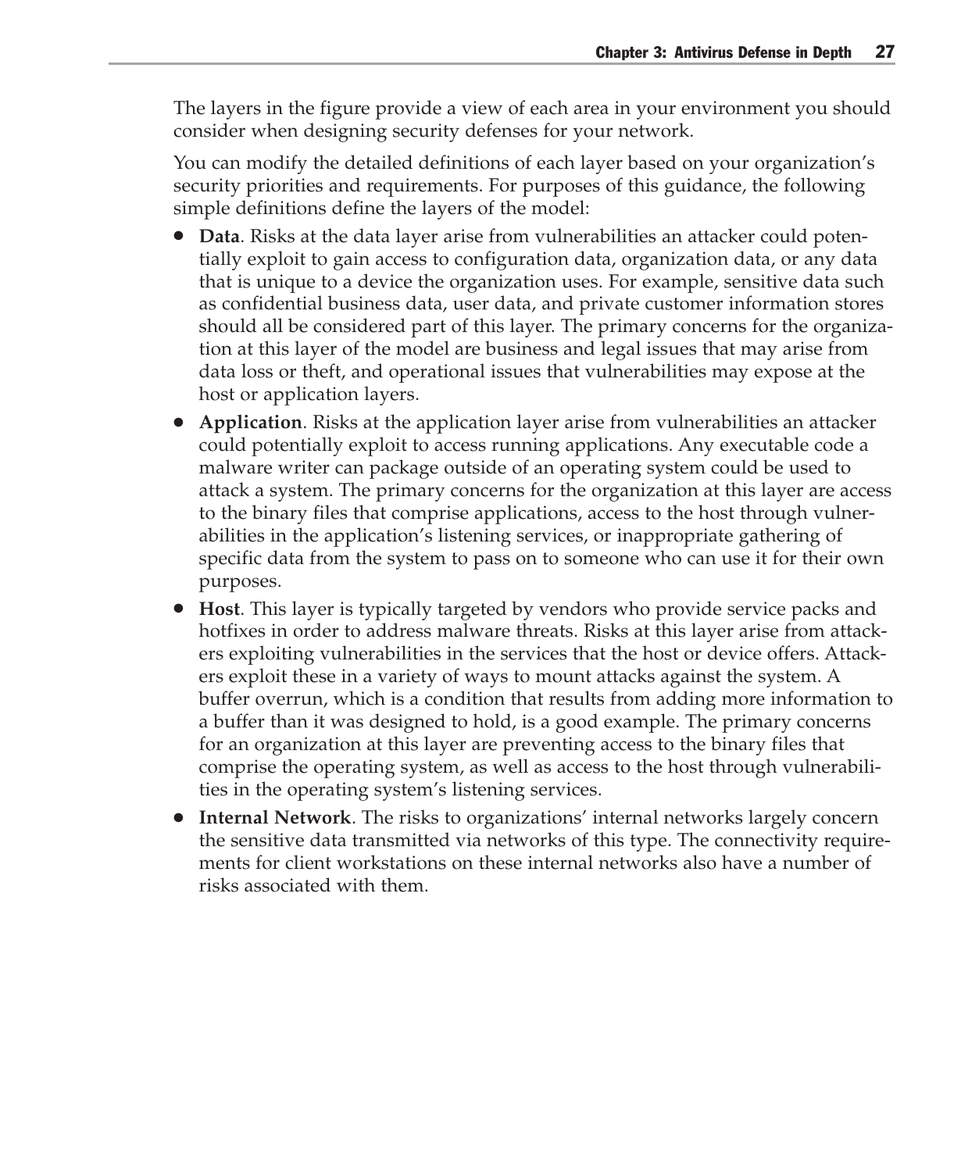The layers in the figure provide a view of each area in your environment you should consider when designing security defenses for your network.

You can modify the detailed definitions of each layer based on your organization's security priorities and requirements. For purposes of this guidance, the following simple definitions define the layers of the model:

- **Data**. Risks at the data layer arise from vulnerabilities an attacker could potentially exploit to gain access to configuration data, organization data, or any data that is unique to a device the organization uses. For example, sensitive data such as confidential business data, user data, and private customer information stores should all be considered part of this layer. The primary concerns for the organization at this layer of the model are business and legal issues that may arise from data loss or theft, and operational issues that vulnerabilities may expose at the host or application layers.
- **Application**. Risks at the application layer arise from vulnerabilities an attacker could potentially exploit to access running applications. Any executable code a malware writer can package outside of an operating system could be used to attack a system. The primary concerns for the organization at this layer are access to the binary files that comprise applications, access to the host through vulnerabilities in the application's listening services, or inappropriate gathering of specific data from the system to pass on to someone who can use it for their own purposes.
- **Host**. This layer is typically targeted by vendors who provide service packs and hotfixes in order to address malware threats. Risks at this layer arise from attackers exploiting vulnerabilities in the services that the host or device offers. Attackers exploit these in a variety of ways to mount attacks against the system. A buffer overrun, which is a condition that results from adding more information to a buffer than it was designed to hold, is a good example. The primary concerns for an organization at this layer are preventing access to the binary files that comprise the operating system, as well as access to the host through vulnerabilities in the operating system's listening services.
- **Internal Network**. The risks to organizations' internal networks largely concern the sensitive data transmitted via networks of this type. The connectivity requirements for client workstations on these internal networks also have a number of risks associated with them.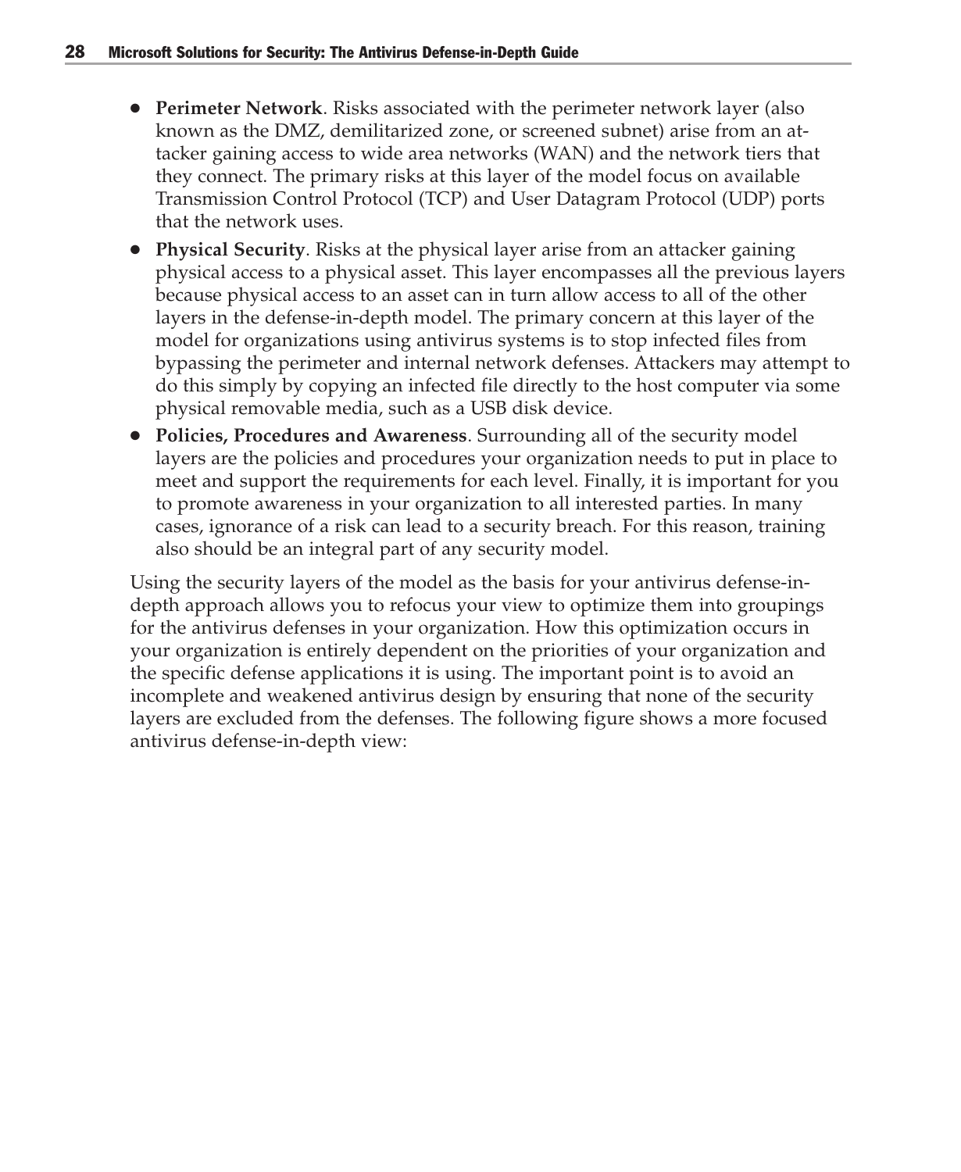- **Perimeter Network**. Risks associated with the perimeter network layer (also known as the DMZ, demilitarized zone, or screened subnet) arise from an attacker gaining access to wide area networks (WAN) and the network tiers that they connect. The primary risks at this layer of the model focus on available Transmission Control Protocol (TCP) and User Datagram Protocol (UDP) ports that the network uses.
- **Physical Security**. Risks at the physical layer arise from an attacker gaining physical access to a physical asset. This layer encompasses all the previous layers because physical access to an asset can in turn allow access to all of the other layers in the defense-in-depth model. The primary concern at this layer of the model for organizations using antivirus systems is to stop infected files from bypassing the perimeter and internal network defenses. Attackers may attempt to do this simply by copying an infected file directly to the host computer via some physical removable media, such as a USB disk device.
- **Policies, Procedures and Awareness**. Surrounding all of the security model layers are the policies and procedures your organization needs to put in place to meet and support the requirements for each level. Finally, it is important for you to promote awareness in your organization to all interested parties. In many cases, ignorance of a risk can lead to a security breach. For this reason, training also should be an integral part of any security model.

Using the security layers of the model as the basis for your antivirus defense-indepth approach allows you to refocus your view to optimize them into groupings for the antivirus defenses in your organization. How this optimization occurs in your organization is entirely dependent on the priorities of your organization and the specific defense applications it is using. The important point is to avoid an incomplete and weakened antivirus design by ensuring that none of the security layers are excluded from the defenses. The following figure shows a more focused antivirus defense-in-depth view: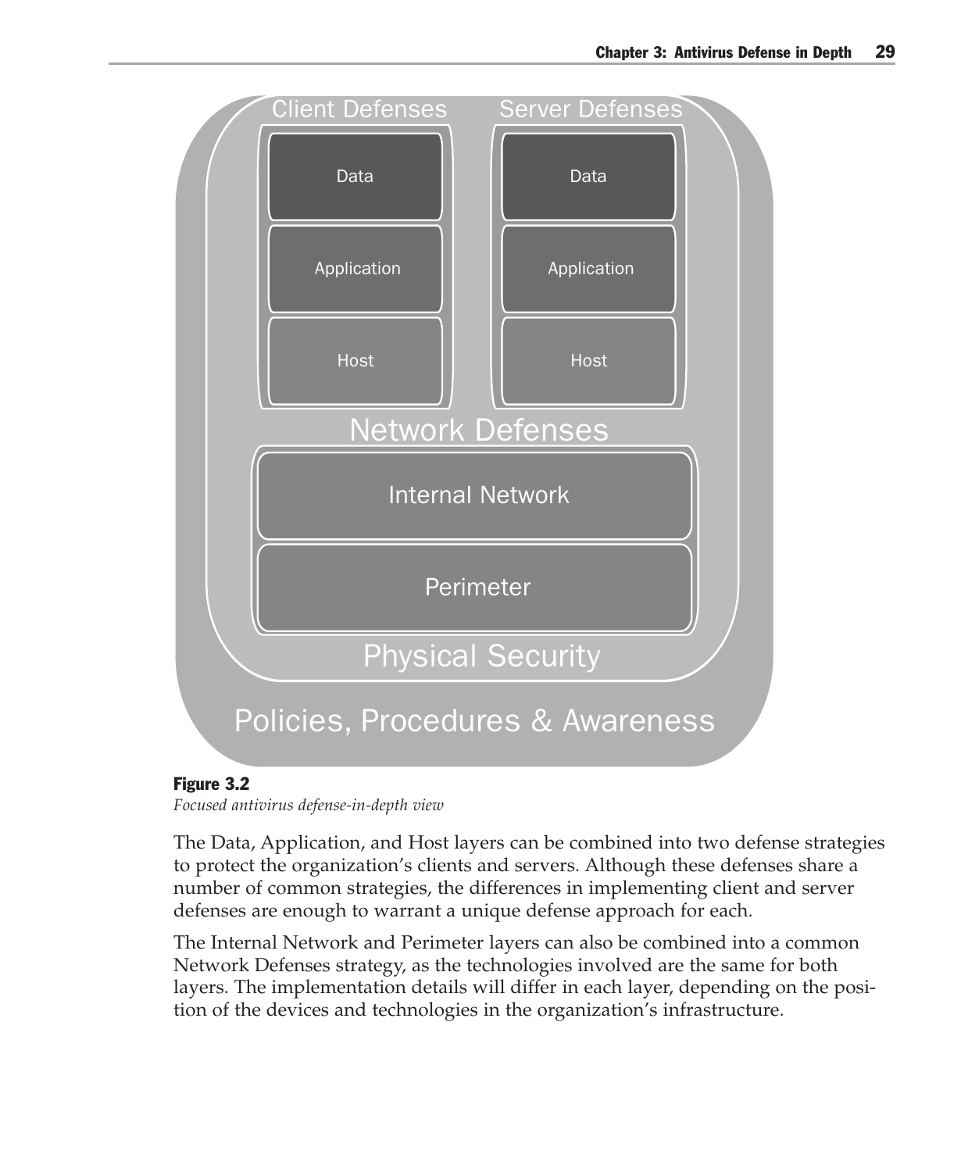

#### Figure 3.2

*Focused antivirus defense-in-depth view*

The Data, Application, and Host layers can be combined into two defense strategies to protect the organization's clients and servers. Although these defenses share a number of common strategies, the differences in implementing client and server defenses are enough to warrant a unique defense approach for each.

The Internal Network and Perimeter layers can also be combined into a common Network Defenses strategy, as the technologies involved are the same for both layers. The implementation details will differ in each layer, depending on the position of the devices and technologies in the organization's infrastructure.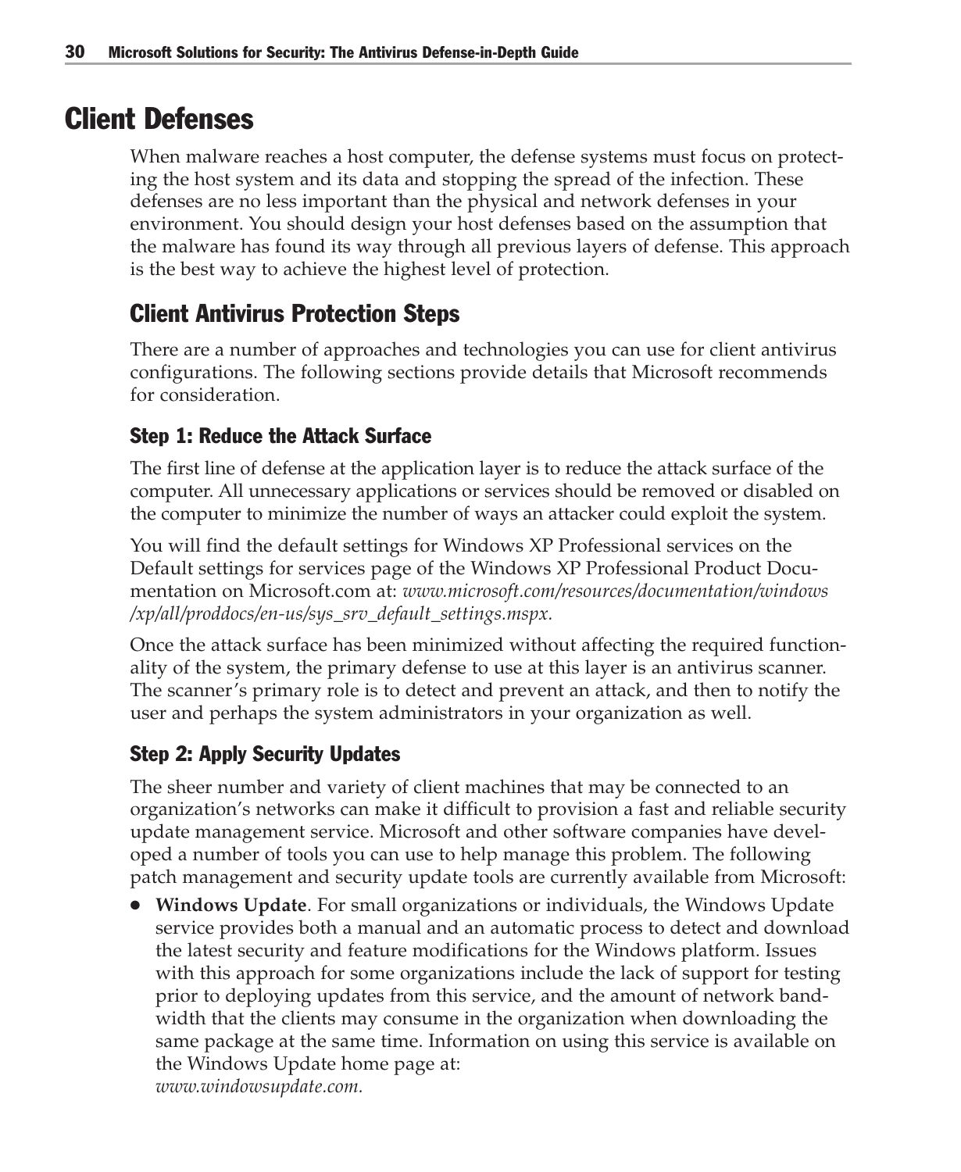#### Client Defenses

When malware reaches a host computer, the defense systems must focus on protecting the host system and its data and stopping the spread of the infection. These defenses are no less important than the physical and network defenses in your environment. You should design your host defenses based on the assumption that the malware has found its way through all previous layers of defense. This approach is the best way to achieve the highest level of protection.

#### Client Antivirus Protection Steps

There are a number of approaches and technologies you can use for client antivirus configurations. The following sections provide details that Microsoft recommends for consideration.

#### Step 1: Reduce the Attack Surface

The first line of defense at the application layer is to reduce the attack surface of the computer. All unnecessary applications or services should be removed or disabled on the computer to minimize the number of ways an attacker could exploit the system.

You will find the default settings for Windows XP Professional services on the Default settings for services page of the Windows XP Professional Product Documentation on Microsoft.com at: *www.microsoft.com/resources/documentation/windows /xp/all/proddocs/en-us/sys\_srv\_default\_settings.mspx.*

Once the attack surface has been minimized without affecting the required functionality of the system, the primary defense to use at this layer is an antivirus scanner. The scanner's primary role is to detect and prevent an attack, and then to notify the user and perhaps the system administrators in your organization as well.

#### Step 2: Apply Security Updates

The sheer number and variety of client machines that may be connected to an organization's networks can make it difficult to provision a fast and reliable security update management service. Microsoft and other software companies have developed a number of tools you can use to help manage this problem. The following patch management and security update tools are currently available from Microsoft:

● **Windows Update**. For small organizations or individuals, the Windows Update service provides both a manual and an automatic process to detect and download the latest security and feature modifications for the Windows platform. Issues with this approach for some organizations include the lack of support for testing prior to deploying updates from this service, and the amount of network bandwidth that the clients may consume in the organization when downloading the same package at the same time. Information on using this service is available on the Windows Update home page at: *www.windowsupdate.com.*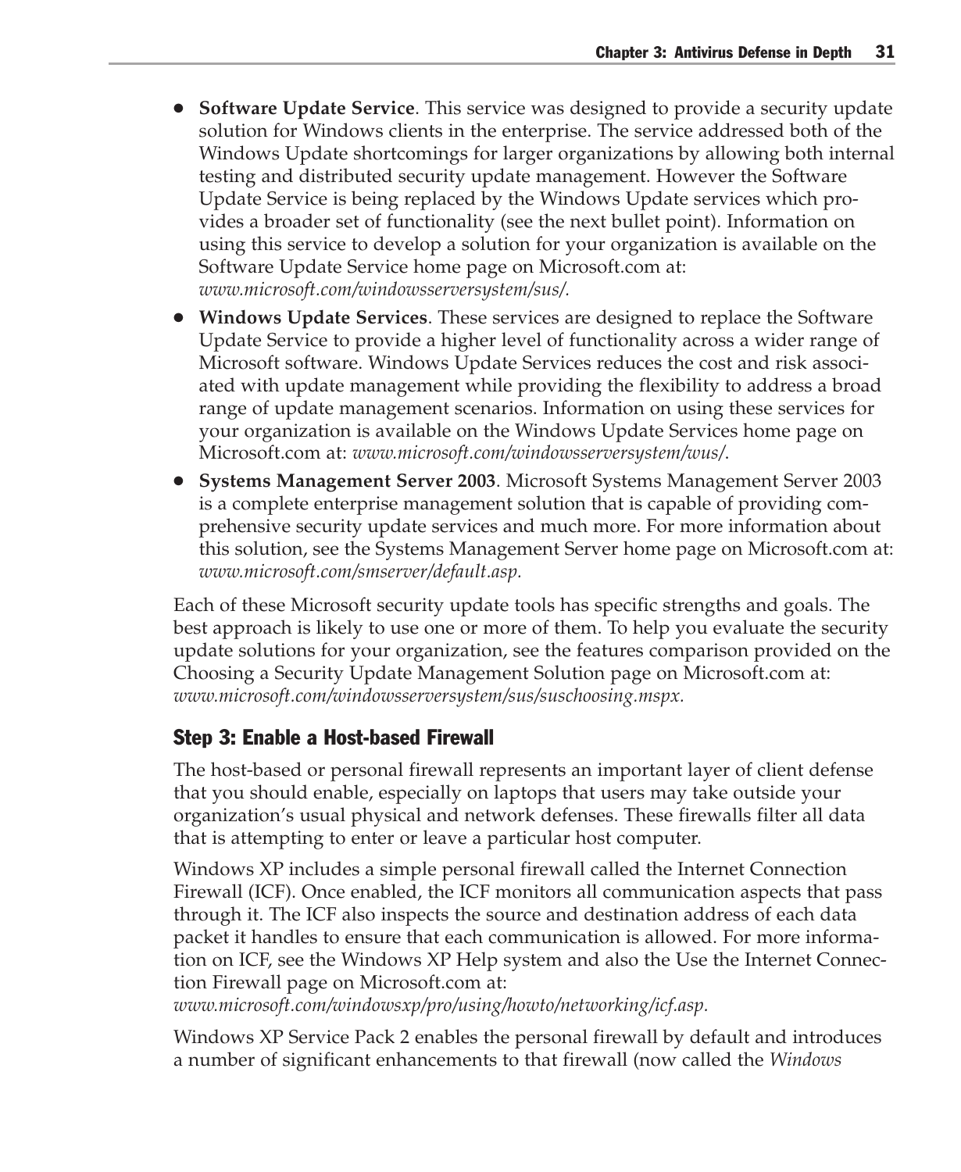- **Software Update Service**. This service was designed to provide a security update solution for Windows clients in the enterprise. The service addressed both of the Windows Update shortcomings for larger organizations by allowing both internal testing and distributed security update management. However the Software Update Service is being replaced by the Windows Update services which provides a broader set of functionality (see the next bullet point). Information on using this service to develop a solution for your organization is available on the Software Update Service home page on Microsoft.com at: *www.microsoft.com/windowsserversystem/sus/.*
- **Windows Update Services**. These services are designed to replace the Software Update Service to provide a higher level of functionality across a wider range of Microsoft software. Windows Update Services reduces the cost and risk associated with update management while providing the flexibility to address a broad range of update management scenarios. Information on using these services for your organization is available on the Windows Update Services home page on Microsoft.com at: *www.microsoft.com/windowsserversystem/wus/*.
- **Systems Management Server 2003**. Microsoft Systems Management Server 2003 is a complete enterprise management solution that is capable of providing comprehensive security update services and much more. For more information about this solution, see the Systems Management Server home page on Microsoft.com at: *www.microsoft.com/smserver/default.asp.*

Each of these Microsoft security update tools has specific strengths and goals. The best approach is likely to use one or more of them. To help you evaluate the security update solutions for your organization, see the features comparison provided on the Choosing a Security Update Management Solution page on Microsoft.com at: *www.microsoft.com/windowsserversystem/sus/suschoosing.mspx.*

#### Step 3: Enable a Host-based Firewall

The host-based or personal firewall represents an important layer of client defense that you should enable, especially on laptops that users may take outside your organization's usual physical and network defenses. These firewalls filter all data that is attempting to enter or leave a particular host computer.

Windows XP includes a simple personal firewall called the Internet Connection Firewall (ICF). Once enabled, the ICF monitors all communication aspects that pass through it. The ICF also inspects the source and destination address of each data packet it handles to ensure that each communication is allowed. For more information on ICF, see the Windows XP Help system and also the Use the Internet Connection Firewall page on Microsoft.com at:

*www.microsoft.com/windowsxp/pro/using/howto/networking/icf.asp.*

Windows XP Service Pack 2 enables the personal firewall by default and introduces a number of significant enhancements to that firewall (now called the *Windows*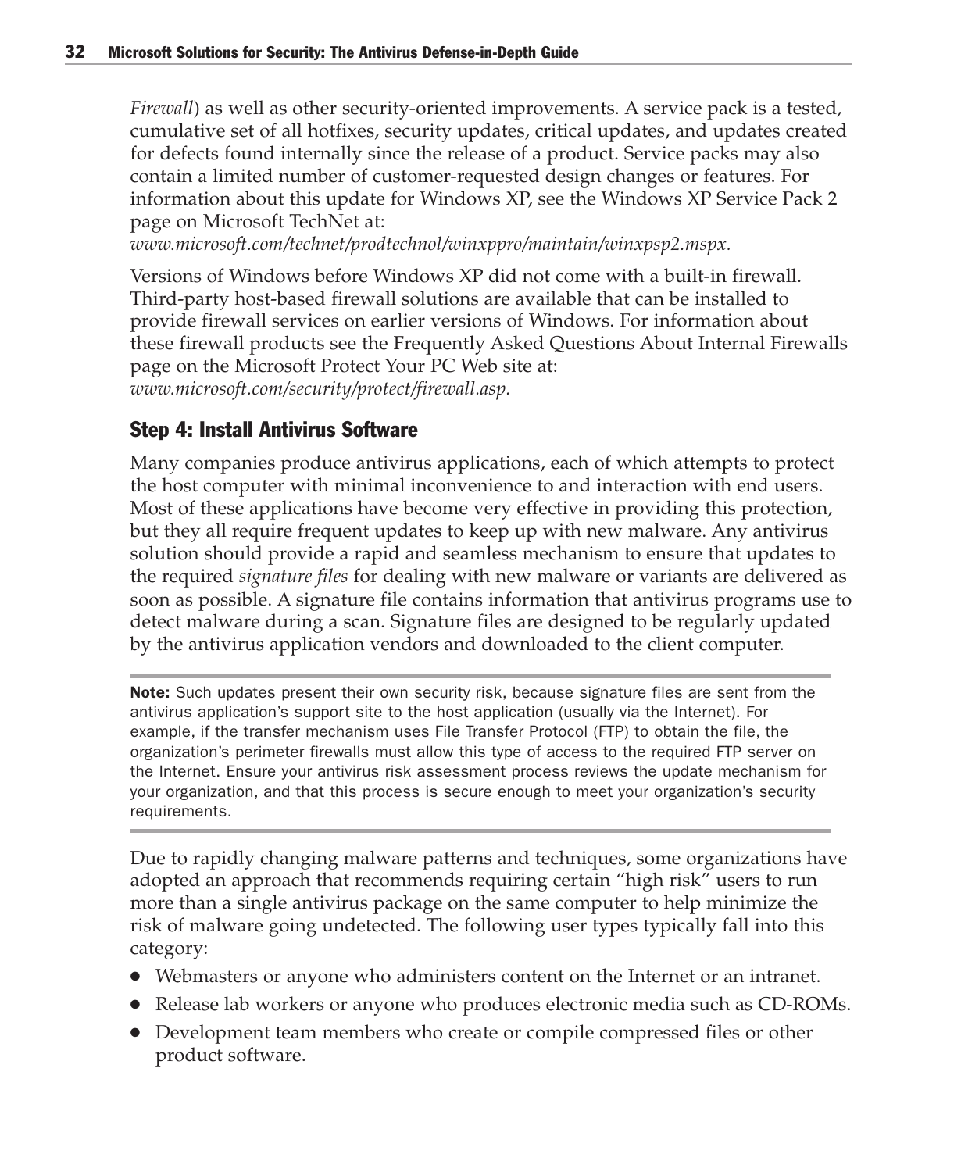*Firewall*) as well as other security-oriented improvements. A service pack is a tested, cumulative set of all hotfixes, security updates, critical updates, and updates created for defects found internally since the release of a product. Service packs may also contain a limited number of customer-requested design changes or features. For information about this update for Windows XP, see the Windows XP Service Pack 2 page on Microsoft TechNet at:

*www.microsoft.com/technet/prodtechnol/winxppro/maintain/winxpsp2.mspx.*

Versions of Windows before Windows XP did not come with a built-in firewall. Third-party host-based firewall solutions are available that can be installed to provide firewall services on earlier versions of Windows. For information about these firewall products see the Frequently Asked Questions About Internal Firewalls page on the Microsoft Protect Your PC Web site at: *www.microsoft.com/security/protect/firewall.asp.*

#### Step 4: Install Antivirus Software

Many companies produce antivirus applications, each of which attempts to protect the host computer with minimal inconvenience to and interaction with end users. Most of these applications have become very effective in providing this protection, but they all require frequent updates to keep up with new malware. Any antivirus solution should provide a rapid and seamless mechanism to ensure that updates to the required *signature files* for dealing with new malware or variants are delivered as soon as possible. A signature file contains information that antivirus programs use to detect malware during a scan. Signature files are designed to be regularly updated by the antivirus application vendors and downloaded to the client computer.

Note: Such updates present their own security risk, because signature files are sent from the antivirus application's support site to the host application (usually via the Internet). For example, if the transfer mechanism uses File Transfer Protocol (FTP) to obtain the file, the organization's perimeter firewalls must allow this type of access to the required FTP server on the Internet. Ensure your antivirus risk assessment process reviews the update mechanism for your organization, and that this process is secure enough to meet your organization's security requirements.

Due to rapidly changing malware patterns and techniques, some organizations have adopted an approach that recommends requiring certain "high risk" users to run more than a single antivirus package on the same computer to help minimize the risk of malware going undetected. The following user types typically fall into this category:

- Webmasters or anyone who administers content on the Internet or an intranet.
- Release lab workers or anyone who produces electronic media such as CD-ROMs.
- Development team members who create or compile compressed files or other product software.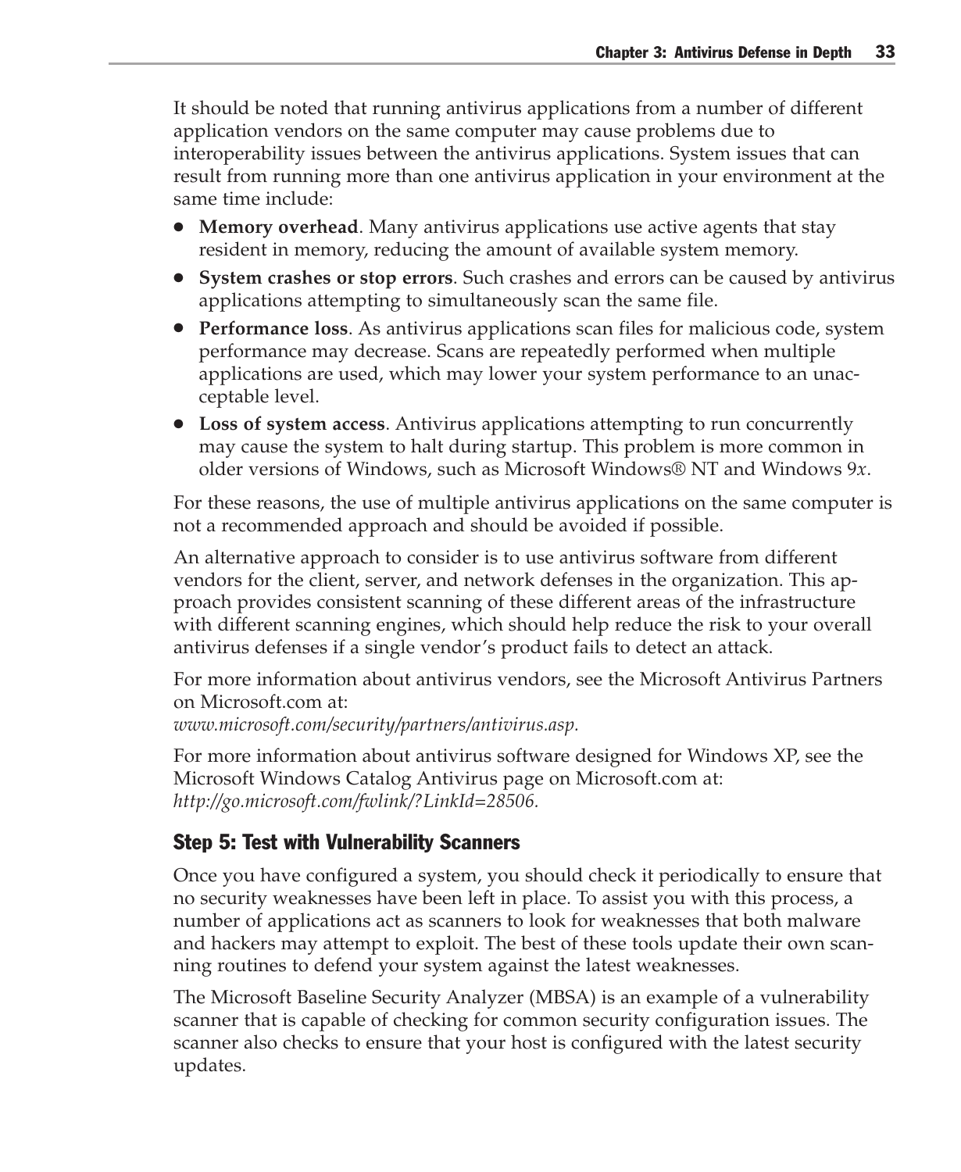It should be noted that running antivirus applications from a number of different application vendors on the same computer may cause problems due to interoperability issues between the antivirus applications. System issues that can result from running more than one antivirus application in your environment at the same time include:

- **Memory overhead**. Many antivirus applications use active agents that stay resident in memory, reducing the amount of available system memory.
- **System crashes or stop errors**. Such crashes and errors can be caused by antivirus applications attempting to simultaneously scan the same file.
- **Performance loss**. As antivirus applications scan files for malicious code, system performance may decrease. Scans are repeatedly performed when multiple applications are used, which may lower your system performance to an unacceptable level.
- **Loss of system access**. Antivirus applications attempting to run concurrently may cause the system to halt during startup. This problem is more common in older versions of Windows, such as Microsoft Windows® NT and Windows 9*x*.

For these reasons, the use of multiple antivirus applications on the same computer is not a recommended approach and should be avoided if possible.

An alternative approach to consider is to use antivirus software from different vendors for the client, server, and network defenses in the organization. This approach provides consistent scanning of these different areas of the infrastructure with different scanning engines, which should help reduce the risk to your overall antivirus defenses if a single vendor's product fails to detect an attack.

For more information about antivirus vendors, see the Microsoft Antivirus Partners on Microsoft.com at:

*www.microsoft.com/security/partners/antivirus.asp.*

For more information about antivirus software designed for Windows XP, see the Microsoft Windows Catalog Antivirus page on Microsoft.com at: *http://go.microsoft.com/fwlink/?LinkId=28506.*

#### Step 5: Test with Vulnerability Scanners

Once you have configured a system, you should check it periodically to ensure that no security weaknesses have been left in place. To assist you with this process, a number of applications act as scanners to look for weaknesses that both malware and hackers may attempt to exploit. The best of these tools update their own scanning routines to defend your system against the latest weaknesses.

The Microsoft Baseline Security Analyzer (MBSA) is an example of a vulnerability scanner that is capable of checking for common security configuration issues. The scanner also checks to ensure that your host is configured with the latest security updates.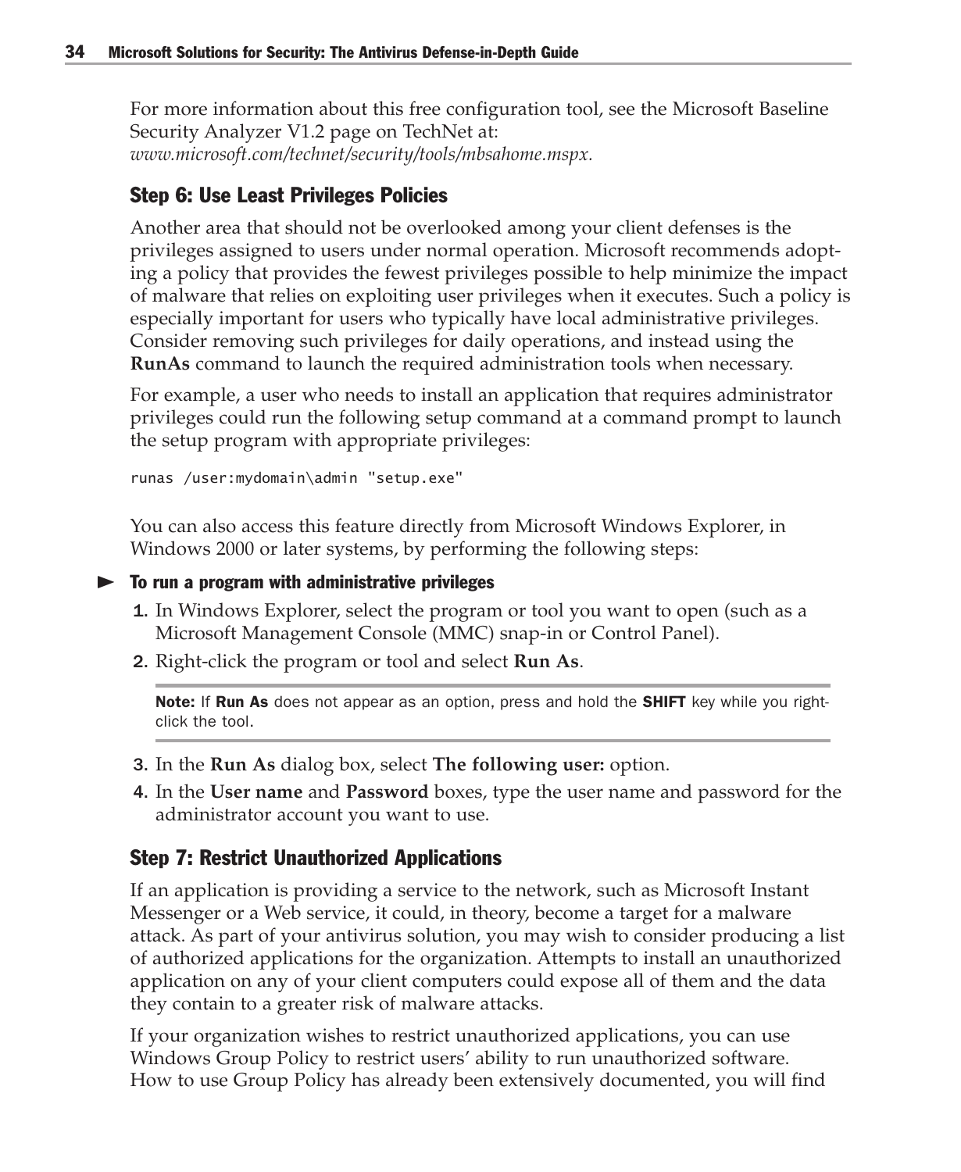For more information about this free configuration tool, see the Microsoft Baseline Security Analyzer V1.2 page on TechNet at: *www.microsoft.com/technet/security/tools/mbsahome.mspx.*

#### Step 6: Use Least Privileges Policies

Another area that should not be overlooked among your client defenses is the privileges assigned to users under normal operation. Microsoft recommends adopting a policy that provides the fewest privileges possible to help minimize the impact of malware that relies on exploiting user privileges when it executes. Such a policy is especially important for users who typically have local administrative privileges. Consider removing such privileges for daily operations, and instead using the **RunAs** command to launch the required administration tools when necessary.

For example, a user who needs to install an application that requires administrator privileges could run the following setup command at a command prompt to launch the setup program with appropriate privileges:

runas /user:mydomain\admin "setup.exe"

You can also access this feature directly from Microsoft Windows Explorer, in Windows 2000 or later systems, by performing the following steps:

```
\blacktriangleright To run a program with administrative privileges
```
- 1. In Windows Explorer, select the program or tool you want to open (such as a Microsoft Management Console (MMC) snap-in or Control Panel).
- 2. Right-click the program or tool and select **Run As**.

Note: If Run As does not appear as an option, press and hold the SHIFT key while you rightclick the tool.

- 3. In the **Run As** dialog box, select **The following user:** option.
- 4. In the **User name** and **Password** boxes, type the user name and password for the administrator account you want to use.

#### Step 7: Restrict Unauthorized Applications

If an application is providing a service to the network, such as Microsoft Instant Messenger or a Web service, it could, in theory, become a target for a malware attack. As part of your antivirus solution, you may wish to consider producing a list of authorized applications for the organization. Attempts to install an unauthorized application on any of your client computers could expose all of them and the data they contain to a greater risk of malware attacks.

If your organization wishes to restrict unauthorized applications, you can use Windows Group Policy to restrict users' ability to run unauthorized software. How to use Group Policy has already been extensively documented, you will find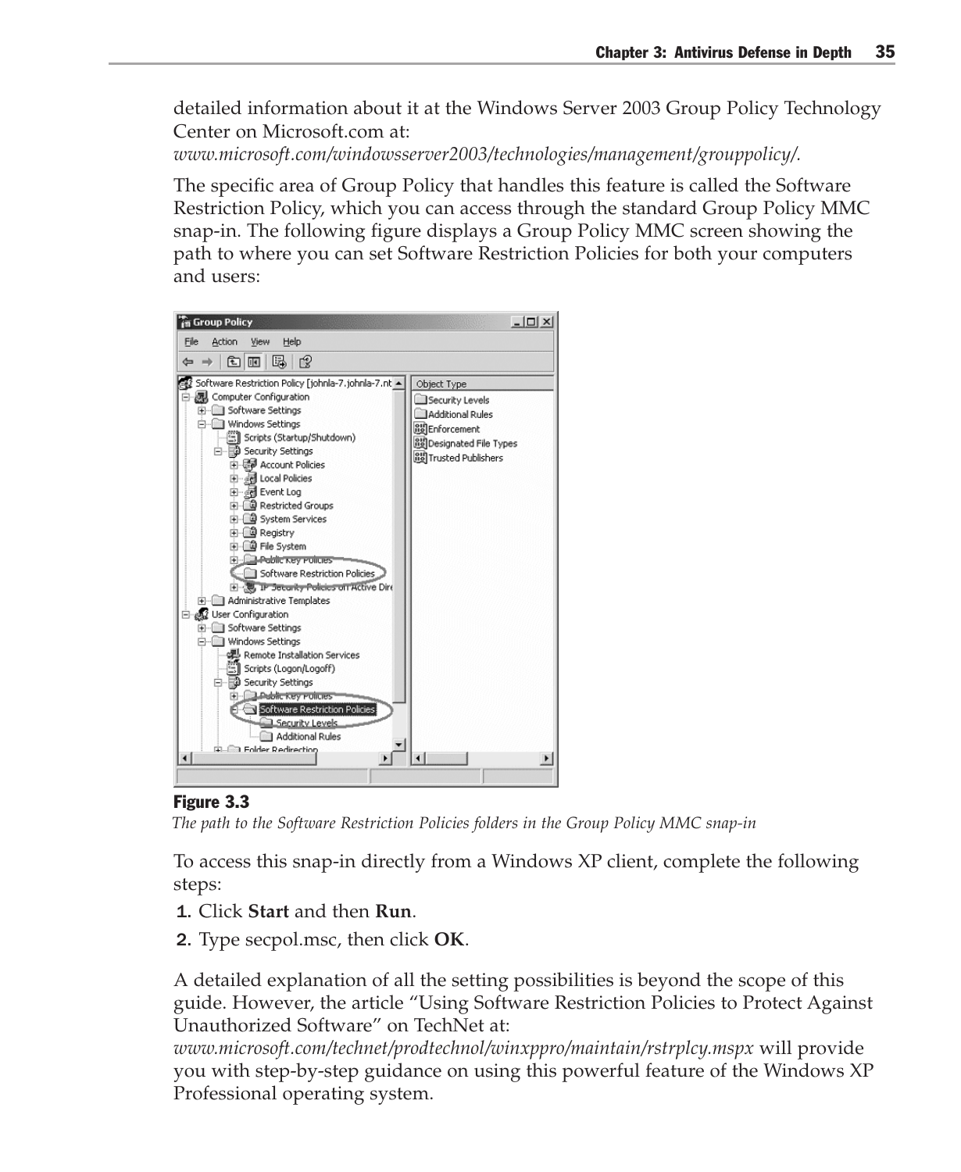detailed information about it at the Windows Server 2003 Group Policy Technology Center on Microsoft.com at:

*www.microsoft.com/windowsserver2003/technologies/management/grouppolicy/.*

The specific area of Group Policy that handles this feature is called the Software Restriction Policy, which you can access through the standard Group Policy MMC snap-in. The following figure displays a Group Policy MMC screen showing the path to where you can set Software Restriction Policies for both your computers and users:



#### Figure 3.3

*The path to the Software Restriction Policies folders in the Group Policy MMC snap-in*

To access this snap-in directly from a Windows XP client, complete the following steps:

- 1. Click **Start** and then **Run**.
- 2. Type secpol.msc, then click **OK**.

A detailed explanation of all the setting possibilities is beyond the scope of this guide. However, the article "Using Software Restriction Policies to Protect Against Unauthorized Software" on TechNet at:

*www.microsoft.com/technet/prodtechnol/winxppro/maintain/rstrplcy.mspx* will provide you with step-by-step guidance on using this powerful feature of the Windows XP Professional operating system.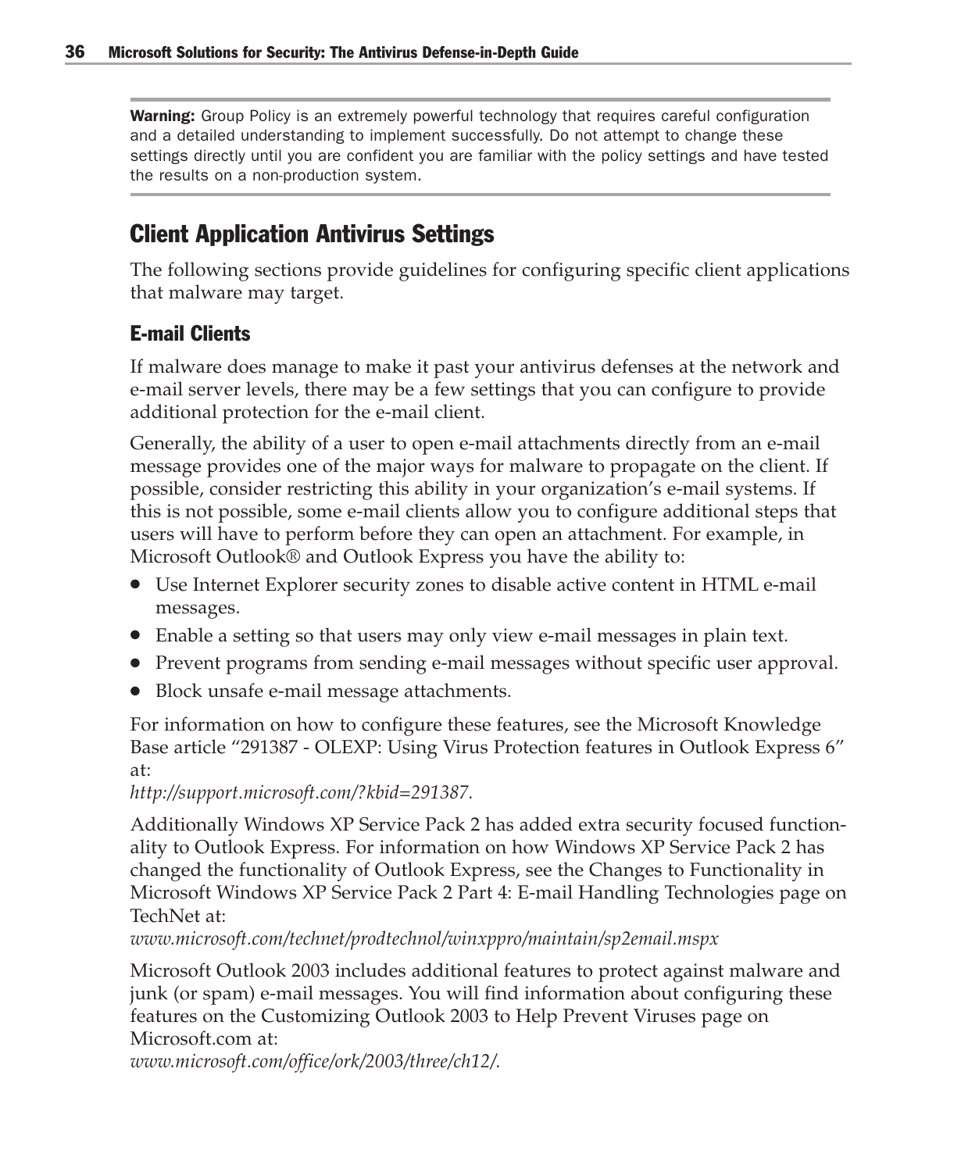**Warning:** Group Policy is an extremely powerful technology that requires careful configuration and a detailed understanding to implement successfully. Do not attempt to change these settings directly until you are confident you are familiar with the policy settings and have tested the results on a non-production system.

# Client Application Antivirus Settings

The following sections provide guidelines for configuring specific client applications that malware may target.

#### E-mail Clients

If malware does manage to make it past your antivirus defenses at the network and e-mail server levels, there may be a few settings that you can configure to provide additional protection for the e-mail client.

Generally, the ability of a user to open e-mail attachments directly from an e-mail message provides one of the major ways for malware to propagate on the client. If possible, consider restricting this ability in your organization's e-mail systems. If this is not possible, some e-mail clients allow you to configure additional steps that users will have to perform before they can open an attachment. For example, in Microsoft Outlook® and Outlook Express you have the ability to:

- Use Internet Explorer security zones to disable active content in HTML e-mail messages.
- Enable a setting so that users may only view e-mail messages in plain text.
- Prevent programs from sending e-mail messages without specific user approval.
- Block unsafe e-mail message attachments.

For information on how to configure these features, see the Microsoft Knowledge Base article "291387 - OLEXP: Using Virus Protection features in Outlook Express 6" at:

#### *http://support.microsoft.com/?kbid=291387.*

Additionally Windows XP Service Pack 2 has added extra security focused functionality to Outlook Express. For information on how Windows XP Service Pack 2 has changed the functionality of Outlook Express, see the Changes to Functionality in Microsoft Windows XP Service Pack 2 Part 4: E-mail Handling Technologies page on TechNet at:

*www.microsoft.com/technet/prodtechnol/winxppro/maintain/sp2email.mspx*

Microsoft Outlook 2003 includes additional features to protect against malware and junk (or spam) e-mail messages. You will find information about configuring these features on the Customizing Outlook 2003 to Help Prevent Viruses page on Microsoft.com at:

*www.microsoft.com/office/ork/2003/three/ch12/.*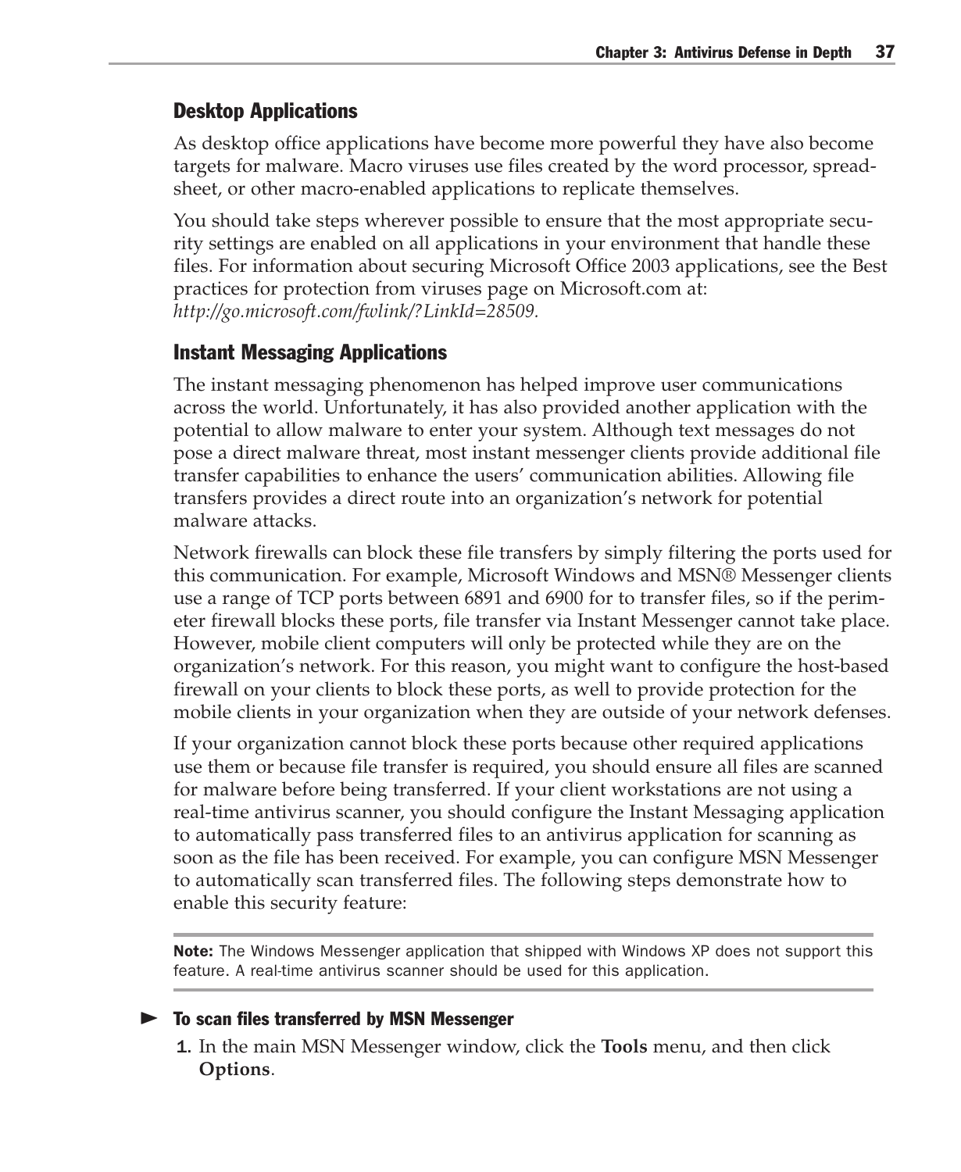#### Desktop Applications

As desktop office applications have become more powerful they have also become targets for malware. Macro viruses use files created by the word processor, spreadsheet, or other macro-enabled applications to replicate themselves.

You should take steps wherever possible to ensure that the most appropriate security settings are enabled on all applications in your environment that handle these files. For information about securing Microsoft Office 2003 applications, see the Best practices for protection from viruses page on Microsoft.com at: *http://go.microsoft.com/fwlink/?LinkId=28509.*

#### Instant Messaging Applications

The instant messaging phenomenon has helped improve user communications across the world. Unfortunately, it has also provided another application with the potential to allow malware to enter your system. Although text messages do not pose a direct malware threat, most instant messenger clients provide additional file transfer capabilities to enhance the users' communication abilities. Allowing file transfers provides a direct route into an organization's network for potential malware attacks.

Network firewalls can block these file transfers by simply filtering the ports used for this communication. For example, Microsoft Windows and MSN® Messenger clients use a range of TCP ports between 6891 and 6900 for to transfer files, so if the perimeter firewall blocks these ports, file transfer via Instant Messenger cannot take place. However, mobile client computers will only be protected while they are on the organization's network. For this reason, you might want to configure the host-based firewall on your clients to block these ports, as well to provide protection for the mobile clients in your organization when they are outside of your network defenses.

If your organization cannot block these ports because other required applications use them or because file transfer is required, you should ensure all files are scanned for malware before being transferred. If your client workstations are not using a real-time antivirus scanner, you should configure the Instant Messaging application to automatically pass transferred files to an antivirus application for scanning as soon as the file has been received. For example, you can configure MSN Messenger to automatically scan transferred files. The following steps demonstrate how to enable this security feature:

Note: The Windows Messenger application that shipped with Windows XP does not support this feature. A real-time antivirus scanner should be used for this application.

#### $\blacktriangleright$  To scan files transferred by MSN Messenger

1. In the main MSN Messenger window, click the **Tools** menu, and then click **Options**.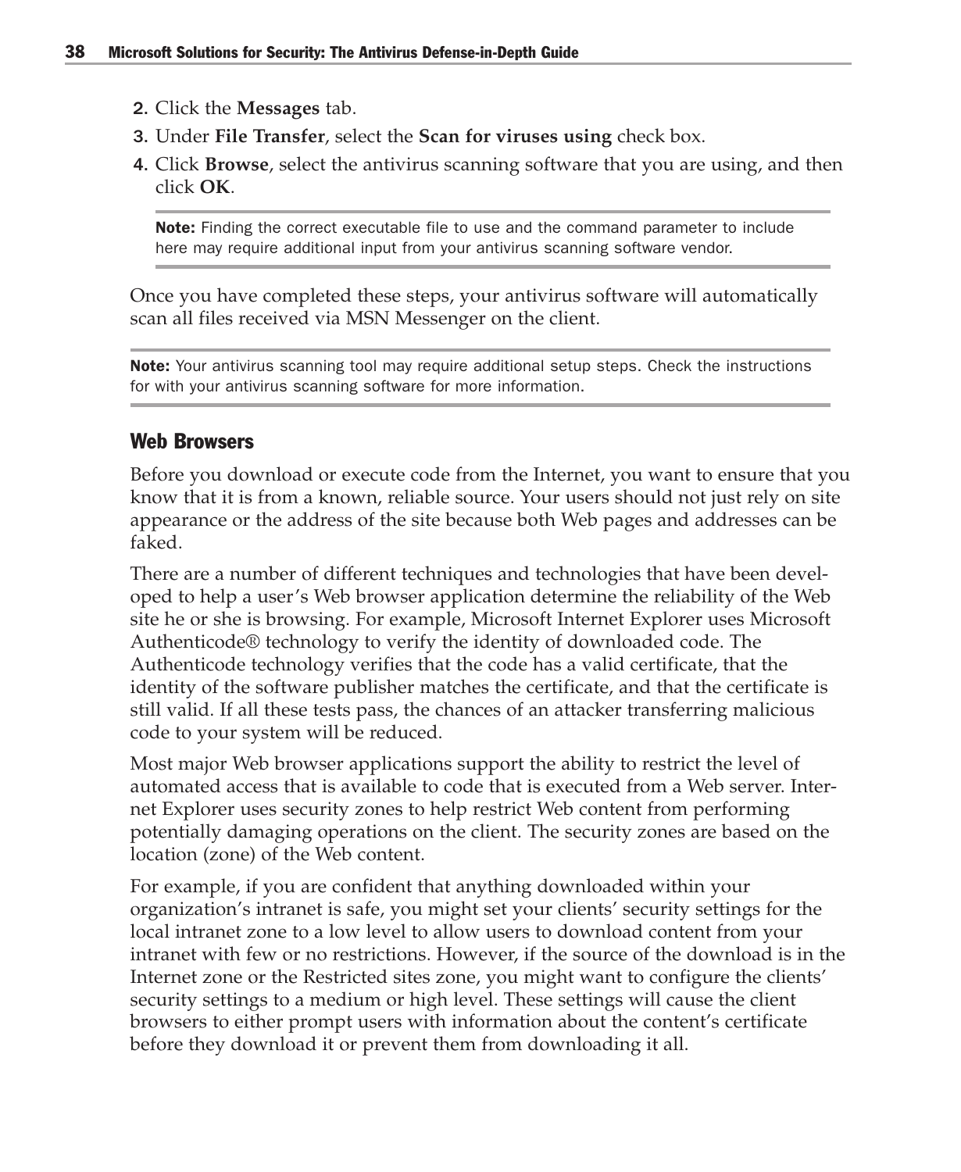- 2. Click the **Messages** tab.
- 3. Under **File Transfer**, select the **Scan for viruses using** check box.
- 4. Click **Browse**, select the antivirus scanning software that you are using, and then click **OK**.

Note: Finding the correct executable file to use and the command parameter to include here may require additional input from your antivirus scanning software vendor.

Once you have completed these steps, your antivirus software will automatically scan all files received via MSN Messenger on the client.

**Note:** Your antivirus scanning tool may require additional setup steps. Check the instructions for with your antivirus scanning software for more information.

#### Web Browsers

Before you download or execute code from the Internet, you want to ensure that you know that it is from a known, reliable source. Your users should not just rely on site appearance or the address of the site because both Web pages and addresses can be faked.

There are a number of different techniques and technologies that have been developed to help a user's Web browser application determine the reliability of the Web site he or she is browsing. For example, Microsoft Internet Explorer uses Microsoft Authenticode® technology to verify the identity of downloaded code. The Authenticode technology verifies that the code has a valid certificate, that the identity of the software publisher matches the certificate, and that the certificate is still valid. If all these tests pass, the chances of an attacker transferring malicious code to your system will be reduced.

Most major Web browser applications support the ability to restrict the level of automated access that is available to code that is executed from a Web server. Internet Explorer uses security zones to help restrict Web content from performing potentially damaging operations on the client. The security zones are based on the location (zone) of the Web content.

For example, if you are confident that anything downloaded within your organization's intranet is safe, you might set your clients' security settings for the local intranet zone to a low level to allow users to download content from your intranet with few or no restrictions. However, if the source of the download is in the Internet zone or the Restricted sites zone, you might want to configure the clients' security settings to a medium or high level. These settings will cause the client browsers to either prompt users with information about the content's certificate before they download it or prevent them from downloading it all.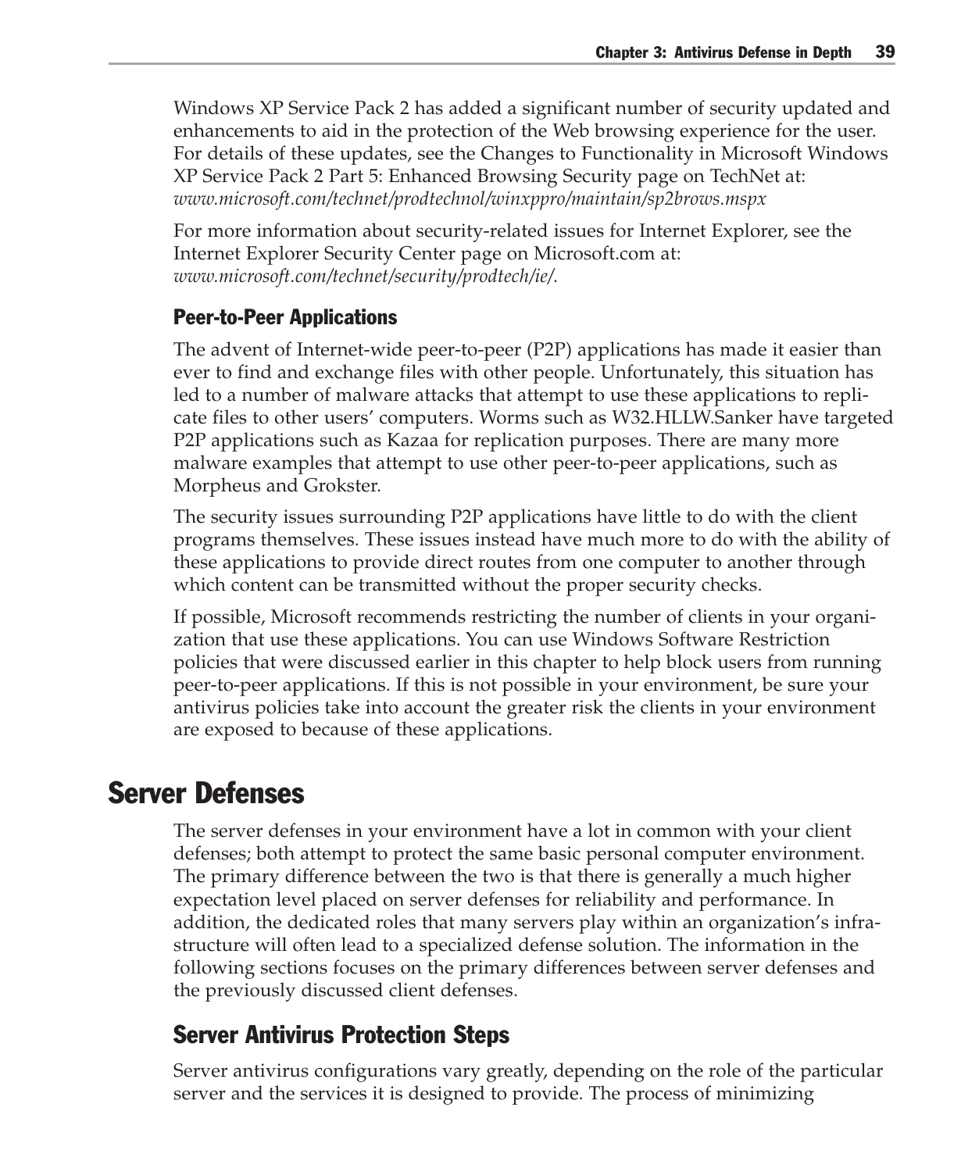Windows XP Service Pack 2 has added a significant number of security updated and enhancements to aid in the protection of the Web browsing experience for the user. For details of these updates, see the Changes to Functionality in Microsoft Windows XP Service Pack 2 Part 5: Enhanced Browsing Security page on TechNet at: *www.microsoft.com/technet/prodtechnol/winxppro/maintain/sp2brows.mspx*

For more information about security-related issues for Internet Explorer, see the Internet Explorer Security Center page on Microsoft.com at: *www.microsoft.com/technet/security/prodtech/ie/.*

#### Peer-to-Peer Applications

The advent of Internet-wide peer-to-peer (P2P) applications has made it easier than ever to find and exchange files with other people. Unfortunately, this situation has led to a number of malware attacks that attempt to use these applications to replicate files to other users' computers. Worms such as W32.HLLW.Sanker have targeted P2P applications such as Kazaa for replication purposes. There are many more malware examples that attempt to use other peer-to-peer applications, such as Morpheus and Grokster.

The security issues surrounding P2P applications have little to do with the client programs themselves. These issues instead have much more to do with the ability of these applications to provide direct routes from one computer to another through which content can be transmitted without the proper security checks.

If possible, Microsoft recommends restricting the number of clients in your organization that use these applications. You can use Windows Software Restriction policies that were discussed earlier in this chapter to help block users from running peer-to-peer applications. If this is not possible in your environment, be sure your antivirus policies take into account the greater risk the clients in your environment are exposed to because of these applications.

# Server Defenses

The server defenses in your environment have a lot in common with your client defenses; both attempt to protect the same basic personal computer environment. The primary difference between the two is that there is generally a much higher expectation level placed on server defenses for reliability and performance. In addition, the dedicated roles that many servers play within an organization's infrastructure will often lead to a specialized defense solution. The information in the following sections focuses on the primary differences between server defenses and the previously discussed client defenses.

## Server Antivirus Protection Steps

Server antivirus configurations vary greatly, depending on the role of the particular server and the services it is designed to provide. The process of minimizing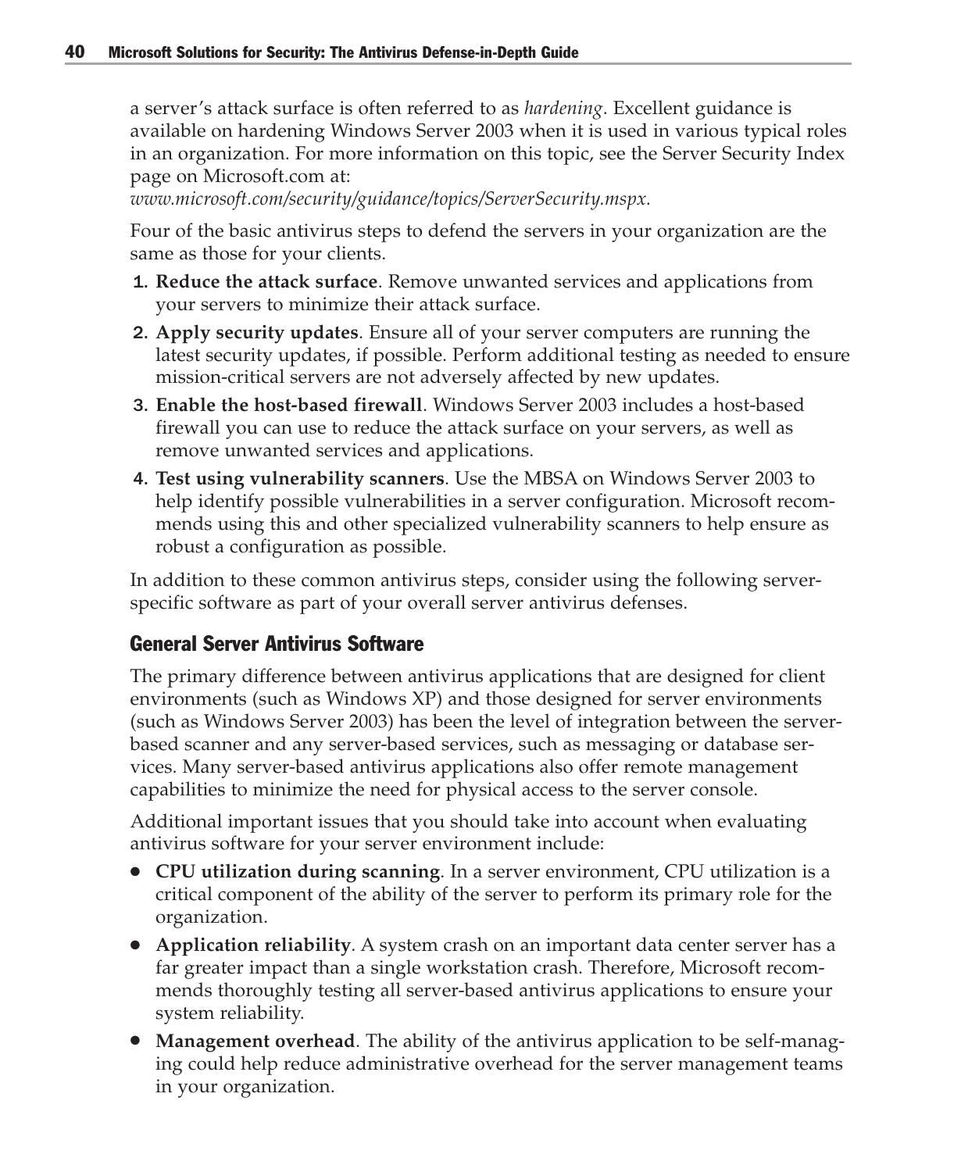a server's attack surface is often referred to as *hardening*. Excellent guidance is available on hardening Windows Server 2003 when it is used in various typical roles in an organization. For more information on this topic, see the Server Security Index page on Microsoft.com at:

*www.microsoft.com/security/guidance/topics/ServerSecurity.mspx.*

Four of the basic antivirus steps to defend the servers in your organization are the same as those for your clients.

- 1. **Reduce the attack surface**. Remove unwanted services and applications from your servers to minimize their attack surface.
- 2. **Apply security updates**. Ensure all of your server computers are running the latest security updates, if possible. Perform additional testing as needed to ensure mission-critical servers are not adversely affected by new updates.
- 3. **Enable the host-based firewall**. Windows Server 2003 includes a host-based firewall you can use to reduce the attack surface on your servers, as well as remove unwanted services and applications.
- 4. **Test using vulnerability scanners**. Use the MBSA on Windows Server 2003 to help identify possible vulnerabilities in a server configuration. Microsoft recommends using this and other specialized vulnerability scanners to help ensure as robust a configuration as possible.

In addition to these common antivirus steps, consider using the following serverspecific software as part of your overall server antivirus defenses.

#### General Server Antivirus Software

The primary difference between antivirus applications that are designed for client environments (such as Windows XP) and those designed for server environments (such as Windows Server 2003) has been the level of integration between the serverbased scanner and any server-based services, such as messaging or database services. Many server-based antivirus applications also offer remote management capabilities to minimize the need for physical access to the server console.

Additional important issues that you should take into account when evaluating antivirus software for your server environment include:

- **CPU utilization during scanning**. In a server environment, CPU utilization is a critical component of the ability of the server to perform its primary role for the organization.
- **Application reliability**. A system crash on an important data center server has a far greater impact than a single workstation crash. Therefore, Microsoft recommends thoroughly testing all server-based antivirus applications to ensure your system reliability.
- **Management overhead**. The ability of the antivirus application to be self-managing could help reduce administrative overhead for the server management teams in your organization.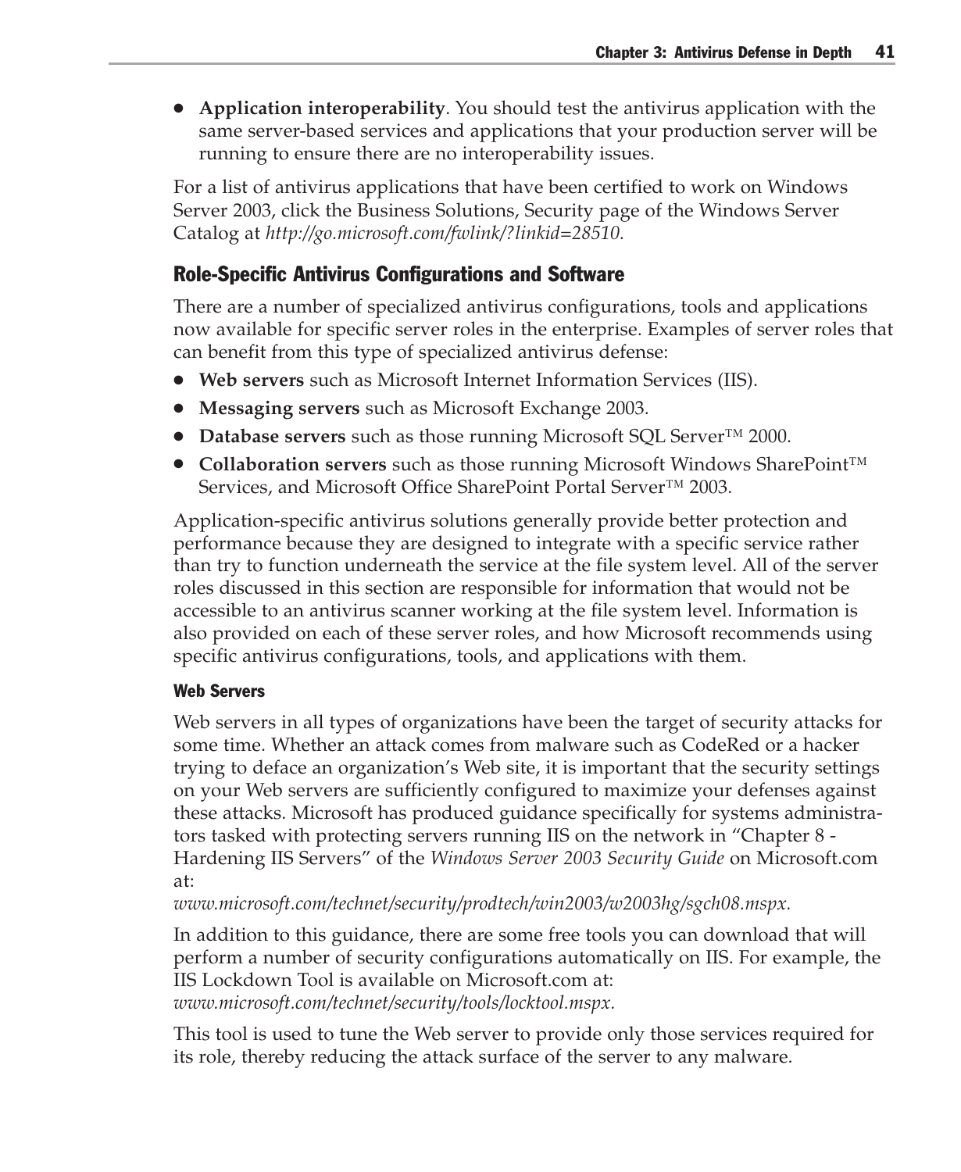● **Application interoperability**. You should test the antivirus application with the same server-based services and applications that your production server will be running to ensure there are no interoperability issues.

For a list of antivirus applications that have been certified to work on Windows Server 2003, click the Business Solutions, Security page of the Windows Server Catalog at *http://go.microsoft.com/fwlink/?linkid=28510.*

#### Role-Specific Antivirus Configurations and Software

There are a number of specialized antivirus configurations, tools and applications now available for specific server roles in the enterprise. Examples of server roles that can benefit from this type of specialized antivirus defense:

- **Web servers** such as Microsoft Internet Information Services (IIS).
- **Messaging servers** such as Microsoft Exchange 2003.
- **Database servers** such as those running Microsoft SQL Server<sup>™</sup> 2000.
- **Collaboration servers** such as those running Microsoft Windows SharePoint™ Services, and Microsoft Office SharePoint Portal Server™ 2003.

Application-specific antivirus solutions generally provide better protection and performance because they are designed to integrate with a specific service rather than try to function underneath the service at the file system level. All of the server roles discussed in this section are responsible for information that would not be accessible to an antivirus scanner working at the file system level. Information is also provided on each of these server roles, and how Microsoft recommends using specific antivirus configurations, tools, and applications with them.

#### Web Servers

Web servers in all types of organizations have been the target of security attacks for some time. Whether an attack comes from malware such as CodeRed or a hacker trying to deface an organization's Web site, it is important that the security settings on your Web servers are sufficiently configured to maximize your defenses against these attacks. Microsoft has produced guidance specifically for systems administrators tasked with protecting servers running IIS on the network in "Chapter 8 - Hardening IIS Servers" of the *Windows Server 2003 Security Guide* on Microsoft.com at:

*www.microsoft.com/technet/security/prodtech/win2003/w2003hg/sgch08.mspx.*

In addition to this guidance, there are some free tools you can download that will perform a number of security configurations automatically on IIS. For example, the IIS Lockdown Tool is available on Microsoft.com at: *www.microsoft.com/technet/security/tools/locktool.mspx.*

This tool is used to tune the Web server to provide only those services required for its role, thereby reducing the attack surface of the server to any malware.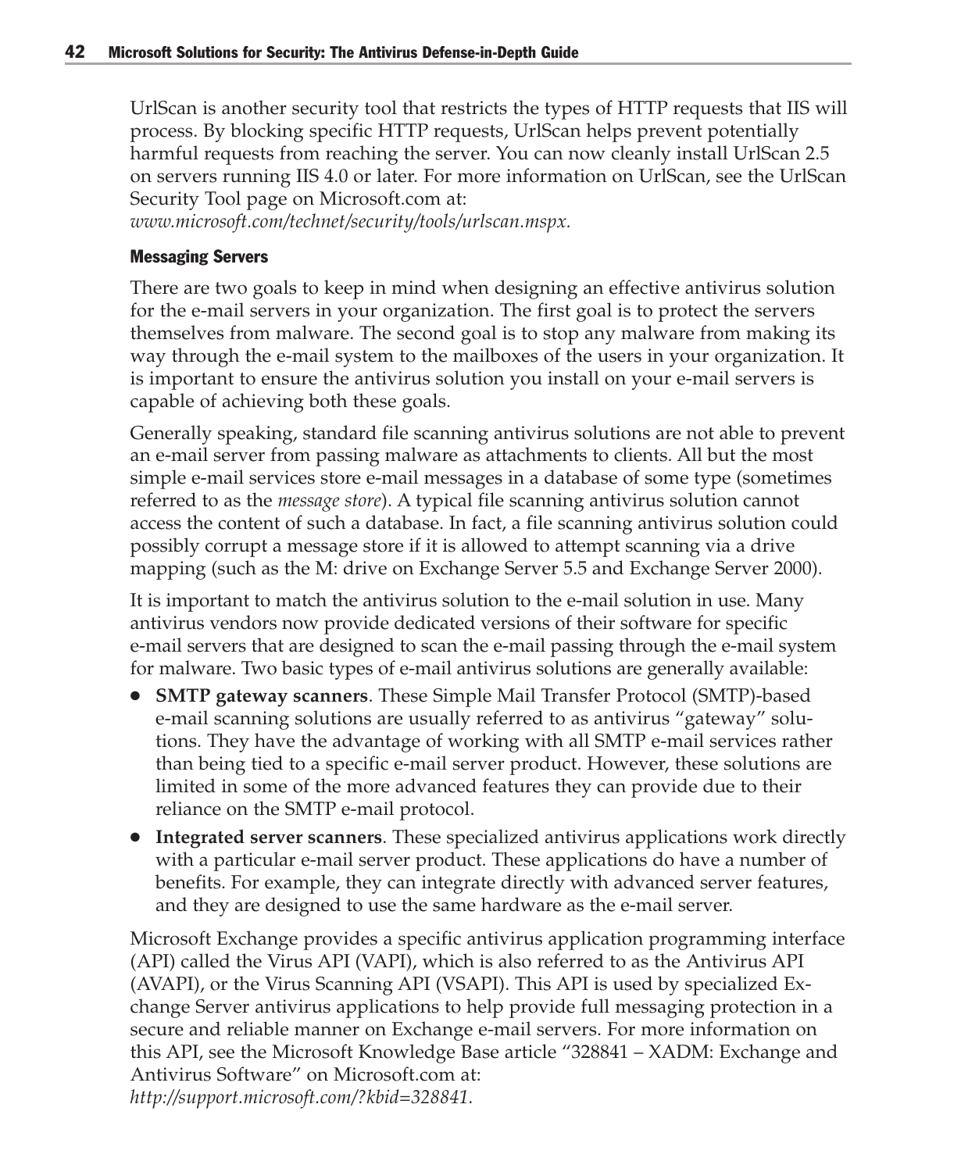UrlScan is another security tool that restricts the types of HTTP requests that IIS will process. By blocking specific HTTP requests, UrlScan helps prevent potentially harmful requests from reaching the server. You can now cleanly install UrlScan 2.5 on servers running IIS 4.0 or later. For more information on UrlScan, see the UrlScan Security Tool page on Microsoft.com at:

*www.microsoft.com/technet/security/tools/urlscan.mspx.*

#### Messaging Servers

There are two goals to keep in mind when designing an effective antivirus solution for the e-mail servers in your organization. The first goal is to protect the servers themselves from malware. The second goal is to stop any malware from making its way through the e-mail system to the mailboxes of the users in your organization. It is important to ensure the antivirus solution you install on your e-mail servers is capable of achieving both these goals.

Generally speaking, standard file scanning antivirus solutions are not able to prevent an e-mail server from passing malware as attachments to clients. All but the most simple e-mail services store e-mail messages in a database of some type (sometimes referred to as the *message store*). A typical file scanning antivirus solution cannot access the content of such a database. In fact, a file scanning antivirus solution could possibly corrupt a message store if it is allowed to attempt scanning via a drive mapping (such as the M: drive on Exchange Server 5.5 and Exchange Server 2000).

It is important to match the antivirus solution to the e-mail solution in use. Many antivirus vendors now provide dedicated versions of their software for specific e-mail servers that are designed to scan the e-mail passing through the e-mail system for malware. Two basic types of e-mail antivirus solutions are generally available:

- **SMTP gateway scanners**. These Simple Mail Transfer Protocol (SMTP)-based e-mail scanning solutions are usually referred to as antivirus "gateway" solutions. They have the advantage of working with all SMTP e-mail services rather than being tied to a specific e-mail server product. However, these solutions are limited in some of the more advanced features they can provide due to their reliance on the SMTP e-mail protocol.
- **Integrated server scanners**. These specialized antivirus applications work directly with a particular e-mail server product. These applications do have a number of benefits. For example, they can integrate directly with advanced server features, and they are designed to use the same hardware as the e-mail server.

Microsoft Exchange provides a specific antivirus application programming interface (API) called the Virus API (VAPI), which is also referred to as the Antivirus API (AVAPI), or the Virus Scanning API (VSAPI). This API is used by specialized Exchange Server antivirus applications to help provide full messaging protection in a secure and reliable manner on Exchange e-mail servers. For more information on this API, see the Microsoft Knowledge Base article "328841 – XADM: Exchange and Antivirus Software" on Microsoft.com at: *http://support.microsoft.com/?kbid=328841.*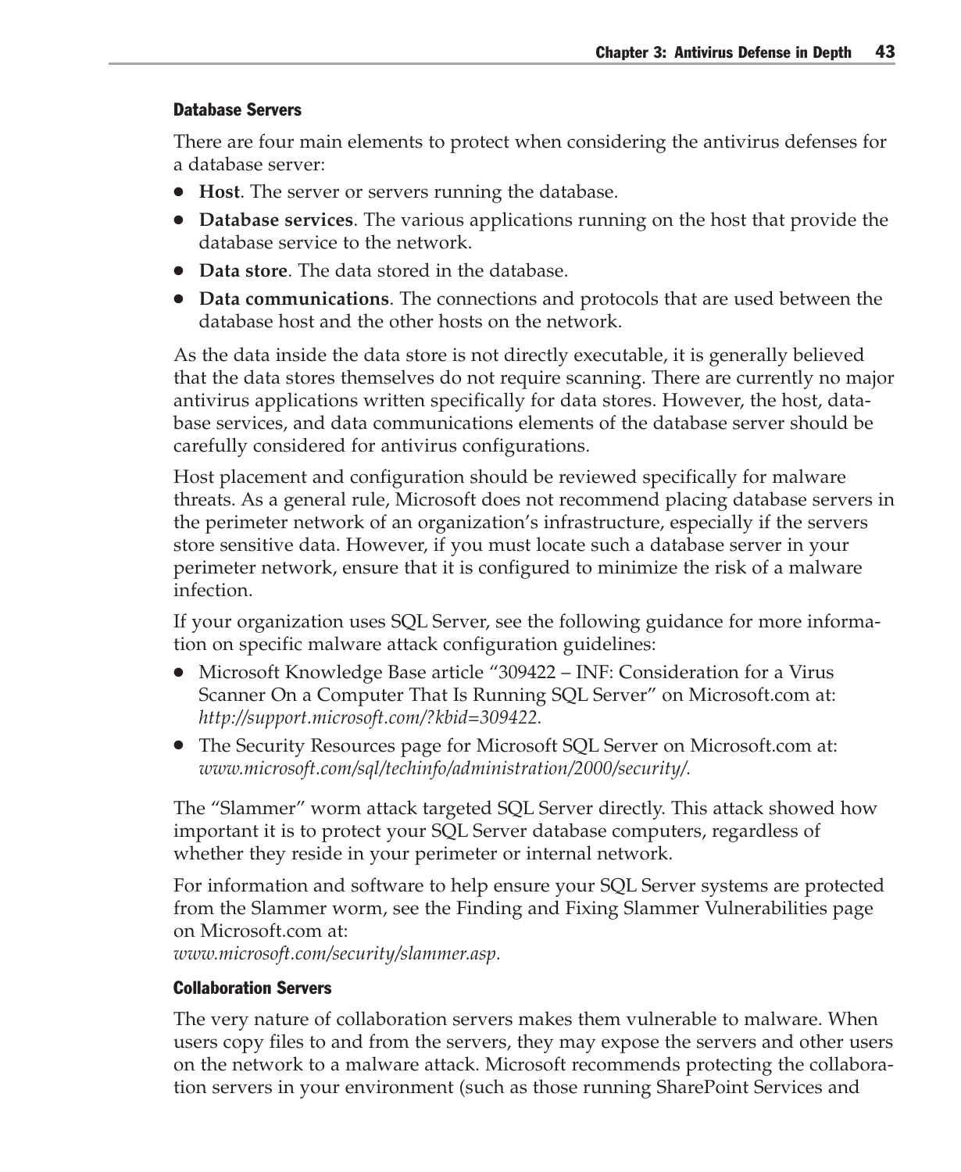#### Database Servers

There are four main elements to protect when considering the antivirus defenses for a database server:

- **Host**. The server or servers running the database.
- **Database services**. The various applications running on the host that provide the database service to the network.
- **Data store**. The data stored in the database.
- **Data communications**. The connections and protocols that are used between the database host and the other hosts on the network.

As the data inside the data store is not directly executable, it is generally believed that the data stores themselves do not require scanning. There are currently no major antivirus applications written specifically for data stores. However, the host, database services, and data communications elements of the database server should be carefully considered for antivirus configurations.

Host placement and configuration should be reviewed specifically for malware threats. As a general rule, Microsoft does not recommend placing database servers in the perimeter network of an organization's infrastructure, especially if the servers store sensitive data. However, if you must locate such a database server in your perimeter network, ensure that it is configured to minimize the risk of a malware infection.

If your organization uses SQL Server, see the following guidance for more information on specific malware attack configuration guidelines:

- Microsoft Knowledge Base article "309422 INF: Consideration for a Virus Scanner On a Computer That Is Running SQL Server" on Microsoft.com at: *http://support.microsoft.com/?kbid=309422.*
- The Security Resources page for Microsoft SQL Server on Microsoft.com at: *www.microsoft.com/sql/techinfo/administration/2000/security/.*

The "Slammer" worm attack targeted SQL Server directly. This attack showed how important it is to protect your SQL Server database computers, regardless of whether they reside in your perimeter or internal network.

For information and software to help ensure your SQL Server systems are protected from the Slammer worm, see the Finding and Fixing Slammer Vulnerabilities page on Microsoft.com at: *www.microsoft.com/security/slammer.asp.*

#### Collaboration Servers

The very nature of collaboration servers makes them vulnerable to malware. When users copy files to and from the servers, they may expose the servers and other users on the network to a malware attack. Microsoft recommends protecting the collaboration servers in your environment (such as those running SharePoint Services and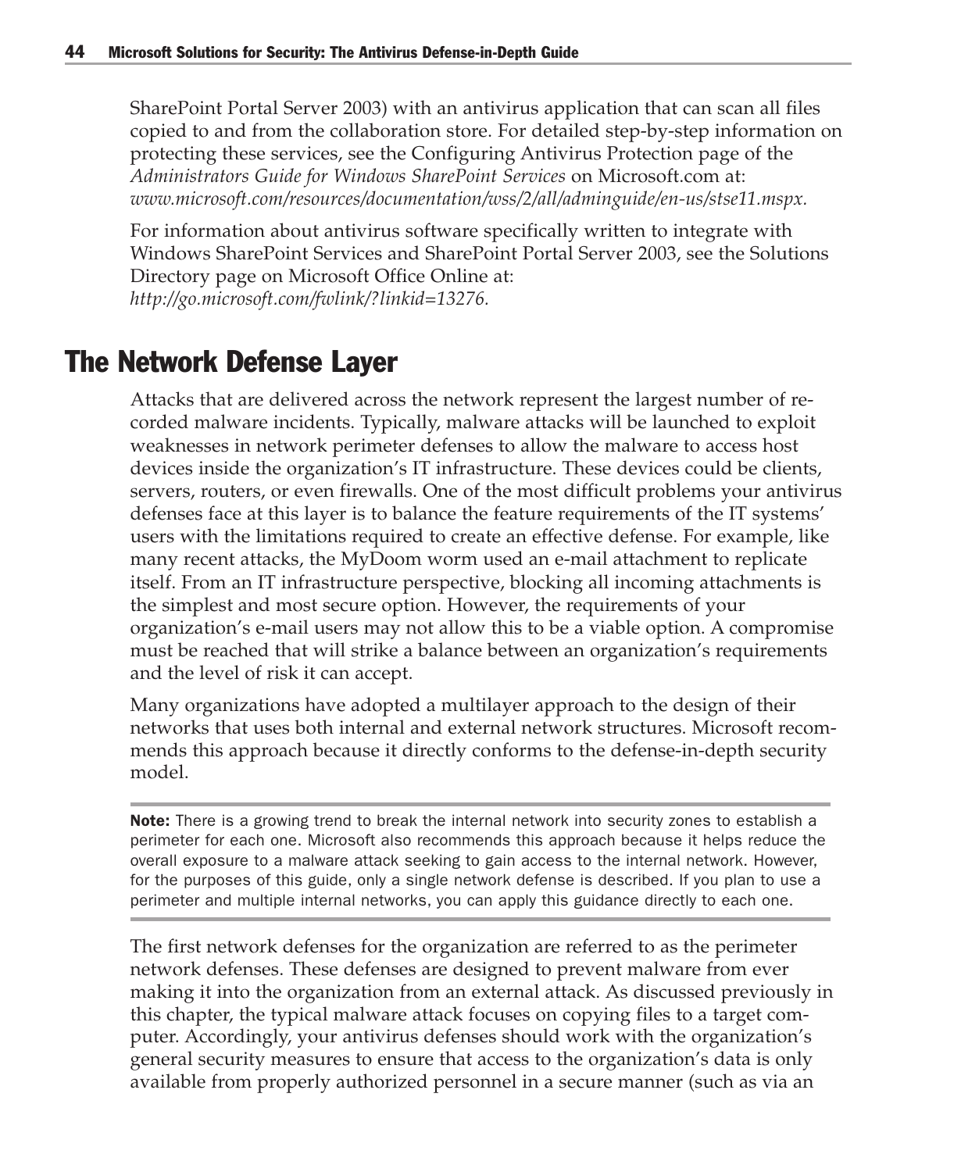SharePoint Portal Server 2003) with an antivirus application that can scan all files copied to and from the collaboration store. For detailed step-by-step information on protecting these services, see the Configuring Antivirus Protection page of the *Administrators Guide for Windows SharePoint Services* on Microsoft.com at: *www.microsoft.com/resources/documentation/wss/2/all/adminguide/en-us/stse11.mspx.*

For information about antivirus software specifically written to integrate with Windows SharePoint Services and SharePoint Portal Server 2003, see the Solutions Directory page on Microsoft Office Online at: *http://go.microsoft.com/fwlink/?linkid=13276.*

# The Network Defense Layer

Attacks that are delivered across the network represent the largest number of recorded malware incidents. Typically, malware attacks will be launched to exploit weaknesses in network perimeter defenses to allow the malware to access host devices inside the organization's IT infrastructure. These devices could be clients, servers, routers, or even firewalls. One of the most difficult problems your antivirus defenses face at this layer is to balance the feature requirements of the IT systems' users with the limitations required to create an effective defense. For example, like many recent attacks, the MyDoom worm used an e-mail attachment to replicate itself. From an IT infrastructure perspective, blocking all incoming attachments is the simplest and most secure option. However, the requirements of your organization's e-mail users may not allow this to be a viable option. A compromise must be reached that will strike a balance between an organization's requirements and the level of risk it can accept.

Many organizations have adopted a multilayer approach to the design of their networks that uses both internal and external network structures. Microsoft recommends this approach because it directly conforms to the defense-in-depth security model.

Note: There is a growing trend to break the internal network into security zones to establish a perimeter for each one. Microsoft also recommends this approach because it helps reduce the overall exposure to a malware attack seeking to gain access to the internal network. However, for the purposes of this guide, only a single network defense is described. If you plan to use a perimeter and multiple internal networks, you can apply this guidance directly to each one.

The first network defenses for the organization are referred to as the perimeter network defenses. These defenses are designed to prevent malware from ever making it into the organization from an external attack. As discussed previously in this chapter, the typical malware attack focuses on copying files to a target computer. Accordingly, your antivirus defenses should work with the organization's general security measures to ensure that access to the organization's data is only available from properly authorized personnel in a secure manner (such as via an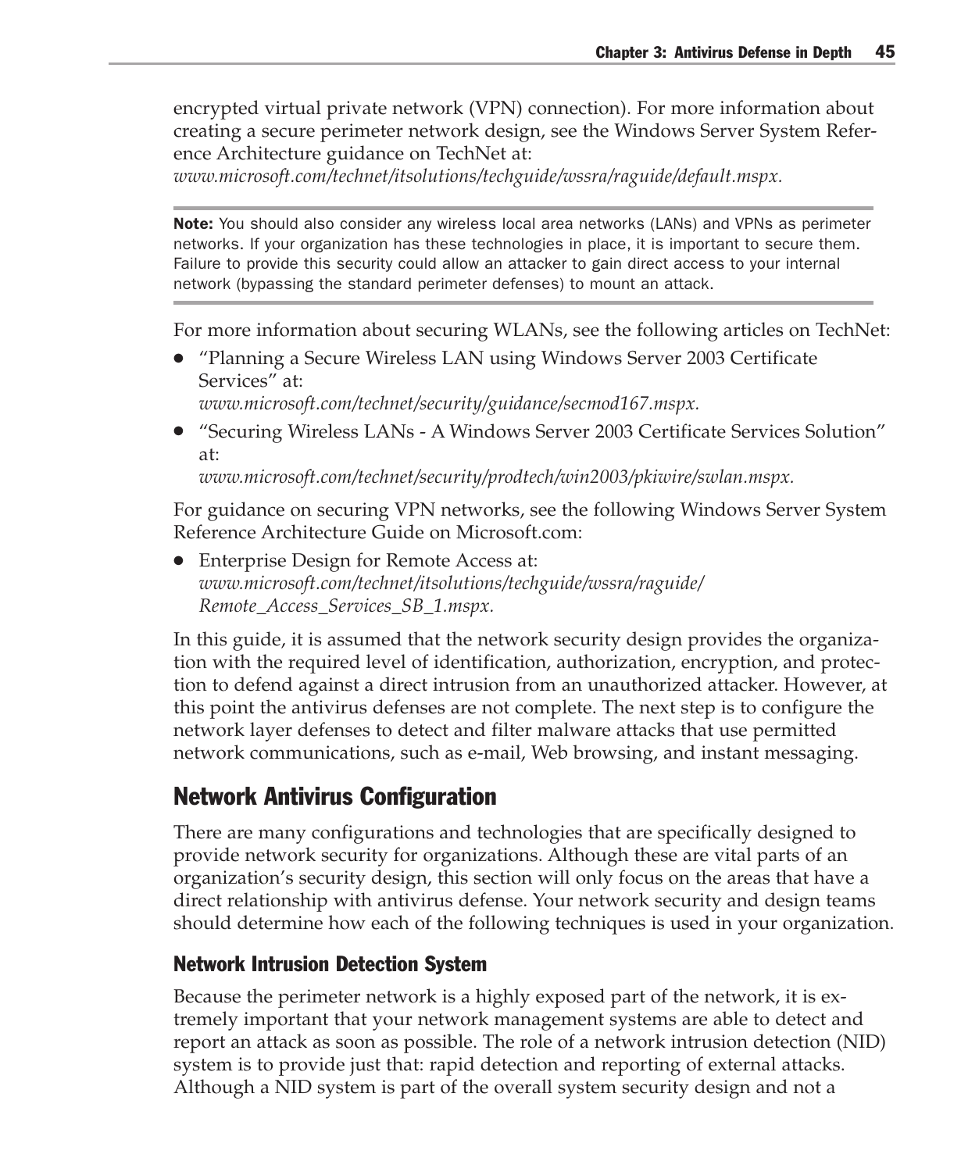encrypted virtual private network (VPN) connection). For more information about creating a secure perimeter network design, see the Windows Server System Reference Architecture guidance on TechNet at:

*www.microsoft.com/technet/itsolutions/techguide/wssra/raguide/default.mspx.*

Note: You should also consider any wireless local area networks (LANs) and VPNs as perimeter networks. If your organization has these technologies in place, it is important to secure them. Failure to provide this security could allow an attacker to gain direct access to your internal network (bypassing the standard perimeter defenses) to mount an attack.

For more information about securing WLANs, see the following articles on TechNet:

- "Planning a Secure Wireless LAN using Windows Server 2003 Certificate Services" at:
	- *www.microsoft.com/technet/security/guidance/secmod167.mspx.*
- "Securing Wireless LANs A Windows Server 2003 Certificate Services Solution" at:

*www.microsoft.com/technet/security/prodtech/win2003/pkiwire/swlan.mspx.*

For guidance on securing VPN networks, see the following Windows Server System Reference Architecture Guide on Microsoft.com:

● Enterprise Design for Remote Access at: *www.microsoft.com/technet/itsolutions/techguide/wssra/raguide/ Remote\_Access\_Services\_SB\_1.mspx.*

In this guide, it is assumed that the network security design provides the organization with the required level of identification, authorization, encryption, and protection to defend against a direct intrusion from an unauthorized attacker. However, at this point the antivirus defenses are not complete. The next step is to configure the network layer defenses to detect and filter malware attacks that use permitted network communications, such as e-mail, Web browsing, and instant messaging.

### Network Antivirus Configuration

There are many configurations and technologies that are specifically designed to provide network security for organizations. Although these are vital parts of an organization's security design, this section will only focus on the areas that have a direct relationship with antivirus defense. Your network security and design teams should determine how each of the following techniques is used in your organization.

#### Network Intrusion Detection System

Because the perimeter network is a highly exposed part of the network, it is extremely important that your network management systems are able to detect and report an attack as soon as possible. The role of a network intrusion detection (NID) system is to provide just that: rapid detection and reporting of external attacks. Although a NID system is part of the overall system security design and not a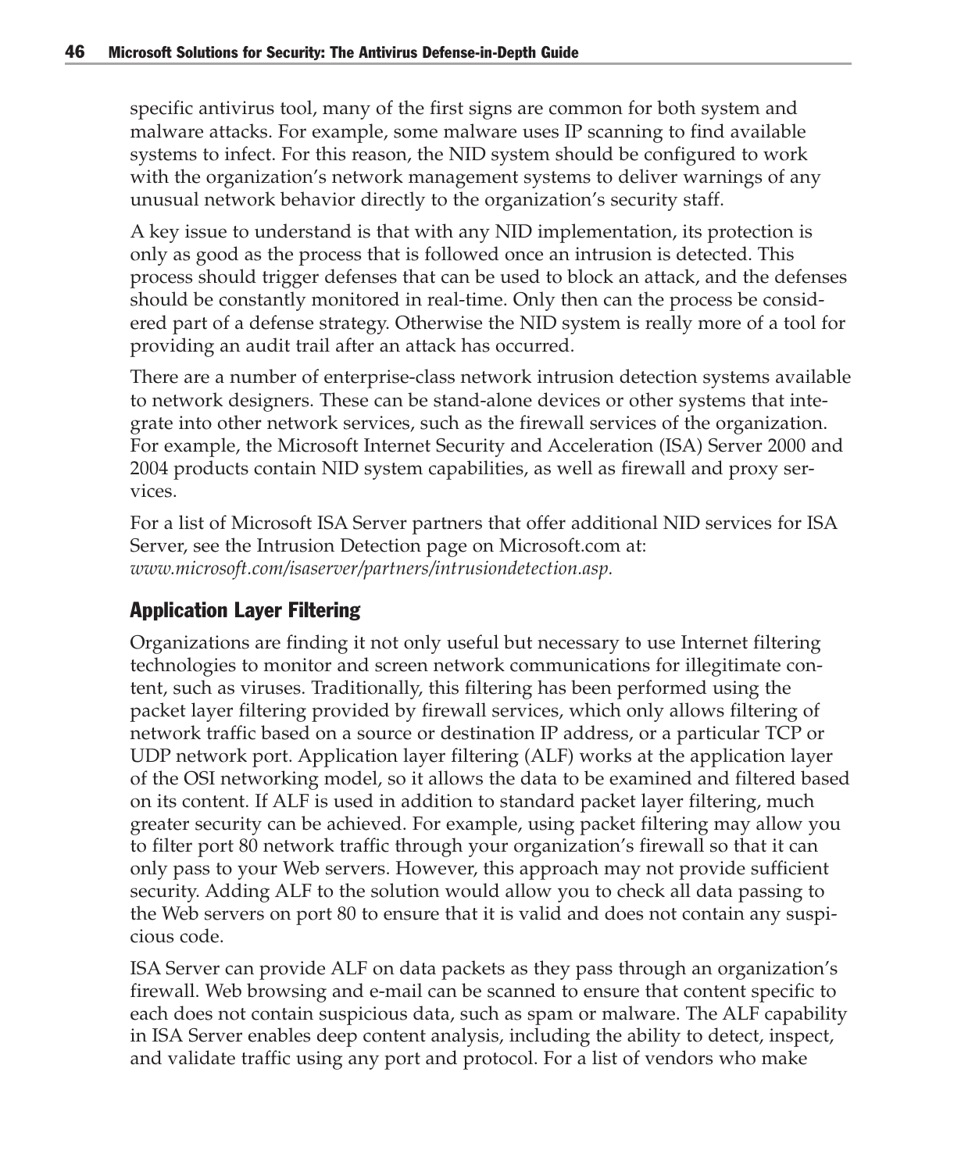specific antivirus tool, many of the first signs are common for both system and malware attacks. For example, some malware uses IP scanning to find available systems to infect. For this reason, the NID system should be configured to work with the organization's network management systems to deliver warnings of any unusual network behavior directly to the organization's security staff.

A key issue to understand is that with any NID implementation, its protection is only as good as the process that is followed once an intrusion is detected. This process should trigger defenses that can be used to block an attack, and the defenses should be constantly monitored in real-time. Only then can the process be considered part of a defense strategy. Otherwise the NID system is really more of a tool for providing an audit trail after an attack has occurred.

There are a number of enterprise-class network intrusion detection systems available to network designers. These can be stand-alone devices or other systems that integrate into other network services, such as the firewall services of the organization. For example, the Microsoft Internet Security and Acceleration (ISA) Server 2000 and 2004 products contain NID system capabilities, as well as firewall and proxy services.

For a list of Microsoft ISA Server partners that offer additional NID services for ISA Server, see the Intrusion Detection page on Microsoft.com at: *www.microsoft.com/isaserver/partners/intrusiondetection.asp.*

#### Application Layer Filtering

Organizations are finding it not only useful but necessary to use Internet filtering technologies to monitor and screen network communications for illegitimate content, such as viruses. Traditionally, this filtering has been performed using the packet layer filtering provided by firewall services, which only allows filtering of network traffic based on a source or destination IP address, or a particular TCP or UDP network port. Application layer filtering (ALF) works at the application layer of the OSI networking model, so it allows the data to be examined and filtered based on its content. If ALF is used in addition to standard packet layer filtering, much greater security can be achieved. For example, using packet filtering may allow you to filter port 80 network traffic through your organization's firewall so that it can only pass to your Web servers. However, this approach may not provide sufficient security. Adding ALF to the solution would allow you to check all data passing to the Web servers on port 80 to ensure that it is valid and does not contain any suspicious code.

ISA Server can provide ALF on data packets as they pass through an organization's firewall. Web browsing and e-mail can be scanned to ensure that content specific to each does not contain suspicious data, such as spam or malware. The ALF capability in ISA Server enables deep content analysis, including the ability to detect, inspect, and validate traffic using any port and protocol. For a list of vendors who make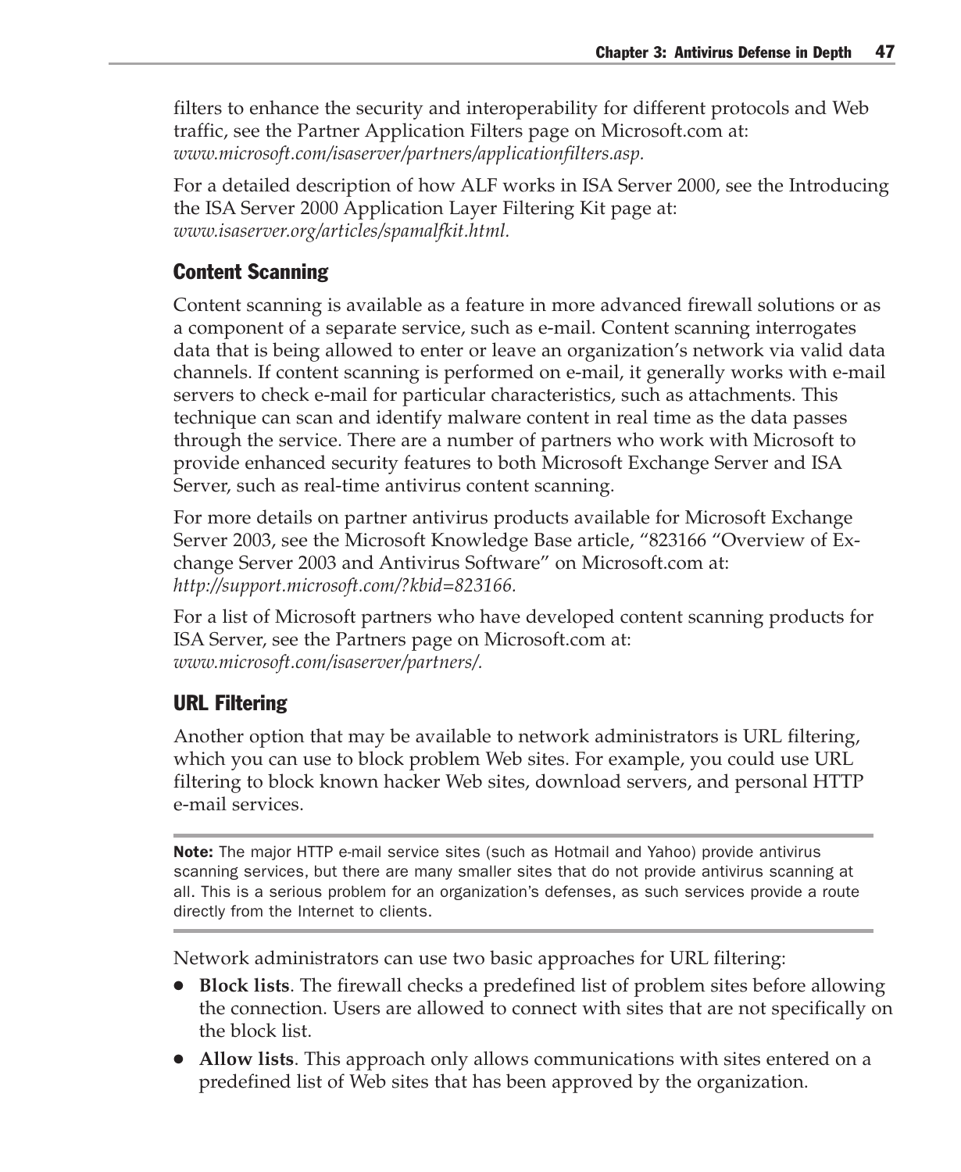filters to enhance the security and interoperability for different protocols and Web traffic, see the Partner Application Filters page on Microsoft.com at: *www.microsoft.com/isaserver/partners/applicationfilters.asp.*

For a detailed description of how ALF works in ISA Server 2000, see the Introducing the ISA Server 2000 Application Layer Filtering Kit page at: *www.isaserver.org/articles/spamalfkit.html.*

#### Content Scanning

Content scanning is available as a feature in more advanced firewall solutions or as a component of a separate service, such as e-mail. Content scanning interrogates data that is being allowed to enter or leave an organization's network via valid data channels. If content scanning is performed on e-mail, it generally works with e-mail servers to check e-mail for particular characteristics, such as attachments. This technique can scan and identify malware content in real time as the data passes through the service. There are a number of partners who work with Microsoft to provide enhanced security features to both Microsoft Exchange Server and ISA Server, such as real-time antivirus content scanning.

For more details on partner antivirus products available for Microsoft Exchange Server 2003, see the Microsoft Knowledge Base article, "823166 "Overview of Exchange Server 2003 and Antivirus Software" on Microsoft.com at: *http://support.microsoft.com/?kbid=823166.*

For a list of Microsoft partners who have developed content scanning products for ISA Server, see the Partners page on Microsoft.com at: *www.microsoft.com/isaserver/partners/.*

#### URL Filtering

Another option that may be available to network administrators is URL filtering, which you can use to block problem Web sites. For example, you could use URL filtering to block known hacker Web sites, download servers, and personal HTTP e-mail services.

Note: The major HTTP e-mail service sites (such as Hotmail and Yahoo) provide antivirus scanning services, but there are many smaller sites that do not provide antivirus scanning at all. This is a serious problem for an organization's defenses, as such services provide a route directly from the Internet to clients.

Network administrators can use two basic approaches for URL filtering:

- **Block lists**. The firewall checks a predefined list of problem sites before allowing the connection. Users are allowed to connect with sites that are not specifically on the block list.
- **Allow lists**. This approach only allows communications with sites entered on a predefined list of Web sites that has been approved by the organization.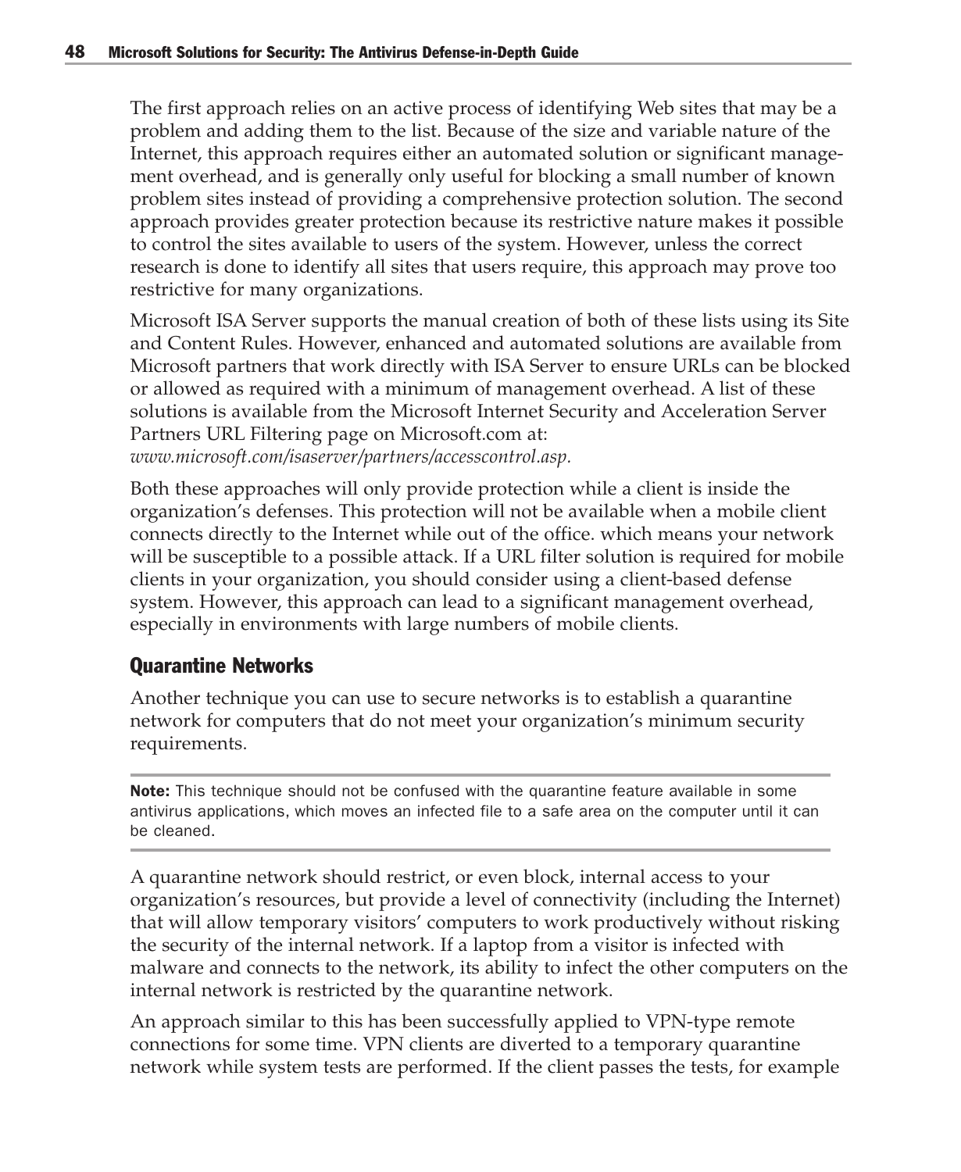The first approach relies on an active process of identifying Web sites that may be a problem and adding them to the list. Because of the size and variable nature of the Internet, this approach requires either an automated solution or significant management overhead, and is generally only useful for blocking a small number of known problem sites instead of providing a comprehensive protection solution. The second approach provides greater protection because its restrictive nature makes it possible to control the sites available to users of the system. However, unless the correct research is done to identify all sites that users require, this approach may prove too restrictive for many organizations.

Microsoft ISA Server supports the manual creation of both of these lists using its Site and Content Rules. However, enhanced and automated solutions are available from Microsoft partners that work directly with ISA Server to ensure URLs can be blocked or allowed as required with a minimum of management overhead. A list of these solutions is available from the Microsoft Internet Security and Acceleration Server Partners URL Filtering page on Microsoft.com at: *www.microsoft.com/isaserver/partners/accesscontrol.asp.*

Both these approaches will only provide protection while a client is inside the organization's defenses. This protection will not be available when a mobile client connects directly to the Internet while out of the office. which means your network will be susceptible to a possible attack. If a URL filter solution is required for mobile clients in your organization, you should consider using a client-based defense system. However, this approach can lead to a significant management overhead, especially in environments with large numbers of mobile clients.

#### Quarantine Networks

Another technique you can use to secure networks is to establish a quarantine network for computers that do not meet your organization's minimum security requirements.

Note: This technique should not be confused with the quarantine feature available in some antivirus applications, which moves an infected file to a safe area on the computer until it can be cleaned.

A quarantine network should restrict, or even block, internal access to your organization's resources, but provide a level of connectivity (including the Internet) that will allow temporary visitors' computers to work productively without risking the security of the internal network. If a laptop from a visitor is infected with malware and connects to the network, its ability to infect the other computers on the internal network is restricted by the quarantine network.

An approach similar to this has been successfully applied to VPN-type remote connections for some time. VPN clients are diverted to a temporary quarantine network while system tests are performed. If the client passes the tests, for example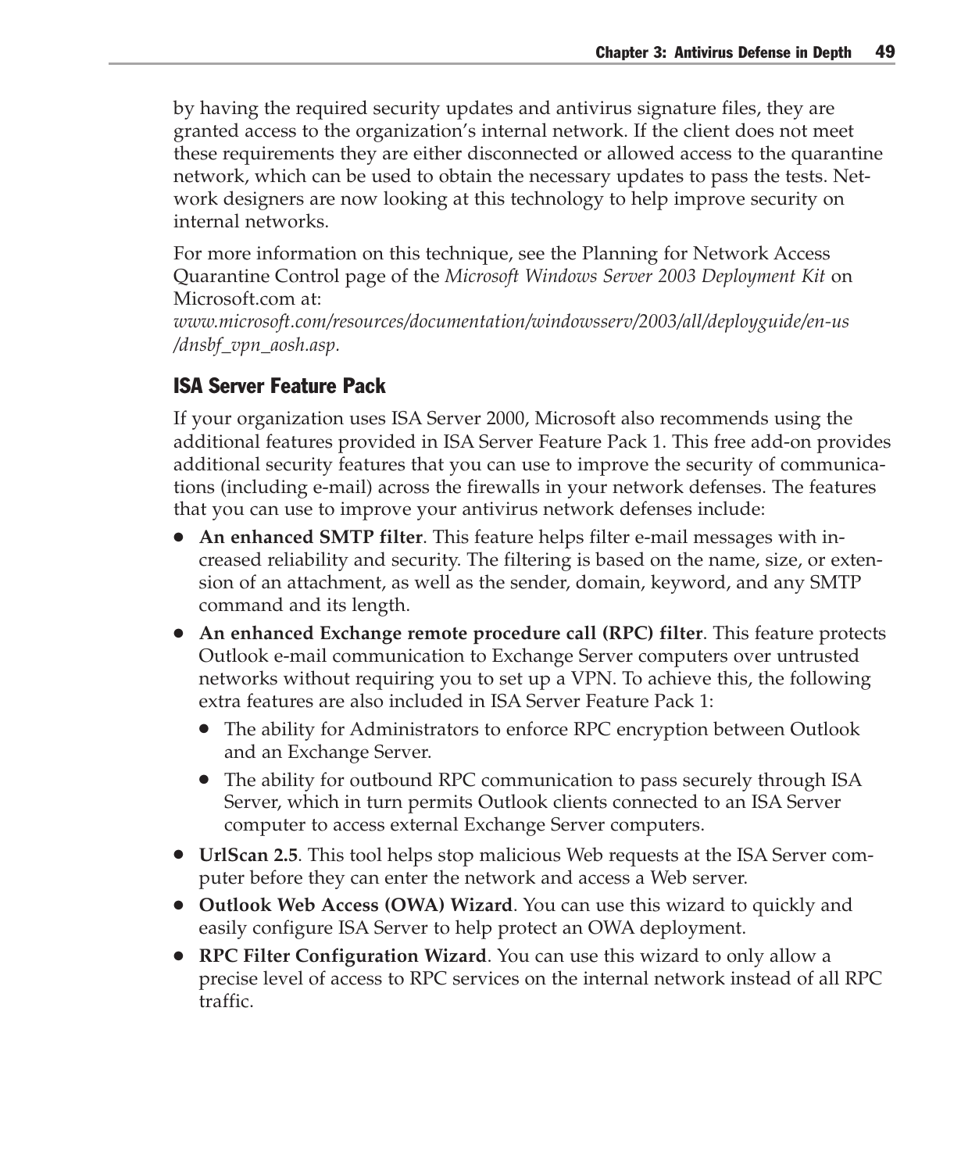by having the required security updates and antivirus signature files, they are granted access to the organization's internal network. If the client does not meet these requirements they are either disconnected or allowed access to the quarantine network, which can be used to obtain the necessary updates to pass the tests. Network designers are now looking at this technology to help improve security on internal networks.

For more information on this technique, see the Planning for Network Access Quarantine Control page of the *Microsoft Windows Server 2003 Deployment Kit* on Microsoft.com at:

*www.microsoft.com/resources/documentation/windowsserv/2003/all/deployguide/en-us /dnsbf\_vpn\_aosh.asp.*

#### ISA Server Feature Pack

If your organization uses ISA Server 2000, Microsoft also recommends using the additional features provided in ISA Server Feature Pack 1. This free add-on provides additional security features that you can use to improve the security of communications (including e-mail) across the firewalls in your network defenses. The features that you can use to improve your antivirus network defenses include:

- **An enhanced SMTP filter**. This feature helps filter e-mail messages with increased reliability and security. The filtering is based on the name, size, or extension of an attachment, as well as the sender, domain, keyword, and any SMTP command and its length.
- **An enhanced Exchange remote procedure call (RPC) filter**. This feature protects Outlook e-mail communication to Exchange Server computers over untrusted networks without requiring you to set up a VPN. To achieve this, the following extra features are also included in ISA Server Feature Pack 1:
	- The ability for Administrators to enforce RPC encryption between Outlook and an Exchange Server.
	- The ability for outbound RPC communication to pass securely through ISA Server, which in turn permits Outlook clients connected to an ISA Server computer to access external Exchange Server computers.
- **UrlScan 2.5**. This tool helps stop malicious Web requests at the ISA Server computer before they can enter the network and access a Web server.
- **Outlook Web Access (OWA) Wizard**. You can use this wizard to quickly and easily configure ISA Server to help protect an OWA deployment.
- **RPC Filter Configuration Wizard**. You can use this wizard to only allow a precise level of access to RPC services on the internal network instead of all RPC traffic.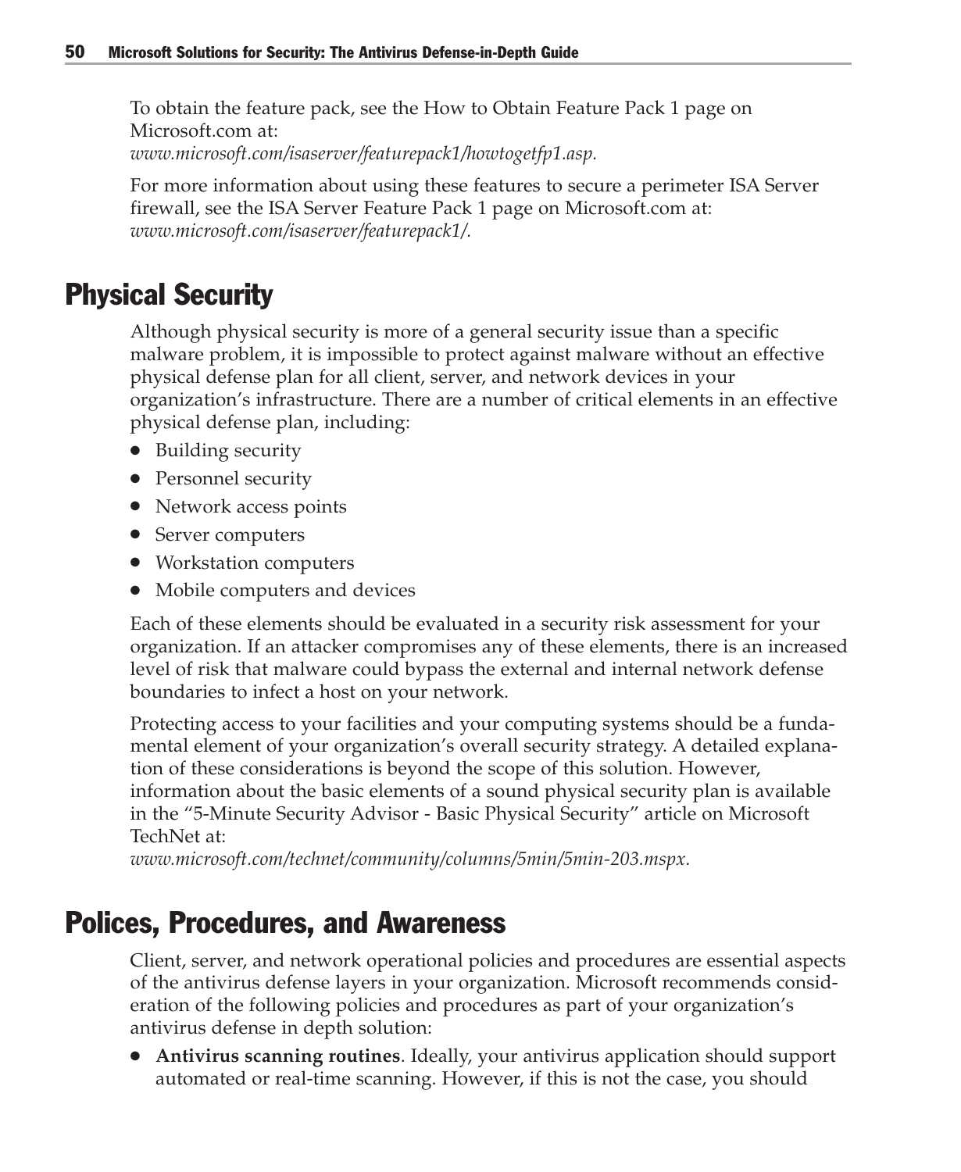To obtain the feature pack, see the How to Obtain Feature Pack 1 page on Microsoft.com at: *www.microsoft.com/isaserver/featurepack1/howtogetfp1.asp.*

For more information about using these features to secure a perimeter ISA Server firewall, see the ISA Server Feature Pack 1 page on Microsoft.com at: *www.microsoft.com/isaserver/featurepack1/.*

# Physical Security

Although physical security is more of a general security issue than a specific malware problem, it is impossible to protect against malware without an effective physical defense plan for all client, server, and network devices in your organization's infrastructure. There are a number of critical elements in an effective physical defense plan, including:

- Building security
- Personnel security
- Network access points
- Server computers
- Workstation computers
- Mobile computers and devices

Each of these elements should be evaluated in a security risk assessment for your organization. If an attacker compromises any of these elements, there is an increased level of risk that malware could bypass the external and internal network defense boundaries to infect a host on your network.

Protecting access to your facilities and your computing systems should be a fundamental element of your organization's overall security strategy. A detailed explanation of these considerations is beyond the scope of this solution. However, information about the basic elements of a sound physical security plan is available in the "5-Minute Security Advisor - Basic Physical Security" article on Microsoft TechNet at:

*www.microsoft.com/technet/community/columns/5min/5min-203.mspx.*

# Polices, Procedures, and Awareness

Client, server, and network operational policies and procedures are essential aspects of the antivirus defense layers in your organization. Microsoft recommends consideration of the following policies and procedures as part of your organization's antivirus defense in depth solution:

● **Antivirus scanning routines**. Ideally, your antivirus application should support automated or real-time scanning. However, if this is not the case, you should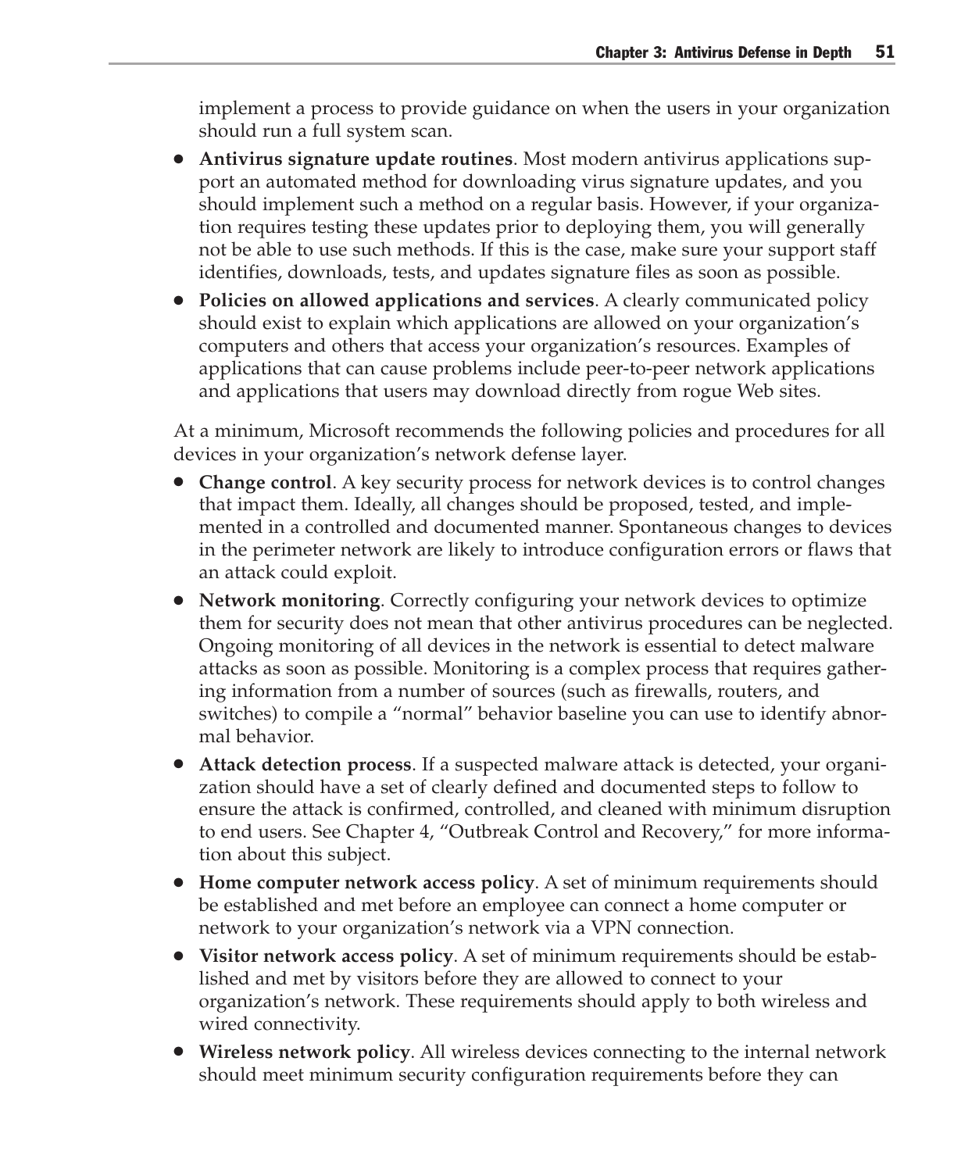implement a process to provide guidance on when the users in your organization should run a full system scan.

- **Antivirus signature update routines**. Most modern antivirus applications support an automated method for downloading virus signature updates, and you should implement such a method on a regular basis. However, if your organization requires testing these updates prior to deploying them, you will generally not be able to use such methods. If this is the case, make sure your support staff identifies, downloads, tests, and updates signature files as soon as possible.
- **Policies on allowed applications and services**. A clearly communicated policy should exist to explain which applications are allowed on your organization's computers and others that access your organization's resources. Examples of applications that can cause problems include peer-to-peer network applications and applications that users may download directly from rogue Web sites.

At a minimum, Microsoft recommends the following policies and procedures for all devices in your organization's network defense layer.

- **Change control**. A key security process for network devices is to control changes that impact them. Ideally, all changes should be proposed, tested, and implemented in a controlled and documented manner. Spontaneous changes to devices in the perimeter network are likely to introduce configuration errors or flaws that an attack could exploit.
- **Network monitoring**. Correctly configuring your network devices to optimize them for security does not mean that other antivirus procedures can be neglected. Ongoing monitoring of all devices in the network is essential to detect malware attacks as soon as possible. Monitoring is a complex process that requires gathering information from a number of sources (such as firewalls, routers, and switches) to compile a "normal" behavior baseline you can use to identify abnormal behavior.
- **Attack detection process**. If a suspected malware attack is detected, your organization should have a set of clearly defined and documented steps to follow to ensure the attack is confirmed, controlled, and cleaned with minimum disruption to end users. See Chapter 4, "Outbreak Control and Recovery," for more information about this subject.
- **Home computer network access policy**. A set of minimum requirements should be established and met before an employee can connect a home computer or network to your organization's network via a VPN connection.
- **Visitor network access policy**. A set of minimum requirements should be established and met by visitors before they are allowed to connect to your organization's network. These requirements should apply to both wireless and wired connectivity.
- **Wireless network policy**. All wireless devices connecting to the internal network should meet minimum security configuration requirements before they can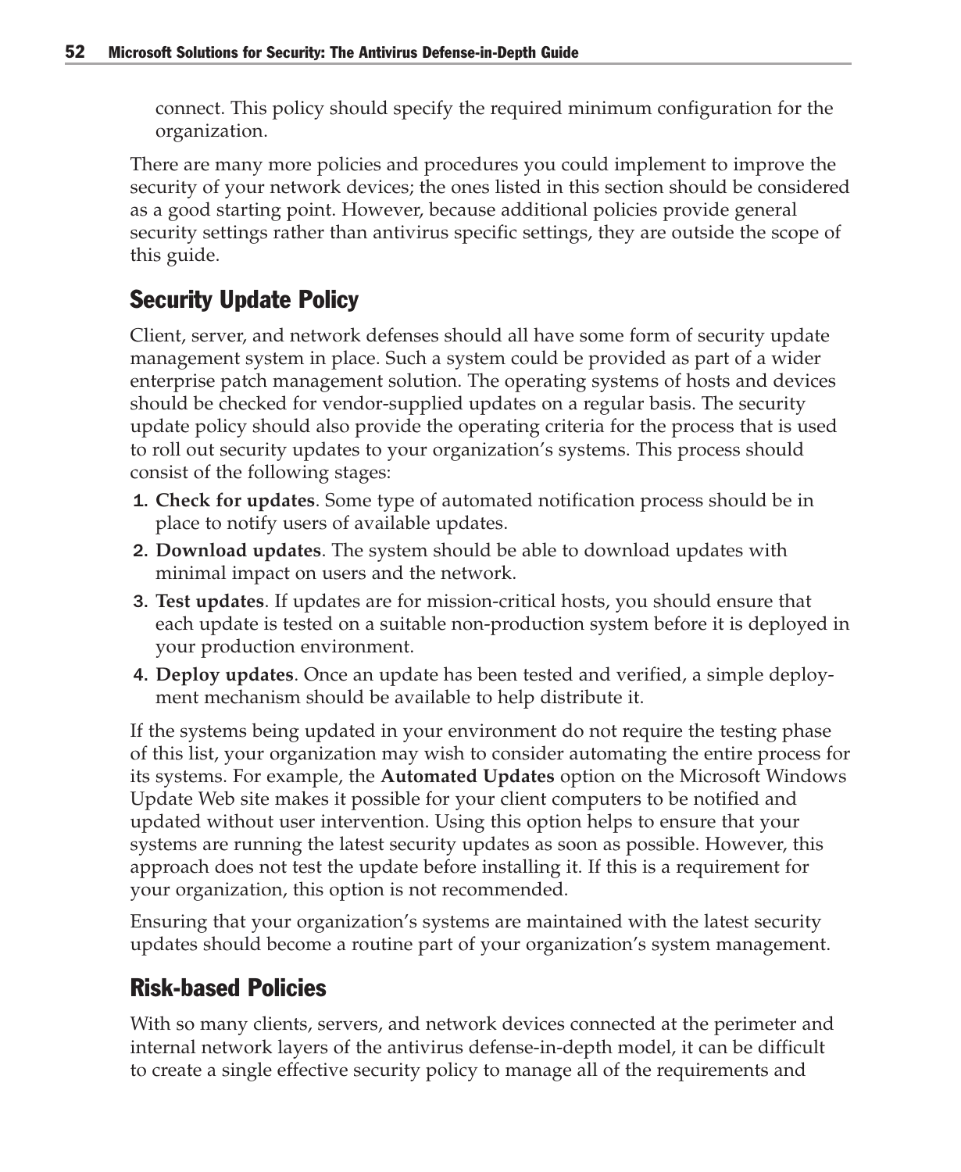connect. This policy should specify the required minimum configuration for the organization.

There are many more policies and procedures you could implement to improve the security of your network devices; the ones listed in this section should be considered as a good starting point. However, because additional policies provide general security settings rather than antivirus specific settings, they are outside the scope of this guide.

# Security Update Policy

Client, server, and network defenses should all have some form of security update management system in place. Such a system could be provided as part of a wider enterprise patch management solution. The operating systems of hosts and devices should be checked for vendor-supplied updates on a regular basis. The security update policy should also provide the operating criteria for the process that is used to roll out security updates to your organization's systems. This process should consist of the following stages:

- 1. **Check for updates**. Some type of automated notification process should be in place to notify users of available updates.
- 2. **Download updates**. The system should be able to download updates with minimal impact on users and the network.
- 3. **Test updates**. If updates are for mission-critical hosts, you should ensure that each update is tested on a suitable non-production system before it is deployed in your production environment.
- 4. **Deploy updates**. Once an update has been tested and verified, a simple deployment mechanism should be available to help distribute it.

If the systems being updated in your environment do not require the testing phase of this list, your organization may wish to consider automating the entire process for its systems. For example, the **Automated Updates** option on the Microsoft Windows Update Web site makes it possible for your client computers to be notified and updated without user intervention. Using this option helps to ensure that your systems are running the latest security updates as soon as possible. However, this approach does not test the update before installing it. If this is a requirement for your organization, this option is not recommended.

Ensuring that your organization's systems are maintained with the latest security updates should become a routine part of your organization's system management.

# Risk-based Policies

With so many clients, servers, and network devices connected at the perimeter and internal network layers of the antivirus defense-in-depth model, it can be difficult to create a single effective security policy to manage all of the requirements and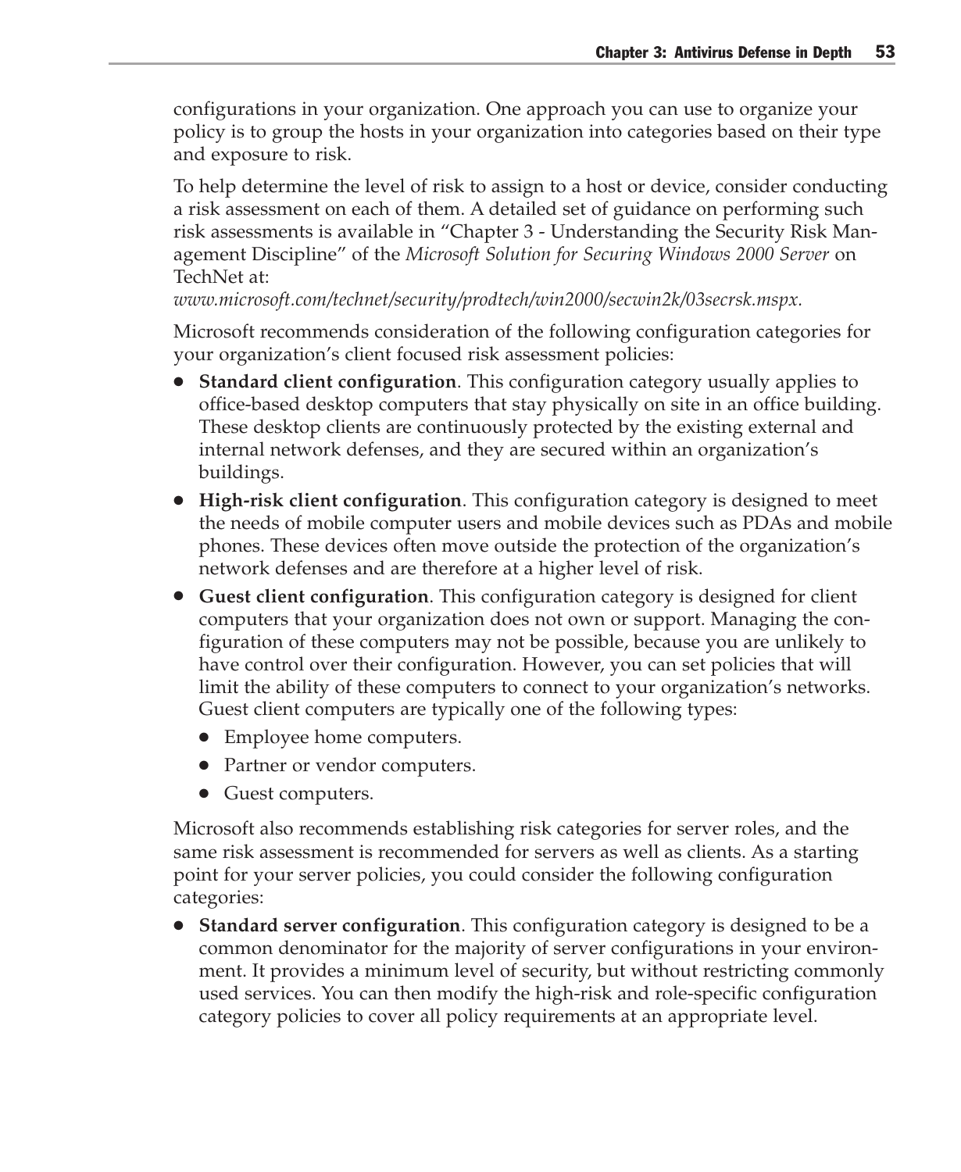configurations in your organization. One approach you can use to organize your policy is to group the hosts in your organization into categories based on their type and exposure to risk.

To help determine the level of risk to assign to a host or device, consider conducting a risk assessment on each of them. A detailed set of guidance on performing such risk assessments is available in "Chapter 3 - Understanding the Security Risk Management Discipline" of the *Microsoft Solution for Securing Windows 2000 Server* on TechNet at:

*www.microsoft.com/technet/security/prodtech/win2000/secwin2k/03secrsk.mspx.*

Microsoft recommends consideration of the following configuration categories for your organization's client focused risk assessment policies:

- **Standard client configuration**. This configuration category usually applies to office-based desktop computers that stay physically on site in an office building. These desktop clients are continuously protected by the existing external and internal network defenses, and they are secured within an organization's buildings.
- **High-risk client configuration**. This configuration category is designed to meet the needs of mobile computer users and mobile devices such as PDAs and mobile phones. These devices often move outside the protection of the organization's network defenses and are therefore at a higher level of risk.
- **Guest client configuration**. This configuration category is designed for client computers that your organization does not own or support. Managing the configuration of these computers may not be possible, because you are unlikely to have control over their configuration. However, you can set policies that will limit the ability of these computers to connect to your organization's networks. Guest client computers are typically one of the following types:
	- Employee home computers.
	- Partner or vendor computers.
	- Guest computers.

Microsoft also recommends establishing risk categories for server roles, and the same risk assessment is recommended for servers as well as clients. As a starting point for your server policies, you could consider the following configuration categories:

● **Standard server configuration**. This configuration category is designed to be a common denominator for the majority of server configurations in your environment. It provides a minimum level of security, but without restricting commonly used services. You can then modify the high-risk and role-specific configuration category policies to cover all policy requirements at an appropriate level.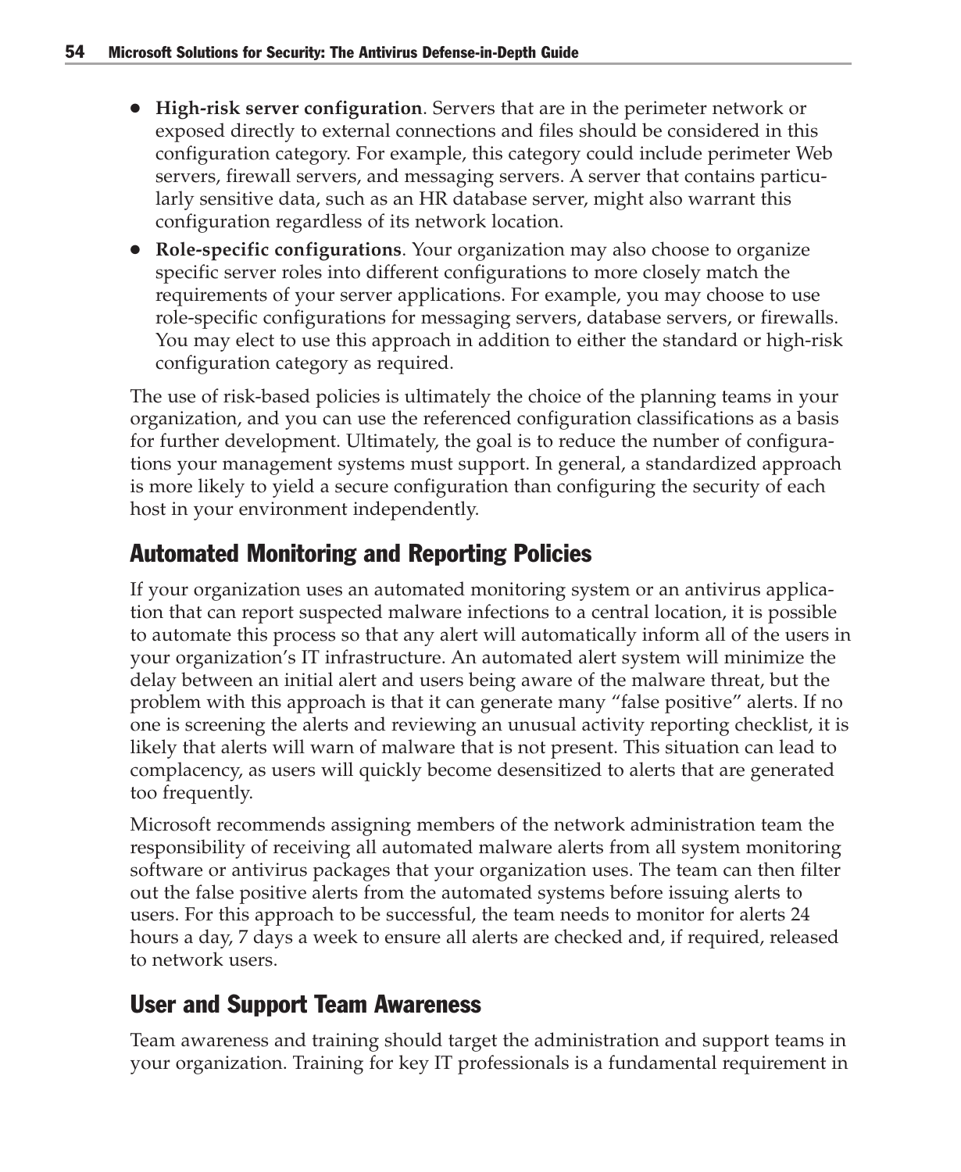- **High-risk server configuration**. Servers that are in the perimeter network or exposed directly to external connections and files should be considered in this configuration category. For example, this category could include perimeter Web servers, firewall servers, and messaging servers. A server that contains particularly sensitive data, such as an HR database server, might also warrant this configuration regardless of its network location.
- **Role-specific configurations**. Your organization may also choose to organize specific server roles into different configurations to more closely match the requirements of your server applications. For example, you may choose to use role-specific configurations for messaging servers, database servers, or firewalls. You may elect to use this approach in addition to either the standard or high-risk configuration category as required.

The use of risk-based policies is ultimately the choice of the planning teams in your organization, and you can use the referenced configuration classifications as a basis for further development. Ultimately, the goal is to reduce the number of configurations your management systems must support. In general, a standardized approach is more likely to yield a secure configuration than configuring the security of each host in your environment independently.

# Automated Monitoring and Reporting Policies

If your organization uses an automated monitoring system or an antivirus application that can report suspected malware infections to a central location, it is possible to automate this process so that any alert will automatically inform all of the users in your organization's IT infrastructure. An automated alert system will minimize the delay between an initial alert and users being aware of the malware threat, but the problem with this approach is that it can generate many "false positive" alerts. If no one is screening the alerts and reviewing an unusual activity reporting checklist, it is likely that alerts will warn of malware that is not present. This situation can lead to complacency, as users will quickly become desensitized to alerts that are generated too frequently.

Microsoft recommends assigning members of the network administration team the responsibility of receiving all automated malware alerts from all system monitoring software or antivirus packages that your organization uses. The team can then filter out the false positive alerts from the automated systems before issuing alerts to users. For this approach to be successful, the team needs to monitor for alerts 24 hours a day, 7 days a week to ensure all alerts are checked and, if required, released to network users.

# User and Support Team Awareness

Team awareness and training should target the administration and support teams in your organization. Training for key IT professionals is a fundamental requirement in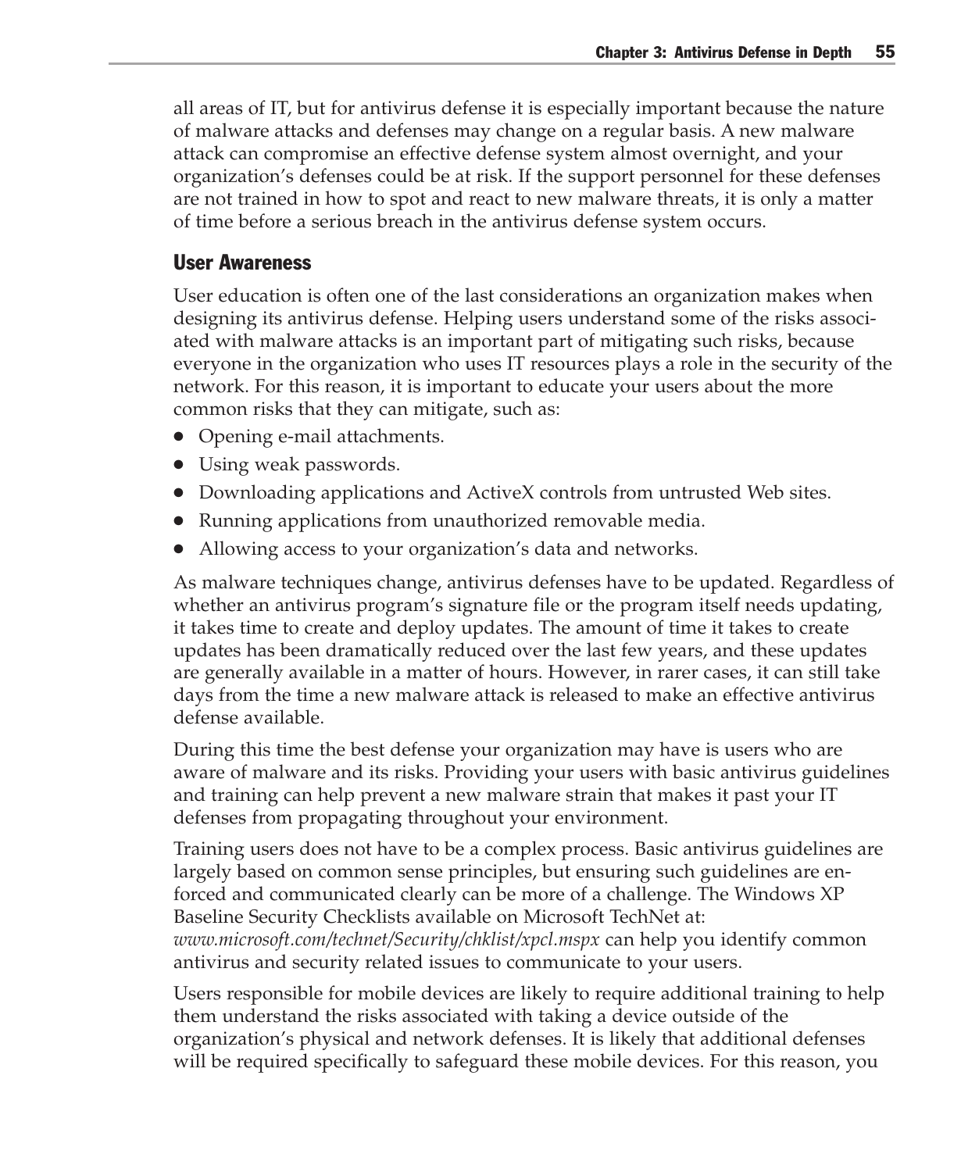all areas of IT, but for antivirus defense it is especially important because the nature of malware attacks and defenses may change on a regular basis. A new malware attack can compromise an effective defense system almost overnight, and your organization's defenses could be at risk. If the support personnel for these defenses are not trained in how to spot and react to new malware threats, it is only a matter of time before a serious breach in the antivirus defense system occurs.

#### User Awareness

User education is often one of the last considerations an organization makes when designing its antivirus defense. Helping users understand some of the risks associated with malware attacks is an important part of mitigating such risks, because everyone in the organization who uses IT resources plays a role in the security of the network. For this reason, it is important to educate your users about the more common risks that they can mitigate, such as:

- Opening e-mail attachments.
- Using weak passwords.
- Downloading applications and ActiveX controls from untrusted Web sites.
- Running applications from unauthorized removable media.
- Allowing access to your organization's data and networks.

As malware techniques change, antivirus defenses have to be updated. Regardless of whether an antivirus program's signature file or the program itself needs updating, it takes time to create and deploy updates. The amount of time it takes to create updates has been dramatically reduced over the last few years, and these updates are generally available in a matter of hours. However, in rarer cases, it can still take days from the time a new malware attack is released to make an effective antivirus defense available.

During this time the best defense your organization may have is users who are aware of malware and its risks. Providing your users with basic antivirus guidelines and training can help prevent a new malware strain that makes it past your IT defenses from propagating throughout your environment.

Training users does not have to be a complex process. Basic antivirus guidelines are largely based on common sense principles, but ensuring such guidelines are enforced and communicated clearly can be more of a challenge. The Windows XP Baseline Security Checklists available on Microsoft TechNet at: *www.microsoft.com/technet/Security/chklist/xpcl.mspx* can help you identify common antivirus and security related issues to communicate to your users.

Users responsible for mobile devices are likely to require additional training to help them understand the risks associated with taking a device outside of the organization's physical and network defenses. It is likely that additional defenses will be required specifically to safeguard these mobile devices. For this reason, you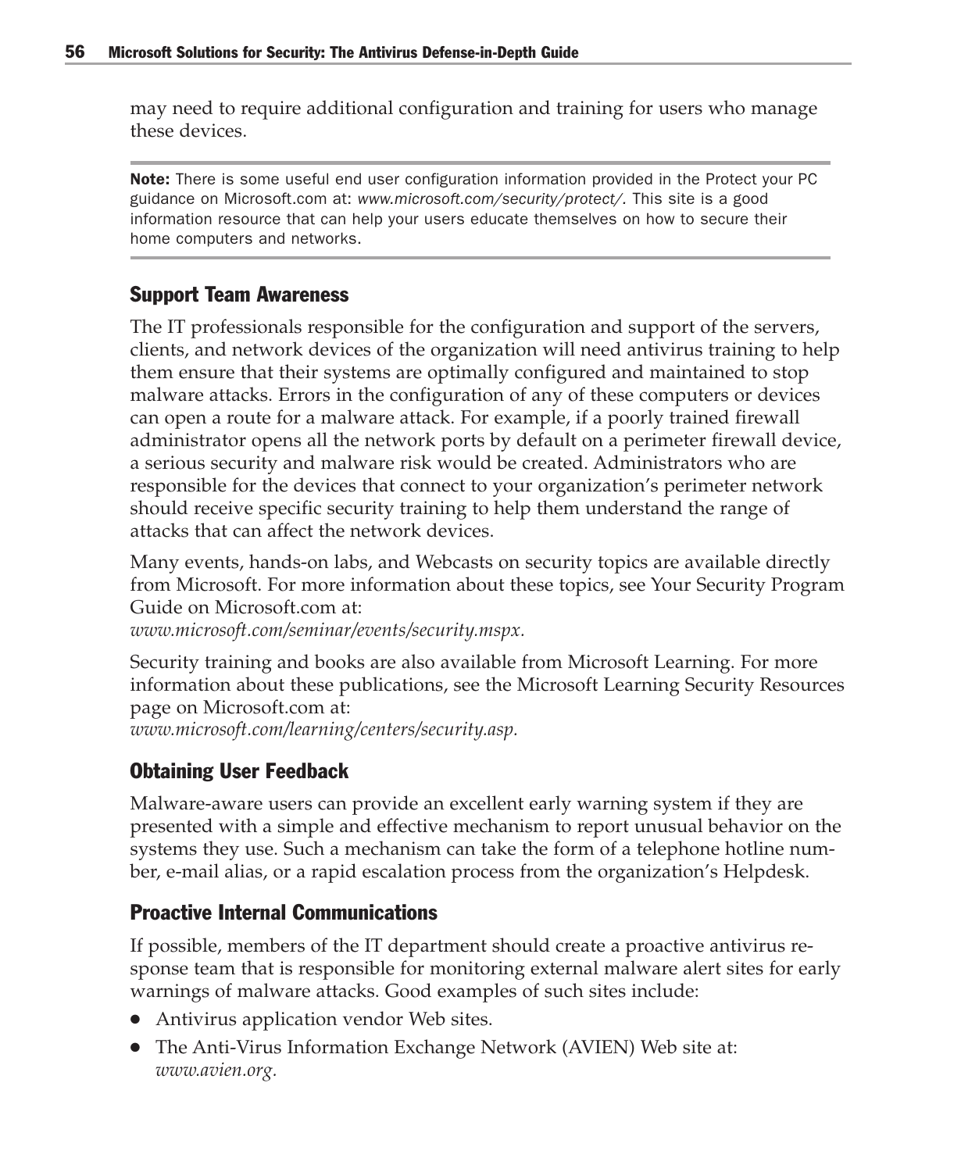may need to require additional configuration and training for users who manage these devices.

**Note:** There is some useful end user configuration information provided in the Protect your PC guidance on Microsoft.com at: *www.microsoft.com/security/protect/.* This site is a good information resource that can help your users educate themselves on how to secure their home computers and networks.

#### Support Team Awareness

The IT professionals responsible for the configuration and support of the servers, clients, and network devices of the organization will need antivirus training to help them ensure that their systems are optimally configured and maintained to stop malware attacks. Errors in the configuration of any of these computers or devices can open a route for a malware attack. For example, if a poorly trained firewall administrator opens all the network ports by default on a perimeter firewall device, a serious security and malware risk would be created. Administrators who are responsible for the devices that connect to your organization's perimeter network should receive specific security training to help them understand the range of attacks that can affect the network devices.

Many events, hands-on labs, and Webcasts on security topics are available directly from Microsoft. For more information about these topics, see Your Security Program Guide on Microsoft.com at:

*www.microsoft.com/seminar/events/security.mspx.*

Security training and books are also available from Microsoft Learning. For more information about these publications, see the Microsoft Learning Security Resources page on Microsoft.com at:

*www.microsoft.com/learning/centers/security.asp.*

#### Obtaining User Feedback

Malware-aware users can provide an excellent early warning system if they are presented with a simple and effective mechanism to report unusual behavior on the systems they use. Such a mechanism can take the form of a telephone hotline number, e-mail alias, or a rapid escalation process from the organization's Helpdesk.

#### Proactive Internal Communications

If possible, members of the IT department should create a proactive antivirus response team that is responsible for monitoring external malware alert sites for early warnings of malware attacks. Good examples of such sites include:

- Antivirus application vendor Web sites.
- The Anti-Virus Information Exchange Network (AVIEN) Web site at: *www.avien.org.*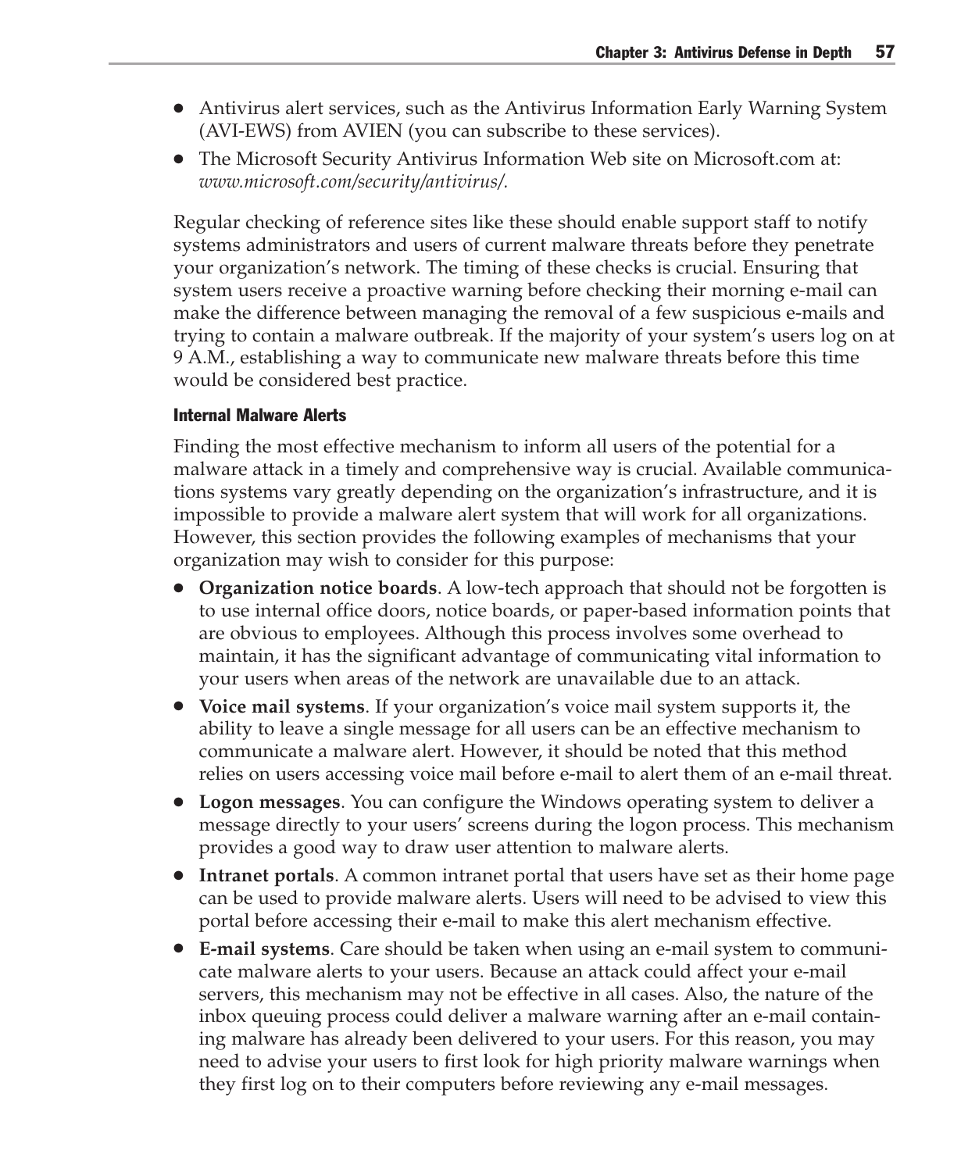- Antivirus alert services, such as the Antivirus Information Early Warning System (AVI-EWS) from AVIEN (you can subscribe to these services).
- The Microsoft Security Antivirus Information Web site on Microsoft.com at: *www.microsoft.com/security/antivirus/.*

Regular checking of reference sites like these should enable support staff to notify systems administrators and users of current malware threats before they penetrate your organization's network. The timing of these checks is crucial. Ensuring that system users receive a proactive warning before checking their morning e-mail can make the difference between managing the removal of a few suspicious e-mails and trying to contain a malware outbreak. If the majority of your system's users log on at 9 A.M., establishing a way to communicate new malware threats before this time would be considered best practice.

#### Internal Malware Alerts

Finding the most effective mechanism to inform all users of the potential for a malware attack in a timely and comprehensive way is crucial. Available communications systems vary greatly depending on the organization's infrastructure, and it is impossible to provide a malware alert system that will work for all organizations. However, this section provides the following examples of mechanisms that your organization may wish to consider for this purpose:

- **Organization notice boards**. A low-tech approach that should not be forgotten is to use internal office doors, notice boards, or paper-based information points that are obvious to employees. Although this process involves some overhead to maintain, it has the significant advantage of communicating vital information to your users when areas of the network are unavailable due to an attack.
- **Voice mail systems**. If your organization's voice mail system supports it, the ability to leave a single message for all users can be an effective mechanism to communicate a malware alert. However, it should be noted that this method relies on users accessing voice mail before e-mail to alert them of an e-mail threat.
- **Logon messages**. You can configure the Windows operating system to deliver a message directly to your users' screens during the logon process. This mechanism provides a good way to draw user attention to malware alerts.
- **Intranet portals**. A common intranet portal that users have set as their home page can be used to provide malware alerts. Users will need to be advised to view this portal before accessing their e-mail to make this alert mechanism effective.
- **E-mail systems**. Care should be taken when using an e-mail system to communicate malware alerts to your users. Because an attack could affect your e-mail servers, this mechanism may not be effective in all cases. Also, the nature of the inbox queuing process could deliver a malware warning after an e-mail containing malware has already been delivered to your users. For this reason, you may need to advise your users to first look for high priority malware warnings when they first log on to their computers before reviewing any e-mail messages.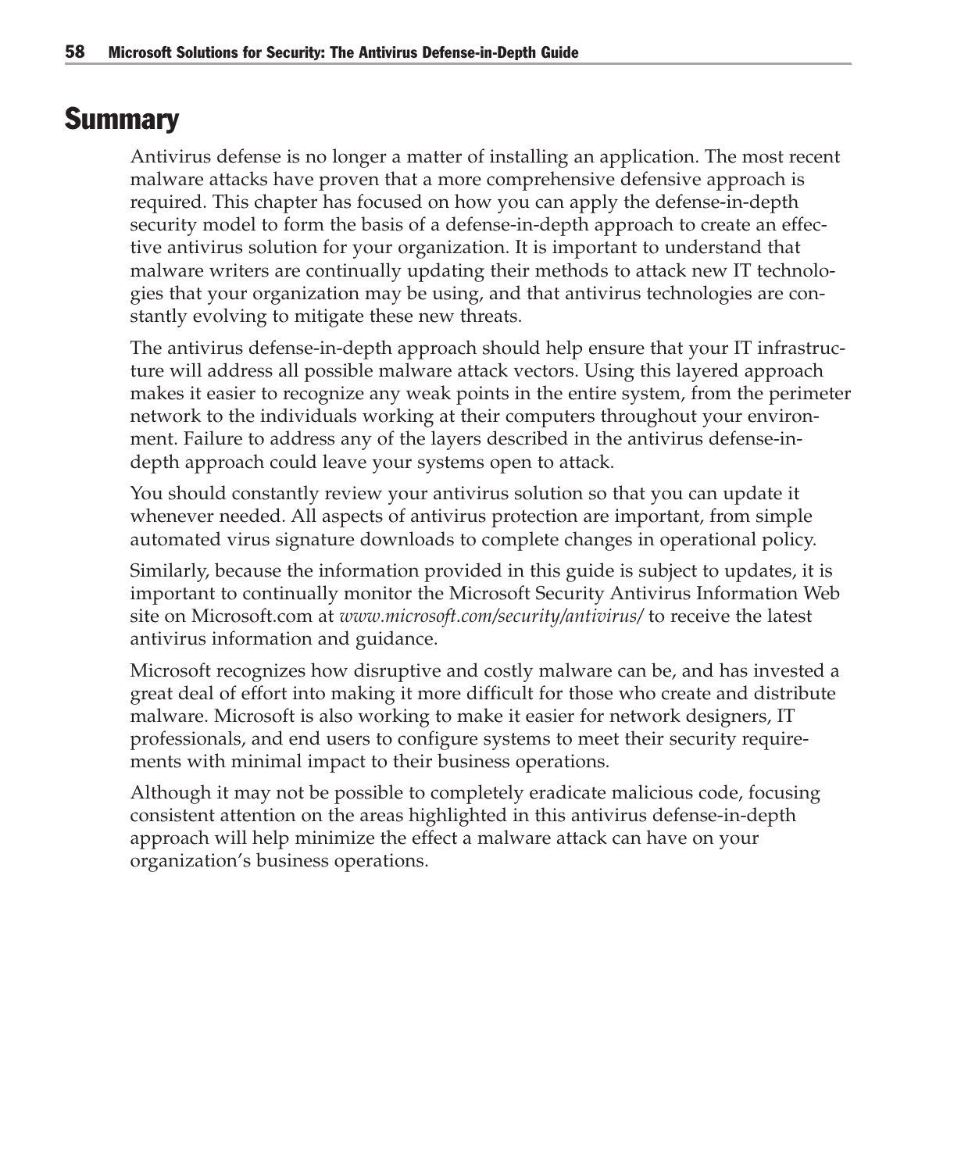# **Summary**

Antivirus defense is no longer a matter of installing an application. The most recent malware attacks have proven that a more comprehensive defensive approach is required. This chapter has focused on how you can apply the defense-in-depth security model to form the basis of a defense-in-depth approach to create an effective antivirus solution for your organization. It is important to understand that malware writers are continually updating their methods to attack new IT technologies that your organization may be using, and that antivirus technologies are constantly evolving to mitigate these new threats.

The antivirus defense-in-depth approach should help ensure that your IT infrastructure will address all possible malware attack vectors. Using this layered approach makes it easier to recognize any weak points in the entire system, from the perimeter network to the individuals working at their computers throughout your environment. Failure to address any of the layers described in the antivirus defense-indepth approach could leave your systems open to attack.

You should constantly review your antivirus solution so that you can update it whenever needed. All aspects of antivirus protection are important, from simple automated virus signature downloads to complete changes in operational policy.

Similarly, because the information provided in this guide is subject to updates, it is important to continually monitor the Microsoft Security Antivirus Information Web site on Microsoft.com at *www.microsoft.com/security/antivirus/* to receive the latest antivirus information and guidance.

Microsoft recognizes how disruptive and costly malware can be, and has invested a great deal of effort into making it more difficult for those who create and distribute malware. Microsoft is also working to make it easier for network designers, IT professionals, and end users to configure systems to meet their security requirements with minimal impact to their business operations.

Although it may not be possible to completely eradicate malicious code, focusing consistent attention on the areas highlighted in this antivirus defense-in-depth approach will help minimize the effect a malware attack can have on your organization's business operations.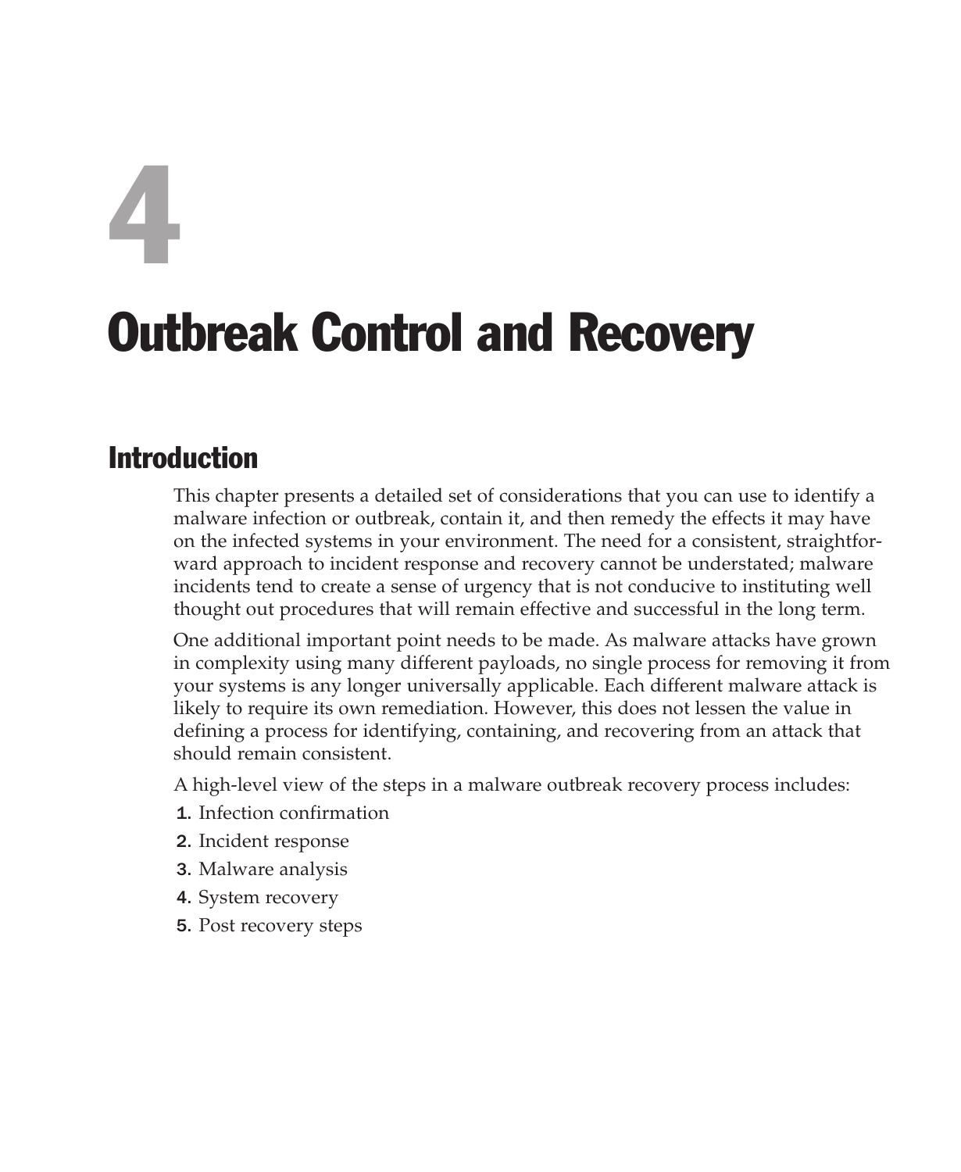# 4 Outbreak Control and Recovery

# Introduction

This chapter presents a detailed set of considerations that you can use to identify a malware infection or outbreak, contain it, and then remedy the effects it may have on the infected systems in your environment. The need for a consistent, straightforward approach to incident response and recovery cannot be understated; malware incidents tend to create a sense of urgency that is not conducive to instituting well thought out procedures that will remain effective and successful in the long term.

One additional important point needs to be made. As malware attacks have grown in complexity using many different payloads, no single process for removing it from your systems is any longer universally applicable. Each different malware attack is likely to require its own remediation. However, this does not lessen the value in defining a process for identifying, containing, and recovering from an attack that should remain consistent.

A high-level view of the steps in a malware outbreak recovery process includes:

- 1. Infection confirmation
- 2. Incident response
- 3. Malware analysis
- 4. System recovery
- 5. Post recovery steps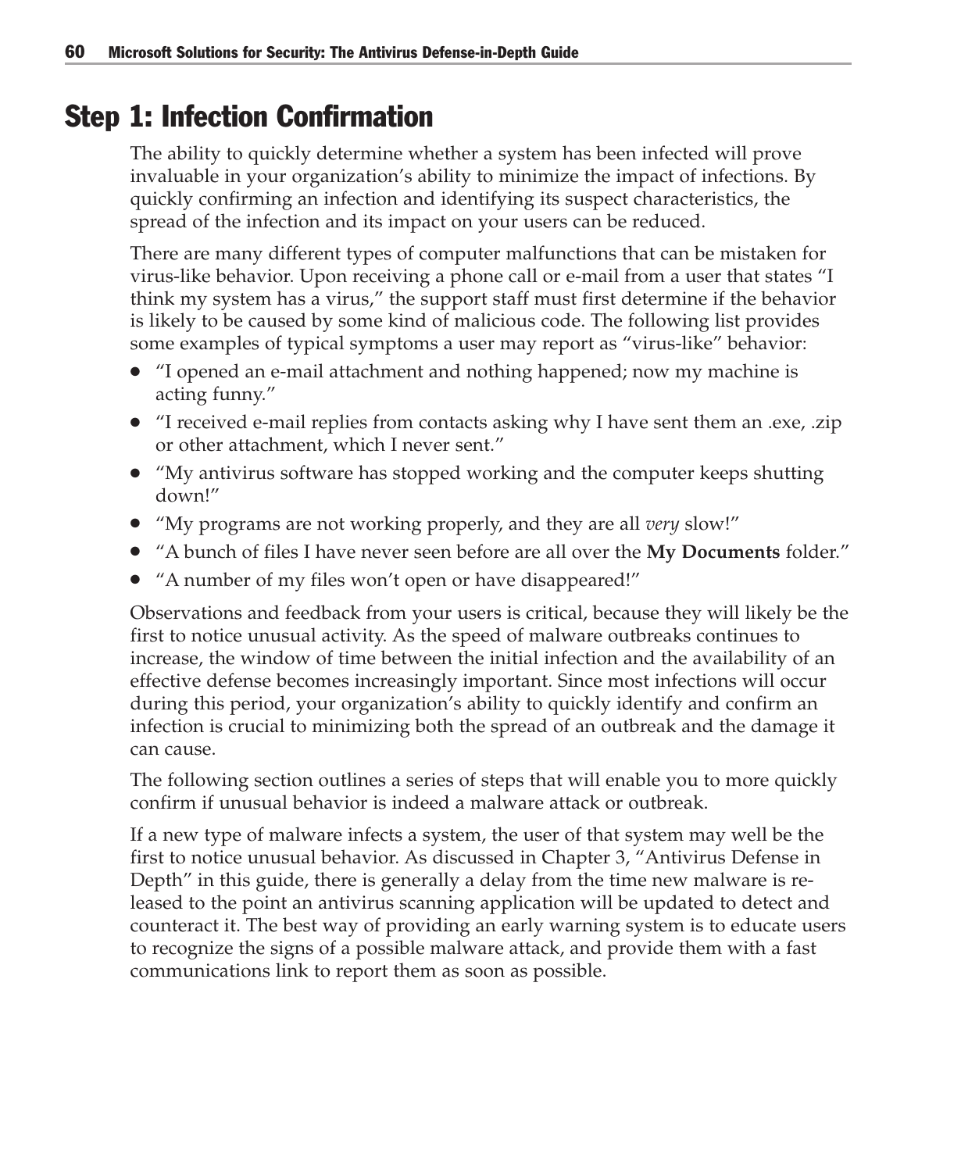# Step 1: Infection Confirmation

The ability to quickly determine whether a system has been infected will prove invaluable in your organization's ability to minimize the impact of infections. By quickly confirming an infection and identifying its suspect characteristics, the spread of the infection and its impact on your users can be reduced.

There are many different types of computer malfunctions that can be mistaken for virus-like behavior. Upon receiving a phone call or e-mail from a user that states "I think my system has a virus," the support staff must first determine if the behavior is likely to be caused by some kind of malicious code. The following list provides some examples of typical symptoms a user may report as "virus-like" behavior:

- "I opened an e-mail attachment and nothing happened; now my machine is acting funny."
- "I received e-mail replies from contacts asking why I have sent them an .exe, .zip or other attachment, which I never sent."
- "My antivirus software has stopped working and the computer keeps shutting down!"
- "My programs are not working properly, and they are all *very* slow!"
- "A bunch of files I have never seen before are all over the **My Documents** folder."
- "A number of my files won't open or have disappeared!"

Observations and feedback from your users is critical, because they will likely be the first to notice unusual activity. As the speed of malware outbreaks continues to increase, the window of time between the initial infection and the availability of an effective defense becomes increasingly important. Since most infections will occur during this period, your organization's ability to quickly identify and confirm an infection is crucial to minimizing both the spread of an outbreak and the damage it can cause.

The following section outlines a series of steps that will enable you to more quickly confirm if unusual behavior is indeed a malware attack or outbreak.

If a new type of malware infects a system, the user of that system may well be the first to notice unusual behavior. As discussed in Chapter 3, "Antivirus Defense in Depth" in this guide, there is generally a delay from the time new malware is released to the point an antivirus scanning application will be updated to detect and counteract it. The best way of providing an early warning system is to educate users to recognize the signs of a possible malware attack, and provide them with a fast communications link to report them as soon as possible.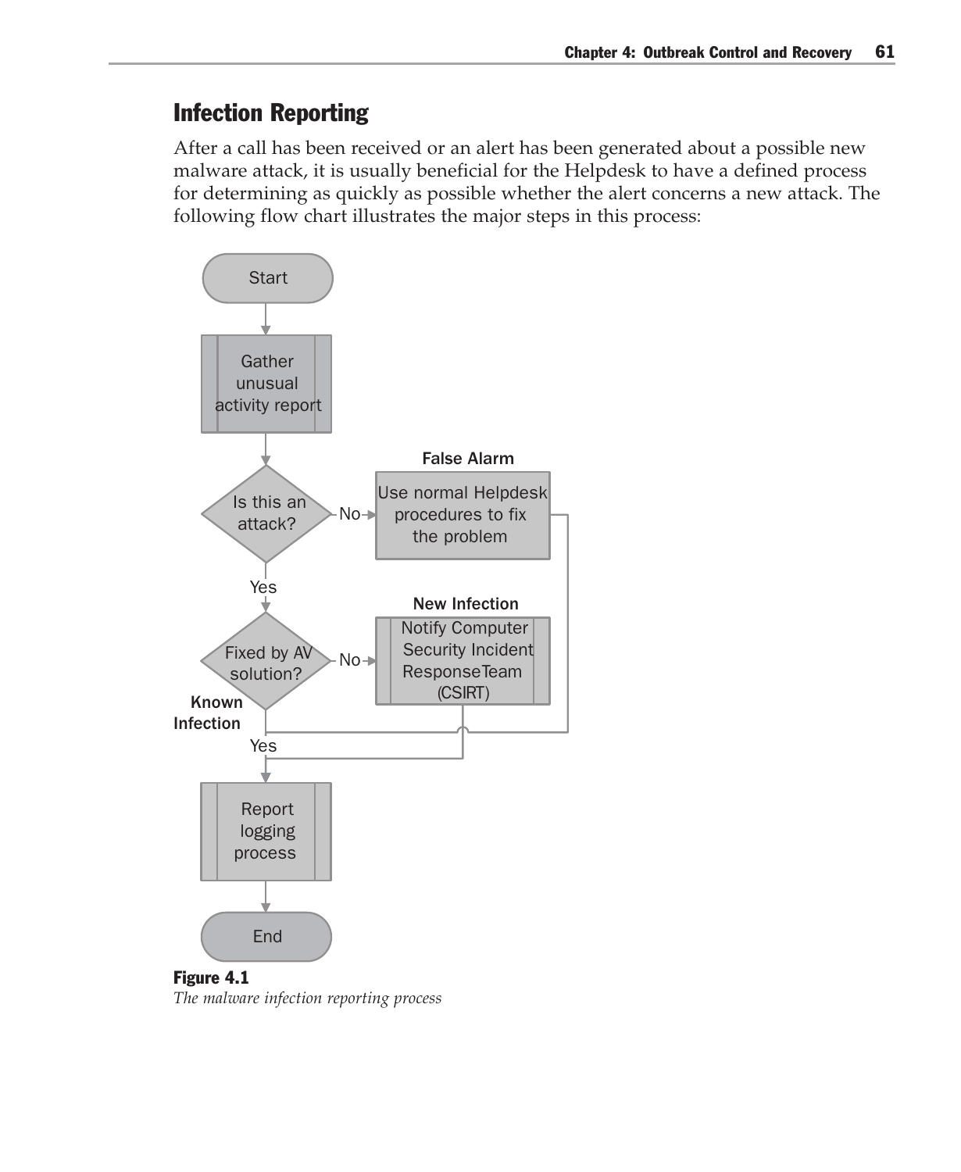## Infection Reporting

After a call has been received or an alert has been generated about a possible new malware attack, it is usually beneficial for the Helpdesk to have a defined process for determining as quickly as possible whether the alert concerns a new attack. The following flow chart illustrates the major steps in this process:



*The malware infection reporting process*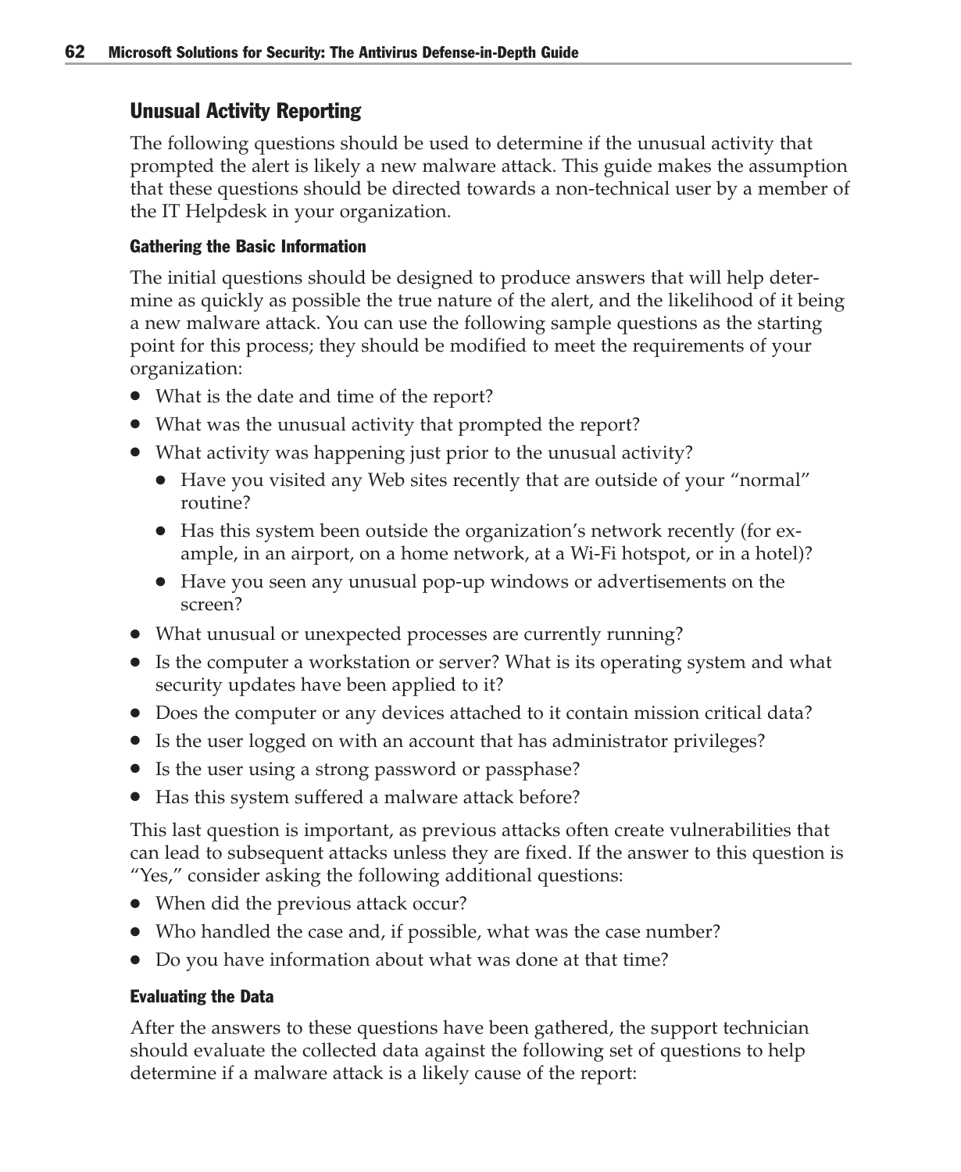#### Unusual Activity Reporting

The following questions should be used to determine if the unusual activity that prompted the alert is likely a new malware attack. This guide makes the assumption that these questions should be directed towards a non-technical user by a member of the IT Helpdesk in your organization.

#### Gathering the Basic Information

The initial questions should be designed to produce answers that will help determine as quickly as possible the true nature of the alert, and the likelihood of it being a new malware attack. You can use the following sample questions as the starting point for this process; they should be modified to meet the requirements of your organization:

- What is the date and time of the report?
- What was the unusual activity that prompted the report?
- What activity was happening just prior to the unusual activity?
	- Have you visited any Web sites recently that are outside of your "normal" routine?
	- Has this system been outside the organization's network recently (for example, in an airport, on a home network, at a Wi-Fi hotspot, or in a hotel)?
	- Have you seen any unusual pop-up windows or advertisements on the screen?
- What unusual or unexpected processes are currently running?
- Is the computer a workstation or server? What is its operating system and what security updates have been applied to it?
- Does the computer or any devices attached to it contain mission critical data?
- Is the user logged on with an account that has administrator privileges?
- Is the user using a strong password or passphase?
- Has this system suffered a malware attack before?

This last question is important, as previous attacks often create vulnerabilities that can lead to subsequent attacks unless they are fixed. If the answer to this question is "Yes," consider asking the following additional questions:

- When did the previous attack occur?
- Who handled the case and, if possible, what was the case number?
- Do you have information about what was done at that time?

#### Evaluating the Data

After the answers to these questions have been gathered, the support technician should evaluate the collected data against the following set of questions to help determine if a malware attack is a likely cause of the report: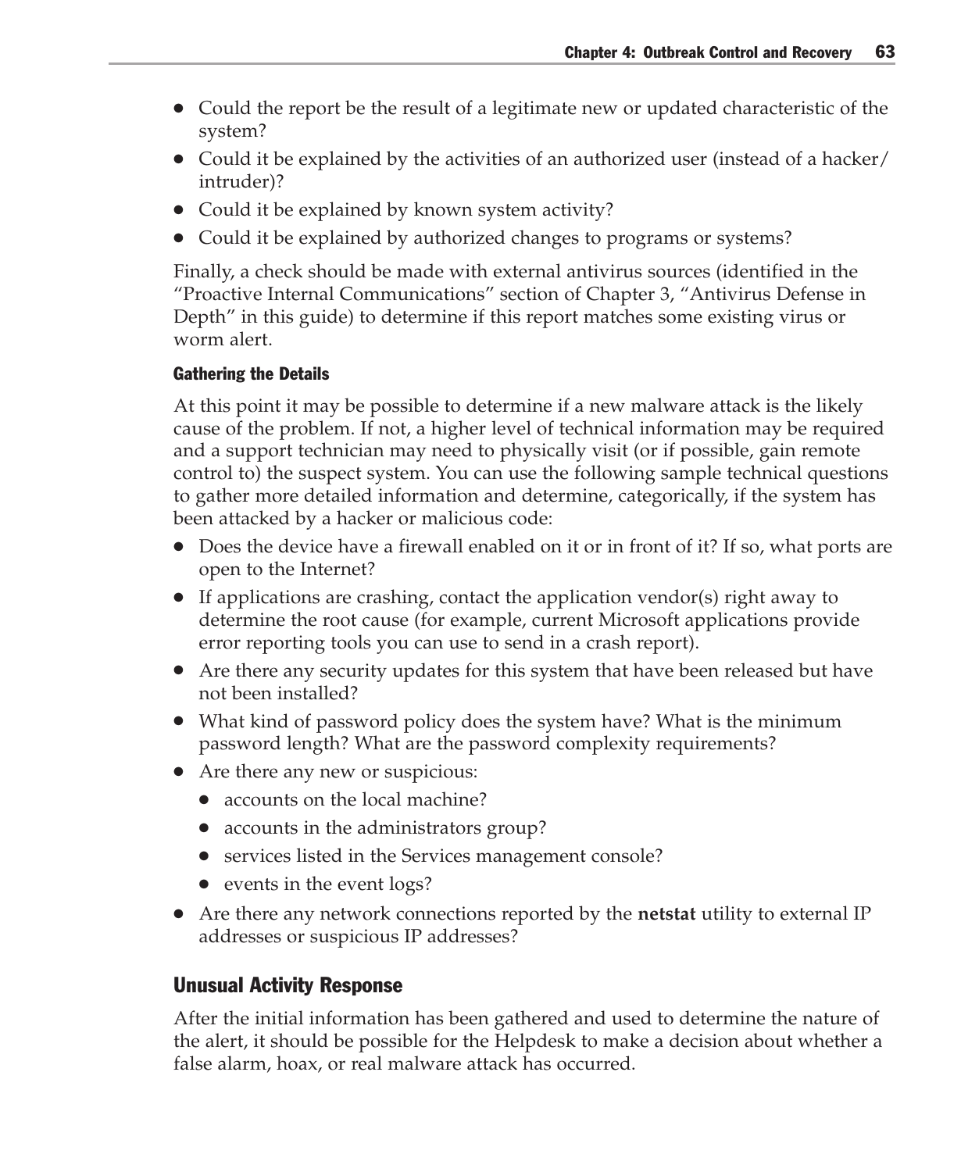- Could the report be the result of a legitimate new or updated characteristic of the system?
- Could it be explained by the activities of an authorized user (instead of a hacker) intruder)?
- Could it be explained by known system activity?
- Could it be explained by authorized changes to programs or systems?

Finally, a check should be made with external antivirus sources (identified in the "Proactive Internal Communications" section of Chapter 3, "Antivirus Defense in Depth" in this guide) to determine if this report matches some existing virus or worm alert.

#### Gathering the Details

At this point it may be possible to determine if a new malware attack is the likely cause of the problem. If not, a higher level of technical information may be required and a support technician may need to physically visit (or if possible, gain remote control to) the suspect system. You can use the following sample technical questions to gather more detailed information and determine, categorically, if the system has been attacked by a hacker or malicious code:

- Does the device have a firewall enabled on it or in front of it? If so, what ports are open to the Internet?
- If applications are crashing, contact the application vendor(s) right away to determine the root cause (for example, current Microsoft applications provide error reporting tools you can use to send in a crash report).
- Are there any security updates for this system that have been released but have not been installed?
- What kind of password policy does the system have? What is the minimum password length? What are the password complexity requirements?
- Are there any new or suspicious:
	- accounts on the local machine?
	- accounts in the administrators group?
	- services listed in the Services management console?
	- events in the event logs?
- Are there any network connections reported by the **netstat** utility to external IP addresses or suspicious IP addresses?

#### Unusual Activity Response

After the initial information has been gathered and used to determine the nature of the alert, it should be possible for the Helpdesk to make a decision about whether a false alarm, hoax, or real malware attack has occurred.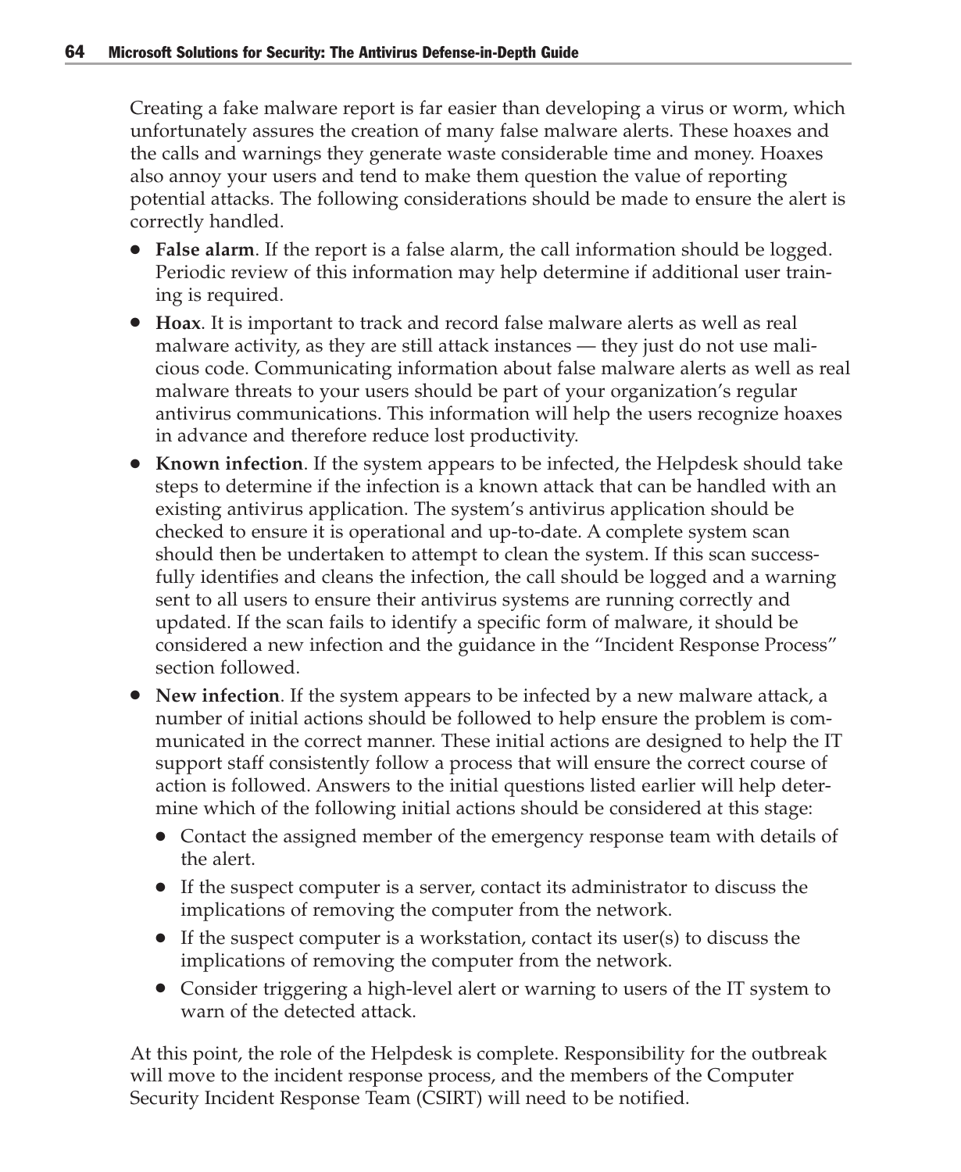Creating a fake malware report is far easier than developing a virus or worm, which unfortunately assures the creation of many false malware alerts. These hoaxes and the calls and warnings they generate waste considerable time and money. Hoaxes also annoy your users and tend to make them question the value of reporting potential attacks. The following considerations should be made to ensure the alert is correctly handled.

- **False alarm**. If the report is a false alarm, the call information should be logged. Periodic review of this information may help determine if additional user training is required.
- **Hoax**. It is important to track and record false malware alerts as well as real malware activity, as they are still attack instances — they just do not use malicious code. Communicating information about false malware alerts as well as real malware threats to your users should be part of your organization's regular antivirus communications. This information will help the users recognize hoaxes in advance and therefore reduce lost productivity.
- **Known infection**. If the system appears to be infected, the Helpdesk should take steps to determine if the infection is a known attack that can be handled with an existing antivirus application. The system's antivirus application should be checked to ensure it is operational and up-to-date. A complete system scan should then be undertaken to attempt to clean the system. If this scan successfully identifies and cleans the infection, the call should be logged and a warning sent to all users to ensure their antivirus systems are running correctly and updated. If the scan fails to identify a specific form of malware, it should be considered a new infection and the guidance in the "Incident Response Process" section followed.
- **New infection**. If the system appears to be infected by a new malware attack, a number of initial actions should be followed to help ensure the problem is communicated in the correct manner. These initial actions are designed to help the IT support staff consistently follow a process that will ensure the correct course of action is followed. Answers to the initial questions listed earlier will help determine which of the following initial actions should be considered at this stage:
	- Contact the assigned member of the emergency response team with details of the alert.
	- If the suspect computer is a server, contact its administrator to discuss the implications of removing the computer from the network.
	- If the suspect computer is a workstation, contact its user(s) to discuss the implications of removing the computer from the network.
	- Consider triggering a high-level alert or warning to users of the IT system to warn of the detected attack.

At this point, the role of the Helpdesk is complete. Responsibility for the outbreak will move to the incident response process, and the members of the Computer Security Incident Response Team (CSIRT) will need to be notified.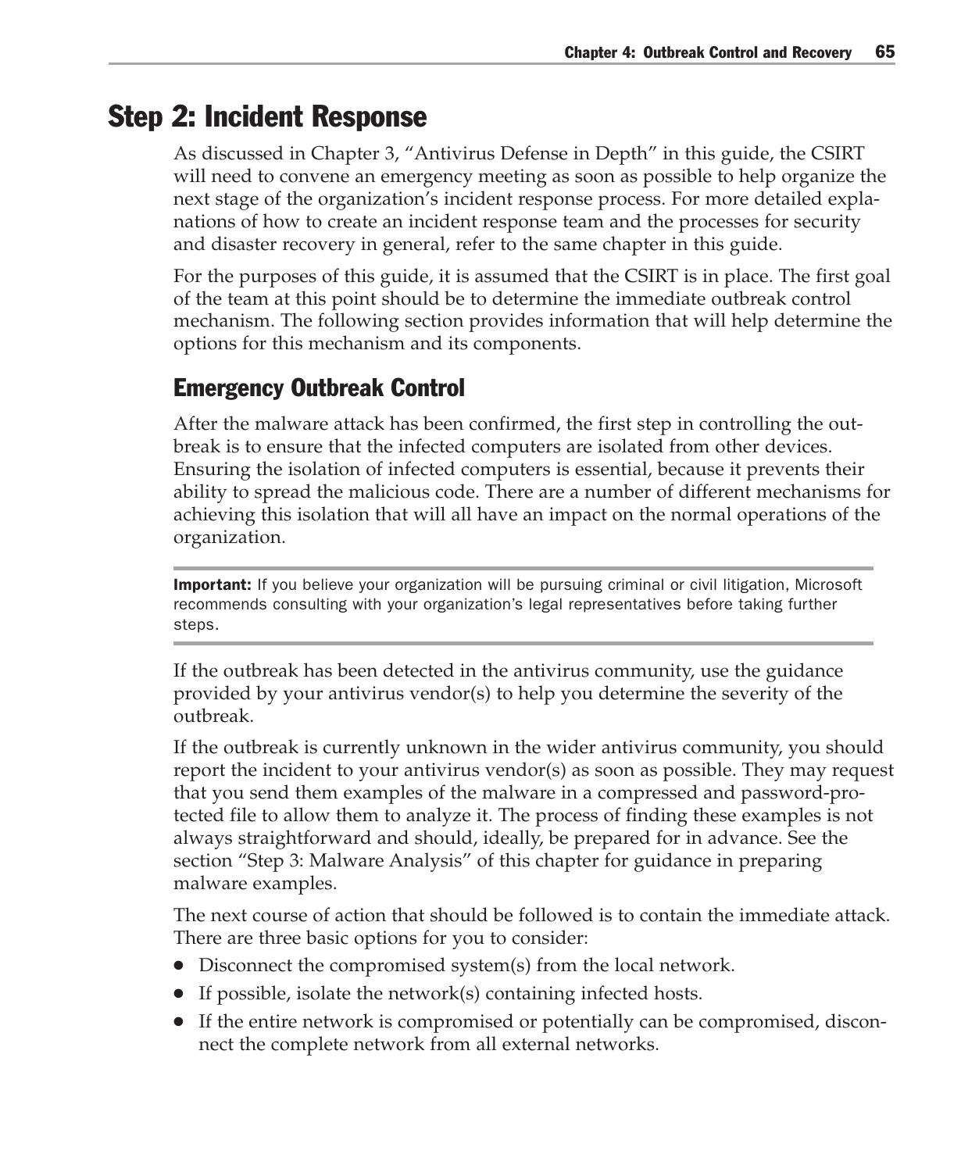# Step 2: Incident Response

As discussed in Chapter 3, "Antivirus Defense in Depth" in this guide, the CSIRT will need to convene an emergency meeting as soon as possible to help organize the next stage of the organization's incident response process. For more detailed explanations of how to create an incident response team and the processes for security and disaster recovery in general, refer to the same chapter in this guide.

For the purposes of this guide, it is assumed that the CSIRT is in place. The first goal of the team at this point should be to determine the immediate outbreak control mechanism. The following section provides information that will help determine the options for this mechanism and its components.

## Emergency Outbreak Control

After the malware attack has been confirmed, the first step in controlling the outbreak is to ensure that the infected computers are isolated from other devices. Ensuring the isolation of infected computers is essential, because it prevents their ability to spread the malicious code. There are a number of different mechanisms for achieving this isolation that will all have an impact on the normal operations of the organization.

**Important:** If you believe your organization will be pursuing criminal or civil litigation, Microsoft recommends consulting with your organization's legal representatives before taking further steps.

If the outbreak has been detected in the antivirus community, use the guidance provided by your antivirus vendor(s) to help you determine the severity of the outbreak.

If the outbreak is currently unknown in the wider antivirus community, you should report the incident to your antivirus vendor(s) as soon as possible. They may request that you send them examples of the malware in a compressed and password-protected file to allow them to analyze it. The process of finding these examples is not always straightforward and should, ideally, be prepared for in advance. See the section "Step 3: Malware Analysis" of this chapter for guidance in preparing malware examples.

The next course of action that should be followed is to contain the immediate attack. There are three basic options for you to consider:

- Disconnect the compromised system(s) from the local network.
- If possible, isolate the network(s) containing infected hosts.
- If the entire network is compromised or potentially can be compromised, disconnect the complete network from all external networks.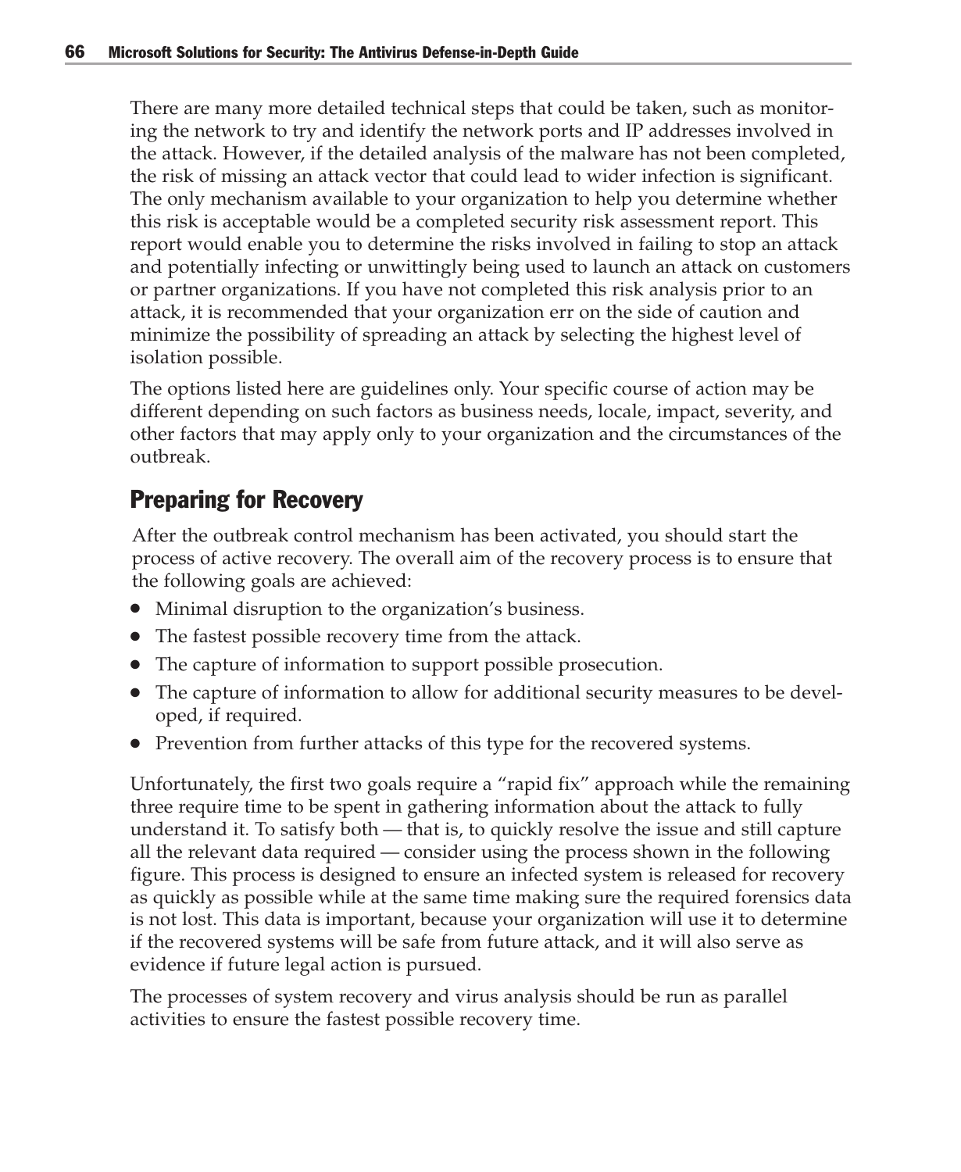There are many more detailed technical steps that could be taken, such as monitoring the network to try and identify the network ports and IP addresses involved in the attack. However, if the detailed analysis of the malware has not been completed, the risk of missing an attack vector that could lead to wider infection is significant. The only mechanism available to your organization to help you determine whether this risk is acceptable would be a completed security risk assessment report. This report would enable you to determine the risks involved in failing to stop an attack and potentially infecting or unwittingly being used to launch an attack on customers or partner organizations. If you have not completed this risk analysis prior to an attack, it is recommended that your organization err on the side of caution and minimize the possibility of spreading an attack by selecting the highest level of isolation possible.

The options listed here are guidelines only. Your specific course of action may be different depending on such factors as business needs, locale, impact, severity, and other factors that may apply only to your organization and the circumstances of the outbreak.

## Preparing for Recovery

After the outbreak control mechanism has been activated, you should start the process of active recovery. The overall aim of the recovery process is to ensure that the following goals are achieved:

- Minimal disruption to the organization's business.
- The fastest possible recovery time from the attack.
- The capture of information to support possible prosecution.
- The capture of information to allow for additional security measures to be developed, if required.
- Prevention from further attacks of this type for the recovered systems.

Unfortunately, the first two goals require a "rapid fix" approach while the remaining three require time to be spent in gathering information about the attack to fully understand it. To satisfy both — that is, to quickly resolve the issue and still capture all the relevant data required — consider using the process shown in the following figure. This process is designed to ensure an infected system is released for recovery as quickly as possible while at the same time making sure the required forensics data is not lost. This data is important, because your organization will use it to determine if the recovered systems will be safe from future attack, and it will also serve as evidence if future legal action is pursued.

The processes of system recovery and virus analysis should be run as parallel activities to ensure the fastest possible recovery time.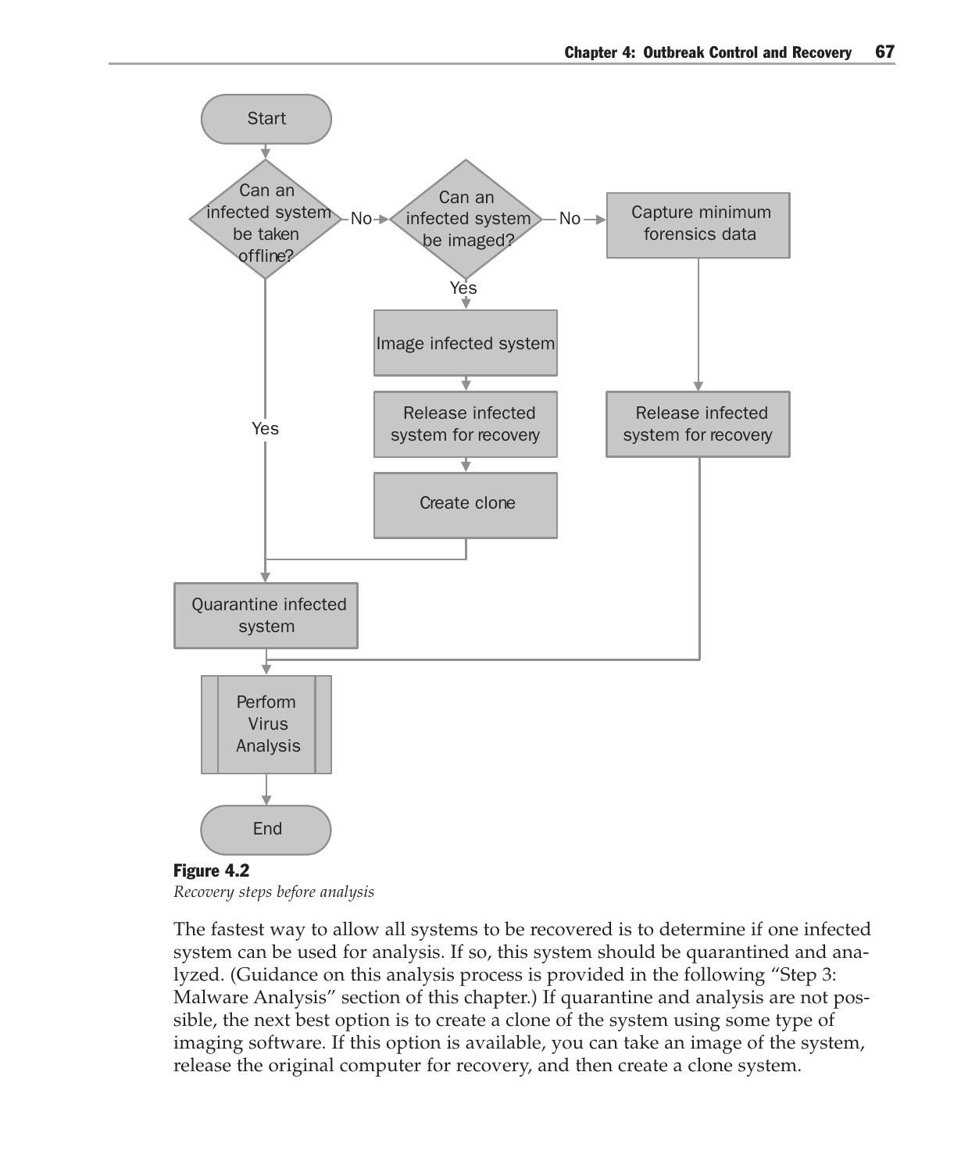



The fastest way to allow all systems to be recovered is to determine if one infected system can be used for analysis. If so, this system should be quarantined and analyzed. (Guidance on this analysis process is provided in the following "Step 3: Malware Analysis" section of this chapter.) If quarantine and analysis are not possible, the next best option is to create a clone of the system using some type of imaging software. If this option is available, you can take an image of the system, release the original computer for recovery, and then create a clone system.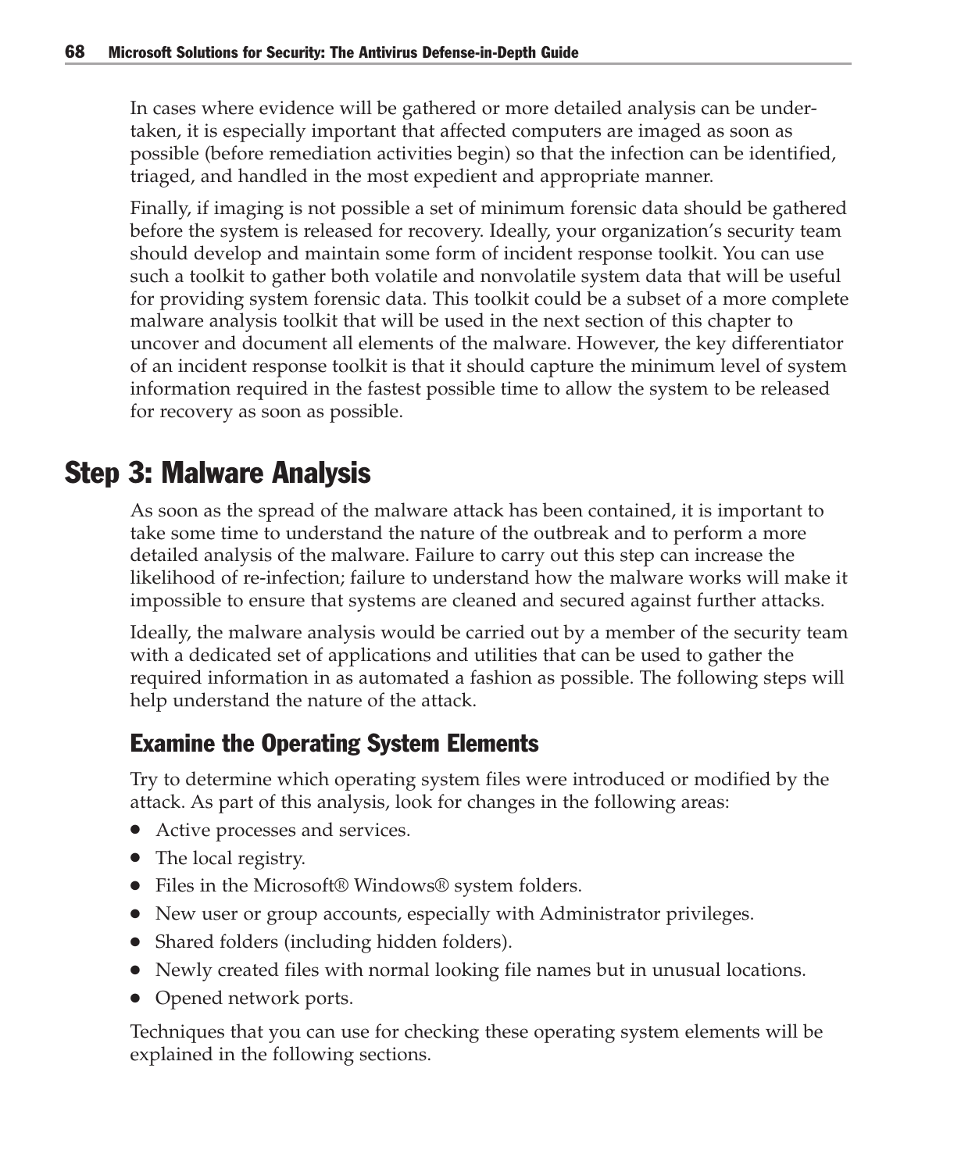In cases where evidence will be gathered or more detailed analysis can be undertaken, it is especially important that affected computers are imaged as soon as possible (before remediation activities begin) so that the infection can be identified, triaged, and handled in the most expedient and appropriate manner.

Finally, if imaging is not possible a set of minimum forensic data should be gathered before the system is released for recovery. Ideally, your organization's security team should develop and maintain some form of incident response toolkit. You can use such a toolkit to gather both volatile and nonvolatile system data that will be useful for providing system forensic data. This toolkit could be a subset of a more complete malware analysis toolkit that will be used in the next section of this chapter to uncover and document all elements of the malware. However, the key differentiator of an incident response toolkit is that it should capture the minimum level of system information required in the fastest possible time to allow the system to be released for recovery as soon as possible.

# Step 3: Malware Analysis

As soon as the spread of the malware attack has been contained, it is important to take some time to understand the nature of the outbreak and to perform a more detailed analysis of the malware. Failure to carry out this step can increase the likelihood of re-infection; failure to understand how the malware works will make it impossible to ensure that systems are cleaned and secured against further attacks.

Ideally, the malware analysis would be carried out by a member of the security team with a dedicated set of applications and utilities that can be used to gather the required information in as automated a fashion as possible. The following steps will help understand the nature of the attack.

# Examine the Operating System Elements

Try to determine which operating system files were introduced or modified by the attack. As part of this analysis, look for changes in the following areas:

- Active processes and services.
- The local registry.
- Files in the Microsoft<sup>®</sup> Windows<sup>®</sup> system folders.
- New user or group accounts, especially with Administrator privileges.
- Shared folders (including hidden folders).
- Newly created files with normal looking file names but in unusual locations.
- Opened network ports.

Techniques that you can use for checking these operating system elements will be explained in the following sections.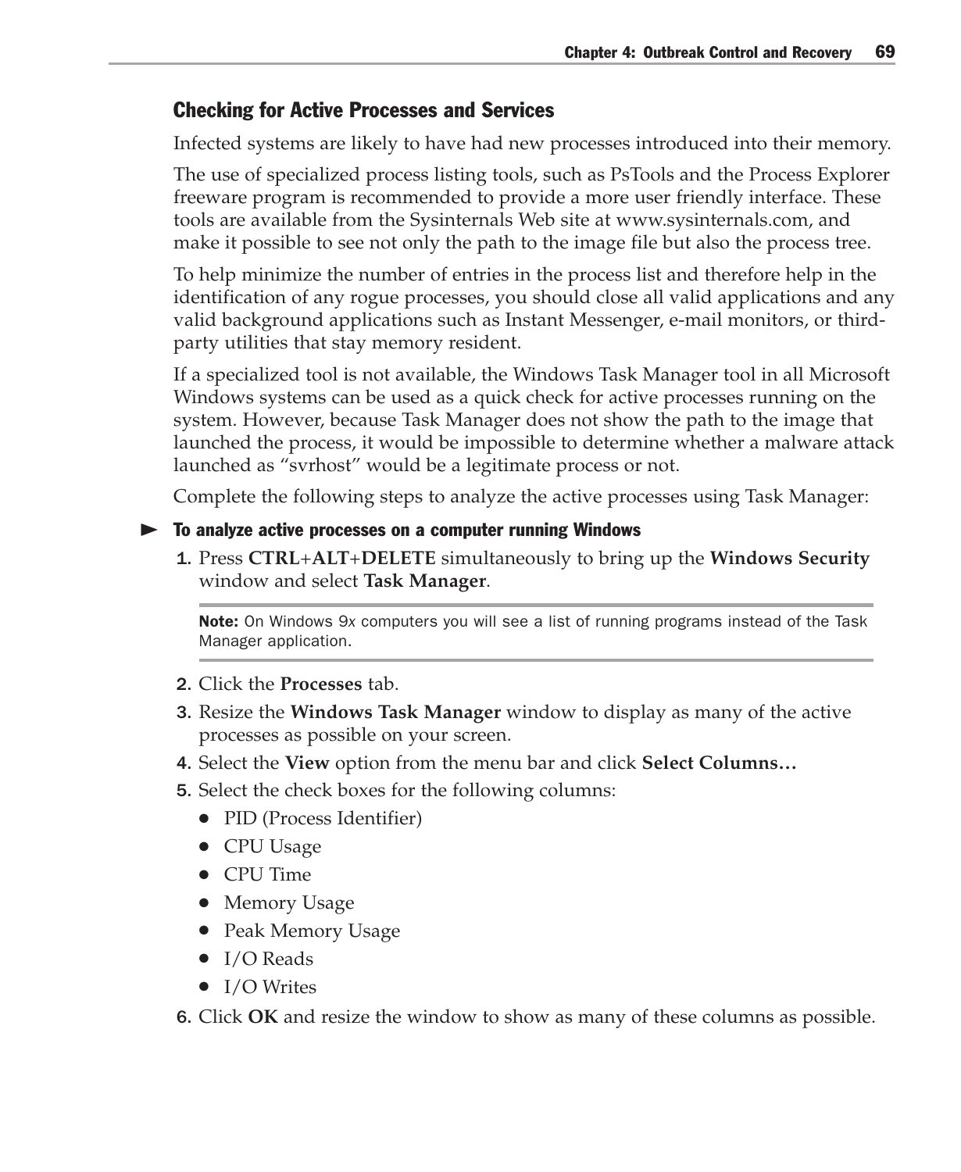### Checking for Active Processes and Services

Infected systems are likely to have had new processes introduced into their memory.

The use of specialized process listing tools, such as PsTools and the Process Explorer freeware program is recommended to provide a more user friendly interface. These tools are available from the Sysinternals Web site at www.sysinternals.com, and make it possible to see not only the path to the image file but also the process tree.

To help minimize the number of entries in the process list and therefore help in the identification of any rogue processes, you should close all valid applications and any valid background applications such as Instant Messenger, e-mail monitors, or thirdparty utilities that stay memory resident.

If a specialized tool is not available, the Windows Task Manager tool in all Microsoft Windows systems can be used as a quick check for active processes running on the system. However, because Task Manager does not show the path to the image that launched the process, it would be impossible to determine whether a malware attack launched as "svrhost" would be a legitimate process or not.

Complete the following steps to analyze the active processes using Task Manager:

#### To analyze active processes on a computer running Windows

1. Press **CTRL**+**ALT**+**DELETE** simultaneously to bring up the **Windows Security** window and select **Task Manager**.

Note: On Windows 9*x* computers you will see a list of running programs instead of the Task Manager application.

- 2. Click the **Processes** tab.
- 3. Resize the **Windows Task Manager** window to display as many of the active processes as possible on your screen.
- 4. Select the **View** option from the menu bar and click **Select Columns…**
- 5. Select the check boxes for the following columns:
	- PID (Process Identifier)
	- CPU Usage
	- CPU Time
	- Memory Usage
	- Peak Memory Usage
	- $\bullet$  I/O Reads
	- I/O Writes

6. Click **OK** and resize the window to show as many of these columns as possible.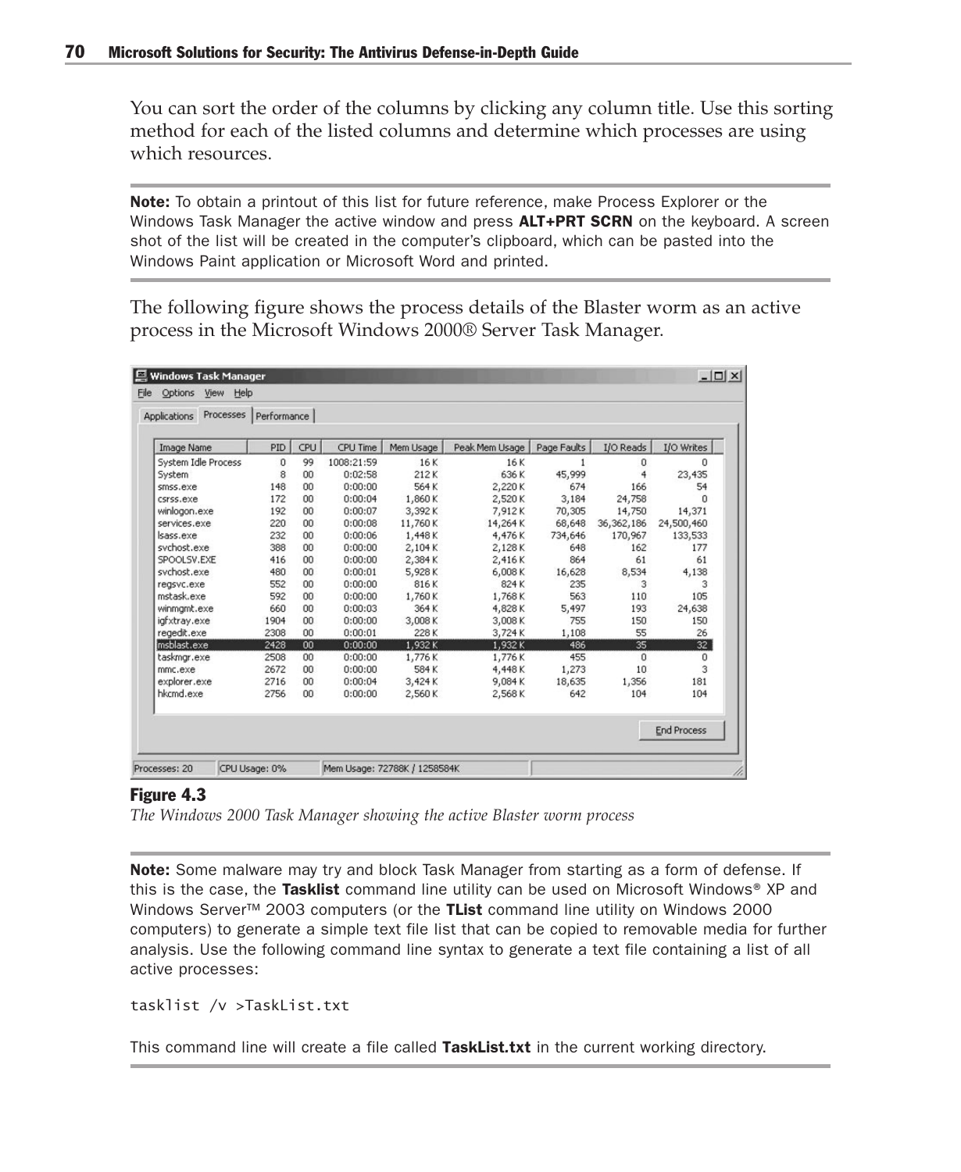You can sort the order of the columns by clicking any column title. Use this sorting method for each of the listed columns and determine which processes are using which resources.

Note: To obtain a printout of this list for future reference, make Process Explorer or the Windows Task Manager the active window and press **ALT+PRT SCRN** on the keyboard. A screen shot of the list will be created in the computer's clipboard, which can be pasted into the Windows Paint application or Microsoft Word and printed.

The following figure shows the process details of the Blaster worm as an active process in the Microsoft Windows 2000® Server Task Manager.

| <b>Processes</b><br><b>Applications</b> | Performance |     |            |           |                |             |              |                    |
|-----------------------------------------|-------------|-----|------------|-----------|----------------|-------------|--------------|--------------------|
| Image Name                              | PID         | CPU | CPU Time   | Mem Usage | Peak Mem Usage | Page Faults | I/O Reads    | I/O Writes         |
| System Idle Process                     | $\Omega$    | 99  | 1008:21:59 | 16K       | 16K            |             | 0            | $\Omega$           |
| System                                  | 8           | 00  | 0:02:58    | 212K      | 636 K          | 45,999      | 4            | 23,435             |
| smss.exe                                | 148         | 00  | 0:00:00    | 564 K     | 2,220K         | 674         | 166          | 54                 |
| csrss.exe                               | 172         | 00  | 0:00:04    | 1,860K    | 2,520K         | 3,184       | 24,758       | $\Omega$           |
| winlogon.exe                            | 192         | 00  | 0:00:07    | 3,392K    | 7.912K         | 70,305      | 14,750       | 14,371             |
| services.exe                            | 220         | 00  | 0:00:08    | 11,760K   | 14,264K        | 68,648      | 36, 362, 186 | 24,500,460         |
| sass.exe                                | 232         | 00  | 0:00:06    | 1,448K    | 4,476K         | 734,646     | 170,967      | 133,533            |
| sychost.exe                             | 388         | 00  | 0:00:00    | 2,104K    | 2,128K         | 648         | 162          | 177                |
| SPOOLSV.EXE                             | 416         | 00  | 0:00:00    | 2,384K    | 2,416K         | 864         | 61           | 61                 |
| sychost.exe                             | 480         | 00  | 0:00:01    | 5,928K    | 6,008K         | 16,628      | 8,534        | 4,138              |
| regsvc.exe                              | 552         | 00  | 0:00:00    | 816K      | 824 K          | 235         | 3            | 3                  |
| mstask.exe                              | 592         | 00  | 0:00:00    | 1,760K    | 1,768K         | 563         | 110          | 105                |
| winmgmt.exe                             | 660         | 00  | 0:00:03    | 364K      | 4,828K         | 5,497       | 193          | 24,638             |
| igfxtray.exe                            | 1904        | 00  | 0:00:00    | 3,008K    | 3,008K         | 755         | 150          | 150                |
| regedit.exe                             | 2308        | 00  | 0:00:01    | 228K      | 3,724K         | 1,108       | 55           | 26                 |
| msblast.exe                             | 2428        | 00  | 0:00:00    | 1,932K    | 1,932K         | 486         | 35           | 32                 |
| taskmgr.exe                             | 2508        | 00  | 0:00:00    | 1,776K    | 1,776K         | 455         | 0            | 0                  |
| mmc.exe                                 | 2672        | 00  | 0:00:00    | 584K      | 4,448K         | 1,273       | 10           | 3                  |
| explorer.exe                            | 2716        | 00  | 0:00:04    | 3,424K    | 9,084K         | 18,635      | 1,356        | 181                |
| hkcmd.exe                               | 2756        | 00  | 0:00:00    | 2,560K    | 2,568K         | 642         | 104          | 104                |
|                                         |             |     |            |           |                |             |              | <b>End Process</b> |

#### Figure 4.3

*The Windows 2000 Task Manager showing the active Blaster worm process*

Note: Some malware may try and block Task Manager from starting as a form of defense. If this is the case, the Tasklist command line utility can be used on Microsoft Windows<sup>®</sup> XP and Windows Server™ 2003 computers (or the TList command line utility on Windows 2000 computers) to generate a simple text file list that can be copied to removable media for further analysis. Use the following command line syntax to generate a text file containing a list of all active processes:

```
tasklist /v >TaskList.txt
```
This command line will create a file called TaskList*.*txt in the current working directory.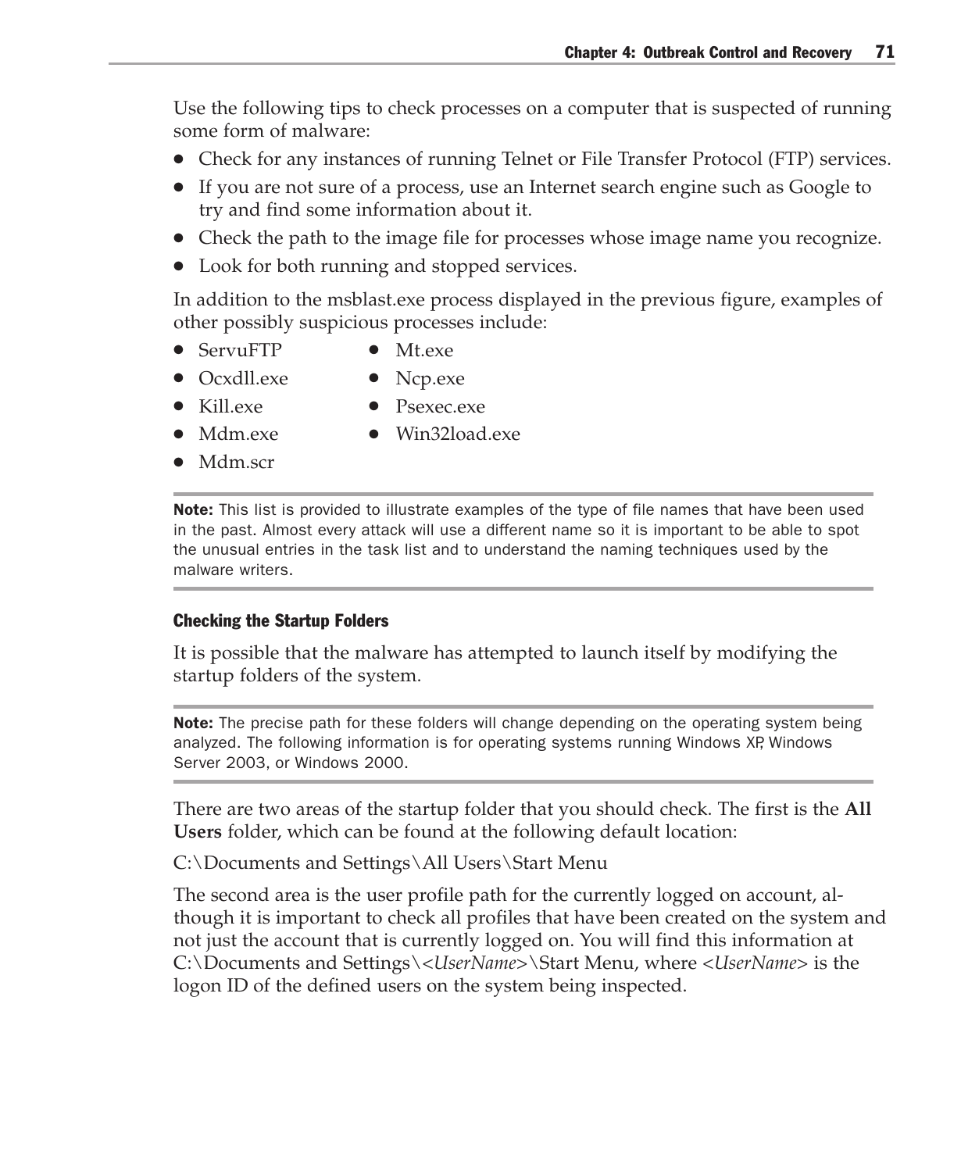Use the following tips to check processes on a computer that is suspected of running some form of malware:

- Check for any instances of running Telnet or File Transfer Protocol (FTP) services.
- If you are not sure of a process, use an Internet search engine such as Google to try and find some information about it.
- Check the path to the image file for processes whose image name you recognize.
- Look for both running and stopped services.

In addition to the msblast.exe process displayed in the previous figure, examples of other possibly suspicious processes include:

- ServuFTP Mt.exe
- Ocxdll.exe Ncp.exe
- 
- Kill.exe Psexec.exe
- 
- Mdm.exe Win32load.exe
- Mdm.scr

**Note:** This list is provided to illustrate examples of the type of file names that have been used in the past. Almost every attack will use a different name so it is important to be able to spot the unusual entries in the task list and to understand the naming techniques used by the malware writers.

#### Checking the Startup Folders

It is possible that the malware has attempted to launch itself by modifying the startup folders of the system.

Note: The precise path for these folders will change depending on the operating system being analyzed. The following information is for operating systems running Windows XP, Windows Server 2003, or Windows 2000.

There are two areas of the startup folder that you should check. The first is the **All Users** folder, which can be found at the following default location:

C:\Documents and Settings\All Users\Start Menu

The second area is the user profile path for the currently logged on account, although it is important to check all profiles that have been created on the system and not just the account that is currently logged on. You will find this information at C:\Documents and Settings\*<UserName>*\Start Menu, where *<UserName>* is the logon ID of the defined users on the system being inspected.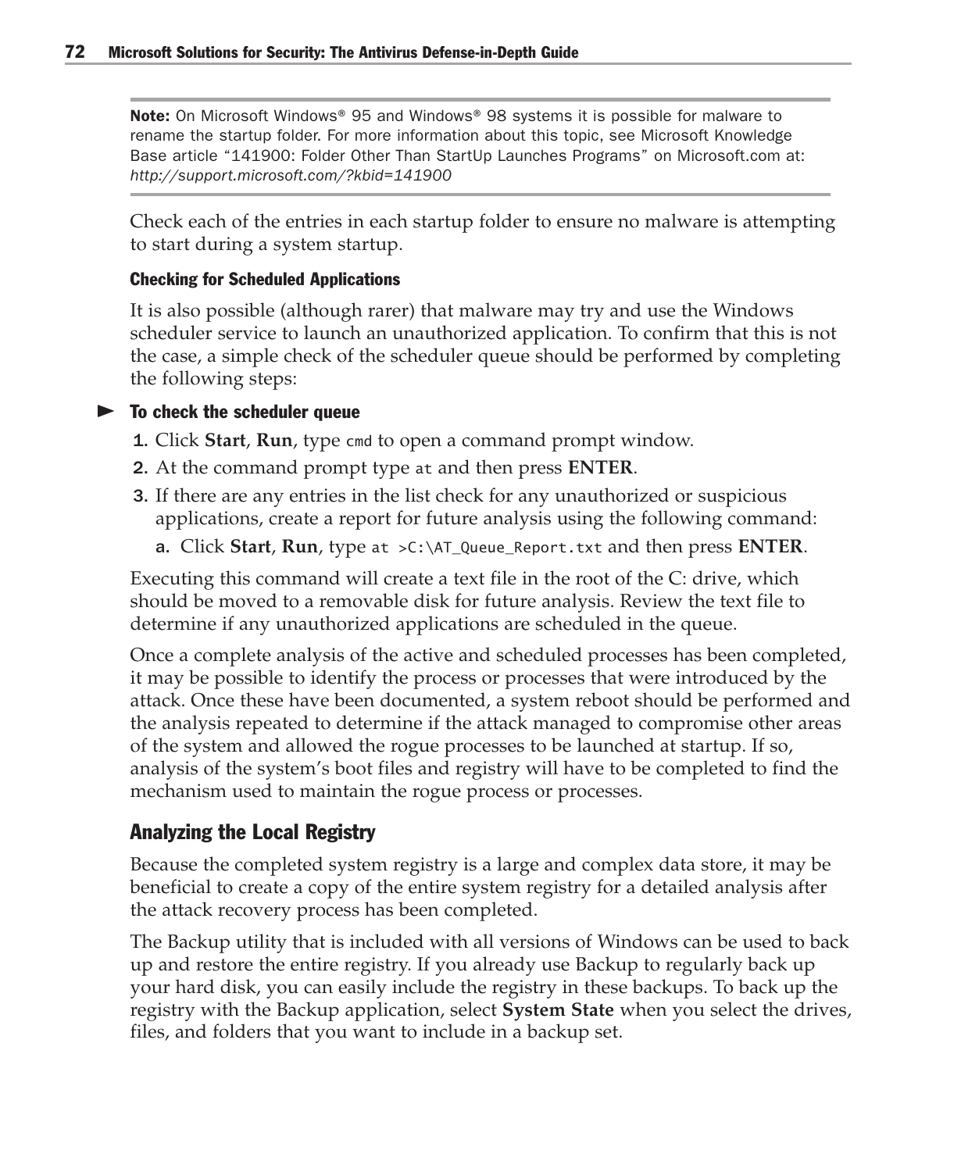Note: On Microsoft Windows® 95 and Windows® 98 systems it is possible for malware to rename the startup folder. For more information about this topic, see Microsoft Knowledge Base article "141900: Folder Other Than StartUp Launches Programs" on Microsoft.com at: *http://support.microsoft.com/?kbid=141900*

Check each of the entries in each startup folder to ensure no malware is attempting to start during a system startup.

#### Checking for Scheduled Applications

It is also possible (although rarer) that malware may try and use the Windows scheduler service to launch an unauthorized application. To confirm that this is not the case, a simple check of the scheduler queue should be performed by completing the following steps:

#### $\blacktriangleright$  To check the scheduler queue

- 1. Click **Start**, **Run**, type cmd to open a command prompt window.
- 2. At the command prompt type at and then press **ENTER**.
- 3. If there are any entries in the list check for any unauthorized or suspicious applications, create a report for future analysis using the following command:
	- a. Click **Start**, **Run**, type at >C:\AT\_Queue\_Report.txt and then press **ENTER**.

Executing this command will create a text file in the root of the C: drive, which should be moved to a removable disk for future analysis. Review the text file to determine if any unauthorized applications are scheduled in the queue.

Once a complete analysis of the active and scheduled processes has been completed, it may be possible to identify the process or processes that were introduced by the attack. Once these have been documented, a system reboot should be performed and the analysis repeated to determine if the attack managed to compromise other areas of the system and allowed the rogue processes to be launched at startup. If so, analysis of the system's boot files and registry will have to be completed to find the mechanism used to maintain the rogue process or processes.

### Analyzing the Local Registry

Because the completed system registry is a large and complex data store, it may be beneficial to create a copy of the entire system registry for a detailed analysis after the attack recovery process has been completed.

The Backup utility that is included with all versions of Windows can be used to back up and restore the entire registry. If you already use Backup to regularly back up your hard disk, you can easily include the registry in these backups. To back up the registry with the Backup application, select **System State** when you select the drives, files, and folders that you want to include in a backup set.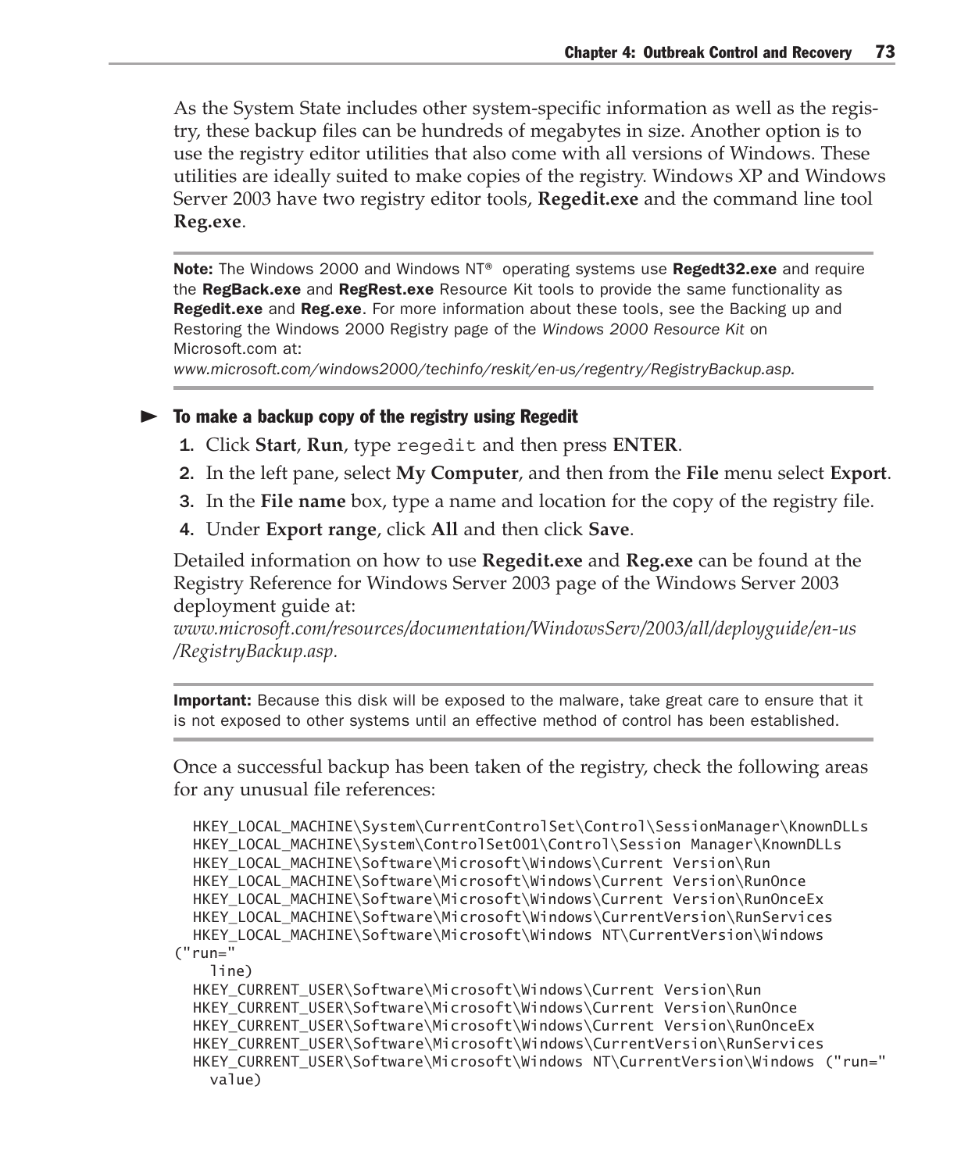As the System State includes other system-specific information as well as the registry, these backup files can be hundreds of megabytes in size. Another option is to use the registry editor utilities that also come with all versions of Windows. These utilities are ideally suited to make copies of the registry. Windows XP and Windows Server 2003 have two registry editor tools, **Regedit.exe** and the command line tool **Reg.exe**.

Note: The Windows 2000 and Windows NT® operating systems use Regedt32.exe and require the RegBack.exe and RegRest.exe Resource Kit tools to provide the same functionality as **Regedit.exe** and **Reg.exe**. For more information about these tools, see the Backing up and Restoring the Windows 2000 Registry page of the *Windows 2000 Resource Kit* on Microsoft.com at:

*www.microsoft.com/windows2000/techinfo/reskit/en-us/regentry/RegistryBackup.asp.*

#### $\triangleright$  To make a backup copy of the registry using Regedit

- 1. Click **Start**, **Run**, type regedit and then press **ENTER**.
- 2. In the left pane, select **My Computer**, and then from the **File** menu select **Export**.
- 3. In the **File name** box, type a name and location for the copy of the registry file.
- 4. Under **Export range**, click **All** and then click **Save**.

Detailed information on how to use **Regedit.exe** and **Reg.exe** can be found at the Registry Reference for Windows Server 2003 page of the Windows Server 2003 deployment guide at:

*www.microsoft.com/resources/documentation/WindowsServ/2003/all/deployguide/en-us /RegistryBackup.asp.*

Important: Because this disk will be exposed to the malware, take great care to ensure that it is not exposed to other systems until an effective method of control has been established.

Once a successful backup has been taken of the registry, check the following areas for any unusual file references:

```
HKEY_LOCAL_MACHINE\System\CurrentControlSet\Control\SessionManager\KnownDLLs
  HKEY_LOCAL_MACHINE\System\ControlSet001\Control\Session Manager\KnownDLLs
  HKEY_LOCAL_MACHINE\Software\Microsoft\Windows\Current Version\Run
  HKEY_LOCAL_MACHINE\Software\Microsoft\Windows\Current Version\RunOnce
  HKEY_LOCAL_MACHINE\Software\Microsoft\Windows\Current Version\RunOnceEx
  HKEY_LOCAL_MACHINE\Software\Microsoft\Windows\CurrentVersion\RunServices
 HKEY_LOCAL_MACHINE\Software\Microsoft\Windows NT\CurrentVersion\Windows
("run="
    line)
  HKEY_CURRENT_USER\Software\Microsoft\Windows\Current Version\Run
  HKEY_CURRENT_USER\Software\Microsoft\Windows\Current Version\RunOnce
  HKEY_CURRENT_USER\Software\Microsoft\Windows\Current Version\RunOnceEx
```

```
 HKEY_CURRENT_USER\Software\Microsoft\Windows\CurrentVersion\RunServices
 HKEY_CURRENT_USER\Software\Microsoft\Windows NT\CurrentVersion\Windows ("run="
  value)
```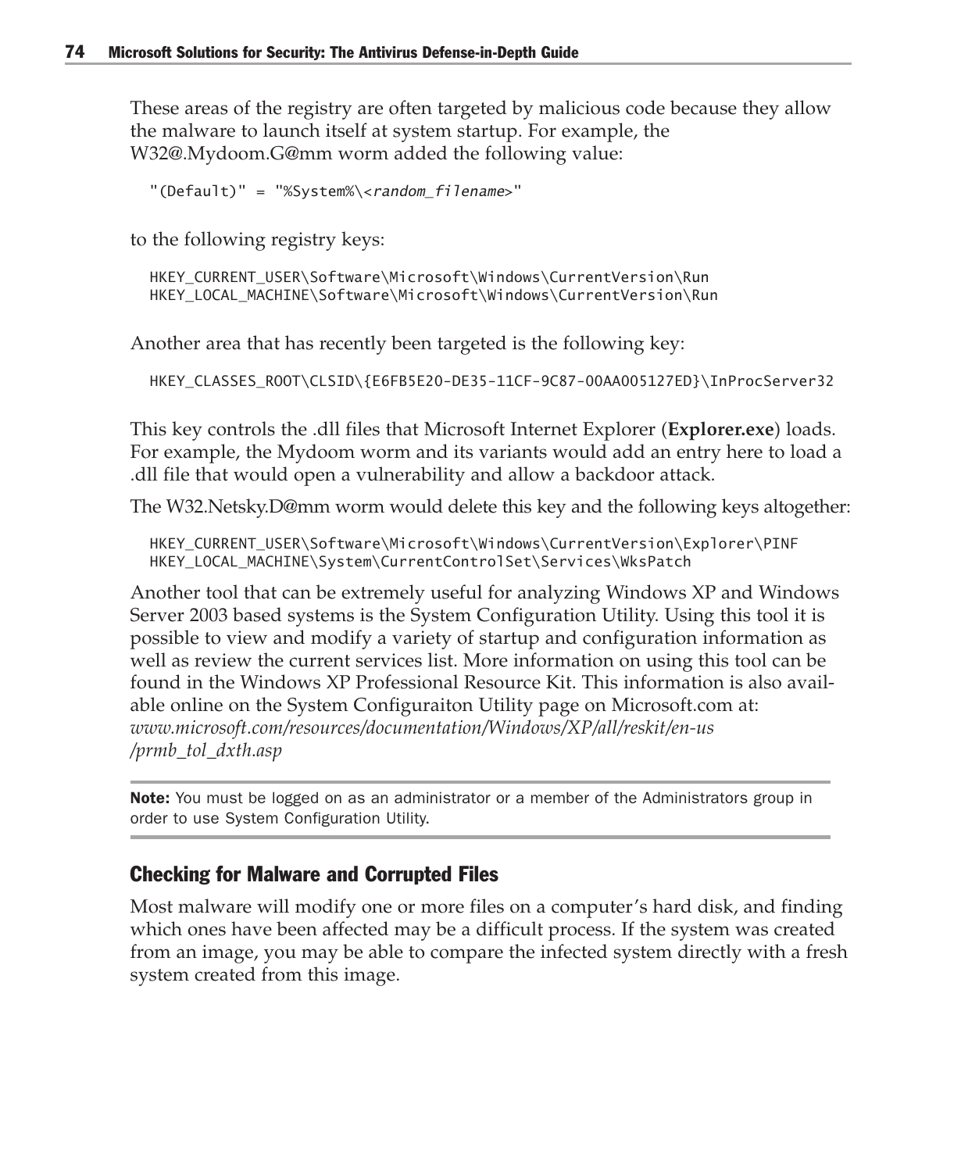These areas of the registry are often targeted by malicious code because they allow the malware to launch itself at system startup. For example, the W32@.Mydoom.G@mm worm added the following value:

"(Default)" = "%System%\<random\_filename>"

to the following registry keys:

 HKEY\_CURRENT\_USER\Software\Microsoft\Windows\CurrentVersion\Run HKEY\_LOCAL\_MACHINE\Software\Microsoft\Windows\CurrentVersion\Run

Another area that has recently been targeted is the following key:

HKEY\_CLASSES\_ROOT\CLSID\{E6FB5E20-DE35-11CF-9C87-00AA005127ED}\InProcServer32

This key controls the .dll files that Microsoft Internet Explorer (**Explorer.exe**) loads. For example, the Mydoom worm and its variants would add an entry here to load a .dll file that would open a vulnerability and allow a backdoor attack.

The W32.Netsky.D@mm worm would delete this key and the following keys altogether:

 HKEY\_CURRENT\_USER\Software\Microsoft\Windows\CurrentVersion\Explorer\PINF HKEY\_LOCAL\_MACHINE\System\CurrentControlSet\Services\WksPatch

Another tool that can be extremely useful for analyzing Windows XP and Windows Server 2003 based systems is the System Configuration Utility. Using this tool it is possible to view and modify a variety of startup and configuration information as well as review the current services list. More information on using this tool can be found in the Windows XP Professional Resource Kit. This information is also available online on the System Configuraiton Utility page on Microsoft.com at: *www.microsoft.com/resources/documentation/Windows/XP/all/reskit/en-us /prmb\_tol\_dxth.asp*

**Note:** You must be logged on as an administrator or a member of the Administrators group in order to use System Configuration Utility.

#### Checking for Malware and Corrupted Files

Most malware will modify one or more files on a computer's hard disk, and finding which ones have been affected may be a difficult process. If the system was created from an image, you may be able to compare the infected system directly with a fresh system created from this image.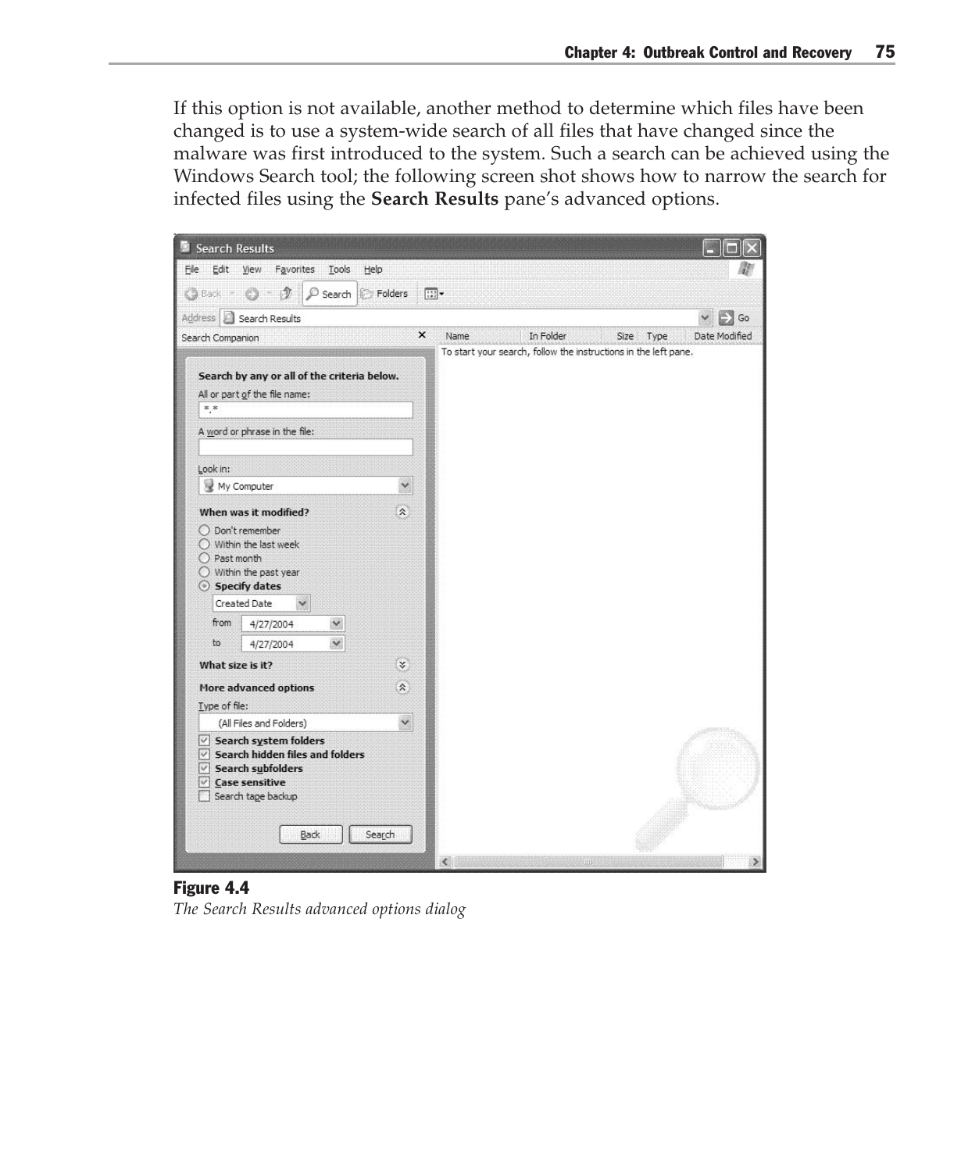If this option is not available, another method to determine which files have been changed is to use a system-wide search of all files that have changed since the malware was first introduced to the system. Such a search can be achieved using the Windows Search tool; the following screen shot shows how to narrow the search for infected files using the **Search Results** pane's advanced options.



#### Figure 4.4

*The Search Results advanced options dialog*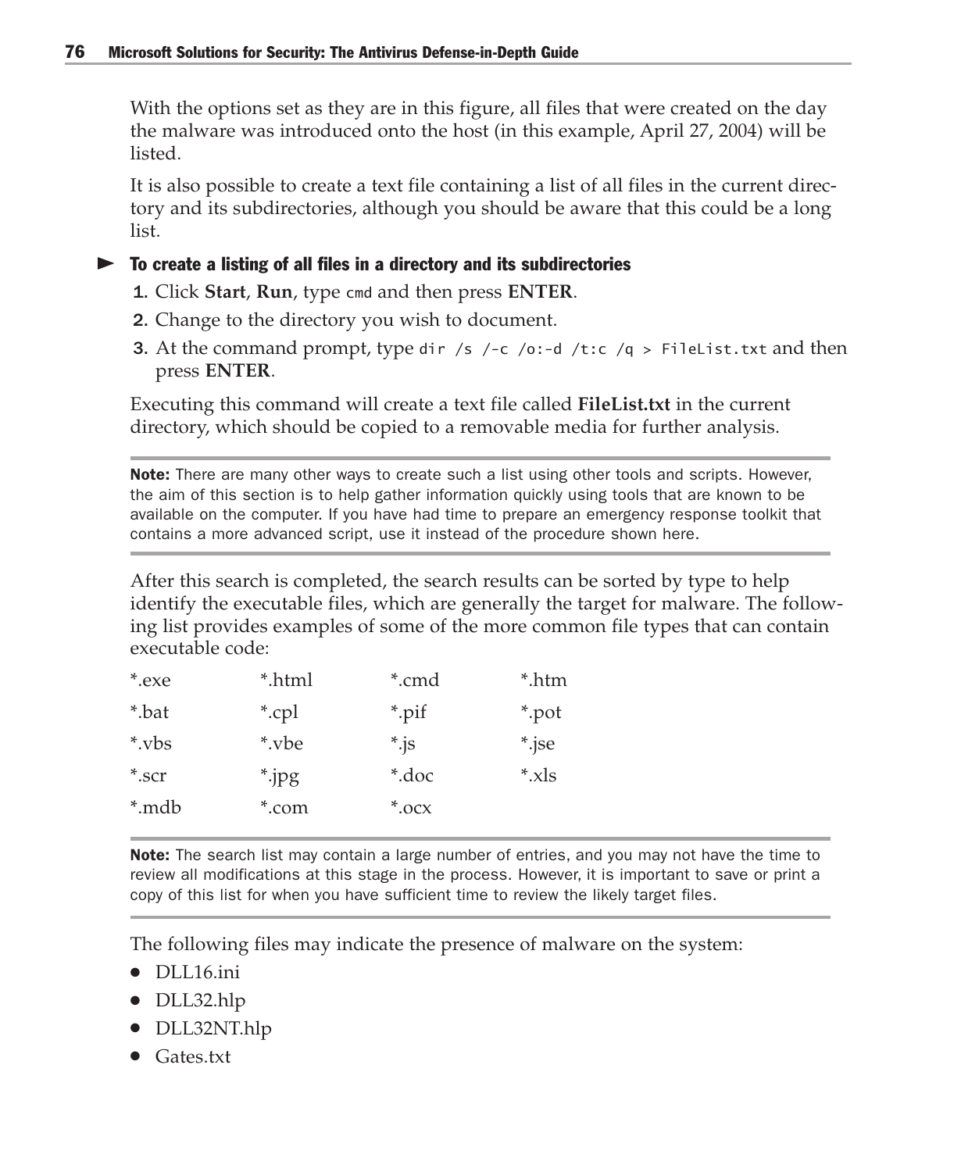With the options set as they are in this figure, all files that were created on the day the malware was introduced onto the host (in this example, April 27, 2004) will be listed.

It is also possible to create a text file containing a list of all files in the current directory and its subdirectories, although you should be aware that this could be a long list.

#### $\blacktriangleright$  To create a listing of all files in a directory and its subdirectories

- 1. Click **Start**, **Run**, type cmd and then press **ENTER**.
- 2. Change to the directory you wish to document.
- **3.** At the command prompt, type dir /s /-c /o:-d /t:c /q > FileList.txt and then press **ENTER**.

Executing this command will create a text file called **FileList.txt** in the current directory, which should be copied to a removable media for further analysis.

**Note:** There are many other ways to create such a list using other tools and scripts. However, the aim of this section is to help gather information quickly using tools that are known to be available on the computer. If you have had time to prepare an emergency response toolkit that contains a more advanced script, use it instead of the procedure shown here.

After this search is completed, the search results can be sorted by type to help identify the executable files, which are generally the target for malware. The following list provides examples of some of the more common file types that can contain executable code:

| *.html | *.cmd      | *.htm     |
|--------|------------|-----------|
| *.cpl  | *.pif      | *.pot     |
| *.vbe  | $\ast$ .js | *.jse     |
| *.jpg  | *.doc      | $*_{xls}$ |
| *.com  | $*$ .ocx   |           |
|        |            |           |

**Note:** The search list may contain a large number of entries, and you may not have the time to review all modifications at this stage in the process. However, it is important to save or print a copy of this list for when you have sufficient time to review the likely target files.

The following files may indicate the presence of malware on the system:

- DLL16.ini
- DLL32.hlp
- DLL32NT.hlp
- Gates.txt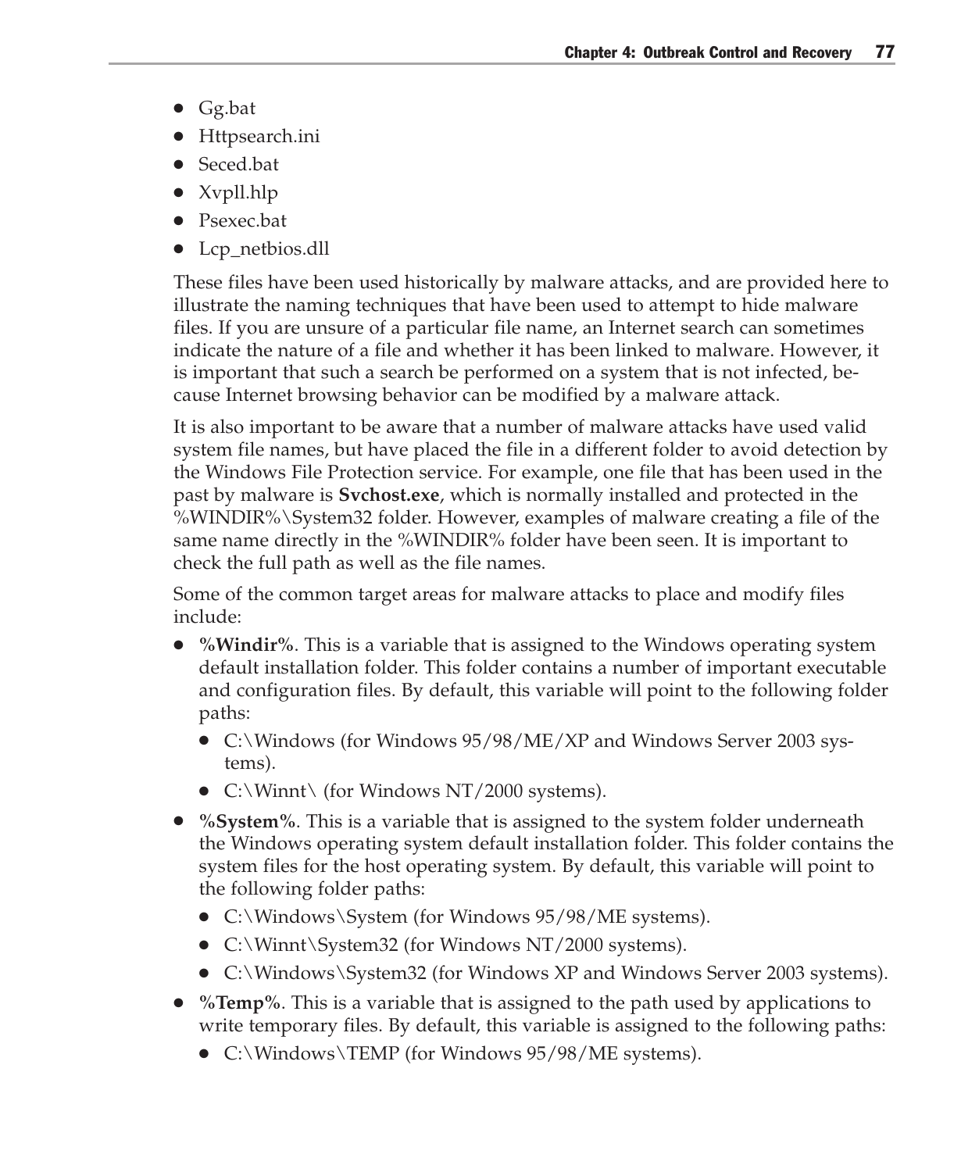- Gg.bat
- Httpsearch.ini
- Seced.bat
- Xvpll.hlp
- Psexec.bat
- Lcp\_netbios.dll

These files have been used historically by malware attacks, and are provided here to illustrate the naming techniques that have been used to attempt to hide malware files. If you are unsure of a particular file name, an Internet search can sometimes indicate the nature of a file and whether it has been linked to malware. However, it is important that such a search be performed on a system that is not infected, because Internet browsing behavior can be modified by a malware attack.

It is also important to be aware that a number of malware attacks have used valid system file names, but have placed the file in a different folder to avoid detection by the Windows File Protection service. For example, one file that has been used in the past by malware is **Svchost.exe**, which is normally installed and protected in the %WINDIR%\System32 folder. However, examples of malware creating a file of the same name directly in the %WINDIR% folder have been seen. It is important to check the full path as well as the file names.

Some of the common target areas for malware attacks to place and modify files include:

- %Windir%. This is a variable that is assigned to the Windows operating system default installation folder. This folder contains a number of important executable and configuration files. By default, this variable will point to the following folder paths:
	- C:\Windows (for Windows 95/98/ME/XP and Windows Server 2003 systems).
	- C:\Winnt\ (for Windows NT/2000 systems).
- %System%. This is a variable that is assigned to the system folder underneath the Windows operating system default installation folder. This folder contains the system files for the host operating system. By default, this variable will point to the following folder paths:
	- C:\Windows\System (for Windows 95/98/ME systems).
	- C:\Winnt\System32 (for Windows NT/2000 systems).
	- C:\Windows\System32 (for Windows XP and Windows Server 2003 systems).
- **%Temp%**. This is a variable that is assigned to the path used by applications to write temporary files. By default, this variable is assigned to the following paths:
	- C:\Windows\TEMP (for Windows 95/98/ME systems).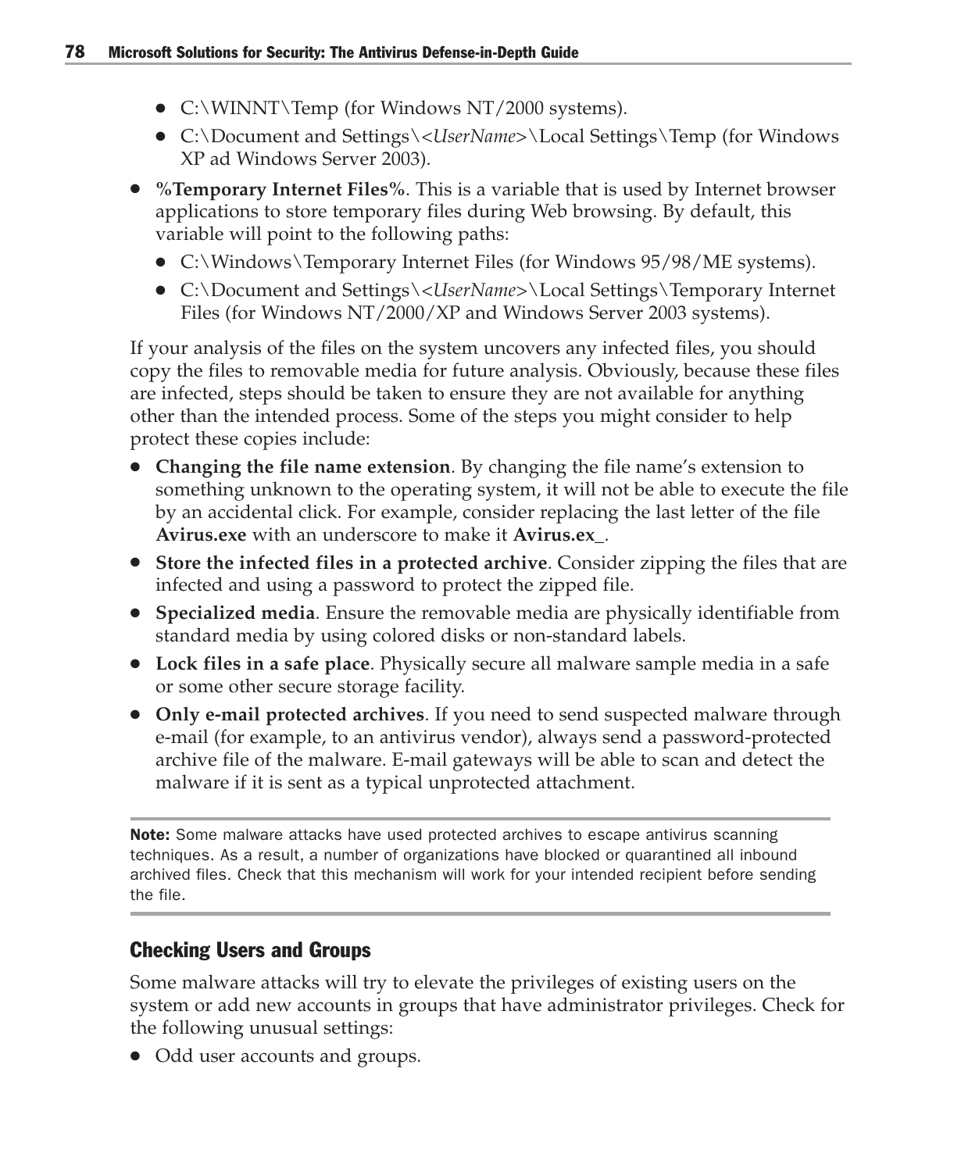- C:\WINNT\Temp (for Windows NT/2000 systems).
- C:\Document and Settings\*<UserName>*\Local Settings\Temp (for Windows XP ad Windows Server 2003).
- **%Temporary Internet Files%**. This is a variable that is used by Internet browser applications to store temporary files during Web browsing. By default, this variable will point to the following paths:
	- C:\Windows\Temporary Internet Files (for Windows 95/98/ME systems).
	- C:\Document and Settings\*<UserName>*\Local Settings\Temporary Internet Files (for Windows NT/2000/XP and Windows Server 2003 systems).

If your analysis of the files on the system uncovers any infected files, you should copy the files to removable media for future analysis. Obviously, because these files are infected, steps should be taken to ensure they are not available for anything other than the intended process. Some of the steps you might consider to help protect these copies include:

- **Changing the file name extension**. By changing the file name's extension to something unknown to the operating system, it will not be able to execute the file by an accidental click. For example, consider replacing the last letter of the file **Avirus.exe** with an underscore to make it **Avirus.ex\_**.
- **Store the infected files in a protected archive**. Consider zipping the files that are infected and using a password to protect the zipped file.
- **Specialized media**. Ensure the removable media are physically identifiable from standard media by using colored disks or non-standard labels.
- **Lock files in a safe place**. Physically secure all malware sample media in a safe or some other secure storage facility.
- **Only e-mail protected archives**. If you need to send suspected malware through e-mail (for example, to an antivirus vendor), always send a password-protected archive file of the malware. E-mail gateways will be able to scan and detect the malware if it is sent as a typical unprotected attachment.

**Note:** Some malware attacks have used protected archives to escape antivirus scanning techniques. As a result, a number of organizations have blocked or quarantined all inbound archived files. Check that this mechanism will work for your intended recipient before sending the file.

## Checking Users and Groups

Some malware attacks will try to elevate the privileges of existing users on the system or add new accounts in groups that have administrator privileges. Check for the following unusual settings:

• Odd user accounts and groups.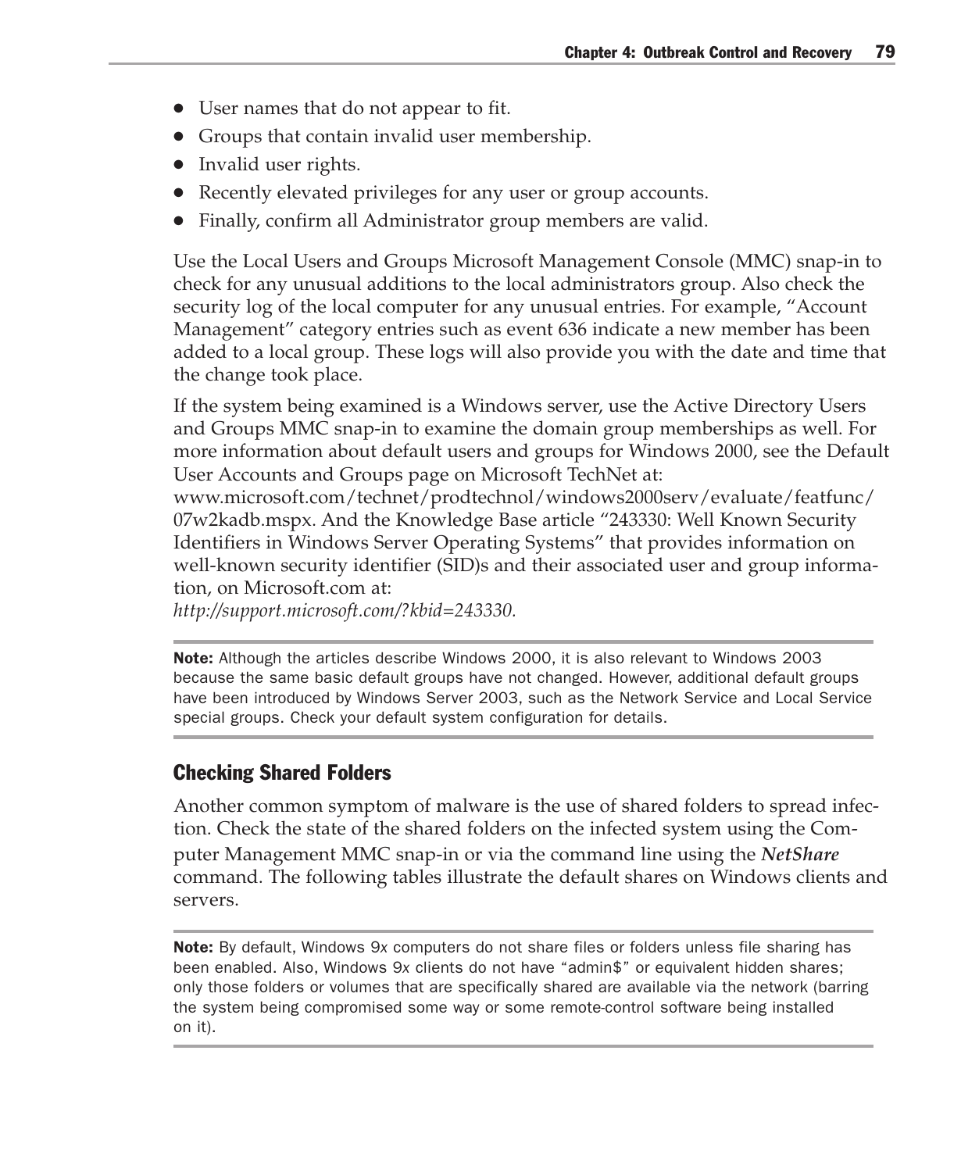- User names that do not appear to fit.
- Groups that contain invalid user membership.
- Invalid user rights.
- Recently elevated privileges for any user or group accounts.
- Finally, confirm all Administrator group members are valid.

Use the Local Users and Groups Microsoft Management Console (MMC) snap-in to check for any unusual additions to the local administrators group. Also check the security log of the local computer for any unusual entries. For example, "Account Management" category entries such as event 636 indicate a new member has been added to a local group. These logs will also provide you with the date and time that the change took place.

If the system being examined is a Windows server, use the Active Directory Users and Groups MMC snap-in to examine the domain group memberships as well. For more information about default users and groups for Windows 2000, see the Default User Accounts and Groups page on Microsoft TechNet at:

www.microsoft.com/technet/prodtechnol/windows2000serv/evaluate/featfunc/ 07w2kadb.mspx. And the Knowledge Base article "243330: Well Known Security Identifiers in Windows Server Operating Systems" that provides information on well-known security identifier (SID)s and their associated user and group information, on Microsoft.com at:

*http://support.microsoft.com/?kbid=243330.*

Note: Although the articles describe Windows 2000, it is also relevant to Windows 2003 because the same basic default groups have not changed. However, additional default groups have been introduced by Windows Server 2003, such as the Network Service and Local Service special groups. Check your default system configuration for details.

### Checking Shared Folders

Another common symptom of malware is the use of shared folders to spread infection. Check the state of the shared folders on the infected system using the Com-

puter Management MMC snap-in or via the command line using the *NetShare* command. The following tables illustrate the default shares on Windows clients and servers.

Note: By default, Windows 9*x* computers do not share files or folders unless file sharing has been enabled. Also, Windows 9*x* clients do not have "admin\$" or equivalent hidden shares; only those folders or volumes that are specifically shared are available via the network (barring the system being compromised some way or some remote-control software being installed on it).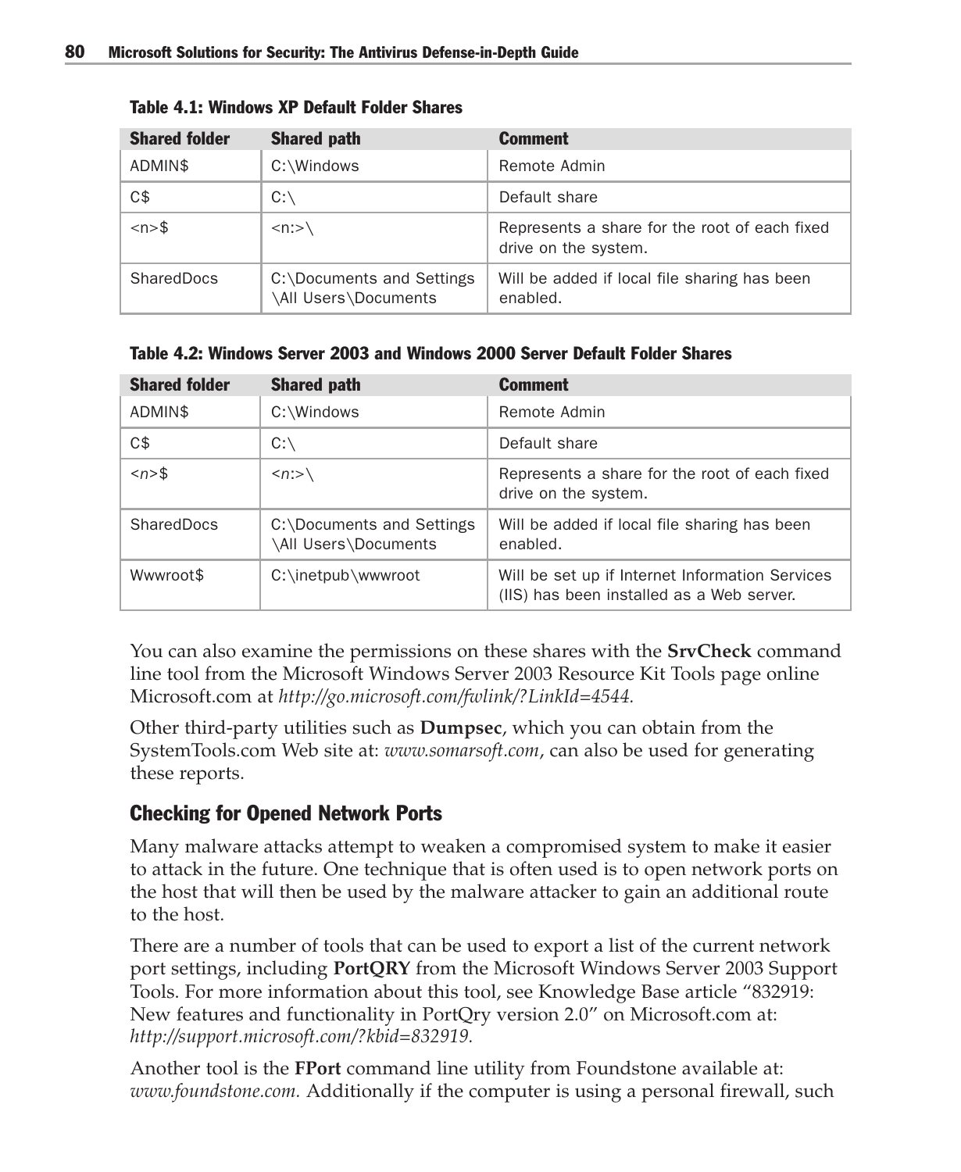| <b>Shared folder</b>   | <b>Shared path</b>                                | <b>Comment</b>                                                        |
|------------------------|---------------------------------------------------|-----------------------------------------------------------------------|
| ADMIN\$                | C:\Windows                                        | Remote Admin                                                          |
| C\$                    | $C:\setminus$                                     | Default share                                                         |
| $\langle n \rangle$ \$ | $\langle n:>\rangle$                              | Represents a share for the root of each fixed<br>drive on the system. |
| SharedDocs             | C:\Documents and Settings<br>\All Users\Documents | Will be added if local file sharing has been<br>enabled.              |

Table 4.1: Windows XP Default Folder Shares

Table 4.2: Windows Server 2003 and Windows 2000 Server Default Folder Shares

| <b>Shared folder</b>   | <b>Shared path</b>                                | <b>Comment</b>                                                                               |
|------------------------|---------------------------------------------------|----------------------------------------------------------------------------------------------|
| ADMIN\$                | C:\Windows                                        | Remote Admin                                                                                 |
| C\$                    | $C:\setminus$                                     | Default share                                                                                |
| $\langle n \rangle$ \$ | $\langle n:>\rangle$                              | Represents a share for the root of each fixed<br>drive on the system.                        |
| SharedDocs             | C:\Documents and Settings<br>\All Users\Documents | Will be added if local file sharing has been<br>enabled.                                     |
| Wwwroot\$              | C:\inetpub\wwwroot                                | Will be set up if Internet Information Services<br>(IIS) has been installed as a Web server. |

You can also examine the permissions on these shares with the **SrvCheck** command line tool from the Microsoft Windows Server 2003 Resource Kit Tools page online Microsoft.com at *http://go.microsoft.com/fwlink/?LinkId=4544.*

Other third-party utilities such as **Dumpsec**, which you can obtain from the SystemTools.com Web site at: *www.somarsoft.com*, can also be used for generating these reports.

## Checking for Opened Network Ports

Many malware attacks attempt to weaken a compromised system to make it easier to attack in the future. One technique that is often used is to open network ports on the host that will then be used by the malware attacker to gain an additional route to the host.

There are a number of tools that can be used to export a list of the current network port settings, including **PortQRY** from the Microsoft Windows Server 2003 Support Tools. For more information about this tool, see Knowledge Base article "832919: New features and functionality in PortQry version 2.0" on Microsoft.com at: *http://support.microsoft.com/?kbid=832919.*

Another tool is the **FPort** command line utility from Foundstone available at: *www.foundstone.com.* Additionally if the computer is using a personal firewall, such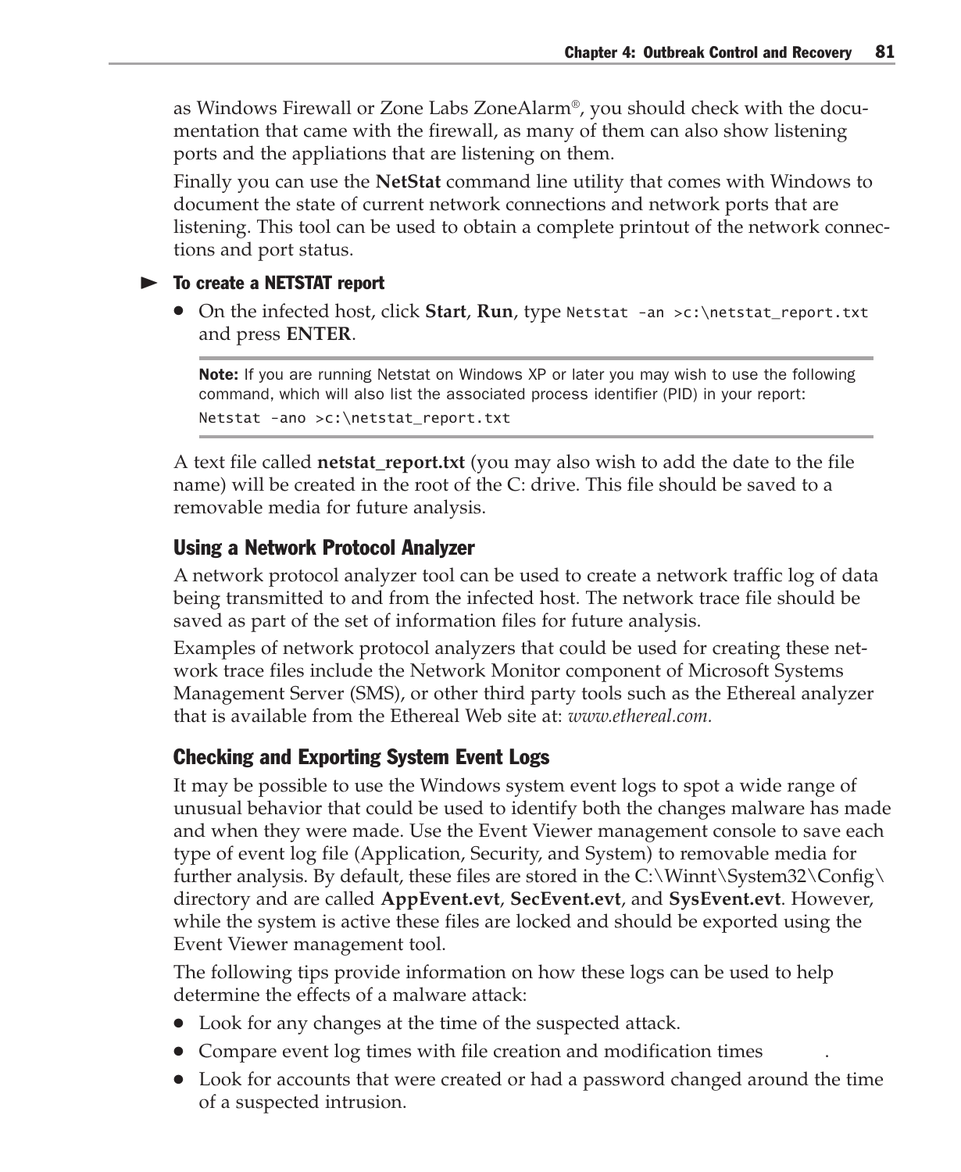as Windows Firewall or Zone Labs ZoneAlarm®, you should check with the documentation that came with the firewall, as many of them can also show listening ports and the appliations that are listening on them.

Finally you can use the **NetStat** command line utility that comes with Windows to document the state of current network connections and network ports that are listening. This tool can be used to obtain a complete printout of the network connections and port status.

#### $\blacktriangleright$  To create a NETSTAT report

● On the infected host, click **Start**, **Run**, type Netstat -an >c:\netstat\_report.txt and press **ENTER**.

Note: If you are running Netstat on Windows XP or later you may wish to use the following command, which will also list the associated process identifier (PID) in your report: Netstat -ano >c:\netstat\_report.txt

A text file called **netstat\_report.txt** (you may also wish to add the date to the file name) will be created in the root of the C: drive. This file should be saved to a removable media for future analysis.

#### Using a Network Protocol Analyzer

A network protocol analyzer tool can be used to create a network traffic log of data being transmitted to and from the infected host. The network trace file should be saved as part of the set of information files for future analysis.

Examples of network protocol analyzers that could be used for creating these network trace files include the Network Monitor component of Microsoft Systems Management Server (SMS), or other third party tools such as the Ethereal analyzer that is available from the Ethereal Web site at: *www.ethereal.com.*

#### Checking and Exporting System Event Logs

It may be possible to use the Windows system event logs to spot a wide range of unusual behavior that could be used to identify both the changes malware has made and when they were made. Use the Event Viewer management console to save each type of event log file (Application, Security, and System) to removable media for further analysis. By default, these files are stored in the  $C:\W$ innt $\S$ ystem32 $\Conf$ directory and are called **AppEvent.evt**, **SecEvent.evt**, and **SysEvent.evt**. However, while the system is active these files are locked and should be exported using the Event Viewer management tool.

The following tips provide information on how these logs can be used to help determine the effects of a malware attack:

- Look for any changes at the time of the suspected attack.
- Compare event log times with file creation and modification times
- Look for accounts that were created or had a password changed around the time of a suspected intrusion.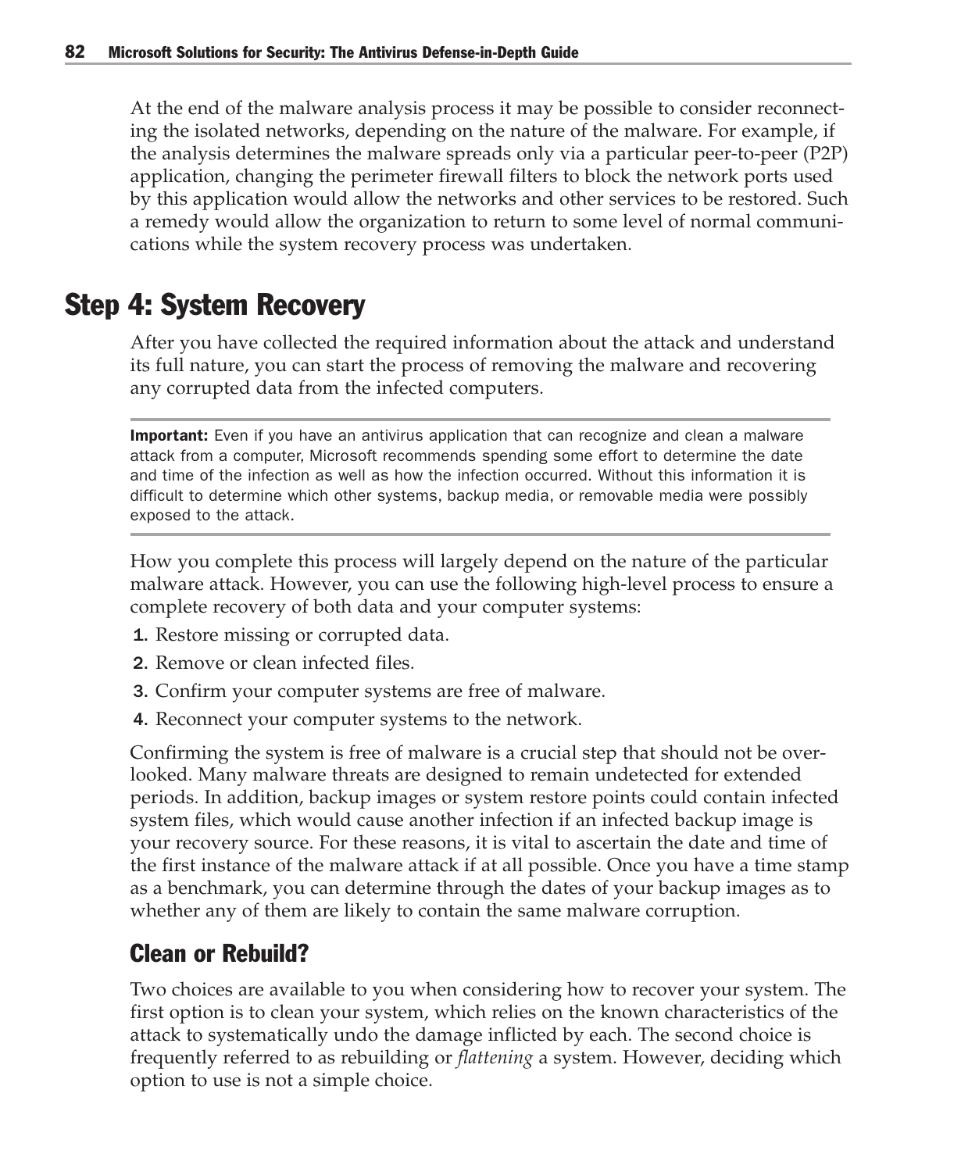At the end of the malware analysis process it may be possible to consider reconnecting the isolated networks, depending on the nature of the malware. For example, if the analysis determines the malware spreads only via a particular peer-to-peer (P2P) application, changing the perimeter firewall filters to block the network ports used by this application would allow the networks and other services to be restored. Such a remedy would allow the organization to return to some level of normal communications while the system recovery process was undertaken.

# Step 4: System Recovery

After you have collected the required information about the attack and understand its full nature, you can start the process of removing the malware and recovering any corrupted data from the infected computers.

**Important:** Even if you have an antivirus application that can recognize and clean a malware attack from a computer, Microsoft recommends spending some effort to determine the date and time of the infection as well as how the infection occurred. Without this information it is difficult to determine which other systems, backup media, or removable media were possibly exposed to the attack.

How you complete this process will largely depend on the nature of the particular malware attack. However, you can use the following high-level process to ensure a complete recovery of both data and your computer systems:

- 1. Restore missing or corrupted data.
- 2. Remove or clean infected files.
- 3. Confirm your computer systems are free of malware.
- 4. Reconnect your computer systems to the network.

Confirming the system is free of malware is a crucial step that should not be overlooked. Many malware threats are designed to remain undetected for extended periods. In addition, backup images or system restore points could contain infected system files, which would cause another infection if an infected backup image is your recovery source. For these reasons, it is vital to ascertain the date and time of the first instance of the malware attack if at all possible. Once you have a time stamp as a benchmark, you can determine through the dates of your backup images as to whether any of them are likely to contain the same malware corruption.

# Clean or Rebuild?

Two choices are available to you when considering how to recover your system. The first option is to clean your system, which relies on the known characteristics of the attack to systematically undo the damage inflicted by each. The second choice is frequently referred to as rebuilding or *flattening* a system. However, deciding which option to use is not a simple choice.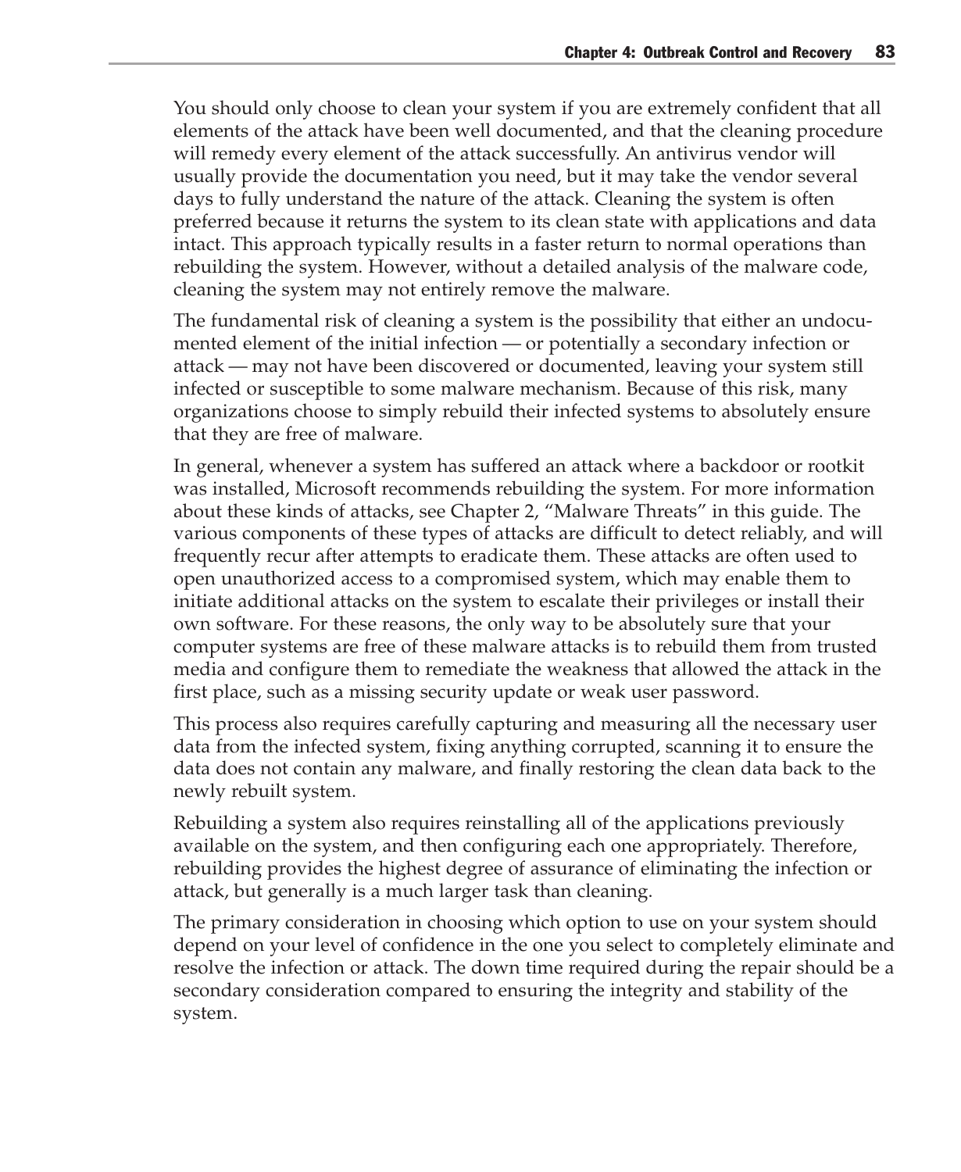You should only choose to clean your system if you are extremely confident that all elements of the attack have been well documented, and that the cleaning procedure will remedy every element of the attack successfully. An antivirus vendor will usually provide the documentation you need, but it may take the vendor several days to fully understand the nature of the attack. Cleaning the system is often preferred because it returns the system to its clean state with applications and data intact. This approach typically results in a faster return to normal operations than rebuilding the system. However, without a detailed analysis of the malware code, cleaning the system may not entirely remove the malware.

The fundamental risk of cleaning a system is the possibility that either an undocumented element of the initial infection — or potentially a secondary infection or attack — may not have been discovered or documented, leaving your system still infected or susceptible to some malware mechanism. Because of this risk, many organizations choose to simply rebuild their infected systems to absolutely ensure that they are free of malware.

In general, whenever a system has suffered an attack where a backdoor or rootkit was installed, Microsoft recommends rebuilding the system. For more information about these kinds of attacks, see Chapter 2, "Malware Threats" in this guide. The various components of these types of attacks are difficult to detect reliably, and will frequently recur after attempts to eradicate them. These attacks are often used to open unauthorized access to a compromised system, which may enable them to initiate additional attacks on the system to escalate their privileges or install their own software. For these reasons, the only way to be absolutely sure that your computer systems are free of these malware attacks is to rebuild them from trusted media and configure them to remediate the weakness that allowed the attack in the first place, such as a missing security update or weak user password.

This process also requires carefully capturing and measuring all the necessary user data from the infected system, fixing anything corrupted, scanning it to ensure the data does not contain any malware, and finally restoring the clean data back to the newly rebuilt system.

Rebuilding a system also requires reinstalling all of the applications previously available on the system, and then configuring each one appropriately. Therefore, rebuilding provides the highest degree of assurance of eliminating the infection or attack, but generally is a much larger task than cleaning.

The primary consideration in choosing which option to use on your system should depend on your level of confidence in the one you select to completely eliminate and resolve the infection or attack. The down time required during the repair should be a secondary consideration compared to ensuring the integrity and stability of the system.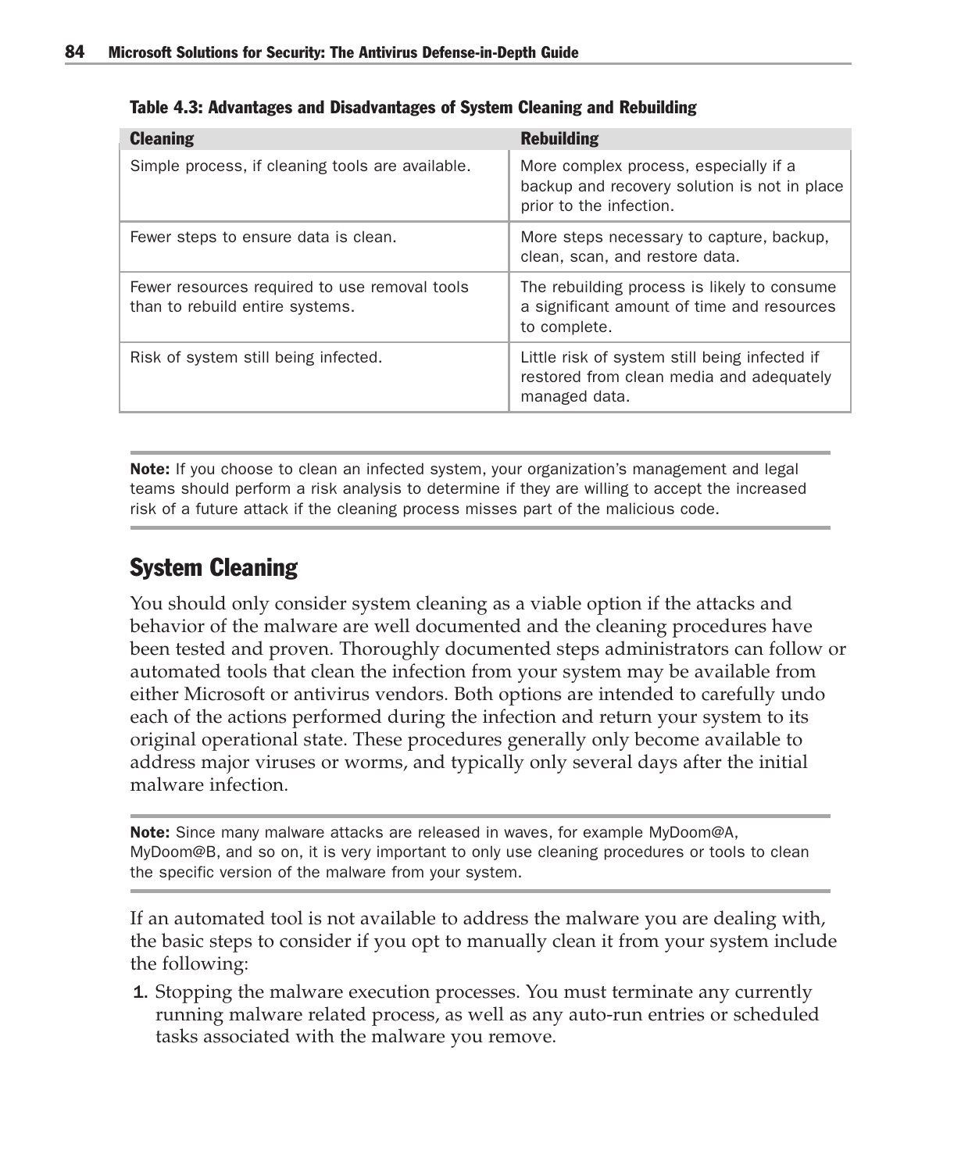| <b>Cleaning</b>                                                                  | <b>Rebuilding</b>                                                                                                |
|----------------------------------------------------------------------------------|------------------------------------------------------------------------------------------------------------------|
| Simple process, if cleaning tools are available.                                 | More complex process, especially if a<br>backup and recovery solution is not in place<br>prior to the infection. |
| Fewer steps to ensure data is clean.                                             | More steps necessary to capture, backup,<br>clean, scan, and restore data.                                       |
| Fewer resources required to use removal tools<br>than to rebuild entire systems. | The rebuilding process is likely to consume<br>a significant amount of time and resources<br>to complete.        |
| Risk of system still being infected.                                             | Little risk of system still being infected if<br>restored from clean media and adequately<br>managed data.       |

Table 4.3: Advantages and Disadvantages of System Cleaning and Rebuilding

Note: If you choose to clean an infected system, your organization's management and legal teams should perform a risk analysis to determine if they are willing to accept the increased risk of a future attack if the cleaning process misses part of the malicious code.

# System Cleaning

You should only consider system cleaning as a viable option if the attacks and behavior of the malware are well documented and the cleaning procedures have been tested and proven. Thoroughly documented steps administrators can follow or automated tools that clean the infection from your system may be available from either Microsoft or antivirus vendors. Both options are intended to carefully undo each of the actions performed during the infection and return your system to its original operational state. These procedures generally only become available to address major viruses or worms, and typically only several days after the initial malware infection.

Note: Since many malware attacks are released in waves, for example MyDoom@A, MyDoom@B, and so on, it is very important to only use cleaning procedures or tools to clean the specific version of the malware from your system.

If an automated tool is not available to address the malware you are dealing with, the basic steps to consider if you opt to manually clean it from your system include the following:

1. Stopping the malware execution processes. You must terminate any currently running malware related process, as well as any auto-run entries or scheduled tasks associated with the malware you remove.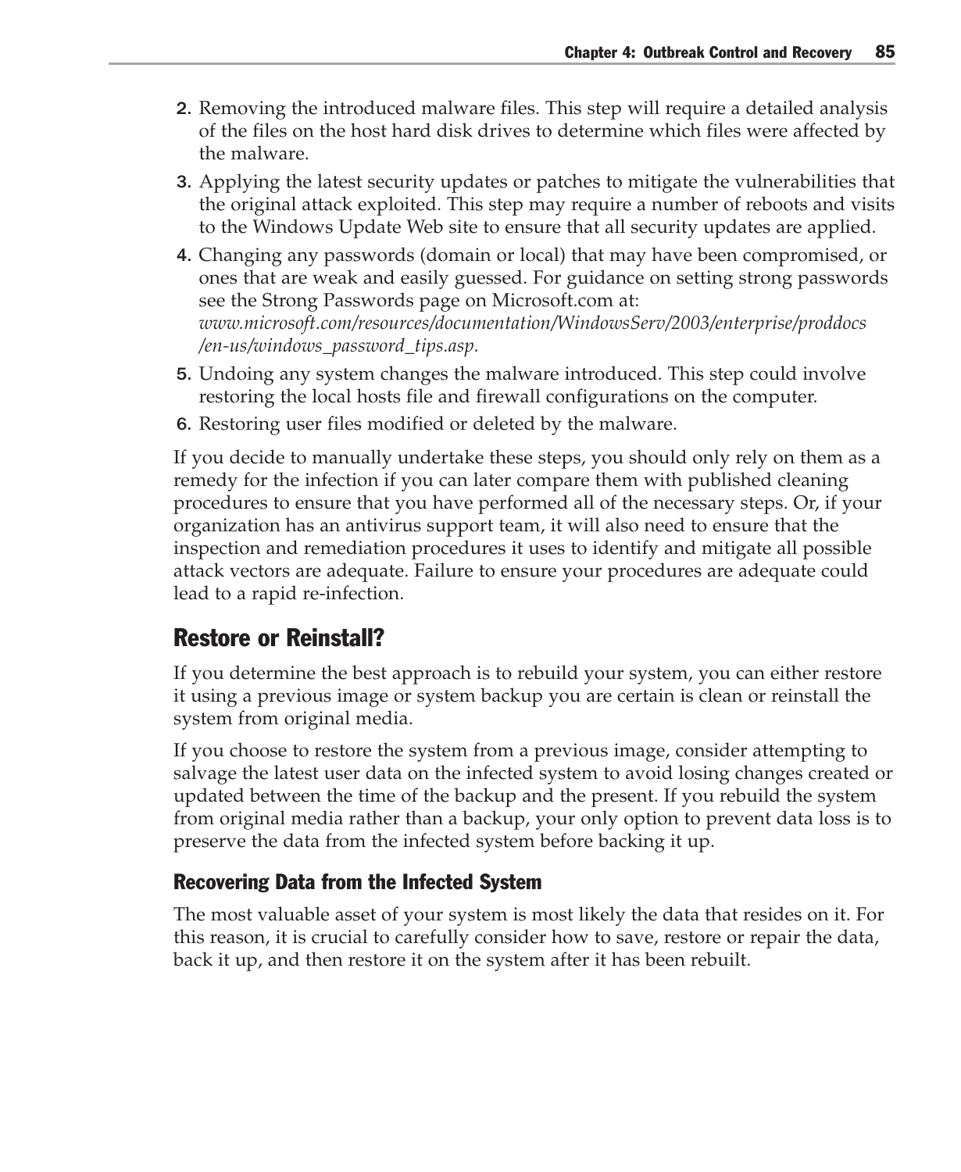- 2. Removing the introduced malware files. This step will require a detailed analysis of the files on the host hard disk drives to determine which files were affected by the malware.
- 3. Applying the latest security updates or patches to mitigate the vulnerabilities that the original attack exploited. This step may require a number of reboots and visits to the Windows Update Web site to ensure that all security updates are applied.
- 4. Changing any passwords (domain or local) that may have been compromised, or ones that are weak and easily guessed. For guidance on setting strong passwords see the Strong Passwords page on Microsoft.com at: *www.microsoft.com/resources/documentation/WindowsServ/2003/enterprise/proddocs /en-us/windows\_password\_tips.asp.*
- 5. Undoing any system changes the malware introduced. This step could involve restoring the local hosts file and firewall configurations on the computer.
- 6. Restoring user files modified or deleted by the malware.

If you decide to manually undertake these steps, you should only rely on them as a remedy for the infection if you can later compare them with published cleaning procedures to ensure that you have performed all of the necessary steps. Or, if your organization has an antivirus support team, it will also need to ensure that the inspection and remediation procedures it uses to identify and mitigate all possible attack vectors are adequate. Failure to ensure your procedures are adequate could lead to a rapid re-infection.

## Restore or Reinstall?

If you determine the best approach is to rebuild your system, you can either restore it using a previous image or system backup you are certain is clean or reinstall the system from original media.

If you choose to restore the system from a previous image, consider attempting to salvage the latest user data on the infected system to avoid losing changes created or updated between the time of the backup and the present. If you rebuild the system from original media rather than a backup, your only option to prevent data loss is to preserve the data from the infected system before backing it up.

### Recovering Data from the Infected System

The most valuable asset of your system is most likely the data that resides on it. For this reason, it is crucial to carefully consider how to save, restore or repair the data, back it up, and then restore it on the system after it has been rebuilt.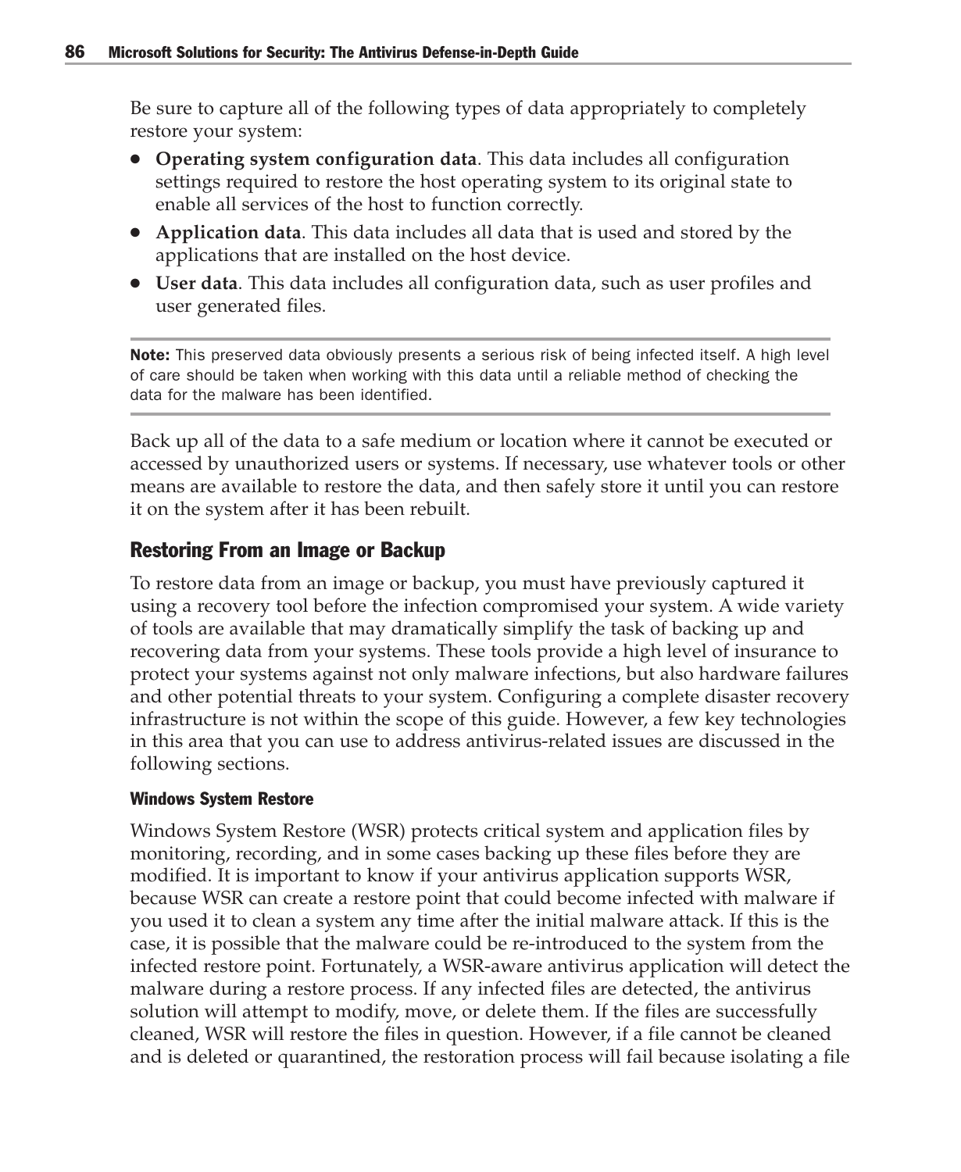Be sure to capture all of the following types of data appropriately to completely restore your system:

- **Operating system configuration data**. This data includes all configuration settings required to restore the host operating system to its original state to enable all services of the host to function correctly.
- **Application data**. This data includes all data that is used and stored by the applications that are installed on the host device.
- **User data**. This data includes all configuration data, such as user profiles and user generated files.

Note: This preserved data obviously presents a serious risk of being infected itself. A high level of care should be taken when working with this data until a reliable method of checking the data for the malware has been identified.

Back up all of the data to a safe medium or location where it cannot be executed or accessed by unauthorized users or systems. If necessary, use whatever tools or other means are available to restore the data, and then safely store it until you can restore it on the system after it has been rebuilt.

### Restoring From an Image or Backup

To restore data from an image or backup, you must have previously captured it using a recovery tool before the infection compromised your system. A wide variety of tools are available that may dramatically simplify the task of backing up and recovering data from your systems. These tools provide a high level of insurance to protect your systems against not only malware infections, but also hardware failures and other potential threats to your system. Configuring a complete disaster recovery infrastructure is not within the scope of this guide. However, a few key technologies in this area that you can use to address antivirus-related issues are discussed in the following sections.

#### Windows System Restore

Windows System Restore (WSR) protects critical system and application files by monitoring, recording, and in some cases backing up these files before they are modified. It is important to know if your antivirus application supports WSR, because WSR can create a restore point that could become infected with malware if you used it to clean a system any time after the initial malware attack. If this is the case, it is possible that the malware could be re-introduced to the system from the infected restore point. Fortunately, a WSR-aware antivirus application will detect the malware during a restore process. If any infected files are detected, the antivirus solution will attempt to modify, move, or delete them. If the files are successfully cleaned, WSR will restore the files in question. However, if a file cannot be cleaned and is deleted or quarantined, the restoration process will fail because isolating a file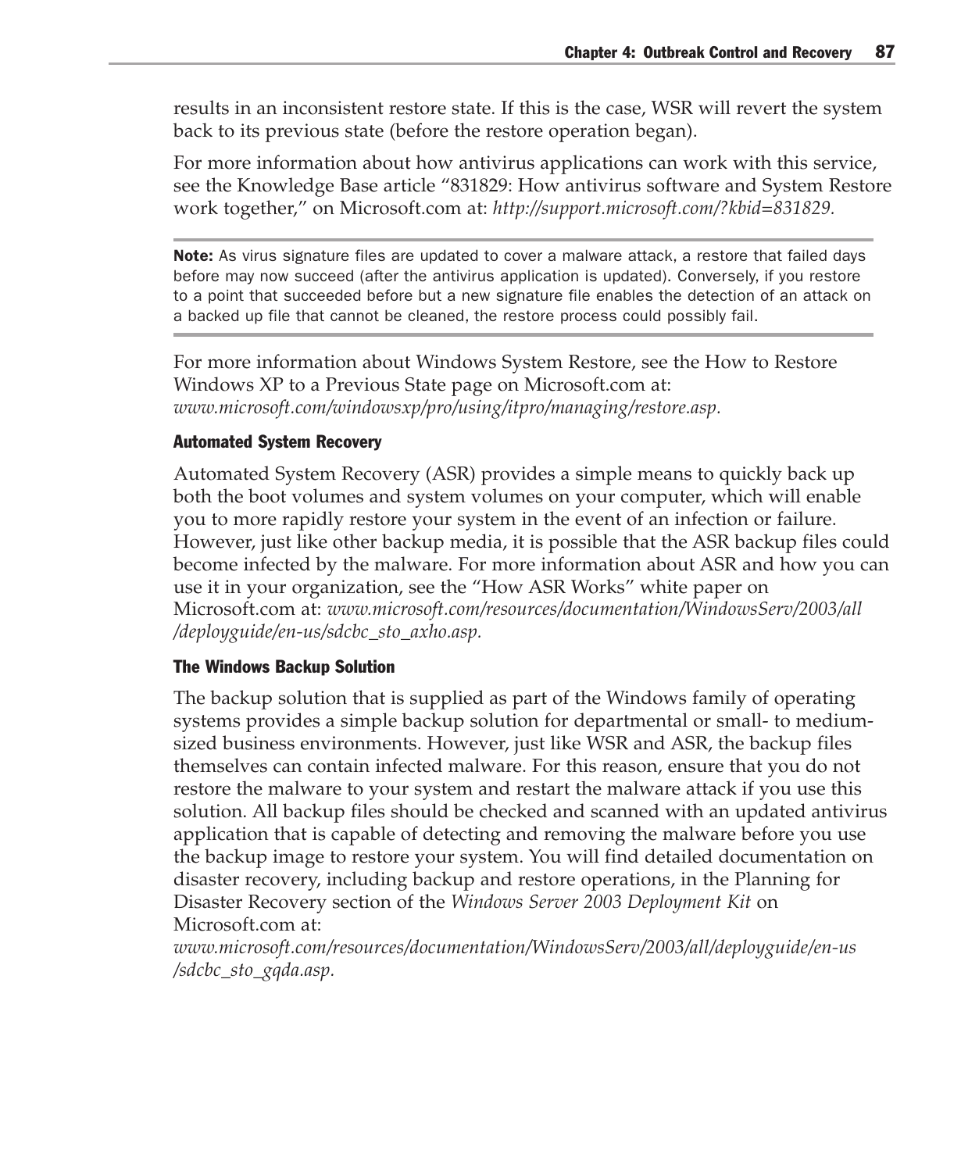results in an inconsistent restore state. If this is the case, WSR will revert the system back to its previous state (before the restore operation began).

For more information about how antivirus applications can work with this service, see the Knowledge Base article "831829: How antivirus software and System Restore work together," on Microsoft.com at: *http://support.microsoft.com/?kbid=831829.*

**Note:** As virus signature files are updated to cover a malware attack, a restore that failed days before may now succeed (after the antivirus application is updated). Conversely, if you restore to a point that succeeded before but a new signature file enables the detection of an attack on a backed up file that cannot be cleaned, the restore process could possibly fail.

For more information about Windows System Restore, see the How to Restore Windows XP to a Previous State page on Microsoft.com at: *www.microsoft.com/windowsxp/pro/using/itpro/managing/restore.asp.*

#### Automated System Recovery

Automated System Recovery (ASR) provides a simple means to quickly back up both the boot volumes and system volumes on your computer, which will enable you to more rapidly restore your system in the event of an infection or failure. However, just like other backup media, it is possible that the ASR backup files could become infected by the malware. For more information about ASR and how you can use it in your organization, see the "How ASR Works" white paper on Microsoft.com at: *www.microsoft.com/resources/documentation/WindowsServ/2003/all /deployguide/en-us/sdcbc\_sto\_axho.asp.*

#### The Windows Backup Solution

The backup solution that is supplied as part of the Windows family of operating systems provides a simple backup solution for departmental or small- to mediumsized business environments. However, just like WSR and ASR, the backup files themselves can contain infected malware. For this reason, ensure that you do not restore the malware to your system and restart the malware attack if you use this solution. All backup files should be checked and scanned with an updated antivirus application that is capable of detecting and removing the malware before you use the backup image to restore your system. You will find detailed documentation on disaster recovery, including backup and restore operations, in the Planning for Disaster Recovery section of the *Windows Server 2003 Deployment Kit* on Microsoft.com at:

*www.microsoft.com/resources/documentation/WindowsServ/2003/all/deployguide/en-us /sdcbc\_sto\_gqda.asp.*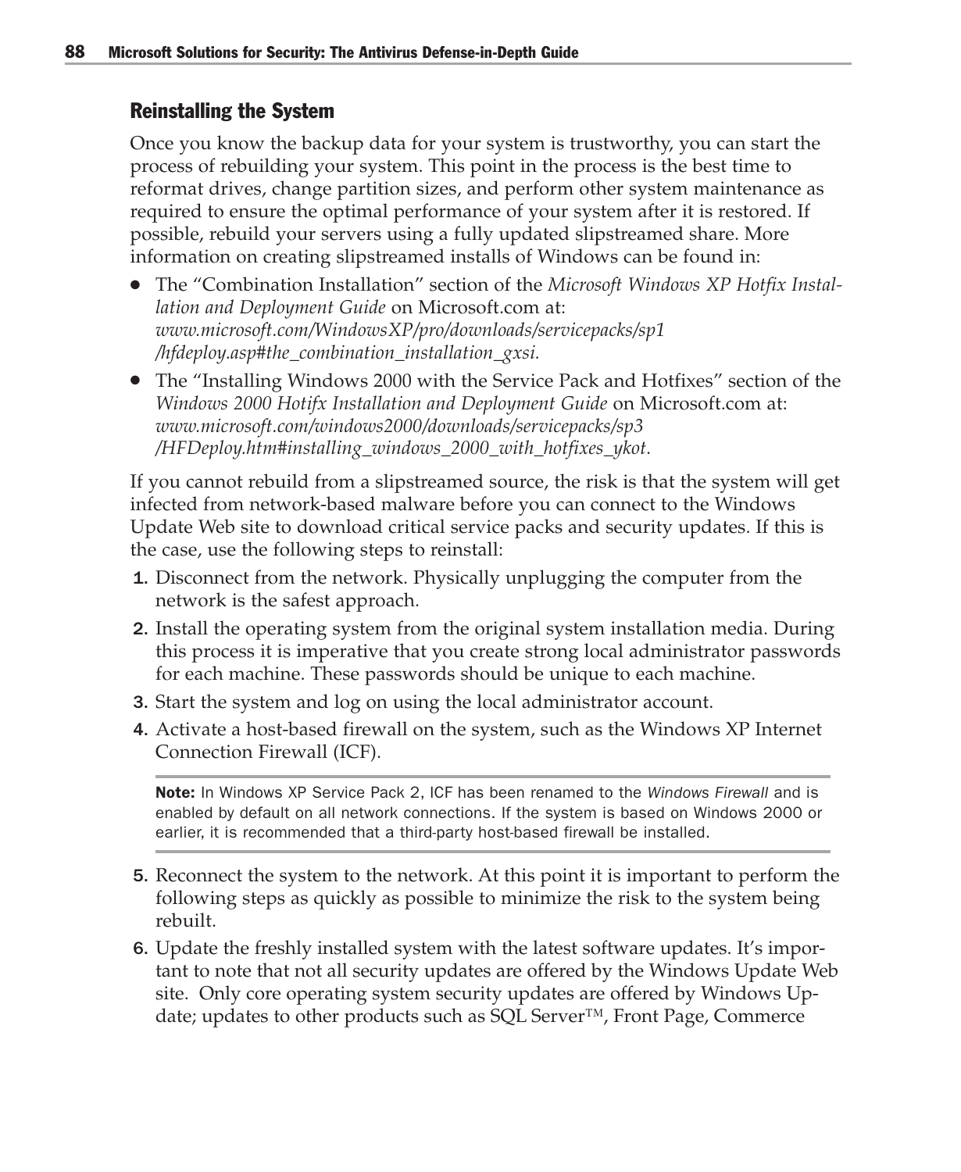### Reinstalling the System

Once you know the backup data for your system is trustworthy, you can start the process of rebuilding your system. This point in the process is the best time to reformat drives, change partition sizes, and perform other system maintenance as required to ensure the optimal performance of your system after it is restored. If possible, rebuild your servers using a fully updated slipstreamed share. More information on creating slipstreamed installs of Windows can be found in:

- The "Combination Installation" section of the *Microsoft Windows XP Hotfix Instal lation and Deployment Guide* on Microsoft.com at: *www.microsoft.com/WindowsXP/pro/downloads/servicepacks/sp1 /hfdeploy.asp#the\_combination\_installation\_gxsi.*
- The "Installing Windows 2000 with the Service Pack and Hotfixes" section of the *Windows 2000 Hotifx Installation and Deployment Guide* on Microsoft.com at: *www.microsoft.com/windows2000/downloads/servicepacks/sp3 /HFDeploy.htm#installing\_windows\_2000\_with\_hotfixes\_ykot.*

If you cannot rebuild from a slipstreamed source, the risk is that the system will get infected from network-based malware before you can connect to the Windows Update Web site to download critical service packs and security updates. If this is the case, use the following steps to reinstall:

- 1. Disconnect from the network. Physically unplugging the computer from the network is the safest approach.
- 2. Install the operating system from the original system installation media. During this process it is imperative that you create strong local administrator passwords for each machine. These passwords should be unique to each machine.
- 3. Start the system and log on using the local administrator account.
- 4. Activate a host-based firewall on the system, such as the Windows XP Internet Connection Firewall (ICF).

Note: In Windows XP Service Pack 2, ICF has been renamed to the *Windows Firewall* and is enabled by default on all network connections. If the system is based on Windows 2000 or earlier, it is recommended that a third-party host-based firewall be installed.

- 5. Reconnect the system to the network. At this point it is important to perform the following steps as quickly as possible to minimize the risk to the system being rebuilt.
- 6. Update the freshly installed system with the latest software updates. It's important to note that not all security updates are offered by the Windows Update Web site. Only core operating system security updates are offered by Windows Update; updates to other products such as SQL Server™, Front Page, Commerce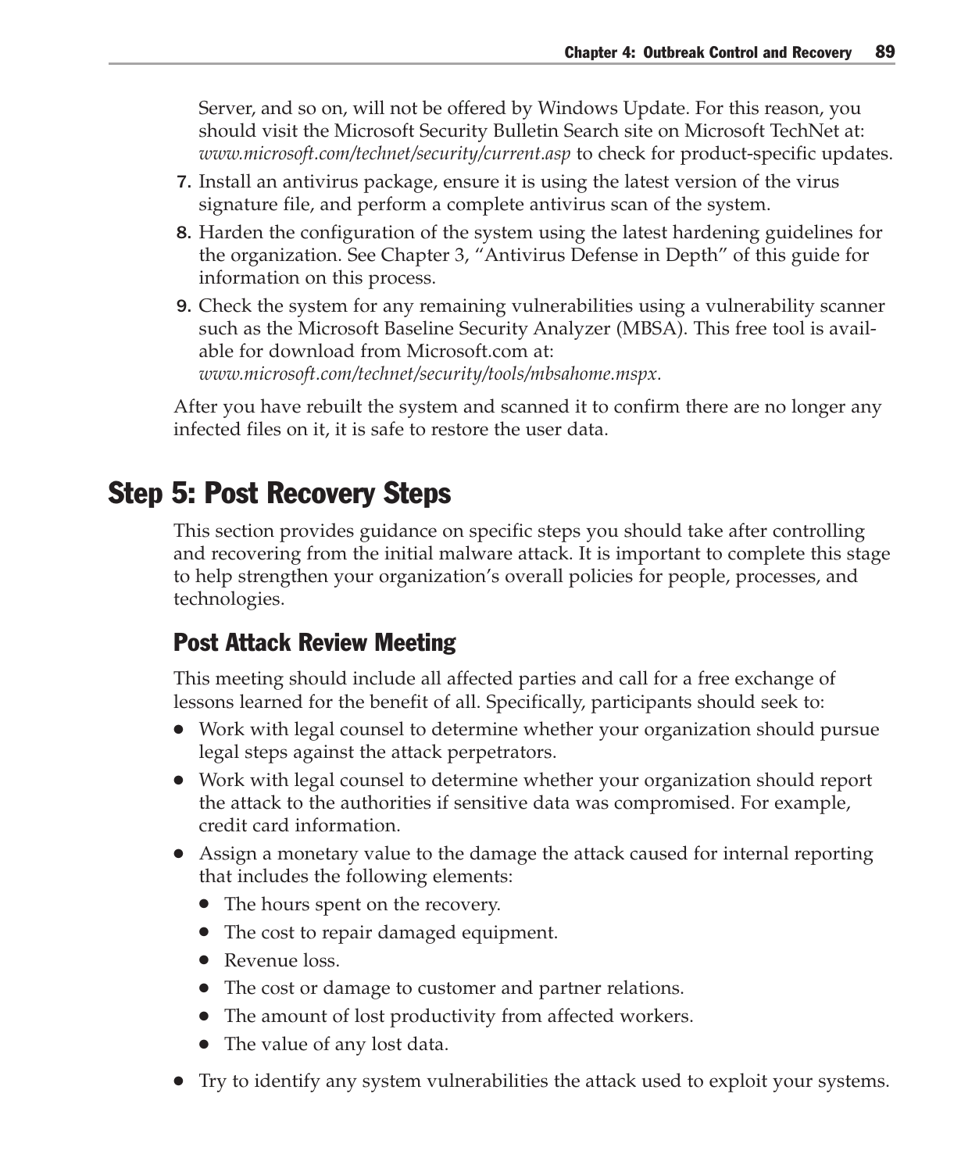Server, and so on, will not be offered by Windows Update. For this reason, you should visit the Microsoft Security Bulletin Search site on Microsoft TechNet at: *www.microsoft.com/technet/security/current.asp* to check for product-specific updates.

- 7. Install an antivirus package, ensure it is using the latest version of the virus signature file, and perform a complete antivirus scan of the system.
- 8. Harden the configuration of the system using the latest hardening guidelines for the organization. See Chapter 3, "Antivirus Defense in Depth" of this guide for information on this process.
- 9. Check the system for any remaining vulnerabilities using a vulnerability scanner such as the Microsoft Baseline Security Analyzer (MBSA). This free tool is available for download from Microsoft.com at: *www.microsoft.com/technet/security/tools/mbsahome.mspx.*

After you have rebuilt the system and scanned it to confirm there are no longer any infected files on it, it is safe to restore the user data.

# Step 5: Post Recovery Steps

This section provides guidance on specific steps you should take after controlling and recovering from the initial malware attack. It is important to complete this stage to help strengthen your organization's overall policies for people, processes, and technologies.

# Post Attack Review Meeting

This meeting should include all affected parties and call for a free exchange of lessons learned for the benefit of all. Specifically, participants should seek to:

- Work with legal counsel to determine whether your organization should pursue legal steps against the attack perpetrators.
- Work with legal counsel to determine whether your organization should report the attack to the authorities if sensitive data was compromised. For example, credit card information.
- Assign a monetary value to the damage the attack caused for internal reporting that includes the following elements:
	- The hours spent on the recovery.
	- The cost to repair damaged equipment.
	- Revenue loss.
	- The cost or damage to customer and partner relations.
	- The amount of lost productivity from affected workers.
	- The value of any lost data.
- Try to identify any system vulnerabilities the attack used to exploit your systems.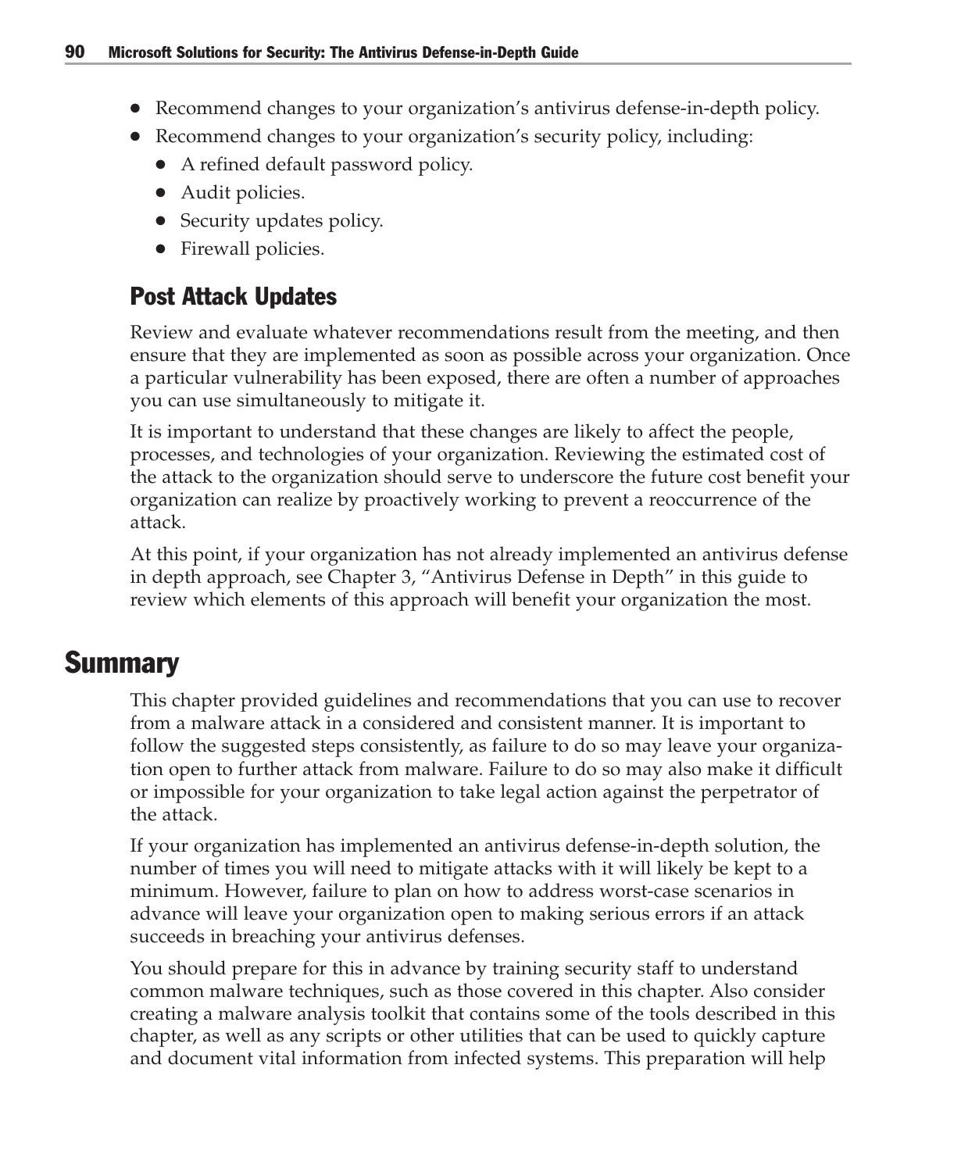- Recommend changes to your organization's antivirus defense-in-depth policy.
- Recommend changes to your organization's security policy, including:
	- A refined default password policy.
	- Audit policies.
	- Security updates policy.
	- Firewall policies.

# Post Attack Updates

Review and evaluate whatever recommendations result from the meeting, and then ensure that they are implemented as soon as possible across your organization. Once a particular vulnerability has been exposed, there are often a number of approaches you can use simultaneously to mitigate it.

It is important to understand that these changes are likely to affect the people, processes, and technologies of your organization. Reviewing the estimated cost of the attack to the organization should serve to underscore the future cost benefit your organization can realize by proactively working to prevent a reoccurrence of the attack.

At this point, if your organization has not already implemented an antivirus defense in depth approach, see Chapter 3, "Antivirus Defense in Depth" in this guide to review which elements of this approach will benefit your organization the most.

# **Summary**

This chapter provided guidelines and recommendations that you can use to recover from a malware attack in a considered and consistent manner. It is important to follow the suggested steps consistently, as failure to do so may leave your organization open to further attack from malware. Failure to do so may also make it difficult or impossible for your organization to take legal action against the perpetrator of the attack.

If your organization has implemented an antivirus defense-in-depth solution, the number of times you will need to mitigate attacks with it will likely be kept to a minimum. However, failure to plan on how to address worst-case scenarios in advance will leave your organization open to making serious errors if an attack succeeds in breaching your antivirus defenses.

You should prepare for this in advance by training security staff to understand common malware techniques, such as those covered in this chapter. Also consider creating a malware analysis toolkit that contains some of the tools described in this chapter, as well as any scripts or other utilities that can be used to quickly capture and document vital information from infected systems. This preparation will help